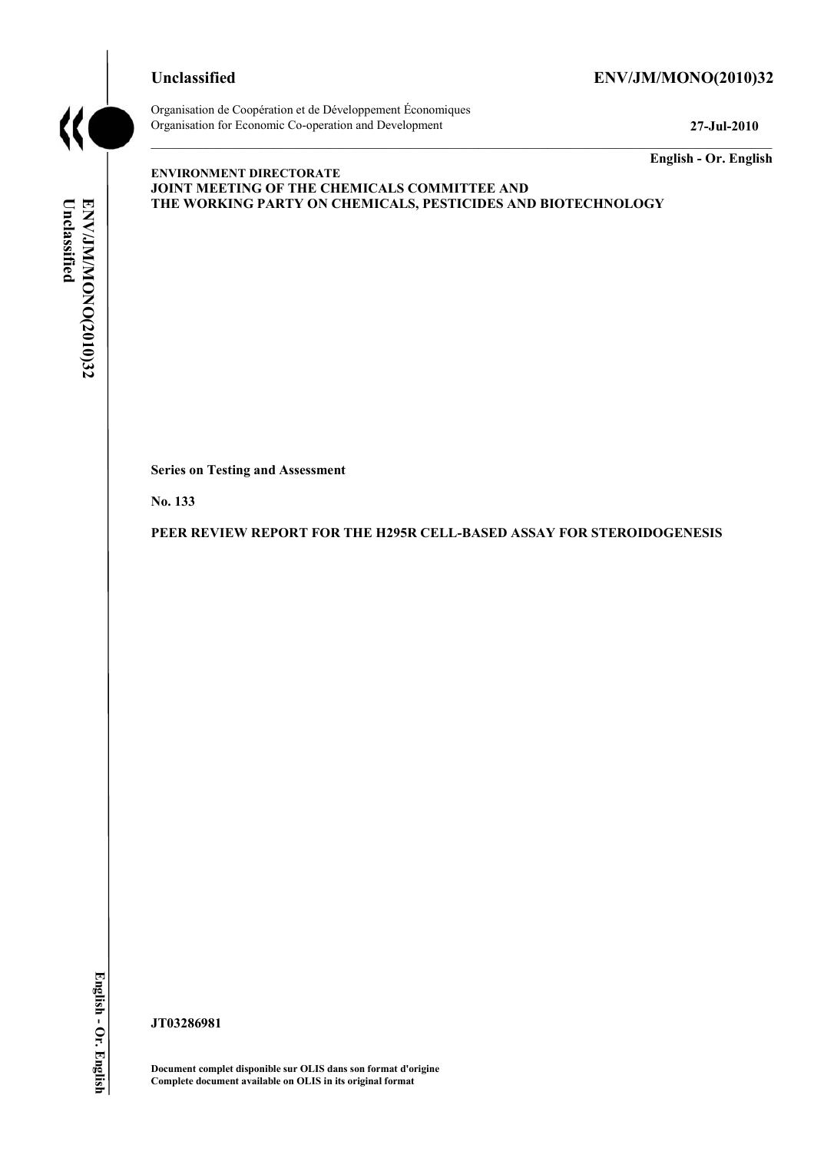### **Unclassified ENV/JM/MONO(2010)32**



Organisation de Coopération et de Développement Économiques Organisation for Economic Co-operation and Development **27-Jul-2010** 

**English - Or. English** 

# Unclassified ENV/JM/MONO(2010)32 **Unclassified ENV/JM/MONO(2010)32 English - Or. English**

**ENVIRONMENT DIRECTORATE JOINT MEETING OF THE CHEMICALS COMMITTEE AND THE WORKING PARTY ON CHEMICALS, PESTICIDES AND BIOTECHNOLOGY** 

**Series on Testing and Assessment** 

**No. 133** 

**PEER REVIEW REPORT FOR THE H295R CELL-BASED ASSAY FOR STEROIDOGENESIS** 

**JT03286981** 

**Document complet disponible sur OLIS dans son format d'origine Complete document available on OLIS in its original format**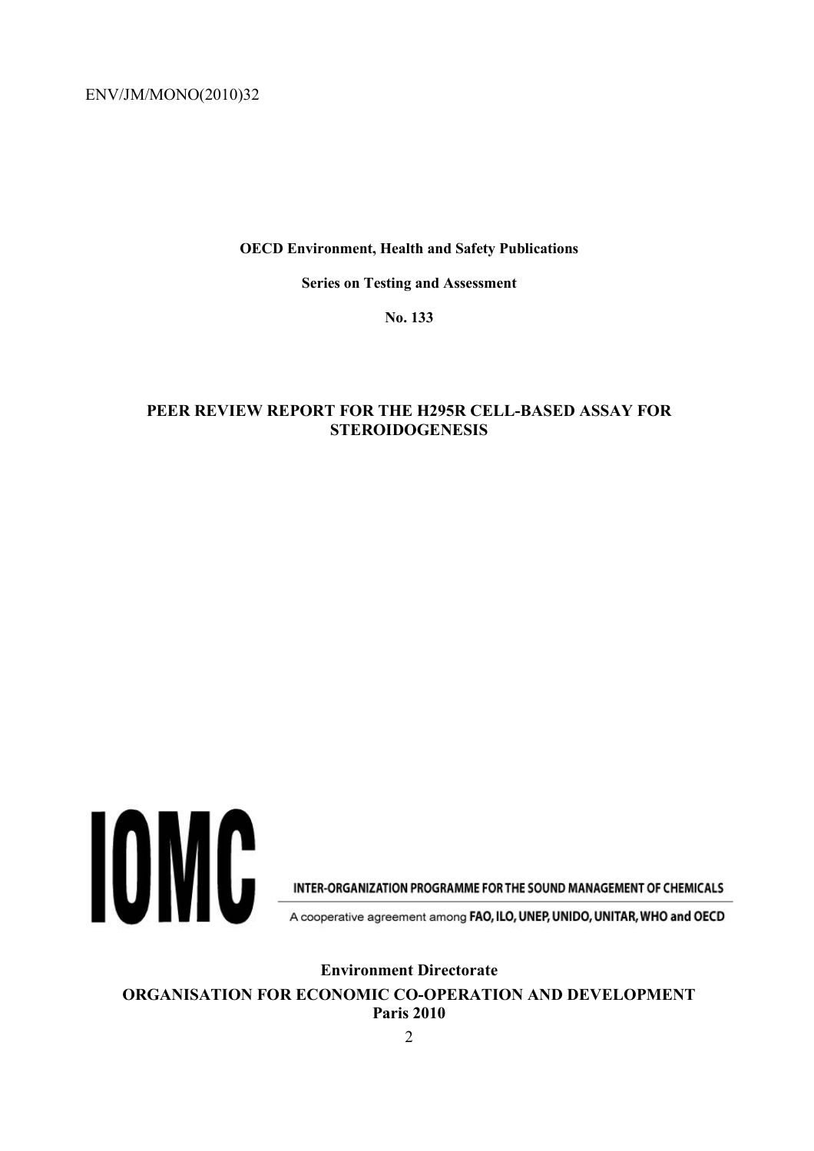**OECD Environment, Health and Safety Publications** 

**Series on Testing and Assessment** 

**No. 133** 

### **PEER REVIEW REPORT FOR THE H295R CELL-BASED ASSAY FOR STEROIDOGENESIS**



INTER-ORGANIZATION PROGRAMME FOR THE SOUND MANAGEMENT OF CHEMICALS

A cooperative agreement among FAO, ILO, UNEP, UNIDO, UNITAR, WHO and OECD

**Environment Directorate** 

**ORGANISATION FOR ECONOMIC CO-OPERATION AND DEVELOPMENT Paris 2010**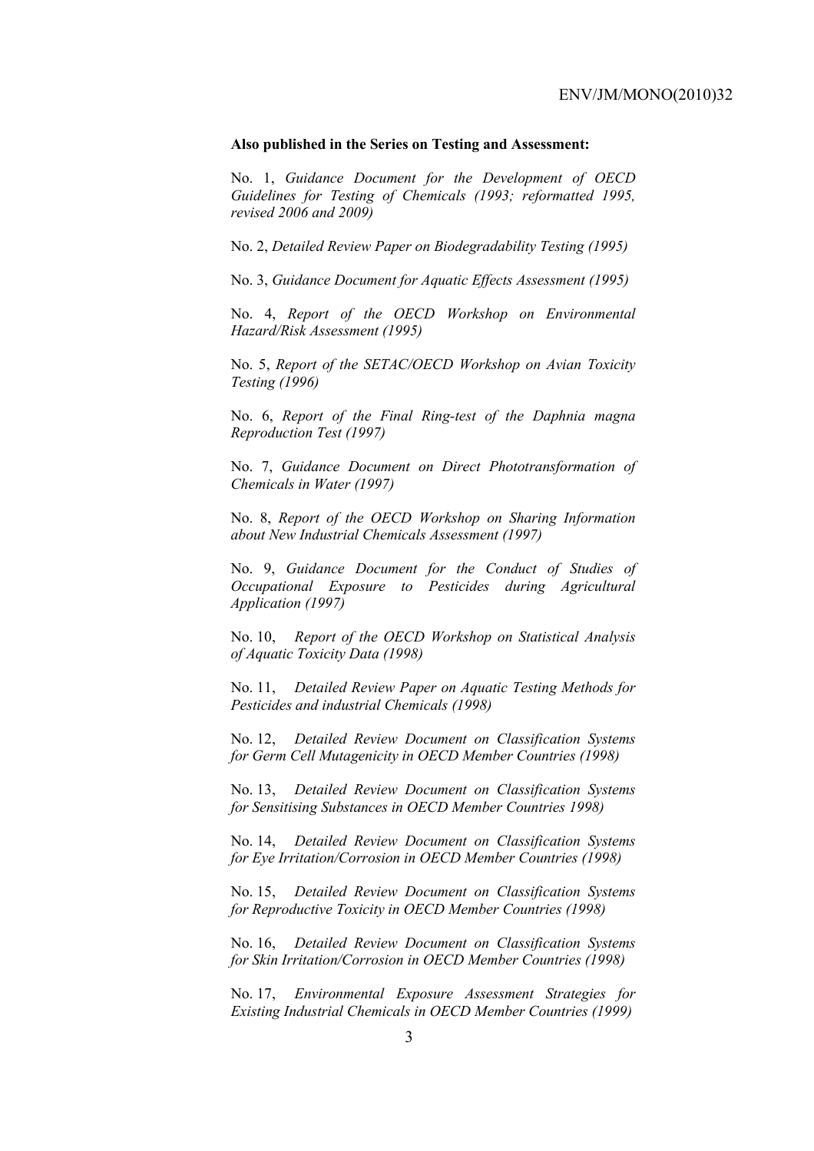### **Also published in the Series on Testing and Assessment:**

No. 1, *Guidance Document for the Development of OECD Guidelines for Testing of Chemicals (1993; reformatted 1995, revised 2006 and 2009)*

No. 2, *Detailed Review Paper on Biodegradability Testing (1995)*

No. 3, *Guidance Document for Aquatic Effects Assessment (1995)* 

No. 4, *Report of the OECD Workshop on Environmental Hazard/Risk Assessment (1995)*

No. 5, *Report of the SETAC/OECD Workshop on Avian Toxicity Testing (1996)*

No. 6, *Report of the Final Ring-test of the Daphnia magna Reproduction Test (1997)*

No. 7, *Guidance Document on Direct Phototransformation of Chemicals in Water (1997)* 

No. 8, *Report of the OECD Workshop on Sharing Information about New Industrial Chemicals Assessment (1997)*

No. 9, *Guidance Document for the Conduct of Studies of Occupational Exposure to Pesticides during Agricultural Application (1997)*

No. 10, *Report of the OECD Workshop on Statistical Analysis of Aquatic Toxicity Data (1998)*

No. 11, *Detailed Review Paper on Aquatic Testing Methods for Pesticides and industrial Chemicals (1998)*

No. 12, *Detailed Review Document on Classification Systems for Germ Cell Mutagenicity in OECD Member Countries (1998)*

No. 13, *Detailed Review Document on Classification Systems for Sensitising Substances in OECD Member Countries 1998)*

No. 14, *Detailed Review Document on Classification Systems for Eye Irritation/Corrosion in OECD Member Countries (1998)*

No. 15, *Detailed Review Document on Classification Systems for Reproductive Toxicity in OECD Member Countries (1998)*

No. 16, *Detailed Review Document on Classification Systems for Skin Irritation/Corrosion in OECD Member Countries (1998)*

No. 17, *Environmental Exposure Assessment Strategies for Existing Industrial Chemicals in OECD Member Countries (1999)*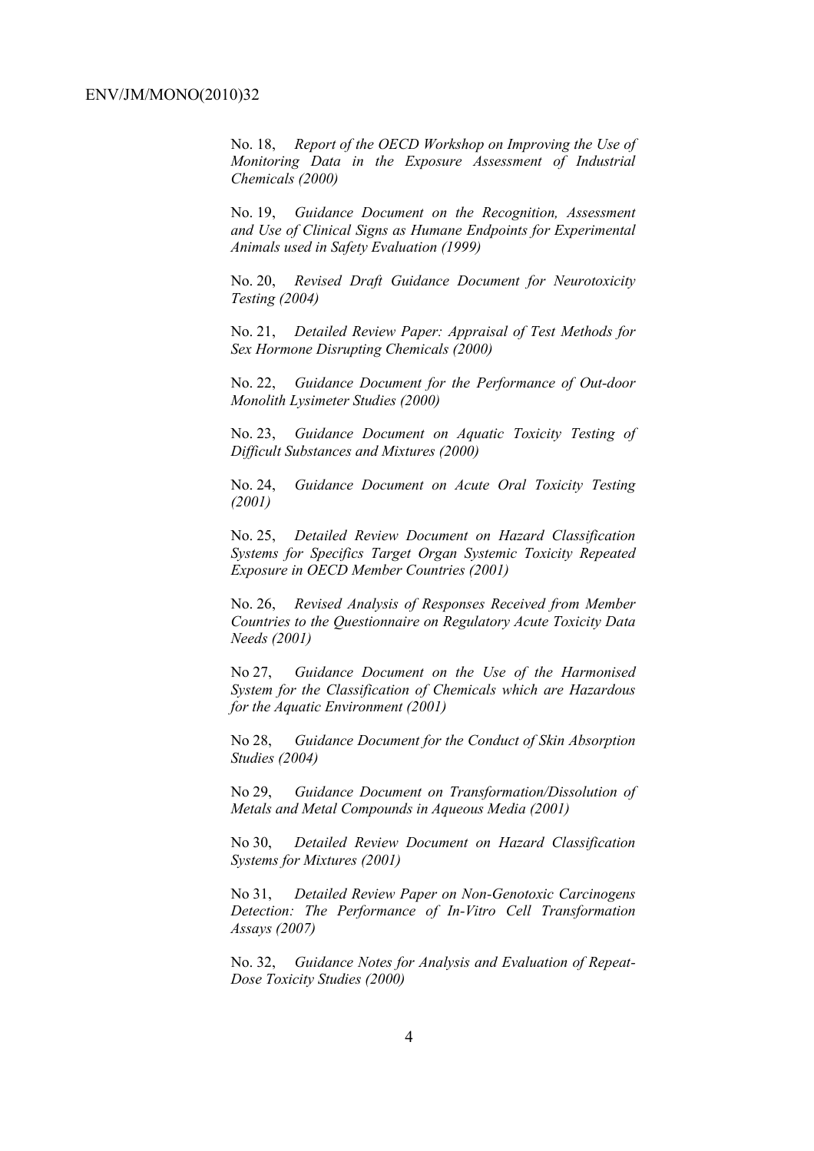No. 18, *Report of the OECD Workshop on Improving the Use of Monitoring Data in the Exposure Assessment of Industrial Chemicals (2000)*

No. 19, *Guidance Document on the Recognition, Assessment and Use of Clinical Signs as Humane Endpoints for Experimental Animals used in Safety Evaluation (1999)*

No. 20, *Revised Draft Guidance Document for Neurotoxicity Testing (2004)*

No. 21, *Detailed Review Paper: Appraisal of Test Methods for Sex Hormone Disrupting Chemicals (2000)*

No. 22, *Guidance Document for the Performance of Out-door Monolith Lysimeter Studies (2000)*

No. 23, *Guidance Document on Aquatic Toxicity Testing of Difficult Substances and Mixtures (2000)*

No. 24, *Guidance Document on Acute Oral Toxicity Testing (2001)*

No. 25, *Detailed Review Document on Hazard Classification Systems for Specifics Target Organ Systemic Toxicity Repeated Exposure in OECD Member Countries (2001)*

No. 26, *Revised Analysis of Responses Received from Member Countries to the Questionnaire on Regulatory Acute Toxicity Data Needs (2001)*

No 27, *Guidance Document on the Use of the Harmonised System for the Classification of Chemicals which are Hazardous for the Aquatic Environment (2001)*

No 28, *Guidance Document for the Conduct of Skin Absorption Studies (2004)*

No 29, *Guidance Document on Transformation/Dissolution of Metals and Metal Compounds in Aqueous Media (2001)*

No 30, *Detailed Review Document on Hazard Classification Systems for Mixtures (2001)*

No 31, *Detailed Review Paper on Non-Genotoxic Carcinogens Detection: The Performance of In-Vitro Cell Transformation Assays (2007)* 

No. 32, *Guidance Notes for Analysis and Evaluation of Repeat-Dose Toxicity Studies (2000)*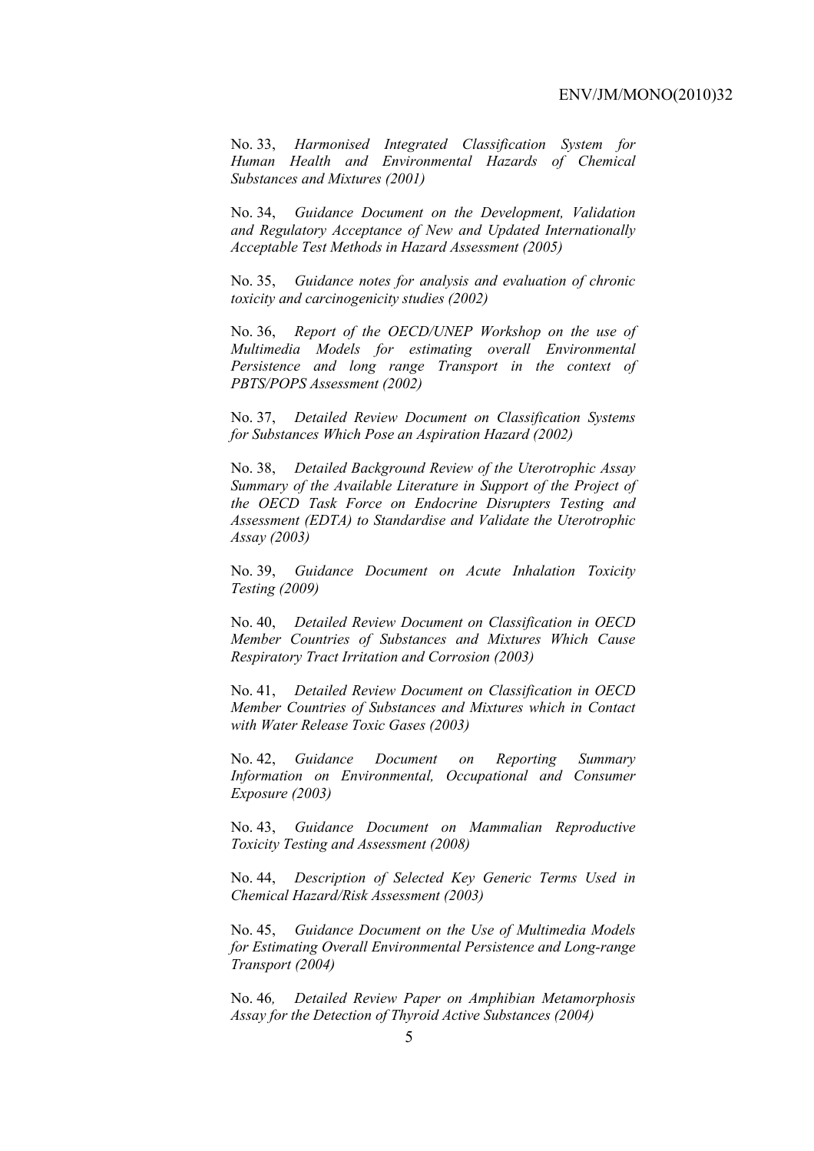No. 33, *Harmonised Integrated Classification System for Human Health and Environmental Hazards of Chemical Substances and Mixtures (2001)*

No. 34, *Guidance Document on the Development, Validation and Regulatory Acceptance of New and Updated Internationally Acceptable Test Methods in Hazard Assessment (2005)*

No. 35, *Guidance notes for analysis and evaluation of chronic toxicity and carcinogenicity studies (2002)*

No. 36, *Report of the OECD/UNEP Workshop on the use of Multimedia Models for estimating overall Environmental Persistence and long range Transport in the context of PBTS/POPS Assessment (2002)*

No. 37, *Detailed Review Document on Classification Systems for Substances Which Pose an Aspiration Hazard (2002)*

No. 38, *Detailed Background Review of the Uterotrophic Assay Summary of the Available Literature in Support of the Project of the OECD Task Force on Endocrine Disrupters Testing and Assessment (EDTA) to Standardise and Validate the Uterotrophic Assay (2003)*

No. 39, *Guidance Document on Acute Inhalation Toxicity Testing (2009)*

No. 40, *Detailed Review Document on Classification in OECD Member Countries of Substances and Mixtures Which Cause Respiratory Tract Irritation and Corrosion (2003)*

No. 41, *Detailed Review Document on Classification in OECD Member Countries of Substances and Mixtures which in Contact with Water Release Toxic Gases (2003)*

No. 42, *Guidance Document on Reporting Summary Information on Environmental, Occupational and Consumer Exposure (2003)*

No. 43, *Guidance Document on Mammalian Reproductive Toxicity Testing and Assessment (2008)*

No. 44, *Description of Selected Key Generic Terms Used in Chemical Hazard/Risk Assessment (2003)* 

No. 45, *Guidance Document on the Use of Multimedia Models for Estimating Overall Environmental Persistence and Long-range Transport (2004)*

No. 46*, Detailed Review Paper on Amphibian Metamorphosis Assay for the Detection of Thyroid Active Substances (2004)*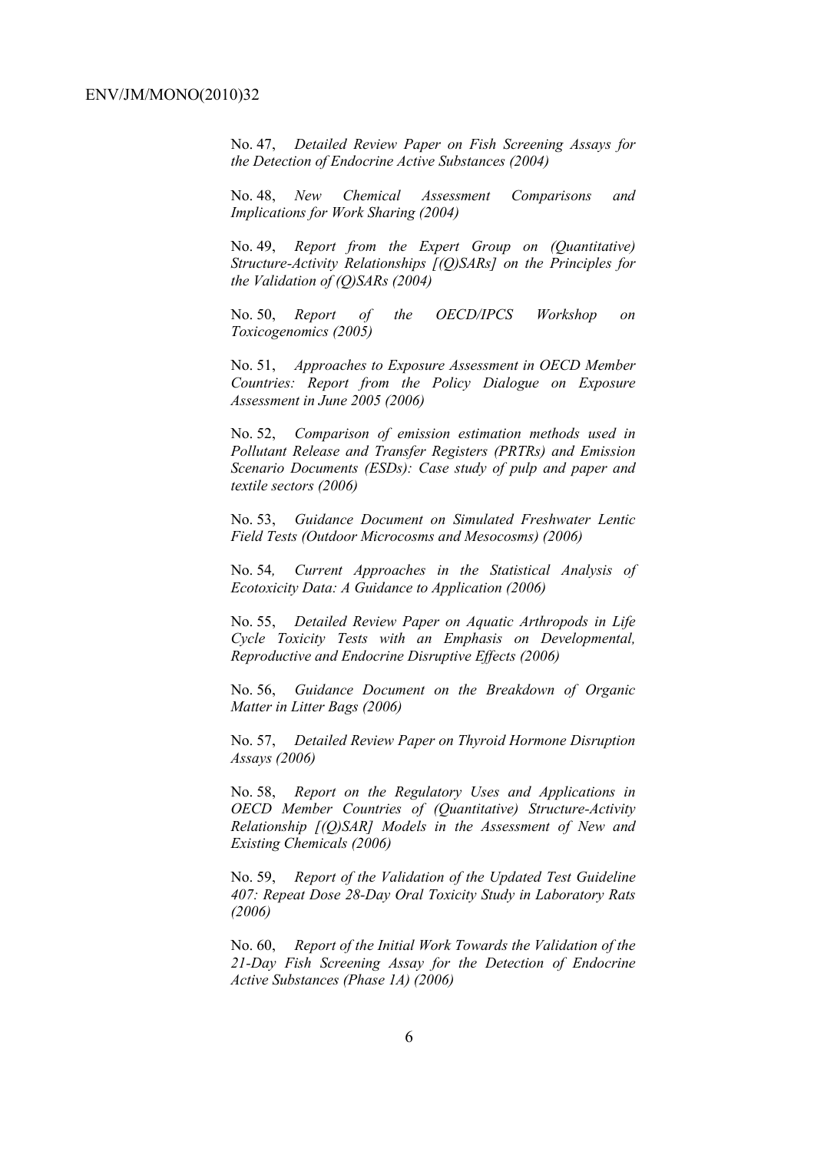No. 47, *Detailed Review Paper on Fish Screening Assays for the Detection of Endocrine Active Substances (2004)* 

No. 48, *New Chemical Assessment Comparisons and Implications for Work Sharing (2004)* 

No. 49, *Report from the Expert Group on (Quantitative) Structure-Activity Relationships [(Q)SARs] on the Principles for the Validation of (Q)SARs (2004)* 

No. 50, *Report of the OECD/IPCS Workshop on Toxicogenomics (2005)* 

No. 51, *Approaches to Exposure Assessment in OECD Member Countries: Report from the Policy Dialogue on Exposure Assessment in June 2005 (2006)* 

No. 52, *Comparison of emission estimation methods used in Pollutant Release and Transfer Registers (PRTRs) and Emission Scenario Documents (ESDs): Case study of pulp and paper and textile sectors (2006)* 

No. 53, *Guidance Document on Simulated Freshwater Lentic Field Tests (Outdoor Microcosms and Mesocosms) (2006)* 

No. 54*, Current Approaches in the Statistical Analysis of Ecotoxicity Data: A Guidance to Application (2006)* 

No. 55, *Detailed Review Paper on Aquatic Arthropods in Life Cycle Toxicity Tests with an Emphasis on Developmental, Reproductive and Endocrine Disruptive Effects (2006)* 

No. 56, *Guidance Document on the Breakdown of Organic Matter in Litter Bags (2006)* 

No. 57, *Detailed Review Paper on Thyroid Hormone Disruption Assays (2006)* 

No. 58, *Report on the Regulatory Uses and Applications in OECD Member Countries of (Quantitative) Structure-Activity Relationship [(Q)SAR] Models in the Assessment of New and Existing Chemicals (2006)* 

No. 59, *Report of the Validation of the Updated Test Guideline 407: Repeat Dose 28-Day Oral Toxicity Study in Laboratory Rats (2006)* 

No. 60, *Report of the Initial Work Towards the Validation of the 21-Day Fish Screening Assay for the Detection of Endocrine Active Substances (Phase 1A) (2006)*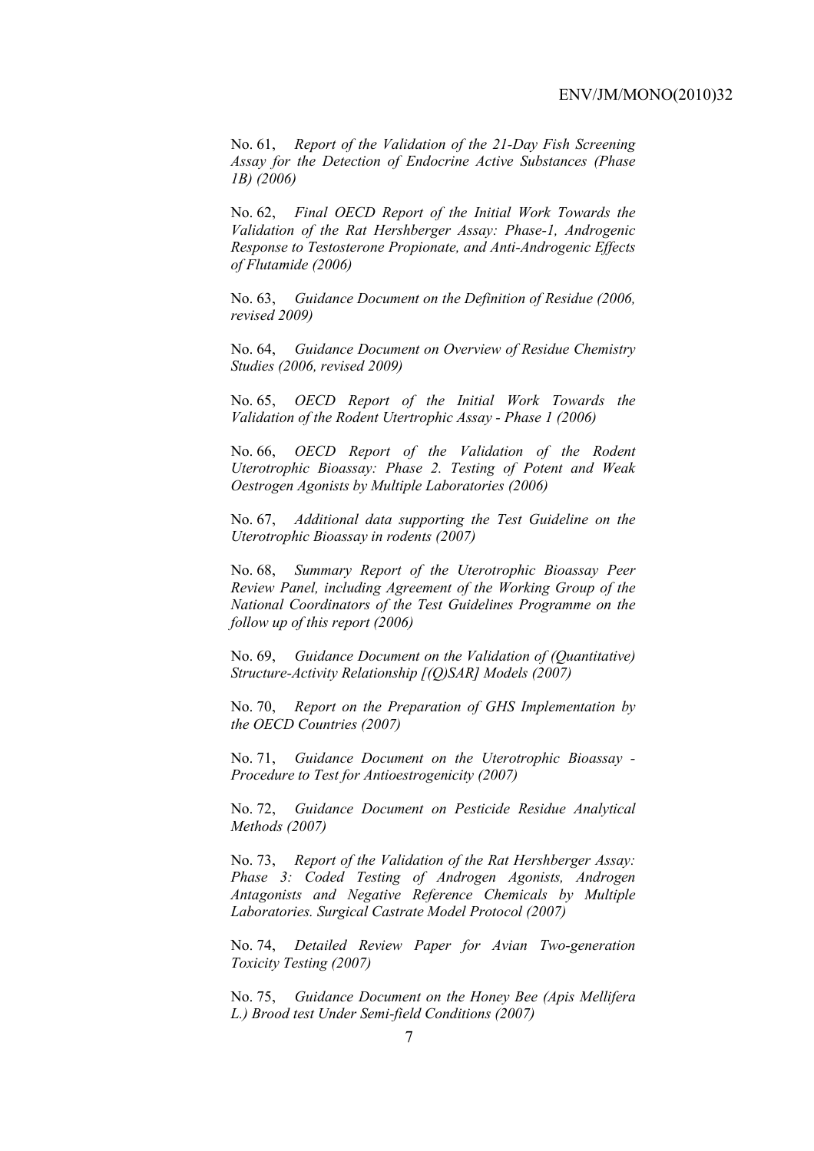No. 61, *Report of the Validation of the 21-Day Fish Screening Assay for the Detection of Endocrine Active Substances (Phase 1B) (2006)* 

No. 62, *Final OECD Report of the Initial Work Towards the Validation of the Rat Hershberger Assay: Phase-1, Androgenic Response to Testosterone Propionate, and Anti-Androgenic Effects of Flutamide (2006)* 

No. 63, *Guidance Document on the Definition of Residue (2006, revised 2009)* 

No. 64, *Guidance Document on Overview of Residue Chemistry Studies (2006, revised 2009)* 

No. 65, *OECD Report of the Initial Work Towards the Validation of the Rodent Utertrophic Assay - Phase 1 (2006)* 

No. 66, *OECD Report of the Validation of the Rodent Uterotrophic Bioassay: Phase 2. Testing of Potent and Weak Oestrogen Agonists by Multiple Laboratories (2006)* 

No. 67, *Additional data supporting the Test Guideline on the Uterotrophic Bioassay in rodents (2007)* 

No. 68, *Summary Report of the Uterotrophic Bioassay Peer Review Panel, including Agreement of the Working Group of the National Coordinators of the Test Guidelines Programme on the follow up of this report (2006)* 

No. 69, *Guidance Document on the Validation of (Quantitative) Structure-Activity Relationship [(Q)SAR] Models (2007)* 

No. 70, *Report on the Preparation of GHS Implementation by the OECD Countries (2007)*

No. 71, *Guidance Document on the Uterotrophic Bioassay - Procedure to Test for Antioestrogenicity (2007)*

No. 72, *Guidance Document on Pesticide Residue Analytical Methods (2007)* 

No. 73, *Report of the Validation of the Rat Hershberger Assay: Phase 3: Coded Testing of Androgen Agonists, Androgen Antagonists and Negative Reference Chemicals by Multiple Laboratories. Surgical Castrate Model Protocol (2007)* 

No. 74, *Detailed Review Paper for Avian Two-generation Toxicity Testing (2007)*

No. 75, *Guidance Document on the Honey Bee (Apis Mellifera L.) Brood test Under Semi-field Conditions (2007)*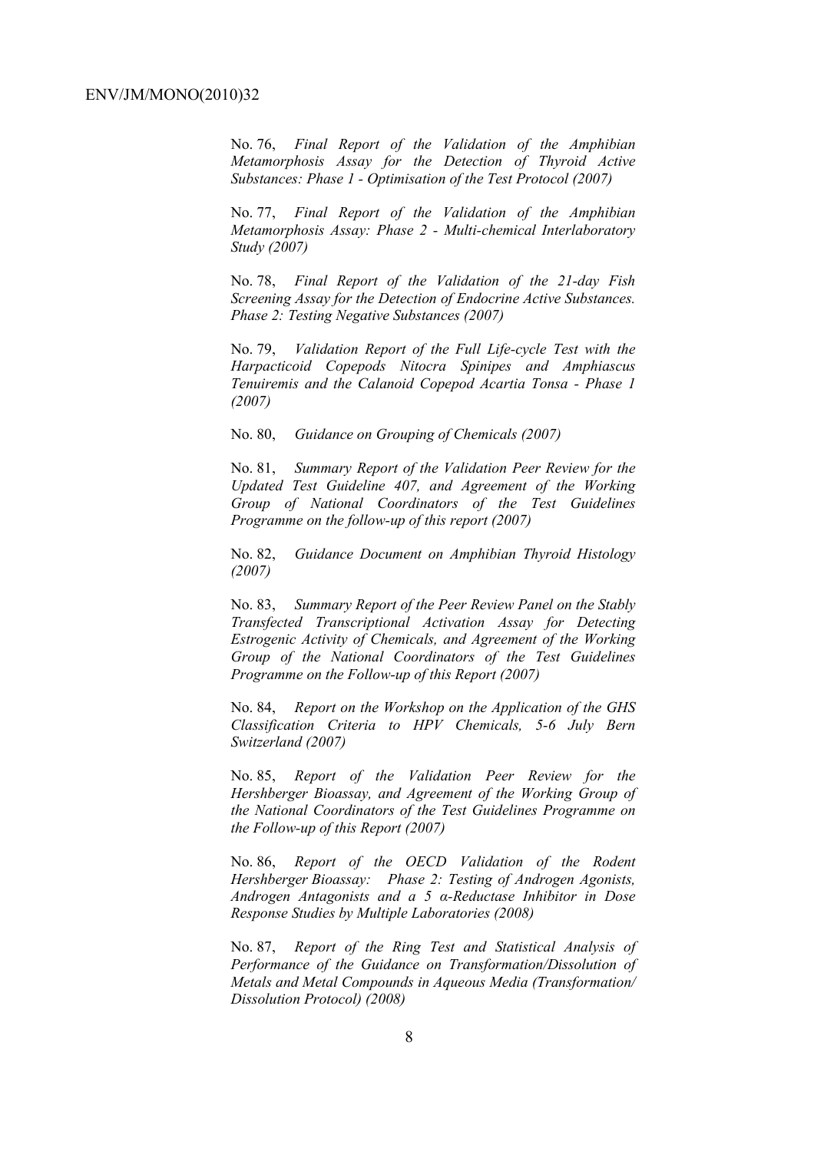No. 76, *Final Report of the Validation of the Amphibian Metamorphosis Assay for the Detection of Thyroid Active Substances: Phase 1 - Optimisation of the Test Protocol (2007)* 

No. 77, *Final Report of the Validation of the Amphibian Metamorphosis Assay: Phase 2 - Multi-chemical Interlaboratory Study (2007)* 

No. 78, *Final Report of the Validation of the 21-day Fish Screening Assay for the Detection of Endocrine Active Substances. Phase 2: Testing Negative Substances (2007)* 

No. 79, *Validation Report of the Full Life-cycle Test with the Harpacticoid Copepods Nitocra Spinipes and Amphiascus Tenuiremis and the Calanoid Copepod Acartia Tonsa - Phase 1 (2007)* 

No. 80, *Guidance on Grouping of Chemicals (2007)* 

No. 81, *Summary Report of the Validation Peer Review for the Updated Test Guideline 407, and Agreement of the Working Group of National Coordinators of the Test Guidelines Programme on the follow-up of this report (2007)* 

No. 82, *Guidance Document on Amphibian Thyroid Histology (2007)* 

No. 83, *Summary Report of the Peer Review Panel on the Stably Transfected Transcriptional Activation Assay for Detecting Estrogenic Activity of Chemicals, and Agreement of the Working Group of the National Coordinators of the Test Guidelines Programme on the Follow-up of this Report (2007)* 

No. 84, *Report on the Workshop on the Application of the GHS Classification Criteria to HPV Chemicals, 5-6 July Bern Switzerland (2007)* 

No. 85, *Report of the Validation Peer Review for the Hershberger Bioassay, and Agreement of the Working Group of the National Coordinators of the Test Guidelines Programme on the Follow-up of this Report (2007)* 

No. 86, *Report of the OECD Validation of the Rodent Hershberger Bioassay: Phase 2: Testing of Androgen Agonists, Androgen Antagonists and a 5 α-Reductase Inhibitor in Dose Response Studies by Multiple Laboratories (2008)*

No. 87, *Report of the Ring Test and Statistical Analysis of Performance of the Guidance on Transformation/Dissolution of Metals and Metal Compounds in Aqueous Media (Transformation/ Dissolution Protocol) (2008)*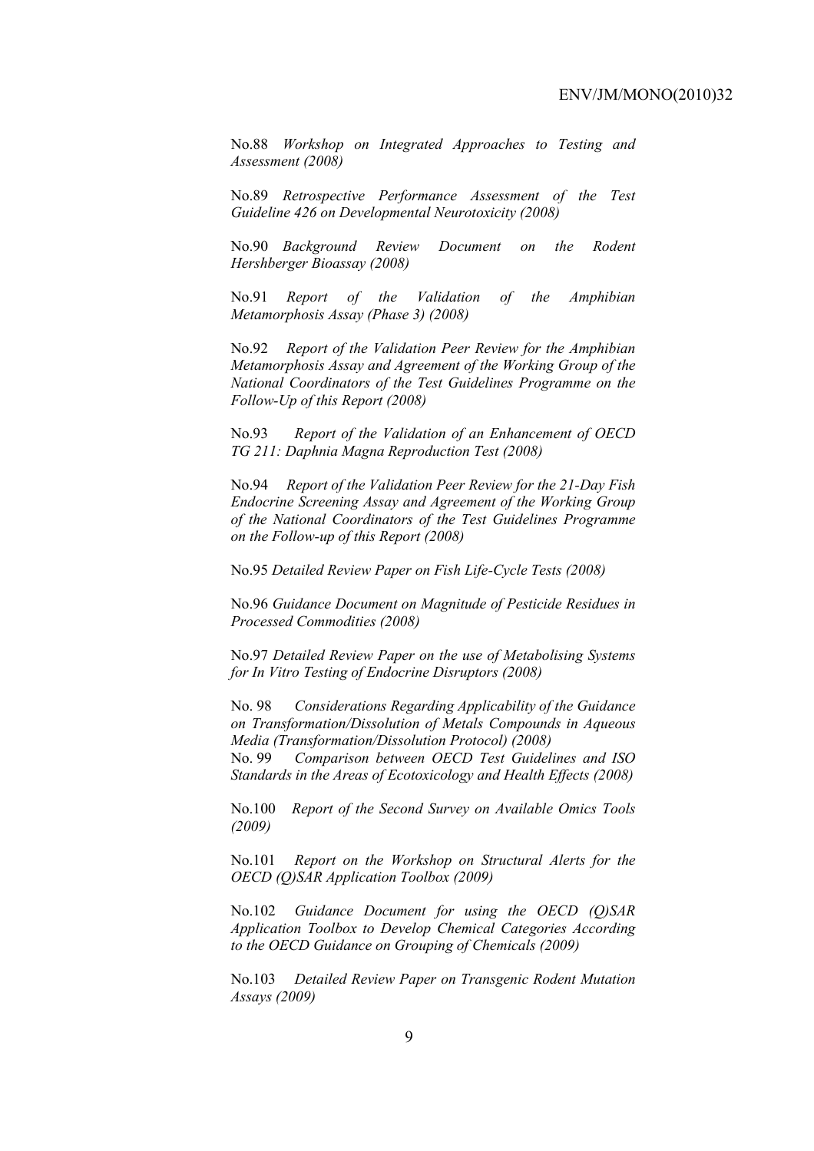No.88 *Workshop on Integrated Approaches to Testing and Assessment (2008)* 

No.89 *Retrospective Performance Assessment of the Test Guideline 426 on Developmental Neurotoxicity (2008)* 

No.90 *Background Review Document on the Rodent Hershberger Bioassay (2008)* 

No.91 *Report of the Validation of the Amphibian Metamorphosis Assay (Phase 3) (2008)* 

No.92 *Report of the Validation Peer Review for the Amphibian Metamorphosis Assay and Agreement of the Working Group of the National Coordinators of the Test Guidelines Programme on the Follow-Up of this Report (2008)* 

No.93 *Report of the Validation of an Enhancement of OECD TG 211: Daphnia Magna Reproduction Test (2008)* 

No.94 *Report of the Validation Peer Review for the 21-Day Fish Endocrine Screening Assay and Agreement of the Working Group of the National Coordinators of the Test Guidelines Programme on the Follow-up of this Report (2008)* 

No.95 *Detailed Review Paper on Fish Life-Cycle Tests (2008)* 

No.96 *Guidance Document on Magnitude of Pesticide Residues in Processed Commodities (2008)* 

No.97 *Detailed Review Paper on the use of Metabolising Systems for In Vitro Testing of Endocrine Disruptors (2008)* 

No. 98 *Considerations Regarding Applicability of the Guidance on Transformation/Dissolution of Metals Compounds in Aqueous Media (Transformation/Dissolution Protocol) (2008)*

No. 99 *Comparison between OECD Test Guidelines and ISO Standards in the Areas of Ecotoxicology and Health Effects (2008)* 

No.100 *Report of the Second Survey on Available Omics Tools (2009)* 

No.101 *Report on the Workshop on Structural Alerts for the OECD (Q)SAR Application Toolbox (2009)* 

No.102 *Guidance Document for using the OECD (Q)SAR Application Toolbox to Develop Chemical Categories According to the OECD Guidance on Grouping of Chemicals (2009)* 

No.103 *Detailed Review Paper on Transgenic Rodent Mutation Assays (2009)*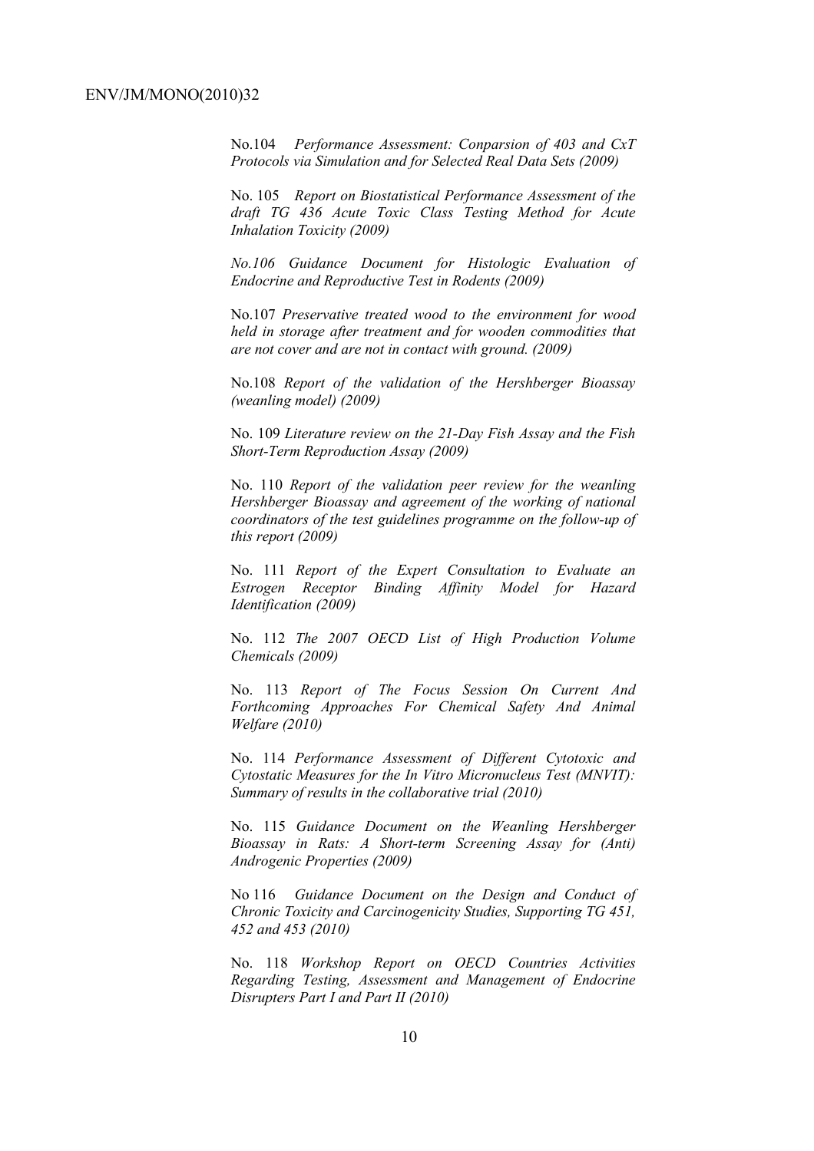No.104 *Performance Assessment: Conparsion of 403 and CxT Protocols via Simulation and for Selected Real Data Sets (2009)* 

No. 105 *Report on Biostatistical Performance Assessment of the draft TG 436 Acute Toxic Class Testing Method for Acute Inhalation Toxicity (2009)* 

*No.106 Guidance Document for Histologic Evaluation of Endocrine and Reproductive Test in Rodents (2009)* 

No.107 *Preservative treated wood to the environment for wood held in storage after treatment and for wooden commodities that are not cover and are not in contact with ground. (2009)* 

No.108 *Report of the validation of the Hershberger Bioassay (weanling model) (2009)* 

No. 109 *Literature review on the 21-Day Fish Assay and the Fish Short-Term Reproduction Assay (2009)* 

No. 110 *Report of the validation peer review for the weanling Hershberger Bioassay and agreement of the working of national coordinators of the test guidelines programme on the follow-up of this report (2009)* 

No. 111 *Report of the Expert Consultation to Evaluate an Estrogen Receptor Binding Affinity Model for Hazard Identification (2009)* 

No. 112 *The 2007 OECD List of High Production Volume Chemicals (2009)* 

No. 113 *Report of The Focus Session On Current And Forthcoming Approaches For Chemical Safety And Animal Welfare (2010)* 

No. 114 *Performance Assessment of Different Cytotoxic and Cytostatic Measures for the In Vitro Micronucleus Test (MNVIT): Summary of results in the collaborative trial (2010)* 

No. 115 *Guidance Document on the Weanling Hershberger Bioassay in Rats: A Short-term Screening Assay for (Anti) Androgenic Properties (2009)* 

No 116 *Guidance Document on the Design and Conduct of Chronic Toxicity and Carcinogenicity Studies, Supporting TG 451, 452 and 453 (2010)* 

No. 118 *Workshop Report on OECD Countries Activities Regarding Testing, Assessment and Management of Endocrine Disrupters Part I and Part II (2010)*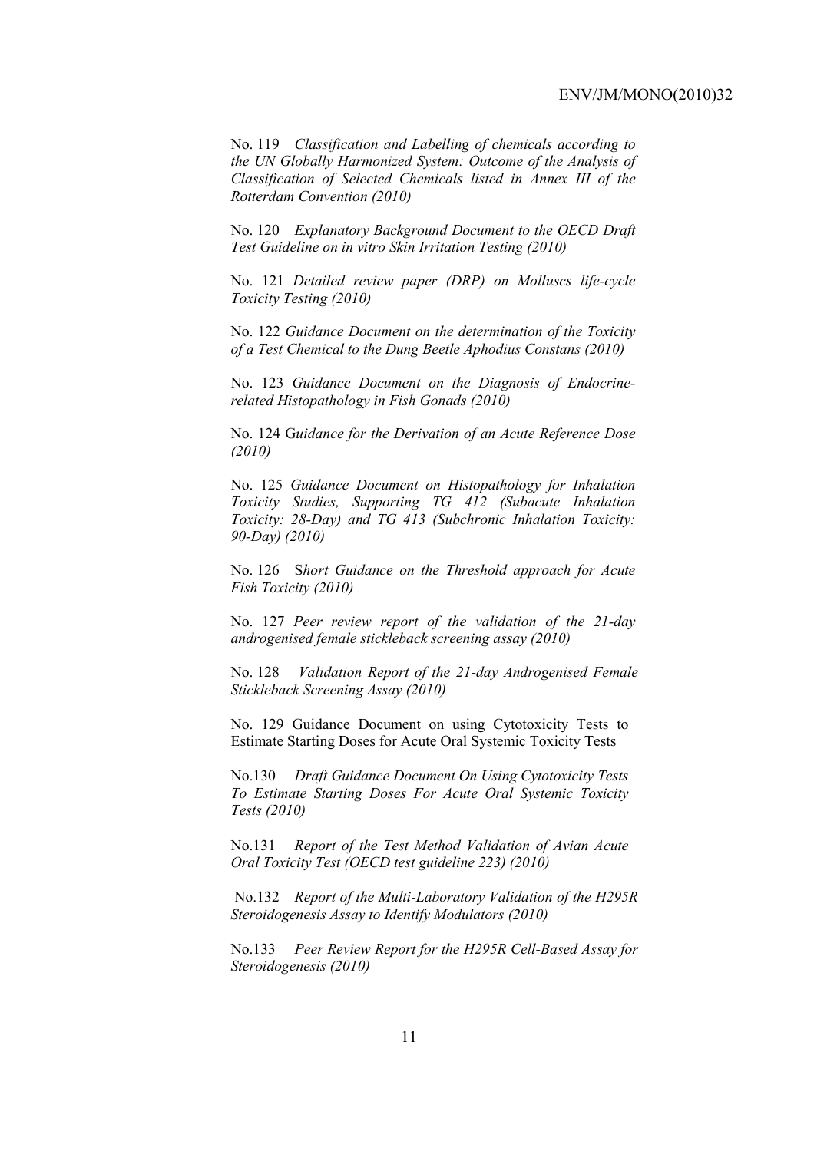No. 119 *Classification and Labelling of chemicals according to the UN Globally Harmonized System: Outcome of the Analysis of Classification of Selected Chemicals listed in Annex III of the Rotterdam Convention (2010)* 

No. 120 *Explanatory Background Document to the OECD Draft Test Guideline on in vitro Skin Irritation Testing (2010)* 

No. 121 *Detailed review paper (DRP) on Molluscs life-cycle Toxicity Testing (2010)* 

No. 122 *Guidance Document on the determination of the Toxicity of a Test Chemical to the Dung Beetle Aphodius Constans (2010)* 

No. 123 *Guidance Document on the Diagnosis of Endocrinerelated Histopathology in Fish Gonads (2010)* 

No. 124 G*uidance for the Derivation of an Acute Reference Dose (2010)* 

No. 125 *Guidance Document on Histopathology for Inhalation Toxicity Studies, Supporting TG 412 (Subacute Inhalation Toxicity: 28-Day) and TG 413 (Subchronic Inhalation Toxicity: 90-Day) (2010)* 

No. 126 S*hort Guidance on the Threshold approach for Acute Fish Toxicity (2010)* 

No. 127 *Peer review report of the validation of the 21-day androgenised female stickleback screening assay (2010)* 

No. 128 *Validation Report of the 21-day Androgenised Female Stickleback Screening Assay (2010)* 

No. 129 Guidance Document on using Cytotoxicity Tests to Estimate Starting Doses for Acute Oral Systemic Toxicity Tests

No.130 *Draft Guidance Document On Using Cytotoxicity Tests To Estimate Starting Doses For Acute Oral Systemic Toxicity Tests (2010)* 

No.131 *Report of the Test Method Validation of Avian Acute Oral Toxicity Test (OECD test guideline 223) (2010)* 

 No.132 *Report of the Multi-Laboratory Validation of the H295R Steroidogenesis Assay to Identify Modulators (2010)* 

No.133 *Peer Review Report for the H295R Cell-Based Assay for Steroidogenesis (2010)*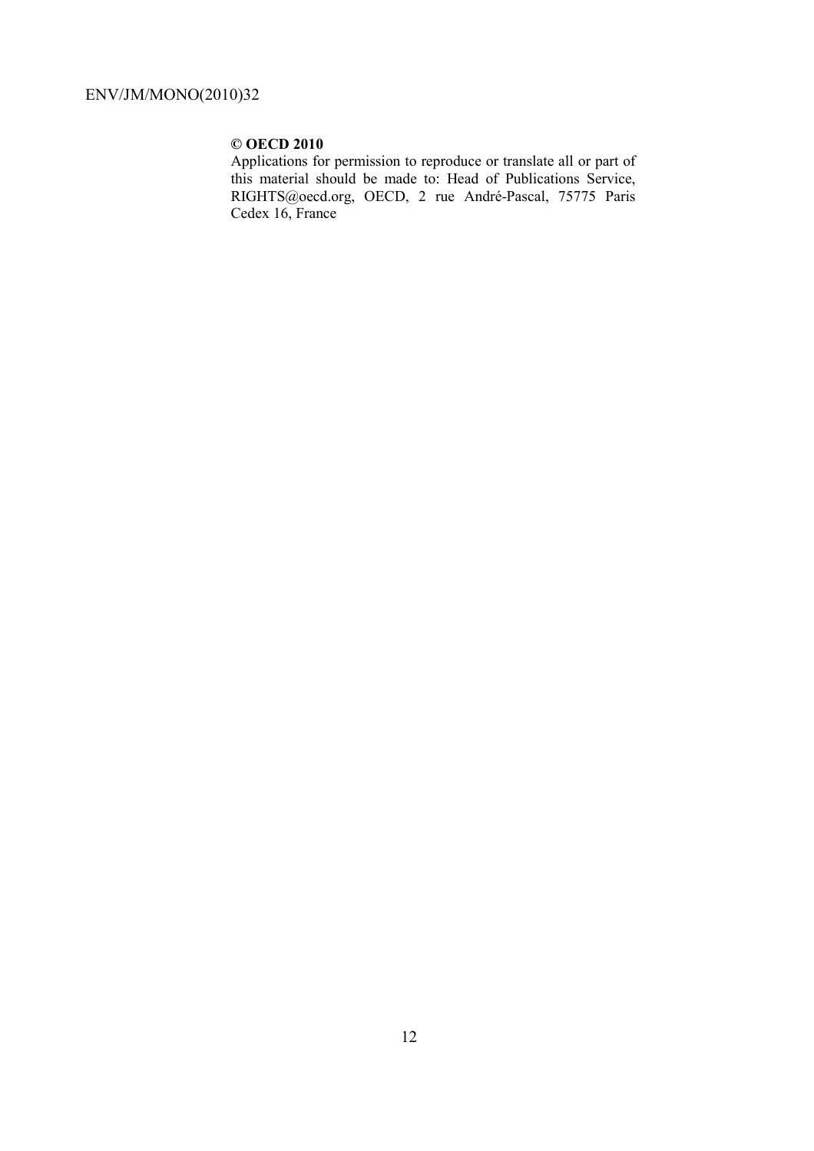### **© OECD 2010**

Applications for permission to reproduce or translate all or part of this material should be made to: Head of Publications Service, RIGHTS@oecd.org, OECD, 2 rue André-Pascal, 75775 Paris Cedex 16, France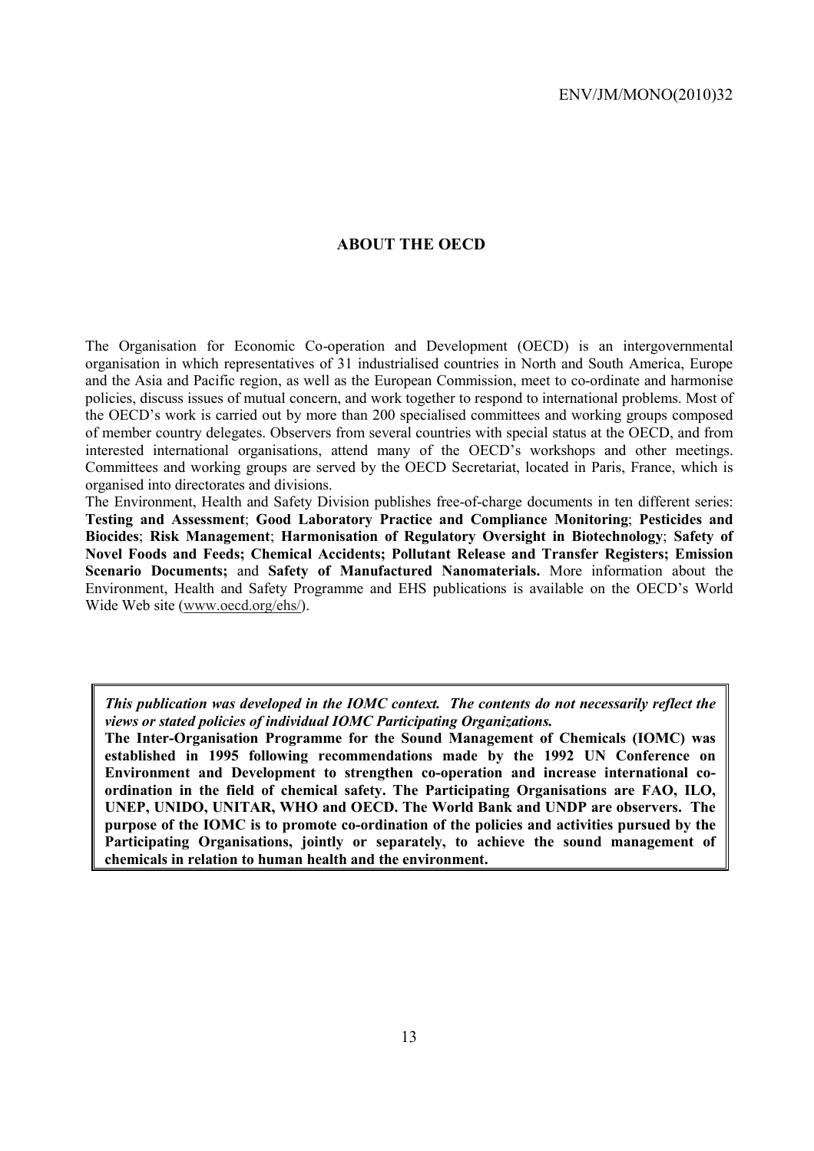### **ABOUT THE OECD**

The Organisation for Economic Co-operation and Development (OECD) is an intergovernmental organisation in which representatives of 31 industrialised countries in North and South America, Europe and the Asia and Pacific region, as well as the European Commission, meet to co-ordinate and harmonise policies, discuss issues of mutual concern, and work together to respond to international problems. Most of the OECD's work is carried out by more than 200 specialised committees and working groups composed of member country delegates. Observers from several countries with special status at the OECD, and from interested international organisations, attend many of the OECD's workshops and other meetings. Committees and working groups are served by the OECD Secretariat, located in Paris, France, which is organised into directorates and divisions.

The Environment, Health and Safety Division publishes free-of-charge documents in ten different series: **Testing and Assessment**; **Good Laboratory Practice and Compliance Monitoring**; **Pesticides and Biocides**; **Risk Management**; **Harmonisation of Regulatory Oversight in Biotechnology**; **Safety of Novel Foods and Feeds; Chemical Accidents; Pollutant Release and Transfer Registers; Emission Scenario Documents;** and **Safety of Manufactured Nanomaterials.** More information about the Environment, Health and Safety Programme and EHS publications is available on the OECD's World Wide Web site (www.oecd.org/ehs/).

*This publication was developed in the IOMC context. The contents do not necessarily reflect the views or stated policies of individual IOMC Participating Organizations.* 

**The Inter-Organisation Programme for the Sound Management of Chemicals (IOMC) was established in 1995 following recommendations made by the 1992 UN Conference on Environment and Development to strengthen co-operation and increase international coordination in the field of chemical safety. The Participating Organisations are FAO, ILO, UNEP, UNIDO, UNITAR, WHO and OECD. The World Bank and UNDP are observers. The purpose of the IOMC is to promote co-ordination of the policies and activities pursued by the**  Participating Organisations, jointly or separately, to achieve the sound management of **chemicals in relation to human health and the environment.**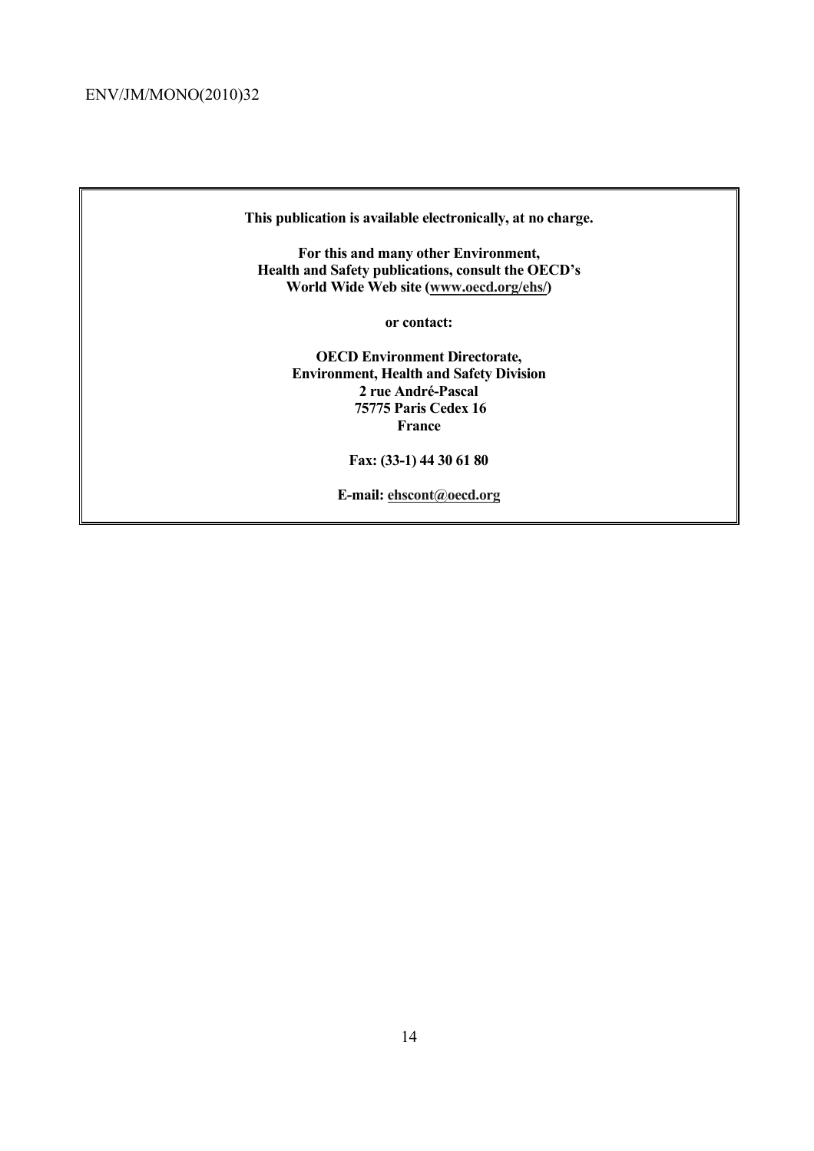**This publication is available electronically, at no charge.** 

**For this and many other Environment, Health and Safety publications, consult the OECD's World Wide Web site (www.oecd.org/ehs/)** 

**or contact:** 

**OECD Environment Directorate, Environment, Health and Safety Division 2 rue André-Pascal 75775 Paris Cedex 16 France** 

**Fax: (33-1) 44 30 61 80** 

**E-mail: ehscont@oecd.org**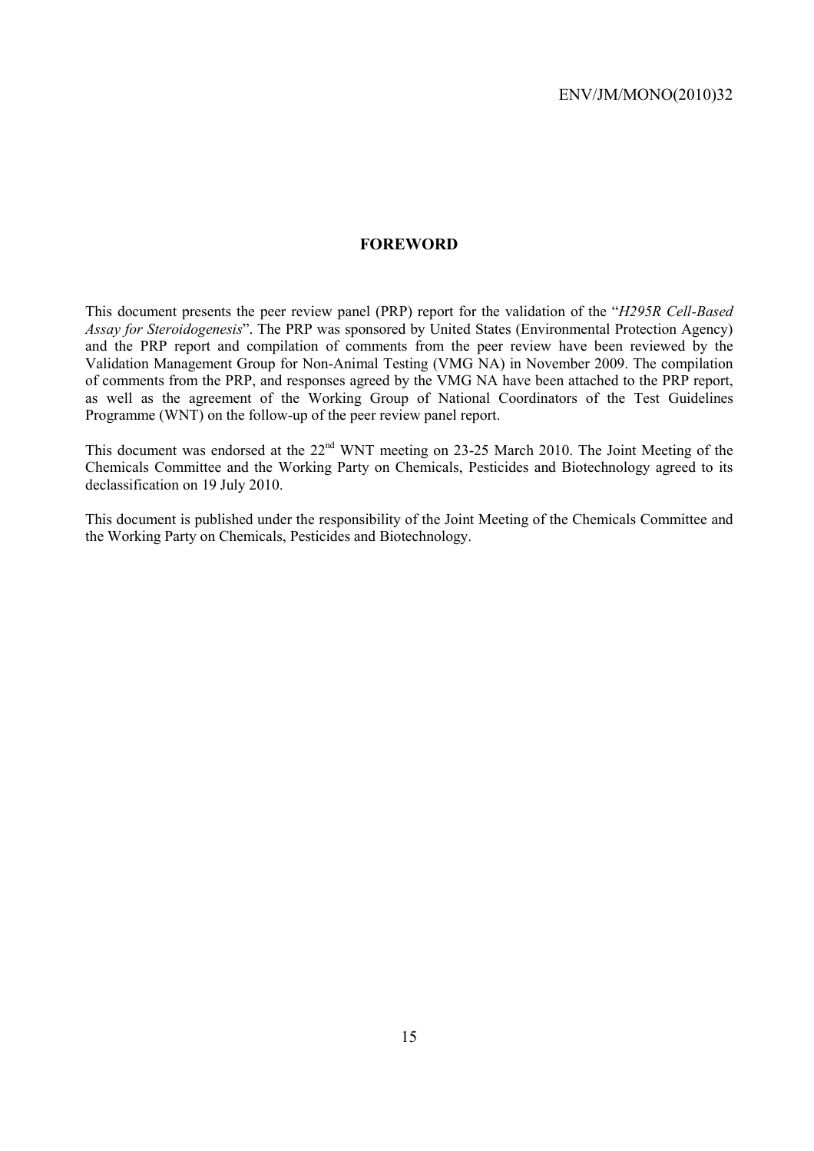### **FOREWORD**

This document presents the peer review panel (PRP) report for the validation of the "*H295R Cell-Based Assay for Steroidogenesis*". The PRP was sponsored by United States (Environmental Protection Agency) and the PRP report and compilation of comments from the peer review have been reviewed by the Validation Management Group for Non-Animal Testing (VMG NA) in November 2009. The compilation of comments from the PRP, and responses agreed by the VMG NA have been attached to the PRP report, as well as the agreement of the Working Group of National Coordinators of the Test Guidelines Programme (WNT) on the follow-up of the peer review panel report.

This document was endorsed at the 22<sup>nd</sup> WNT meeting on 23-25 March 2010. The Joint Meeting of the Chemicals Committee and the Working Party on Chemicals, Pesticides and Biotechnology agreed to its declassification on 19 July 2010.

This document is published under the responsibility of the Joint Meeting of the Chemicals Committee and the Working Party on Chemicals, Pesticides and Biotechnology.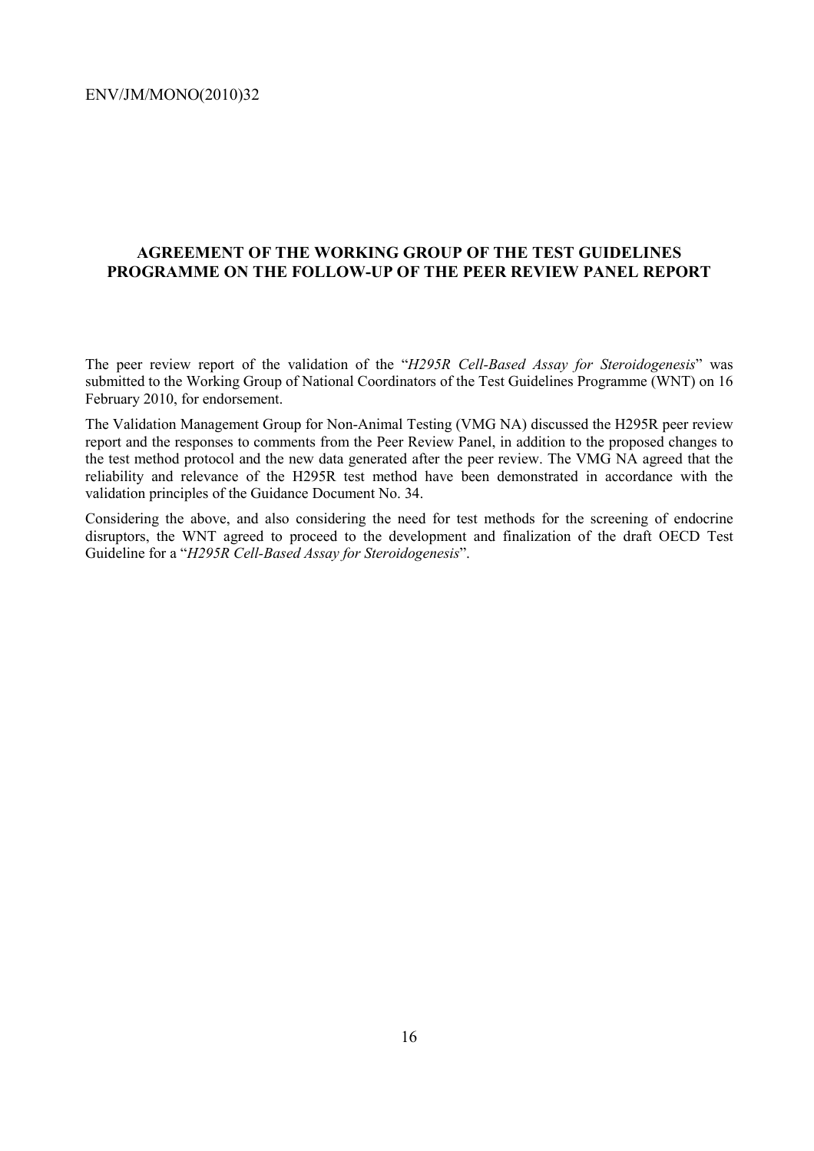### **AGREEMENT OF THE WORKING GROUP OF THE TEST GUIDELINES PROGRAMME ON THE FOLLOW-UP OF THE PEER REVIEW PANEL REPORT**

The peer review report of the validation of the "*H295R Cell-Based Assay for Steroidogenesis*" was submitted to the Working Group of National Coordinators of the Test Guidelines Programme (WNT) on 16 February 2010, for endorsement.

The Validation Management Group for Non-Animal Testing (VMG NA) discussed the H295R peer review report and the responses to comments from the Peer Review Panel, in addition to the proposed changes to the test method protocol and the new data generated after the peer review. The VMG NA agreed that the reliability and relevance of the H295R test method have been demonstrated in accordance with the validation principles of the Guidance Document No. 34.

Considering the above, and also considering the need for test methods for the screening of endocrine disruptors, the WNT agreed to proceed to the development and finalization of the draft OECD Test Guideline for a "*H295R Cell-Based Assay for Steroidogenesis*".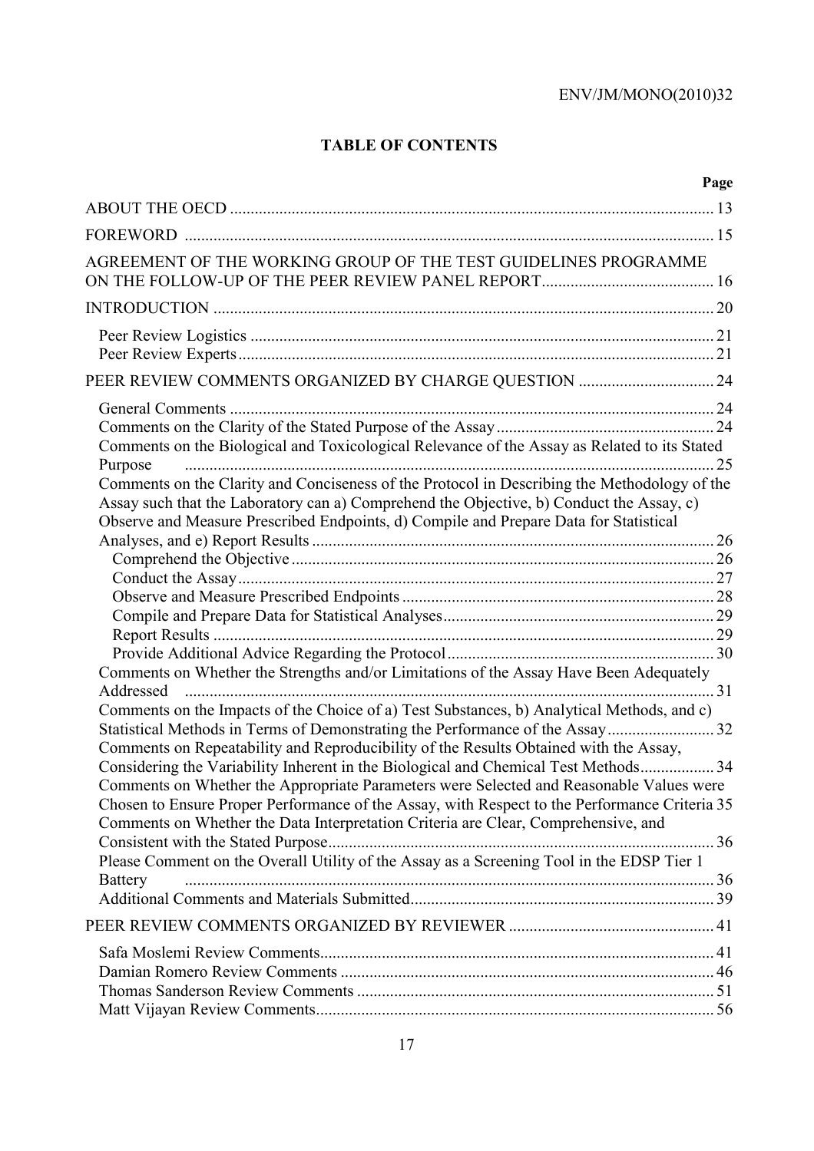### **TABLE OF CONTENTS**

|                                                                                               | Page |
|-----------------------------------------------------------------------------------------------|------|
|                                                                                               |      |
|                                                                                               |      |
| AGREEMENT OF THE WORKING GROUP OF THE TEST GUIDELINES PROGRAMME                               |      |
|                                                                                               |      |
|                                                                                               |      |
|                                                                                               |      |
|                                                                                               |      |
| PEER REVIEW COMMENTS ORGANIZED BY CHARGE QUESTION  24                                         |      |
|                                                                                               |      |
|                                                                                               |      |
| Comments on the Biological and Toxicological Relevance of the Assay as Related to its Stated  |      |
| Purpose                                                                                       | 25   |
| Comments on the Clarity and Conciseness of the Protocol in Describing the Methodology of the  |      |
| Assay such that the Laboratory can a) Comprehend the Objective, b) Conduct the Assay, c)      |      |
| Observe and Measure Prescribed Endpoints, d) Compile and Prepare Data for Statistical         |      |
|                                                                                               |      |
|                                                                                               |      |
|                                                                                               |      |
|                                                                                               |      |
|                                                                                               |      |
|                                                                                               |      |
| Comments on Whether the Strengths and/or Limitations of the Assay Have Been Adequately        |      |
| Addressed                                                                                     |      |
| Comments on the Impacts of the Choice of a) Test Substances, b) Analytical Methods, and c)    |      |
|                                                                                               |      |
| Comments on Repeatability and Reproducibility of the Results Obtained with the Assay,         |      |
| Considering the Variability Inherent in the Biological and Chemical Test Methods 34           |      |
| Comments on Whether the Appropriate Parameters were Selected and Reasonable Values were       |      |
| Chosen to Ensure Proper Performance of the Assay, with Respect to the Performance Criteria 35 |      |
| Comments on Whether the Data Interpretation Criteria are Clear, Comprehensive, and            |      |
|                                                                                               |      |
| Please Comment on the Overall Utility of the Assay as a Screening Tool in the EDSP Tier 1     |      |
| <b>Battery</b>                                                                                |      |
|                                                                                               |      |
|                                                                                               |      |
|                                                                                               |      |
|                                                                                               |      |
|                                                                                               |      |
|                                                                                               |      |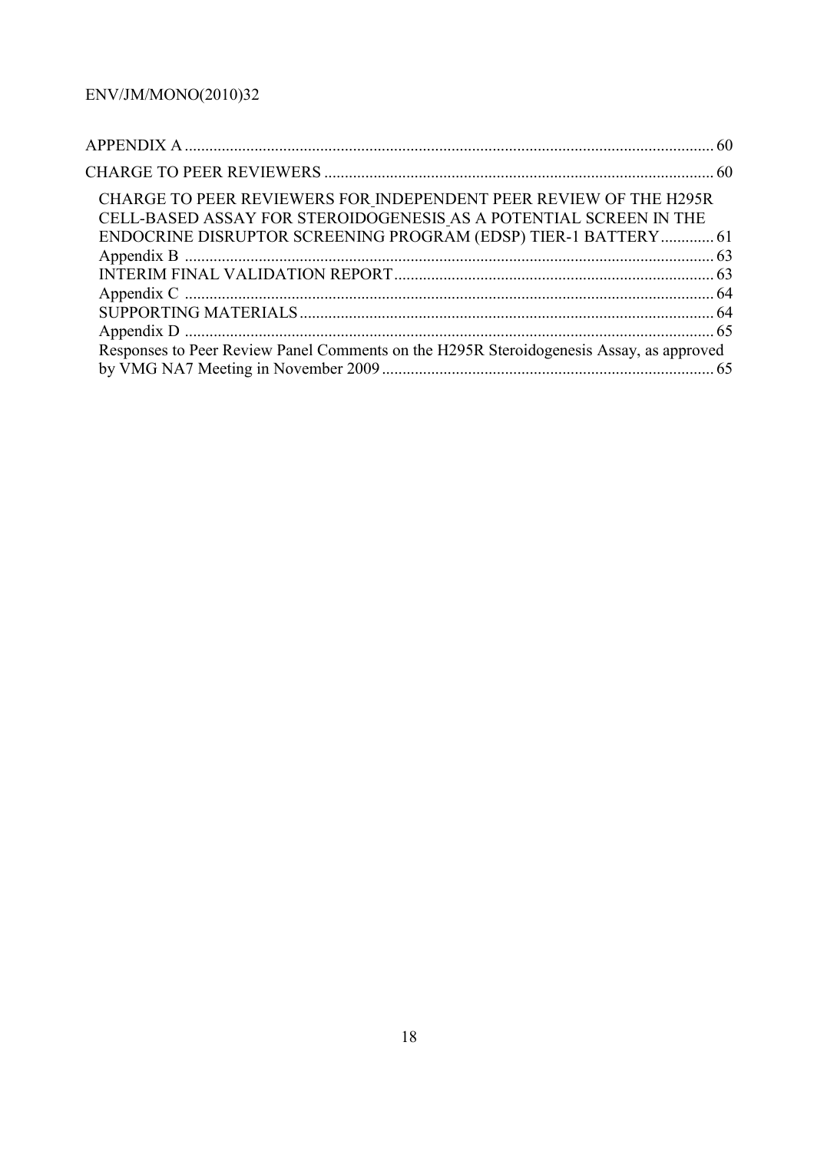| CHARGE TO PEER REVIEWERS FOR INDEPENDENT PEER REVIEW OF THE H295R<br>CELL-BASED ASSAY FOR STEROIDOGENESIS AS A POTENTIAL SCREEN IN THE |  |
|----------------------------------------------------------------------------------------------------------------------------------------|--|
| ENDOCRINE DISRUPTOR SCREENING PROGRAM (EDSP) TIER-1 BATTERY 61                                                                         |  |
|                                                                                                                                        |  |
|                                                                                                                                        |  |
|                                                                                                                                        |  |
|                                                                                                                                        |  |
|                                                                                                                                        |  |
| Responses to Peer Review Panel Comments on the H295R Steroidogenesis Assay, as approved                                                |  |
|                                                                                                                                        |  |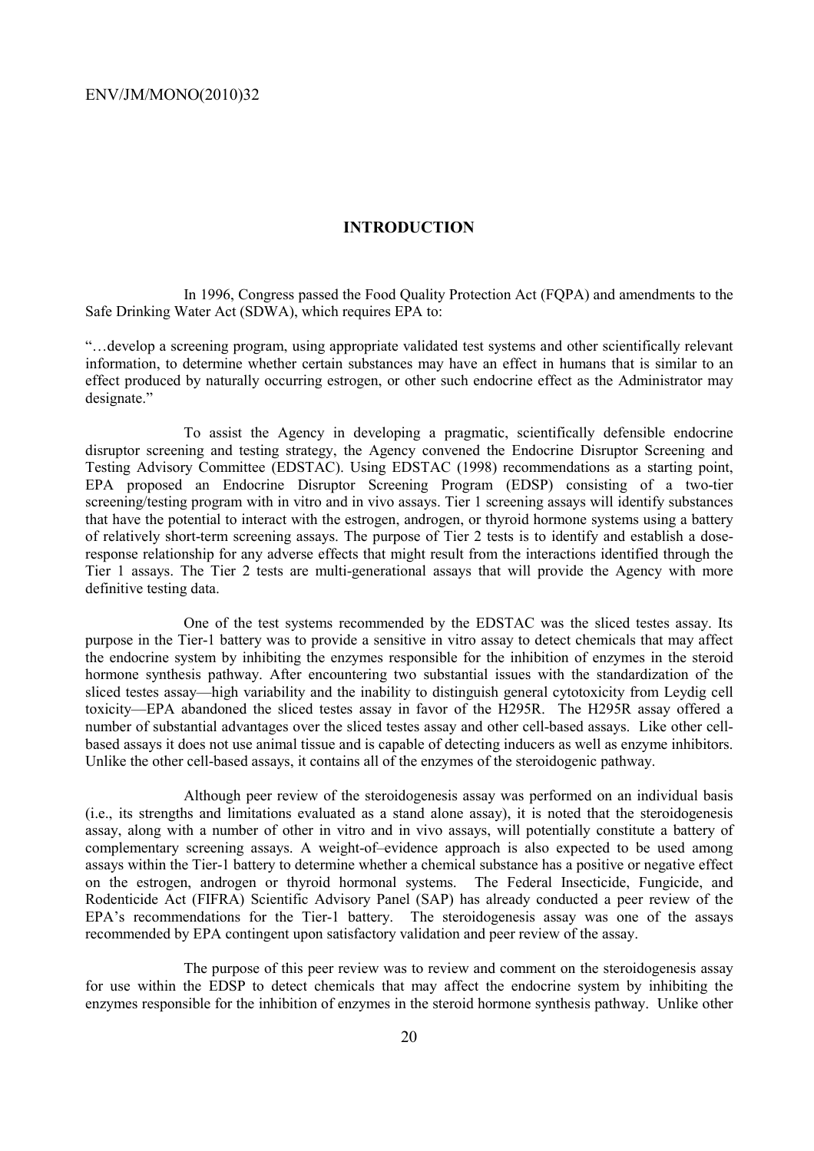### **INTRODUCTION**

 In 1996, Congress passed the Food Quality Protection Act (FQPA) and amendments to the Safe Drinking Water Act (SDWA), which requires EPA to:

"…develop a screening program, using appropriate validated test systems and other scientifically relevant information, to determine whether certain substances may have an effect in humans that is similar to an effect produced by naturally occurring estrogen, or other such endocrine effect as the Administrator may designate."

 To assist the Agency in developing a pragmatic, scientifically defensible endocrine disruptor screening and testing strategy, the Agency convened the Endocrine Disruptor Screening and Testing Advisory Committee (EDSTAC). Using EDSTAC (1998) recommendations as a starting point, EPA proposed an Endocrine Disruptor Screening Program (EDSP) consisting of a two-tier screening/testing program with in vitro and in vivo assays. Tier 1 screening assays will identify substances that have the potential to interact with the estrogen, androgen, or thyroid hormone systems using a battery of relatively short-term screening assays. The purpose of Tier 2 tests is to identify and establish a doseresponse relationship for any adverse effects that might result from the interactions identified through the Tier 1 assays. The Tier 2 tests are multi-generational assays that will provide the Agency with more definitive testing data.

 One of the test systems recommended by the EDSTAC was the sliced testes assay. Its purpose in the Tier-1 battery was to provide a sensitive in vitro assay to detect chemicals that may affect the endocrine system by inhibiting the enzymes responsible for the inhibition of enzymes in the steroid hormone synthesis pathway. After encountering two substantial issues with the standardization of the sliced testes assay—high variability and the inability to distinguish general cytotoxicity from Leydig cell toxicity—EPA abandoned the sliced testes assay in favor of the H295R. The H295R assay offered a number of substantial advantages over the sliced testes assay and other cell-based assays. Like other cellbased assays it does not use animal tissue and is capable of detecting inducers as well as enzyme inhibitors. Unlike the other cell-based assays, it contains all of the enzymes of the steroidogenic pathway.

 Although peer review of the steroidogenesis assay was performed on an individual basis (i.e., its strengths and limitations evaluated as a stand alone assay), it is noted that the steroidogenesis assay, along with a number of other in vitro and in vivo assays, will potentially constitute a battery of complementary screening assays. A weight-of–evidence approach is also expected to be used among assays within the Tier-1 battery to determine whether a chemical substance has a positive or negative effect on the estrogen, androgen or thyroid hormonal systems. The Federal Insecticide, Fungicide, and Rodenticide Act (FIFRA) Scientific Advisory Panel (SAP) has already conducted a peer review of the EPA's recommendations for the Tier-1 battery. The steroidogenesis assay was one of the assays recommended by EPA contingent upon satisfactory validation and peer review of the assay.

 The purpose of this peer review was to review and comment on the steroidogenesis assay for use within the EDSP to detect chemicals that may affect the endocrine system by inhibiting the enzymes responsible for the inhibition of enzymes in the steroid hormone synthesis pathway. Unlike other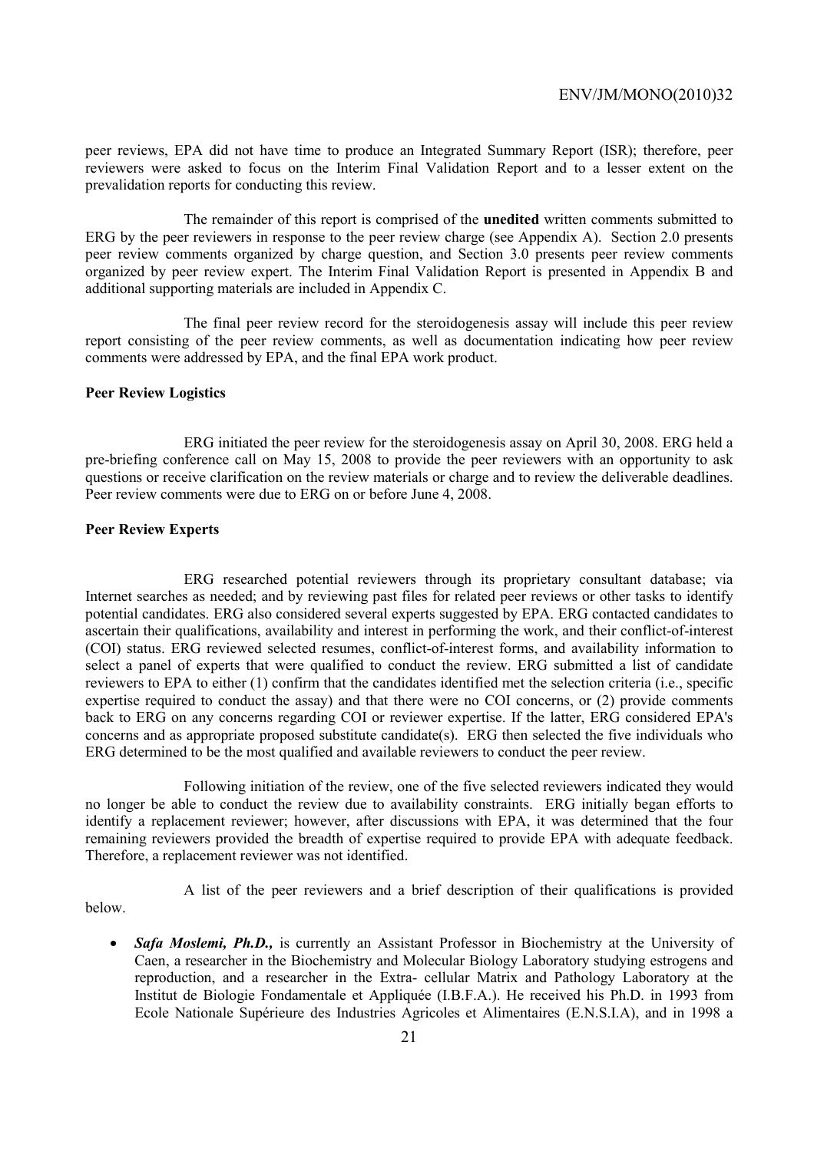peer reviews, EPA did not have time to produce an Integrated Summary Report (ISR); therefore, peer reviewers were asked to focus on the Interim Final Validation Report and to a lesser extent on the prevalidation reports for conducting this review.

 The remainder of this report is comprised of the **unedited** written comments submitted to ERG by the peer reviewers in response to the peer review charge (see Appendix A). Section 2.0 presents peer review comments organized by charge question, and Section 3.0 presents peer review comments organized by peer review expert. The Interim Final Validation Report is presented in Appendix B and additional supporting materials are included in Appendix C.

 The final peer review record for the steroidogenesis assay will include this peer review report consisting of the peer review comments, as well as documentation indicating how peer review comments were addressed by EPA, and the final EPA work product.

### **Peer Review Logistics**

 ERG initiated the peer review for the steroidogenesis assay on April 30, 2008. ERG held a pre-briefing conference call on May 15, 2008 to provide the peer reviewers with an opportunity to ask questions or receive clarification on the review materials or charge and to review the deliverable deadlines. Peer review comments were due to ERG on or before June 4, 2008.

### **Peer Review Experts**

 ERG researched potential reviewers through its proprietary consultant database; via Internet searches as needed; and by reviewing past files for related peer reviews or other tasks to identify potential candidates. ERG also considered several experts suggested by EPA. ERG contacted candidates to ascertain their qualifications, availability and interest in performing the work, and their conflict-of-interest (COI) status. ERG reviewed selected resumes, conflict-of-interest forms, and availability information to select a panel of experts that were qualified to conduct the review. ERG submitted a list of candidate reviewers to EPA to either (1) confirm that the candidates identified met the selection criteria (i.e., specific expertise required to conduct the assay) and that there were no COI concerns, or (2) provide comments back to ERG on any concerns regarding COI or reviewer expertise. If the latter, ERG considered EPA's concerns and as appropriate proposed substitute candidate(s). ERG then selected the five individuals who ERG determined to be the most qualified and available reviewers to conduct the peer review.

 Following initiation of the review, one of the five selected reviewers indicated they would no longer be able to conduct the review due to availability constraints. ERG initially began efforts to identify a replacement reviewer; however, after discussions with EPA, it was determined that the four remaining reviewers provided the breadth of expertise required to provide EPA with adequate feedback. Therefore, a replacement reviewer was not identified.

below.

A list of the peer reviewers and a brief description of their qualifications is provided

• *Safa Moslemi, Ph.D.*, is currently an Assistant Professor in Biochemistry at the University of Caen, a researcher in the Biochemistry and Molecular Biology Laboratory studying estrogens and reproduction, and a researcher in the Extra- cellular Matrix and Pathology Laboratory at the Institut de Biologie Fondamentale et Appliquée (I.B.F.A.). He received his Ph.D. in 1993 from Ecole Nationale Supérieure des Industries Agricoles et Alimentaires (E.N.S.I.A), and in 1998 a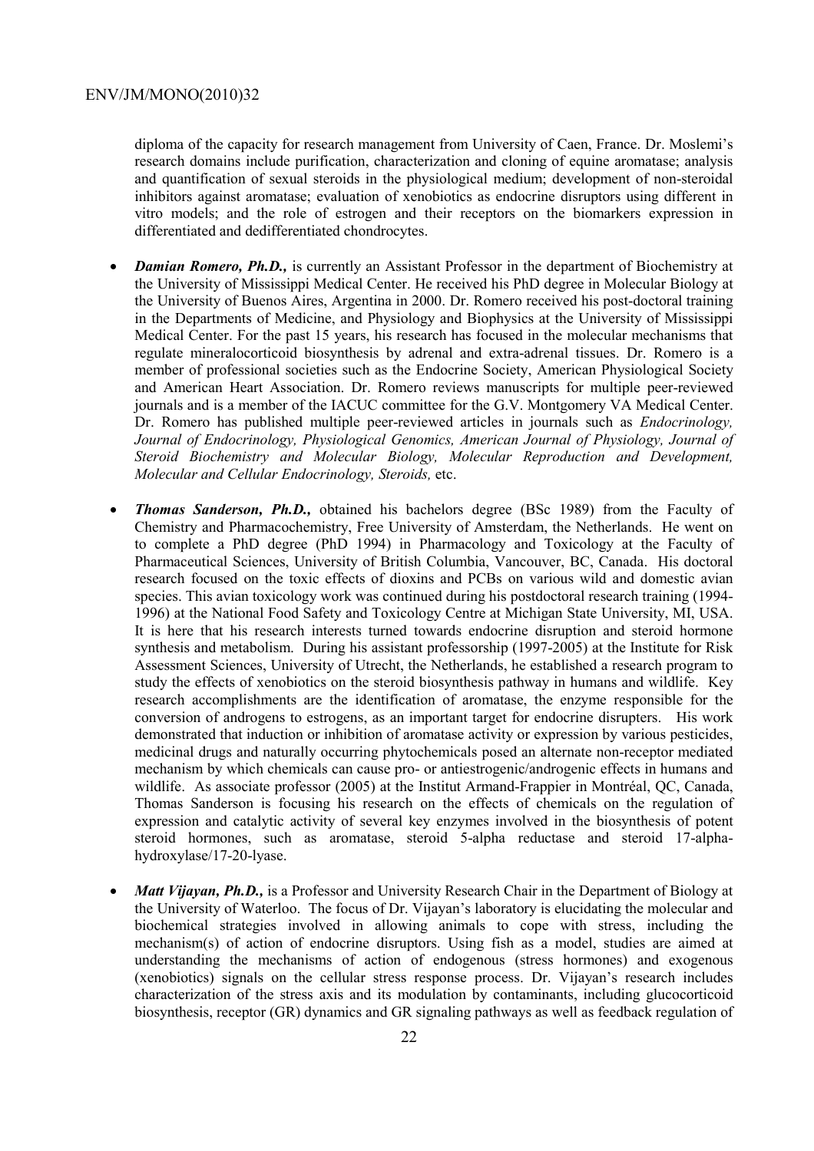diploma of the capacity for research management from University of Caen, France. Dr. Moslemi's research domains include purification, characterization and cloning of equine aromatase; analysis and quantification of sexual steroids in the physiological medium; development of non-steroidal inhibitors against aromatase; evaluation of xenobiotics as endocrine disruptors using different in vitro models; and the role of estrogen and their receptors on the biomarkers expression in differentiated and dedifferentiated chondrocytes.

- *Damian Romero, Ph.D.*, is currently an Assistant Professor in the department of Biochemistry at the University of Mississippi Medical Center. He received his PhD degree in Molecular Biology at the University of Buenos Aires, Argentina in 2000. Dr. Romero received his post-doctoral training in the Departments of Medicine, and Physiology and Biophysics at the University of Mississippi Medical Center. For the past 15 years, his research has focused in the molecular mechanisms that regulate mineralocorticoid biosynthesis by adrenal and extra-adrenal tissues. Dr. Romero is a member of professional societies such as the Endocrine Society, American Physiological Society and American Heart Association. Dr. Romero reviews manuscripts for multiple peer-reviewed journals and is a member of the IACUC committee for the G.V. Montgomery VA Medical Center. Dr. Romero has published multiple peer-reviewed articles in journals such as *Endocrinology, Journal of Endocrinology, Physiological Genomics, American Journal of Physiology, Journal of Steroid Biochemistry and Molecular Biology, Molecular Reproduction and Development, Molecular and Cellular Endocrinology, Steroids,* etc.
- *Thomas Sanderson, Ph.D.,* obtained his bachelors degree (BSc 1989) from the Faculty of Chemistry and Pharmacochemistry, Free University of Amsterdam, the Netherlands. He went on to complete a PhD degree (PhD 1994) in Pharmacology and Toxicology at the Faculty of Pharmaceutical Sciences, University of British Columbia, Vancouver, BC, Canada. His doctoral research focused on the toxic effects of dioxins and PCBs on various wild and domestic avian species. This avian toxicology work was continued during his postdoctoral research training (1994- 1996) at the National Food Safety and Toxicology Centre at Michigan State University, MI, USA. It is here that his research interests turned towards endocrine disruption and steroid hormone synthesis and metabolism. During his assistant professorship (1997-2005) at the Institute for Risk Assessment Sciences, University of Utrecht, the Netherlands, he established a research program to study the effects of xenobiotics on the steroid biosynthesis pathway in humans and wildlife. Key research accomplishments are the identification of aromatase, the enzyme responsible for the conversion of androgens to estrogens, as an important target for endocrine disrupters. His work demonstrated that induction or inhibition of aromatase activity or expression by various pesticides, medicinal drugs and naturally occurring phytochemicals posed an alternate non-receptor mediated mechanism by which chemicals can cause pro- or antiestrogenic/androgenic effects in humans and wildlife. As associate professor (2005) at the Institut Armand-Frappier in Montréal, QC, Canada, Thomas Sanderson is focusing his research on the effects of chemicals on the regulation of expression and catalytic activity of several key enzymes involved in the biosynthesis of potent steroid hormones, such as aromatase, steroid 5-alpha reductase and steroid 17-alphahydroxylase/17-20-lyase.
- *Matt Vijayan, Ph.D.*, is a Professor and University Research Chair in the Department of Biology at the University of Waterloo. The focus of Dr. Vijayan's laboratory is elucidating the molecular and biochemical strategies involved in allowing animals to cope with stress, including the mechanism(s) of action of endocrine disruptors. Using fish as a model, studies are aimed at understanding the mechanisms of action of endogenous (stress hormones) and exogenous (xenobiotics) signals on the cellular stress response process. Dr. Vijayan's research includes characterization of the stress axis and its modulation by contaminants, including glucocorticoid biosynthesis, receptor (GR) dynamics and GR signaling pathways as well as feedback regulation of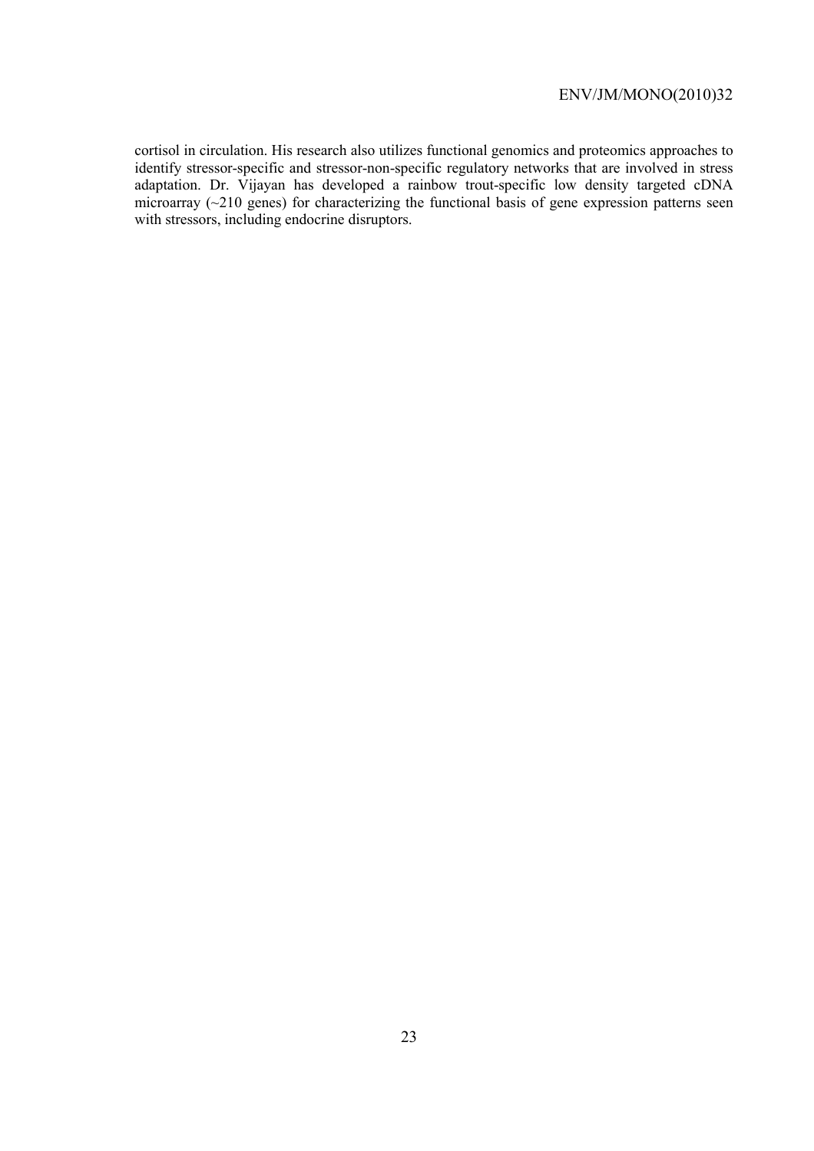cortisol in circulation. His research also utilizes functional genomics and proteomics approaches to identify stressor-specific and stressor-non-specific regulatory networks that are involved in stress adaptation. Dr. Vijayan has developed a rainbow trout-specific low density targeted cDNA microarray  $(\sim 210$  genes) for characterizing the functional basis of gene expression patterns seen with stressors, including endocrine disruptors.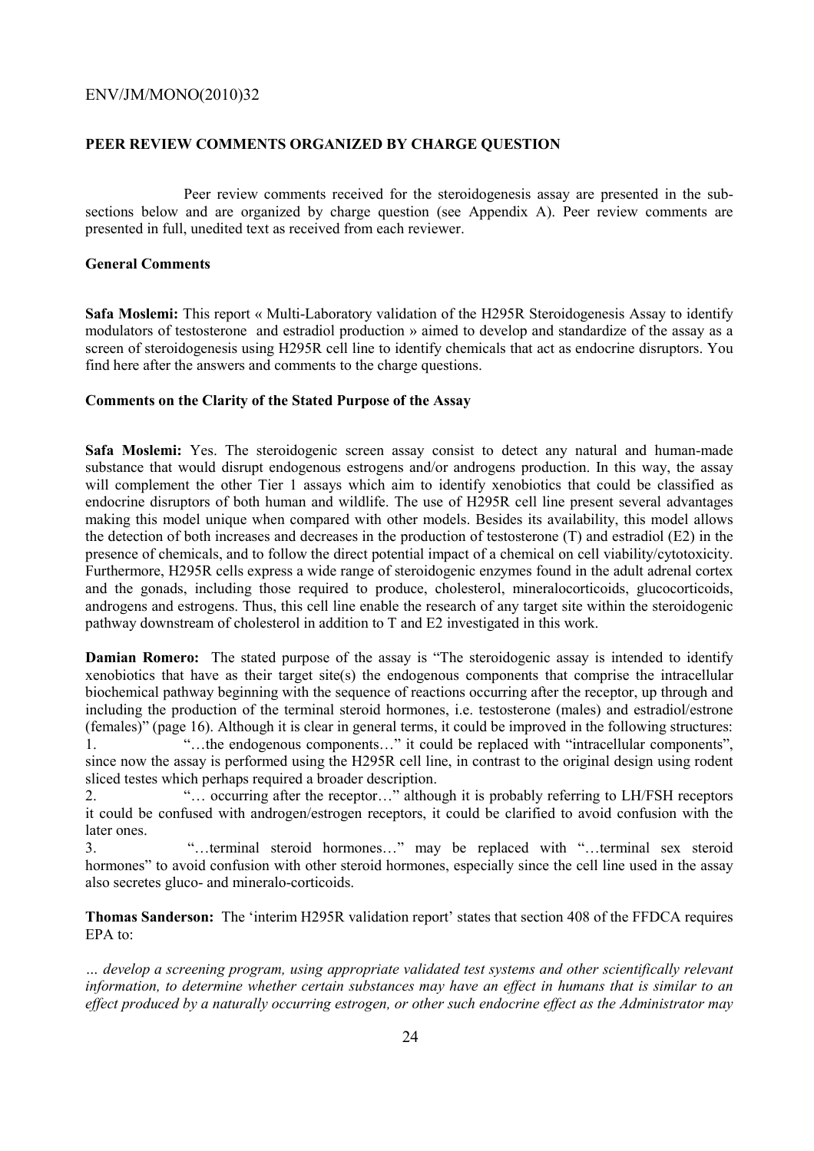### **PEER REVIEW COMMENTS ORGANIZED BY CHARGE QUESTION**

 Peer review comments received for the steroidogenesis assay are presented in the subsections below and are organized by charge question (see Appendix A). Peer review comments are presented in full, unedited text as received from each reviewer.

### **General Comments**

**Safa Moslemi:** This report « Multi-Laboratory validation of the H295R Steroidogenesis Assay to identify modulators of testosterone and estradiol production » aimed to develop and standardize of the assay as a screen of steroidogenesis using H295R cell line to identify chemicals that act as endocrine disruptors. You find here after the answers and comments to the charge questions.

### **Comments on the Clarity of the Stated Purpose of the Assay**

**Safa Moslemi:** Yes. The steroidogenic screen assay consist to detect any natural and human-made substance that would disrupt endogenous estrogens and/or androgens production. In this way, the assay will complement the other Tier 1 assays which aim to identify xenobiotics that could be classified as endocrine disruptors of both human and wildlife. The use of H295R cell line present several advantages making this model unique when compared with other models. Besides its availability, this model allows the detection of both increases and decreases in the production of testosterone (T) and estradiol (E2) in the presence of chemicals, and to follow the direct potential impact of a chemical on cell viability/cytotoxicity. Furthermore, H295R cells express a wide range of steroidogenic enzymes found in the adult adrenal cortex and the gonads, including those required to produce, cholesterol, mineralocorticoids, glucocorticoids, androgens and estrogens. Thus, this cell line enable the research of any target site within the steroidogenic pathway downstream of cholesterol in addition to T and E2 investigated in this work.

**Damian Romero:** The stated purpose of the assay is "The steroidogenic assay is intended to identify xenobiotics that have as their target site(s) the endogenous components that comprise the intracellular biochemical pathway beginning with the sequence of reactions occurring after the receptor, up through and including the production of the terminal steroid hormones, i.e. testosterone (males) and estradiol/estrone (females)" (page 16). Although it is clear in general terms, it could be improved in the following structures: 1. ""...the endogenous components..." it could be replaced with "intracellular components",

since now the assay is performed using the H295R cell line, in contrast to the original design using rodent sliced testes which perhaps required a broader description.

2. "… occurring after the receptor…" although it is probably referring to LH/FSH receptors it could be confused with androgen/estrogen receptors, it could be clarified to avoid confusion with the later ones.

3. "…terminal steroid hormones…" may be replaced with "…terminal sex steroid hormones" to avoid confusion with other steroid hormones, especially since the cell line used in the assay also secretes gluco- and mineralo-corticoids.

**Thomas Sanderson:** The 'interim H295R validation report' states that section 408 of the FFDCA requires EPA to:

*… develop a screening program, using appropriate validated test systems and other scientifically relevant information, to determine whether certain substances may have an effect in humans that is similar to an effect produced by a naturally occurring estrogen, or other such endocrine effect as the Administrator may*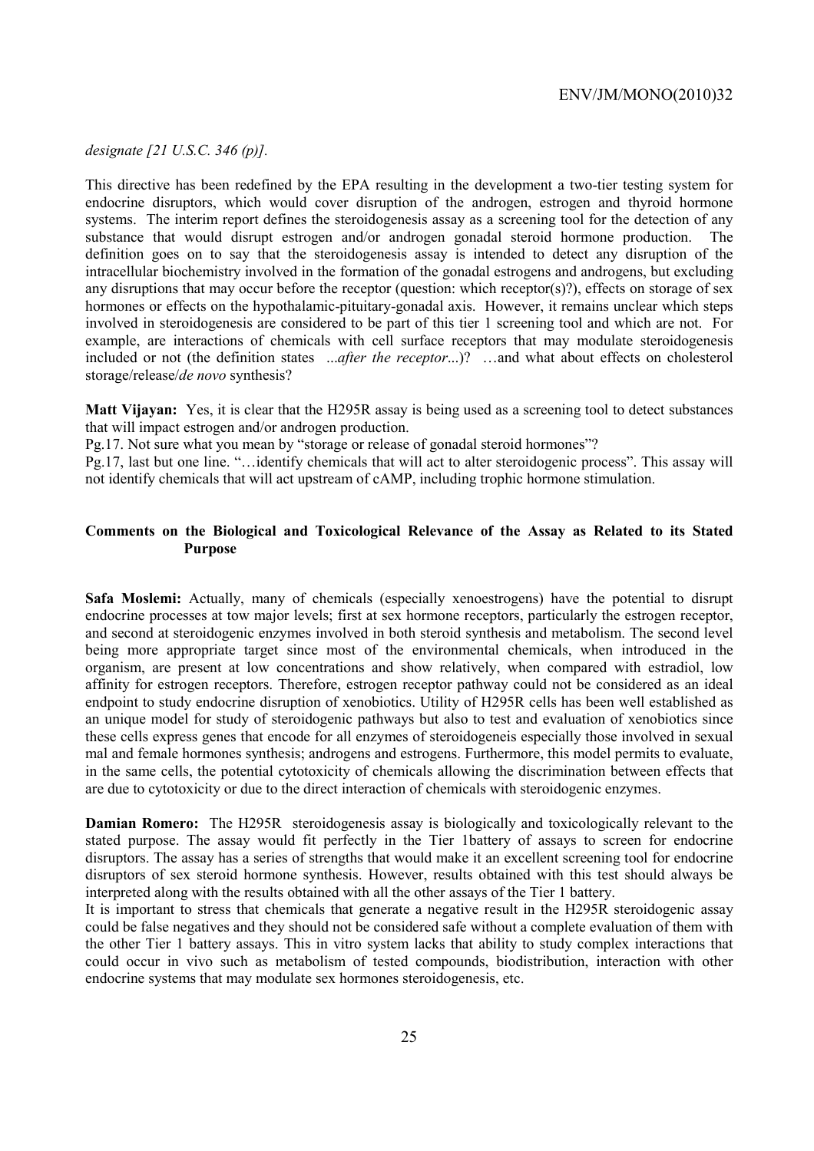### *designate [21 U.S.C. 346 (p)].*

This directive has been redefined by the EPA resulting in the development a two-tier testing system for endocrine disruptors, which would cover disruption of the androgen, estrogen and thyroid hormone systems. The interim report defines the steroidogenesis assay as a screening tool for the detection of any substance that would disrupt estrogen and/or androgen gonadal steroid hormone production. The definition goes on to say that the steroidogenesis assay is intended to detect any disruption of the intracellular biochemistry involved in the formation of the gonadal estrogens and androgens, but excluding any disruptions that may occur before the receptor (question: which receptor(s)?), effects on storage of sex hormones or effects on the hypothalamic-pituitary-gonadal axis. However, it remains unclear which steps involved in steroidogenesis are considered to be part of this tier 1 screening tool and which are not. For example, are interactions of chemicals with cell surface receptors that may modulate steroidogenesis included or not (the definition states ...*after the receptor*...)? …and what about effects on cholesterol storage/release/*de novo* synthesis?

**Matt Vijayan:** Yes, it is clear that the H295R assay is being used as a screening tool to detect substances that will impact estrogen and/or androgen production.

Pg.17. Not sure what you mean by "storage or release of gonadal steroid hormones"?

Pg.17, last but one line. "…identify chemicals that will act to alter steroidogenic process". This assay will not identify chemicals that will act upstream of cAMP, including trophic hormone stimulation.

### **Comments on the Biological and Toxicological Relevance of the Assay as Related to its Stated Purpose**

**Safa Moslemi:** Actually, many of chemicals (especially xenoestrogens) have the potential to disrupt endocrine processes at tow major levels; first at sex hormone receptors, particularly the estrogen receptor, and second at steroidogenic enzymes involved in both steroid synthesis and metabolism. The second level being more appropriate target since most of the environmental chemicals, when introduced in the organism, are present at low concentrations and show relatively, when compared with estradiol, low affinity for estrogen receptors. Therefore, estrogen receptor pathway could not be considered as an ideal endpoint to study endocrine disruption of xenobiotics. Utility of H295R cells has been well established as an unique model for study of steroidogenic pathways but also to test and evaluation of xenobiotics since these cells express genes that encode for all enzymes of steroidogeneis especially those involved in sexual mal and female hormones synthesis; androgens and estrogens. Furthermore, this model permits to evaluate, in the same cells, the potential cytotoxicity of chemicals allowing the discrimination between effects that are due to cytotoxicity or due to the direct interaction of chemicals with steroidogenic enzymes.

**Damian Romero:** The H295R steroidogenesis assay is biologically and toxicologically relevant to the stated purpose. The assay would fit perfectly in the Tier 1battery of assays to screen for endocrine disruptors. The assay has a series of strengths that would make it an excellent screening tool for endocrine disruptors of sex steroid hormone synthesis. However, results obtained with this test should always be interpreted along with the results obtained with all the other assays of the Tier 1 battery.

It is important to stress that chemicals that generate a negative result in the H295R steroidogenic assay could be false negatives and they should not be considered safe without a complete evaluation of them with the other Tier 1 battery assays. This in vitro system lacks that ability to study complex interactions that could occur in vivo such as metabolism of tested compounds, biodistribution, interaction with other endocrine systems that may modulate sex hormones steroidogenesis, etc.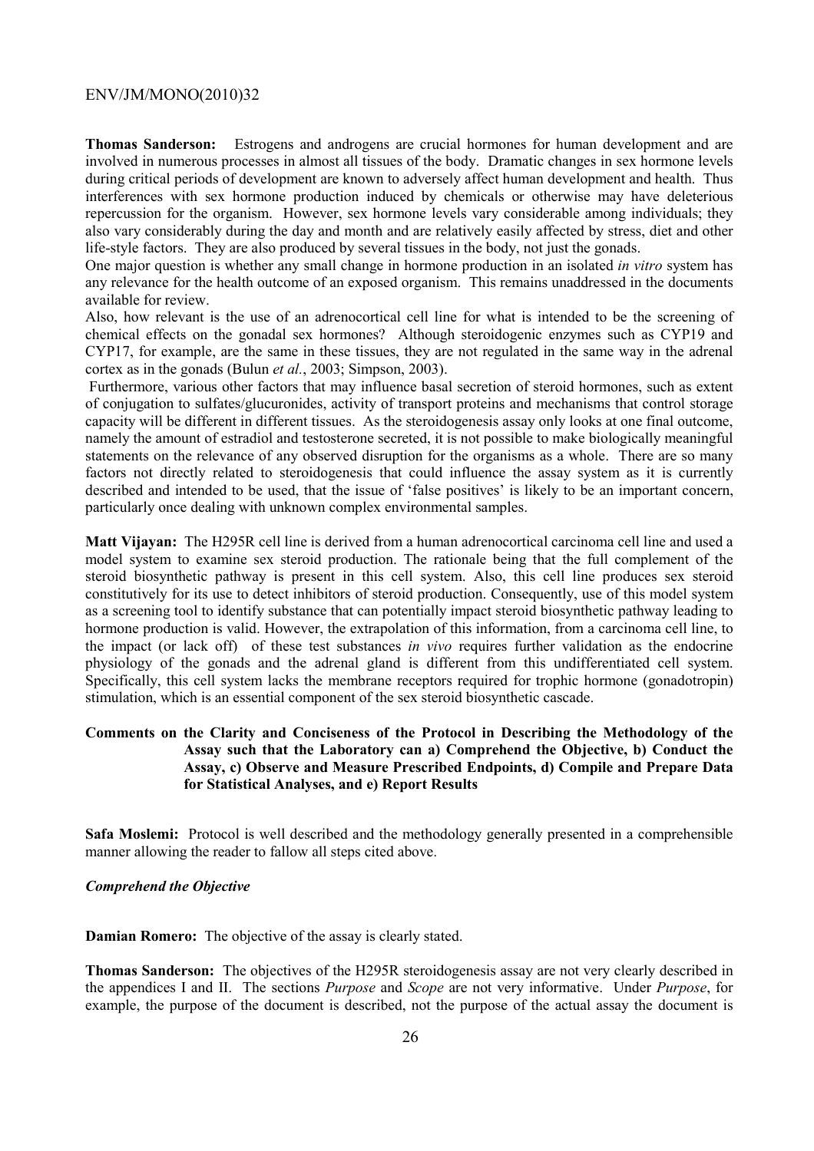**Thomas Sanderson:** Estrogens and androgens are crucial hormones for human development and are involved in numerous processes in almost all tissues of the body. Dramatic changes in sex hormone levels during critical periods of development are known to adversely affect human development and health. Thus interferences with sex hormone production induced by chemicals or otherwise may have deleterious repercussion for the organism. However, sex hormone levels vary considerable among individuals; they also vary considerably during the day and month and are relatively easily affected by stress, diet and other life-style factors. They are also produced by several tissues in the body, not just the gonads.

One major question is whether any small change in hormone production in an isolated *in vitro* system has any relevance for the health outcome of an exposed organism. This remains unaddressed in the documents available for review.

Also, how relevant is the use of an adrenocortical cell line for what is intended to be the screening of chemical effects on the gonadal sex hormones? Although steroidogenic enzymes such as CYP19 and CYP17, for example, are the same in these tissues, they are not regulated in the same way in the adrenal cortex as in the gonads (Bulun *et al.*, 2003; Simpson, 2003).

 Furthermore, various other factors that may influence basal secretion of steroid hormones, such as extent of conjugation to sulfates/glucuronides, activity of transport proteins and mechanisms that control storage capacity will be different in different tissues. As the steroidogenesis assay only looks at one final outcome, namely the amount of estradiol and testosterone secreted, it is not possible to make biologically meaningful statements on the relevance of any observed disruption for the organisms as a whole. There are so many factors not directly related to steroidogenesis that could influence the assay system as it is currently described and intended to be used, that the issue of 'false positives' is likely to be an important concern, particularly once dealing with unknown complex environmental samples.

**Matt Vijayan:** The H295R cell line is derived from a human adrenocortical carcinoma cell line and used a model system to examine sex steroid production. The rationale being that the full complement of the steroid biosynthetic pathway is present in this cell system. Also, this cell line produces sex steroid constitutively for its use to detect inhibitors of steroid production. Consequently, use of this model system as a screening tool to identify substance that can potentially impact steroid biosynthetic pathway leading to hormone production is valid. However, the extrapolation of this information, from a carcinoma cell line, to the impact (or lack off) of these test substances *in vivo* requires further validation as the endocrine physiology of the gonads and the adrenal gland is different from this undifferentiated cell system. Specifically, this cell system lacks the membrane receptors required for trophic hormone (gonadotropin) stimulation, which is an essential component of the sex steroid biosynthetic cascade.

### **Comments on the Clarity and Conciseness of the Protocol in Describing the Methodology of the Assay such that the Laboratory can a) Comprehend the Objective, b) Conduct the Assay, c) Observe and Measure Prescribed Endpoints, d) Compile and Prepare Data for Statistical Analyses, and e) Report Results**

**Safa Moslemi:** Protocol is well described and the methodology generally presented in a comprehensible manner allowing the reader to fallow all steps cited above.

### *Comprehend the Objective*

**Damian Romero:** The objective of the assay is clearly stated.

**Thomas Sanderson:** The objectives of the H295R steroidogenesis assay are not very clearly described in the appendices I and II. The sections *Purpose* and *Scope* are not very informative. Under *Purpose*, for example, the purpose of the document is described, not the purpose of the actual assay the document is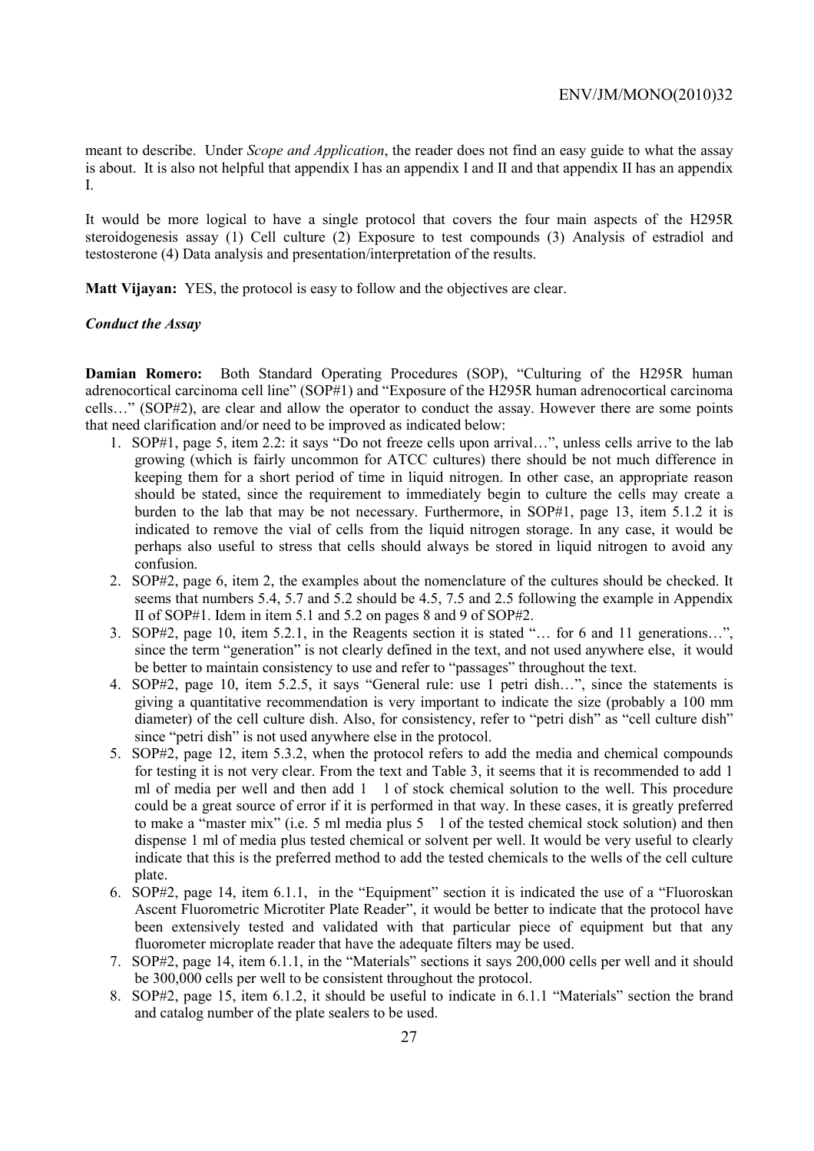meant to describe. Under *Scope and Application*, the reader does not find an easy guide to what the assay is about. It is also not helpful that appendix I has an appendix I and II and that appendix II has an appendix I.

It would be more logical to have a single protocol that covers the four main aspects of the H295R steroidogenesis assay (1) Cell culture (2) Exposure to test compounds (3) Analysis of estradiol and testosterone (4) Data analysis and presentation/interpretation of the results.

**Matt Vijayan:** YES, the protocol is easy to follow and the objectives are clear.

### *Conduct the Assay*

**Damian Romero:** Both Standard Operating Procedures (SOP), "Culturing of the H295R human adrenocortical carcinoma cell line" (SOP#1) and "Exposure of the H295R human adrenocortical carcinoma cells…" (SOP#2), are clear and allow the operator to conduct the assay. However there are some points that need clarification and/or need to be improved as indicated below:

- 1. SOP#1, page 5, item 2.2: it says "Do not freeze cells upon arrival…", unless cells arrive to the lab growing (which is fairly uncommon for ATCC cultures) there should be not much difference in keeping them for a short period of time in liquid nitrogen. In other case, an appropriate reason should be stated, since the requirement to immediately begin to culture the cells may create a burden to the lab that may be not necessary. Furthermore, in SOP#1, page 13, item 5.1.2 it is indicated to remove the vial of cells from the liquid nitrogen storage. In any case, it would be perhaps also useful to stress that cells should always be stored in liquid nitrogen to avoid any confusion.
- 2. SOP#2, page 6, item 2, the examples about the nomenclature of the cultures should be checked. It seems that numbers 5.4, 5.7 and 5.2 should be 4.5, 7.5 and 2.5 following the example in Appendix II of SOP#1. Idem in item 5.1 and 5.2 on pages 8 and 9 of SOP#2.
- 3. SOP#2, page 10, item 5.2.1, in the Reagents section it is stated "… for 6 and 11 generations…", since the term "generation" is not clearly defined in the text, and not used anywhere else, it would be better to maintain consistency to use and refer to "passages" throughout the text.
- 4. SOP#2, page 10, item 5.2.5, it says "General rule: use 1 petri dish…", since the statements is giving a quantitative recommendation is very important to indicate the size (probably a 100 mm diameter) of the cell culture dish. Also, for consistency, refer to "petri dish" as "cell culture dish" since "petri dish" is not used anywhere else in the protocol.
- 5. SOP#2, page 12, item 5.3.2, when the protocol refers to add the media and chemical compounds for testing it is not very clear. From the text and Table 3, it seems that it is recommended to add 1 ml of media per well and then add 1 l of stock chemical solution to the well. This procedure could be a great source of error if it is performed in that way. In these cases, it is greatly preferred to make a "master mix" (i.e. 5 ml media plus 5 l of the tested chemical stock solution) and then dispense 1 ml of media plus tested chemical or solvent per well. It would be very useful to clearly indicate that this is the preferred method to add the tested chemicals to the wells of the cell culture plate.
- 6. SOP#2, page 14, item 6.1.1, in the "Equipment" section it is indicated the use of a "Fluoroskan Ascent Fluorometric Microtiter Plate Reader", it would be better to indicate that the protocol have been extensively tested and validated with that particular piece of equipment but that any fluorometer microplate reader that have the adequate filters may be used.
- 7. SOP#2, page 14, item 6.1.1, in the "Materials" sections it says 200,000 cells per well and it should be 300,000 cells per well to be consistent throughout the protocol.
- 8. SOP#2, page 15, item 6.1.2, it should be useful to indicate in 6.1.1 "Materials" section the brand and catalog number of the plate sealers to be used.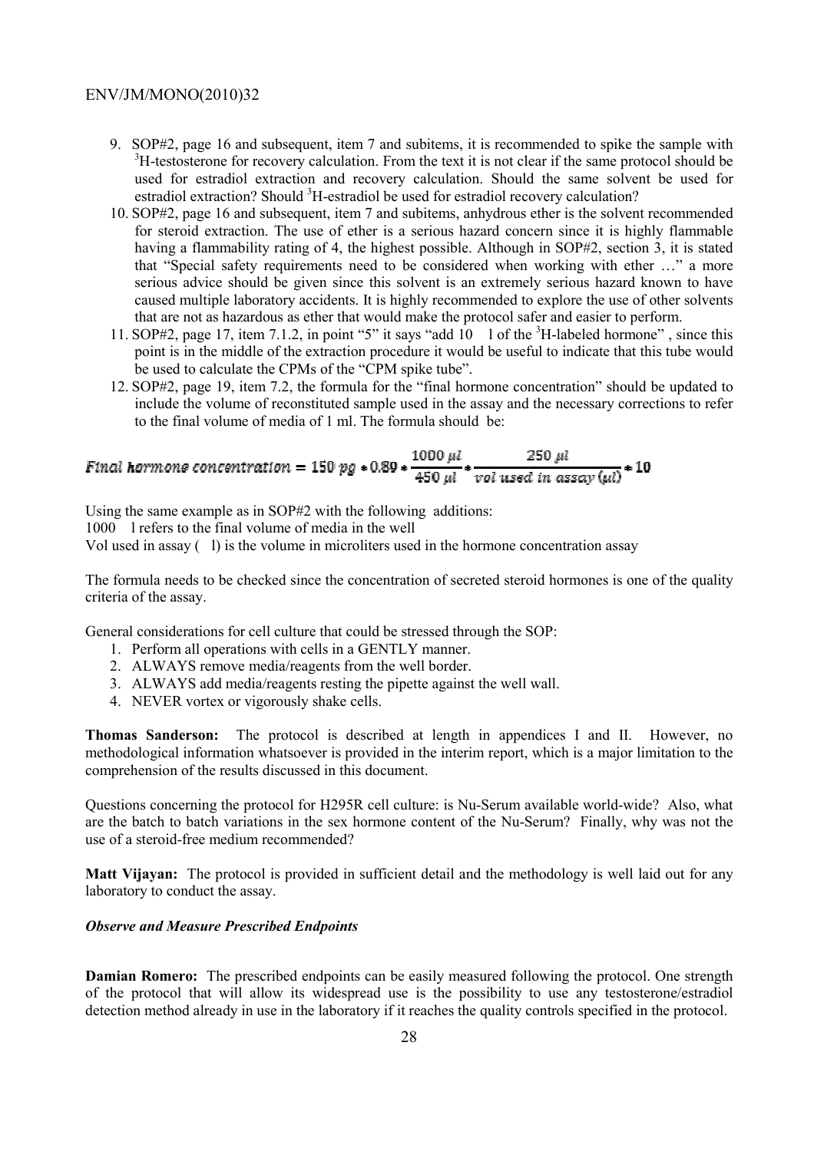- 9. SOP#2, page 16 and subsequent, item 7 and subitems, it is recommended to spike the sample with <sup>3</sup>H-testosterone for recovery calculation. From the text it is not clear if the same protocol should be used for estradiol extraction and recovery calculation. Should the same solvent be used for estradiol extraction? Should <sup>3</sup>H-estradiol be used for estradiol recovery calculation?
- 10. SOP#2, page 16 and subsequent, item 7 and subitems, anhydrous ether is the solvent recommended for steroid extraction. The use of ether is a serious hazard concern since it is highly flammable having a flammability rating of 4, the highest possible. Although in SOP#2, section 3, it is stated that "Special safety requirements need to be considered when working with ether …" a more serious advice should be given since this solvent is an extremely serious hazard known to have caused multiple laboratory accidents. It is highly recommended to explore the use of other solvents that are not as hazardous as ether that would make the protocol safer and easier to perform.
- 11. SOP#2, page 17, item 7.1.2, in point "5" it says "add 10 1 of the <sup>3</sup>H-labeled hormone", since this point is in the middle of the extraction procedure it would be useful to indicate that this tube would be used to calculate the CPMs of the "CPM spike tube".
- 12. SOP#2, page 19, item 7.2, the formula for the "final hormone concentration" should be updated to include the volume of reconstituted sample used in the assay and the necessary corrections to refer to the final volume of media of 1 ml. The formula should be:

# Final hormone concentration =  $150$  pg  $*$  0.89  $*$   $\frac{1000 \ \mu l}{450 \ \mu l} * \frac{250 \ \mu l}{\nu o l \text{ used in assay (ul)}} * 10$

Using the same example as in SOP#2 with the following additions:

1000 l refers to the final volume of media in the well

Vol used in assay  $(l)$  is the volume in microliters used in the hormone concentration assay

The formula needs to be checked since the concentration of secreted steroid hormones is one of the quality criteria of the assay.

General considerations for cell culture that could be stressed through the SOP:

- 1. Perform all operations with cells in a GENTLY manner.
- 2. ALWAYS remove media/reagents from the well border.
- 3. ALWAYS add media/reagents resting the pipette against the well wall.
- 4. NEVER vortex or vigorously shake cells.

**Thomas Sanderson:** The protocol is described at length in appendices I and II. However, no methodological information whatsoever is provided in the interim report, which is a major limitation to the comprehension of the results discussed in this document.

Questions concerning the protocol for H295R cell culture: is Nu-Serum available world-wide? Also, what are the batch to batch variations in the sex hormone content of the Nu-Serum? Finally, why was not the use of a steroid-free medium recommended?

**Matt Vijayan:** The protocol is provided in sufficient detail and the methodology is well laid out for any laboratory to conduct the assay.

### *Observe and Measure Prescribed Endpoints*

**Damian Romero:** The prescribed endpoints can be easily measured following the protocol. One strength of the protocol that will allow its widespread use is the possibility to use any testosterone/estradiol detection method already in use in the laboratory if it reaches the quality controls specified in the protocol.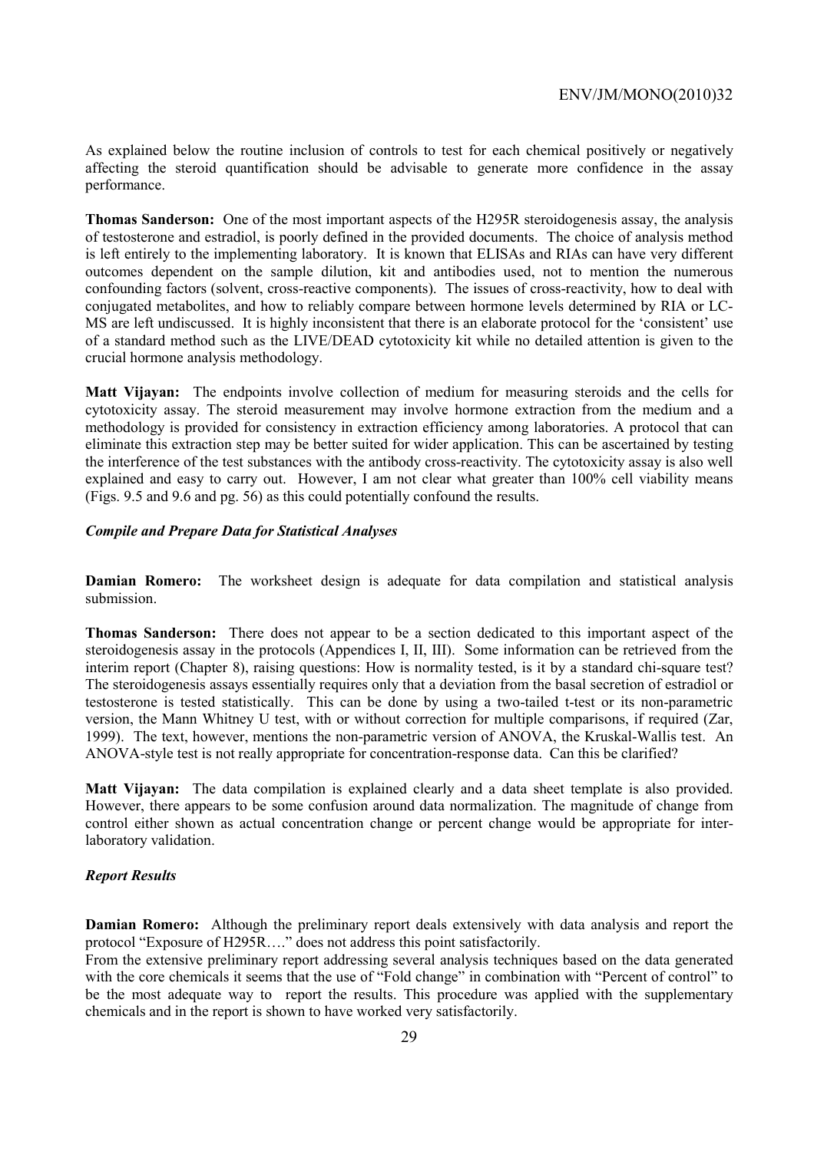As explained below the routine inclusion of controls to test for each chemical positively or negatively affecting the steroid quantification should be advisable to generate more confidence in the assay performance.

**Thomas Sanderson:** One of the most important aspects of the H295R steroidogenesis assay, the analysis of testosterone and estradiol, is poorly defined in the provided documents. The choice of analysis method is left entirely to the implementing laboratory. It is known that ELISAs and RIAs can have very different outcomes dependent on the sample dilution, kit and antibodies used, not to mention the numerous confounding factors (solvent, cross-reactive components). The issues of cross-reactivity, how to deal with conjugated metabolites, and how to reliably compare between hormone levels determined by RIA or LC-MS are left undiscussed. It is highly inconsistent that there is an elaborate protocol for the 'consistent' use of a standard method such as the LIVE/DEAD cytotoxicity kit while no detailed attention is given to the crucial hormone analysis methodology.

**Matt Vijayan:** The endpoints involve collection of medium for measuring steroids and the cells for cytotoxicity assay. The steroid measurement may involve hormone extraction from the medium and a methodology is provided for consistency in extraction efficiency among laboratories. A protocol that can eliminate this extraction step may be better suited for wider application. This can be ascertained by testing the interference of the test substances with the antibody cross-reactivity. The cytotoxicity assay is also well explained and easy to carry out. However, I am not clear what greater than 100% cell viability means (Figs. 9.5 and 9.6 and pg. 56) as this could potentially confound the results.

### *Compile and Prepare Data for Statistical Analyses*

**Damian Romero:** The worksheet design is adequate for data compilation and statistical analysis submission.

**Thomas Sanderson:** There does not appear to be a section dedicated to this important aspect of the steroidogenesis assay in the protocols (Appendices I, II, III). Some information can be retrieved from the interim report (Chapter 8), raising questions: How is normality tested, is it by a standard chi-square test? The steroidogenesis assays essentially requires only that a deviation from the basal secretion of estradiol or testosterone is tested statistically. This can be done by using a two-tailed t-test or its non-parametric version, the Mann Whitney U test, with or without correction for multiple comparisons, if required (Zar, 1999). The text, however, mentions the non-parametric version of ANOVA, the Kruskal-Wallis test. An ANOVA-style test is not really appropriate for concentration-response data. Can this be clarified?

**Matt Vijayan:** The data compilation is explained clearly and a data sheet template is also provided. However, there appears to be some confusion around data normalization. The magnitude of change from control either shown as actual concentration change or percent change would be appropriate for interlaboratory validation.

### *Report Results*

**Damian Romero:** Although the preliminary report deals extensively with data analysis and report the protocol "Exposure of H295R…." does not address this point satisfactorily.

From the extensive preliminary report addressing several analysis techniques based on the data generated with the core chemicals it seems that the use of "Fold change" in combination with "Percent of control" to be the most adequate way to report the results. This procedure was applied with the supplementary chemicals and in the report is shown to have worked very satisfactorily.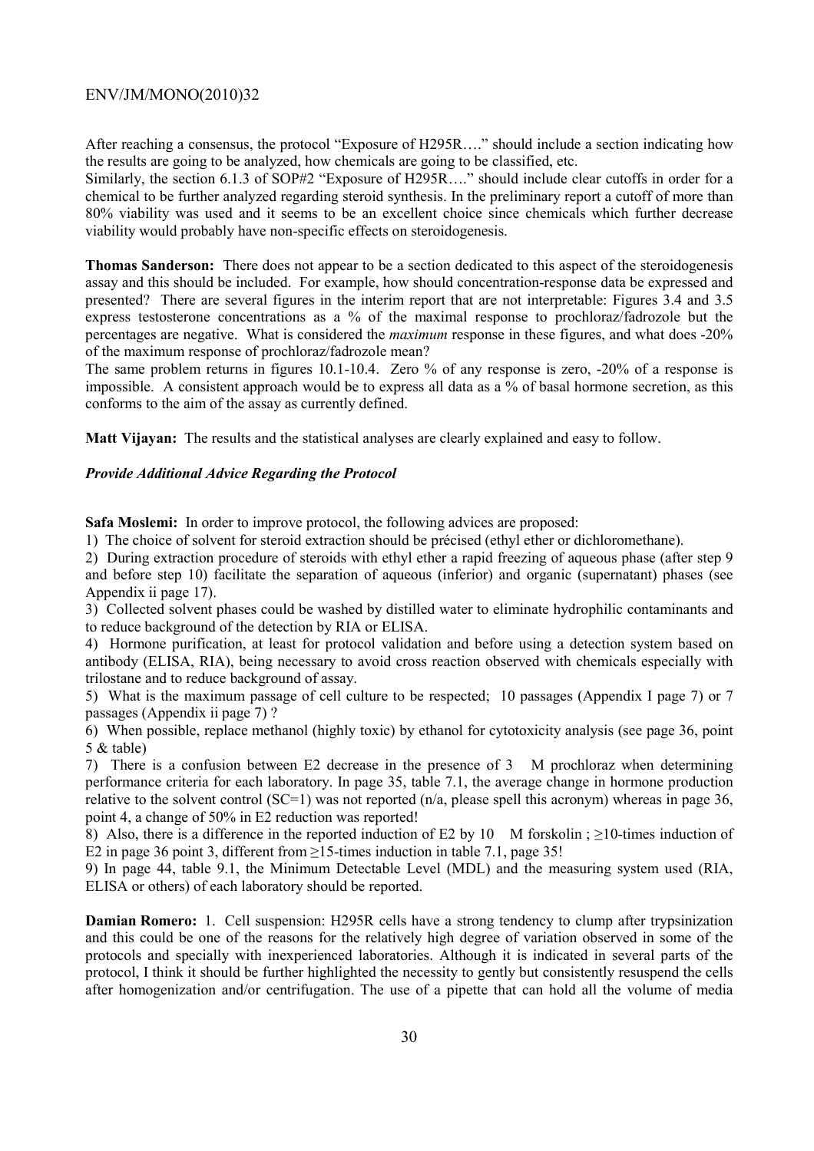After reaching a consensus, the protocol "Exposure of H295R…." should include a section indicating how the results are going to be analyzed, how chemicals are going to be classified, etc.

Similarly, the section 6.1.3 of SOP#2 "Exposure of H295R…." should include clear cutoffs in order for a chemical to be further analyzed regarding steroid synthesis. In the preliminary report a cutoff of more than 80% viability was used and it seems to be an excellent choice since chemicals which further decrease viability would probably have non-specific effects on steroidogenesis.

**Thomas Sanderson:** There does not appear to be a section dedicated to this aspect of the steroidogenesis assay and this should be included. For example, how should concentration-response data be expressed and presented? There are several figures in the interim report that are not interpretable: Figures 3.4 and 3.5 express testosterone concentrations as a % of the maximal response to prochloraz/fadrozole but the percentages are negative. What is considered the *maximum* response in these figures, and what does -20% of the maximum response of prochloraz/fadrozole mean?

The same problem returns in figures 10.1-10.4. Zero % of any response is zero, -20% of a response is impossible. A consistent approach would be to express all data as a % of basal hormone secretion, as this conforms to the aim of the assay as currently defined.

**Matt Vijayan:** The results and the statistical analyses are clearly explained and easy to follow.

### *Provide Additional Advice Regarding the Protocol*

**Safa Moslemi:** In order to improve protocol, the following advices are proposed:

1) The choice of solvent for steroid extraction should be précised (ethyl ether or dichloromethane).

2) During extraction procedure of steroids with ethyl ether a rapid freezing of aqueous phase (after step 9 and before step 10) facilitate the separation of aqueous (inferior) and organic (supernatant) phases (see Appendix ii page 17).

3) Collected solvent phases could be washed by distilled water to eliminate hydrophilic contaminants and to reduce background of the detection by RIA or ELISA.

4) Hormone purification, at least for protocol validation and before using a detection system based on antibody (ELISA, RIA), being necessary to avoid cross reaction observed with chemicals especially with trilostane and to reduce background of assay.

5) What is the maximum passage of cell culture to be respected; 10 passages (Appendix I page 7) or 7 passages (Appendix ii page 7) ?

6) When possible, replace methanol (highly toxic) by ethanol for cytotoxicity analysis (see page 36, point 5 & table)

7) There is a confusion between E2 decrease in the presence of 3 M prochloraz when determining performance criteria for each laboratory. In page 35, table 7.1, the average change in hormone production relative to the solvent control (SC=1) was not reported (n/a, please spell this acronym) whereas in page 36, point 4, a change of 50% in E2 reduction was reported!

8) Also, there is a difference in the reported induction of E2 by 10 M forskolin ; >10-times induction of E2 in page 36 point 3, different from ≥15-times induction in table 7.1, page 35!

9) In page 44, table 9.1, the Minimum Detectable Level (MDL) and the measuring system used (RIA, ELISA or others) of each laboratory should be reported.

**Damian Romero:** 1. Cell suspension: H295R cells have a strong tendency to clump after trypsinization and this could be one of the reasons for the relatively high degree of variation observed in some of the protocols and specially with inexperienced laboratories. Although it is indicated in several parts of the protocol, I think it should be further highlighted the necessity to gently but consistently resuspend the cells after homogenization and/or centrifugation. The use of a pipette that can hold all the volume of media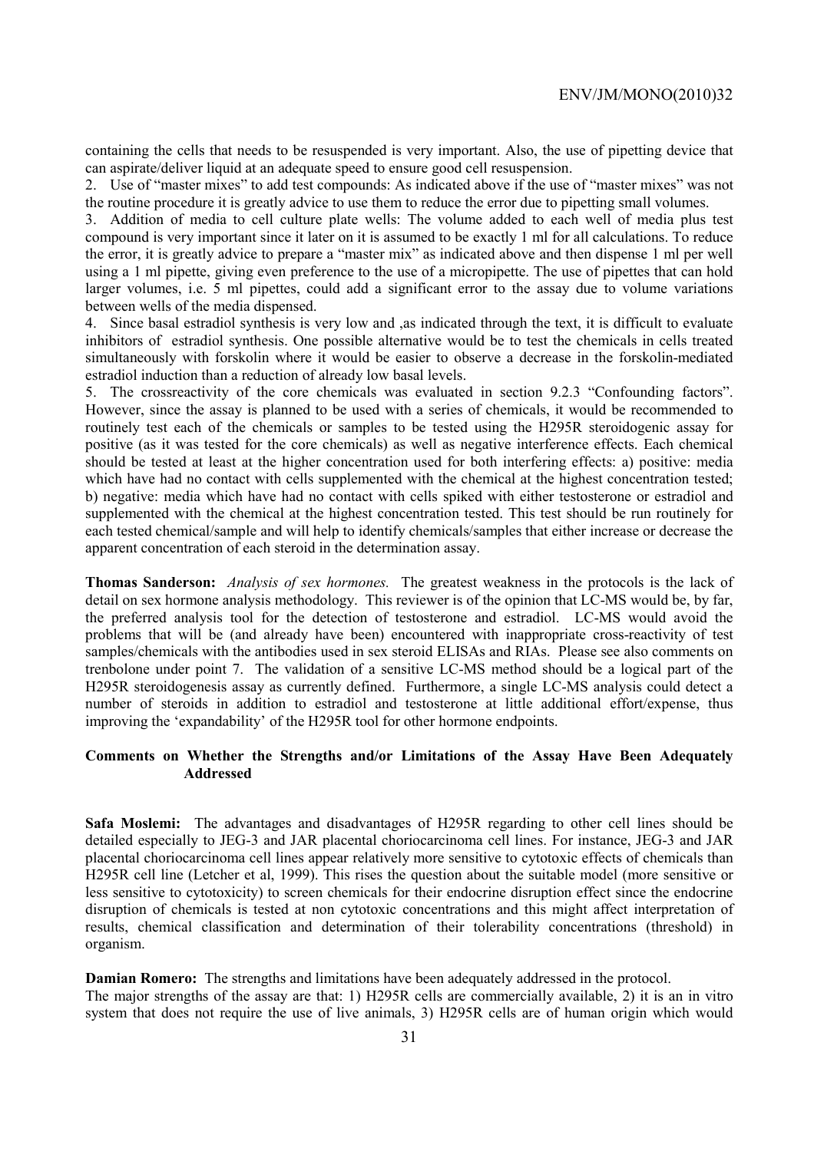containing the cells that needs to be resuspended is very important. Also, the use of pipetting device that can aspirate/deliver liquid at an adequate speed to ensure good cell resuspension.

2. Use of "master mixes" to add test compounds: As indicated above if the use of "master mixes" was not the routine procedure it is greatly advice to use them to reduce the error due to pipetting small volumes.

3. Addition of media to cell culture plate wells: The volume added to each well of media plus test compound is very important since it later on it is assumed to be exactly 1 ml for all calculations. To reduce the error, it is greatly advice to prepare a "master mix" as indicated above and then dispense 1 ml per well using a 1 ml pipette, giving even preference to the use of a micropipette. The use of pipettes that can hold larger volumes, i.e. 5 ml pipettes, could add a significant error to the assay due to volume variations between wells of the media dispensed.

4. Since basal estradiol synthesis is very low and ,as indicated through the text, it is difficult to evaluate inhibitors of estradiol synthesis. One possible alternative would be to test the chemicals in cells treated simultaneously with forskolin where it would be easier to observe a decrease in the forskolin-mediated estradiol induction than a reduction of already low basal levels.

5. The crossreactivity of the core chemicals was evaluated in section 9.2.3 "Confounding factors". However, since the assay is planned to be used with a series of chemicals, it would be recommended to routinely test each of the chemicals or samples to be tested using the H295R steroidogenic assay for positive (as it was tested for the core chemicals) as well as negative interference effects. Each chemical should be tested at least at the higher concentration used for both interfering effects: a) positive: media which have had no contact with cells supplemented with the chemical at the highest concentration tested; b) negative: media which have had no contact with cells spiked with either testosterone or estradiol and supplemented with the chemical at the highest concentration tested. This test should be run routinely for each tested chemical/sample and will help to identify chemicals/samples that either increase or decrease the apparent concentration of each steroid in the determination assay.

**Thomas Sanderson:** *Analysis of sex hormones.* The greatest weakness in the protocols is the lack of detail on sex hormone analysis methodology. This reviewer is of the opinion that LC-MS would be, by far, the preferred analysis tool for the detection of testosterone and estradiol. LC-MS would avoid the problems that will be (and already have been) encountered with inappropriate cross-reactivity of test samples/chemicals with the antibodies used in sex steroid ELISAs and RIAs. Please see also comments on trenbolone under point 7. The validation of a sensitive LC-MS method should be a logical part of the H295R steroidogenesis assay as currently defined. Furthermore, a single LC-MS analysis could detect a number of steroids in addition to estradiol and testosterone at little additional effort/expense, thus improving the 'expandability' of the H295R tool for other hormone endpoints.

### **Comments on Whether the Strengths and/or Limitations of the Assay Have Been Adequately Addressed**

**Safa Moslemi:** The advantages and disadvantages of H295R regarding to other cell lines should be detailed especially to JEG-3 and JAR placental choriocarcinoma cell lines. For instance, JEG-3 and JAR placental choriocarcinoma cell lines appear relatively more sensitive to cytotoxic effects of chemicals than H295R cell line (Letcher et al, 1999). This rises the question about the suitable model (more sensitive or less sensitive to cytotoxicity) to screen chemicals for their endocrine disruption effect since the endocrine disruption of chemicals is tested at non cytotoxic concentrations and this might affect interpretation of results, chemical classification and determination of their tolerability concentrations (threshold) in organism.

**Damian Romero:** The strengths and limitations have been adequately addressed in the protocol. The major strengths of the assay are that: 1) H295R cells are commercially available, 2) it is an in vitro system that does not require the use of live animals, 3) H295R cells are of human origin which would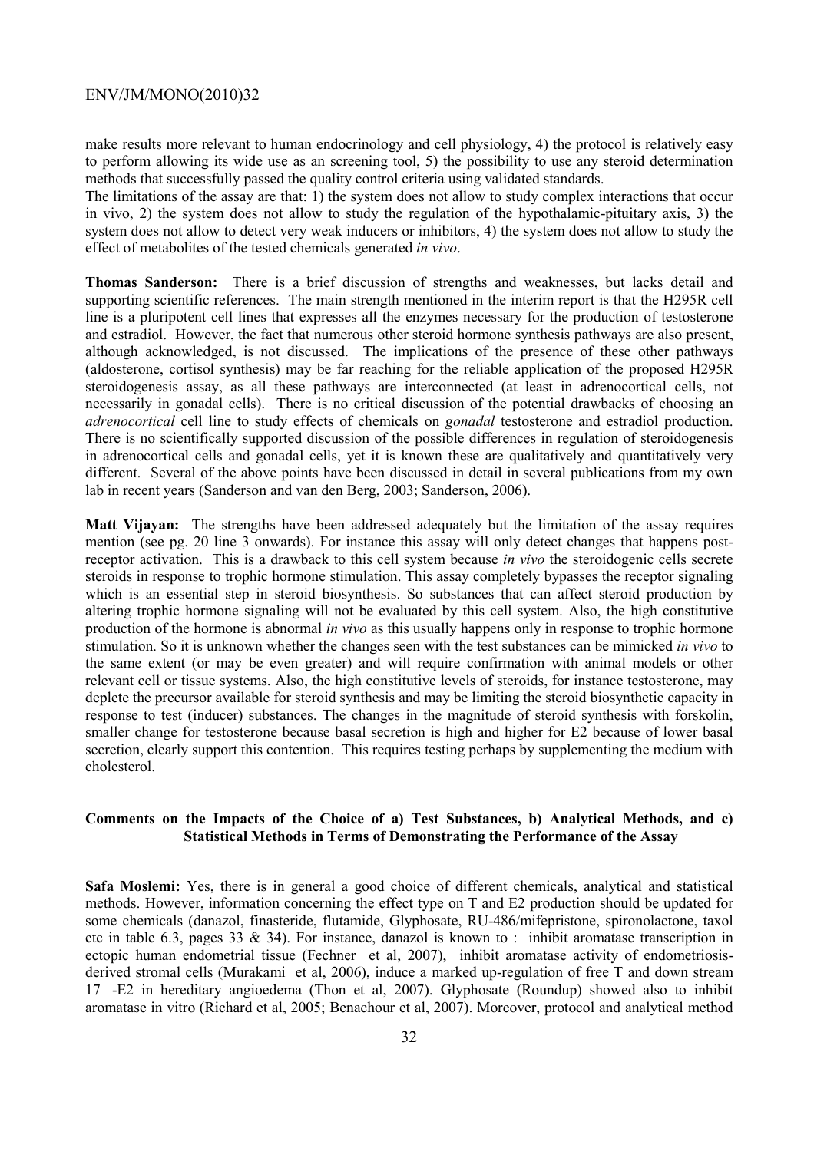make results more relevant to human endocrinology and cell physiology, 4) the protocol is relatively easy to perform allowing its wide use as an screening tool, 5) the possibility to use any steroid determination methods that successfully passed the quality control criteria using validated standards.

The limitations of the assay are that: 1) the system does not allow to study complex interactions that occur in vivo, 2) the system does not allow to study the regulation of the hypothalamic-pituitary axis, 3) the system does not allow to detect very weak inducers or inhibitors, 4) the system does not allow to study the effect of metabolites of the tested chemicals generated *in vivo*.

**Thomas Sanderson:** There is a brief discussion of strengths and weaknesses, but lacks detail and supporting scientific references. The main strength mentioned in the interim report is that the H295R cell line is a pluripotent cell lines that expresses all the enzymes necessary for the production of testosterone and estradiol. However, the fact that numerous other steroid hormone synthesis pathways are also present, although acknowledged, is not discussed. The implications of the presence of these other pathways (aldosterone, cortisol synthesis) may be far reaching for the reliable application of the proposed H295R steroidogenesis assay, as all these pathways are interconnected (at least in adrenocortical cells, not necessarily in gonadal cells). There is no critical discussion of the potential drawbacks of choosing an *adrenocortical* cell line to study effects of chemicals on *gonadal* testosterone and estradiol production. There is no scientifically supported discussion of the possible differences in regulation of steroidogenesis in adrenocortical cells and gonadal cells, yet it is known these are qualitatively and quantitatively very different. Several of the above points have been discussed in detail in several publications from my own lab in recent years (Sanderson and van den Berg, 2003; Sanderson, 2006).

**Matt Vijayan:** The strengths have been addressed adequately but the limitation of the assay requires mention (see pg. 20 line 3 onwards). For instance this assay will only detect changes that happens postreceptor activation. This is a drawback to this cell system because *in vivo* the steroidogenic cells secrete steroids in response to trophic hormone stimulation. This assay completely bypasses the receptor signaling which is an essential step in steroid biosynthesis. So substances that can affect steroid production by altering trophic hormone signaling will not be evaluated by this cell system. Also, the high constitutive production of the hormone is abnormal *in vivo* as this usually happens only in response to trophic hormone stimulation. So it is unknown whether the changes seen with the test substances can be mimicked *in vivo* to the same extent (or may be even greater) and will require confirmation with animal models or other relevant cell or tissue systems. Also, the high constitutive levels of steroids, for instance testosterone, may deplete the precursor available for steroid synthesis and may be limiting the steroid biosynthetic capacity in response to test (inducer) substances. The changes in the magnitude of steroid synthesis with forskolin, smaller change for testosterone because basal secretion is high and higher for E2 because of lower basal secretion, clearly support this contention. This requires testing perhaps by supplementing the medium with cholesterol.

### **Comments on the Impacts of the Choice of a) Test Substances, b) Analytical Methods, and c) Statistical Methods in Terms of Demonstrating the Performance of the Assay**

**Safa Moslemi:** Yes, there is in general a good choice of different chemicals, analytical and statistical methods. However, information concerning the effect type on T and E2 production should be updated for some chemicals (danazol, finasteride, flutamide, Glyphosate, RU-486/mifepristone, spironolactone, taxol etc in table 6.3, pages 33  $\&$  34). For instance, danazol is known to : inhibit aromatase transcription in ectopic human endometrial tissue (Fechner et al, 2007), inhibit aromatase activity of endometriosisderived stromal cells (Murakami et al, 2006), induce a marked up-regulation of free T and down stream 17-E2 in hereditary angioedema (Thon et al, 2007). Glyphosate (Roundup) showed also to inhibit aromatase in vitro (Richard et al, 2005; Benachour et al, 2007). Moreover, protocol and analytical method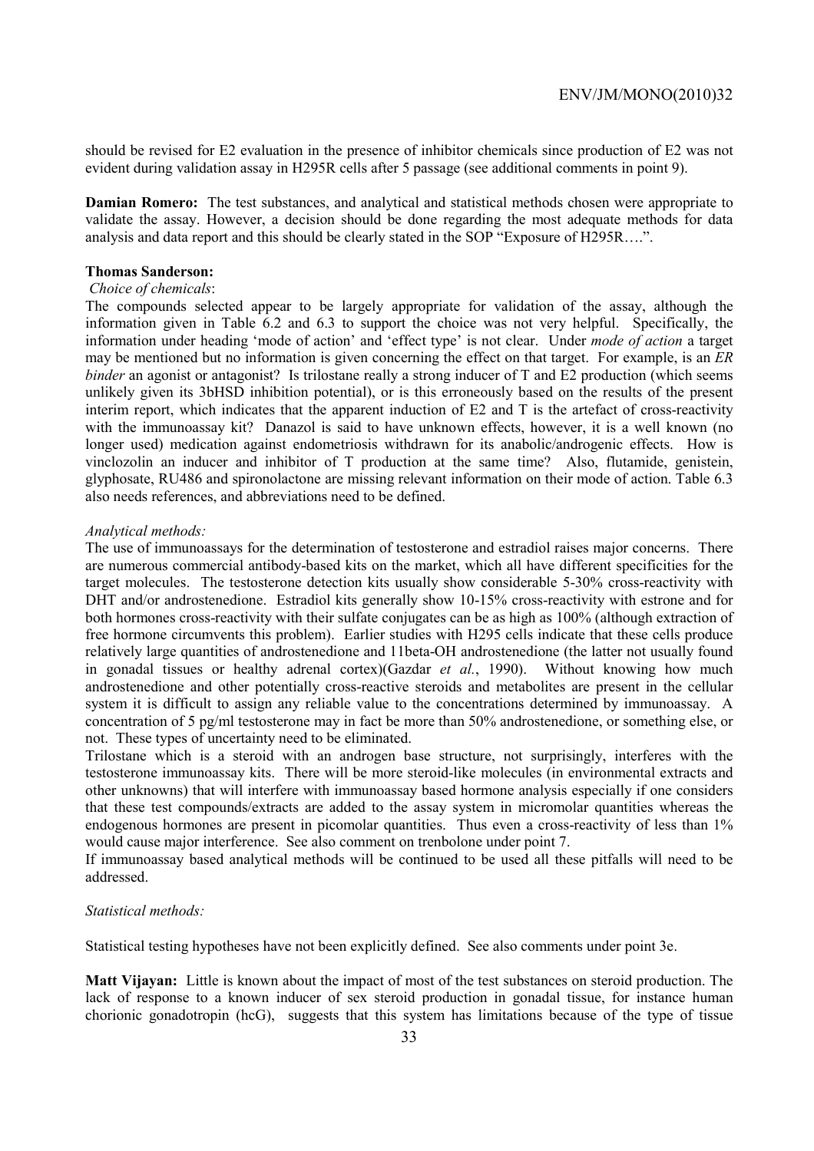should be revised for E2 evaluation in the presence of inhibitor chemicals since production of E2 was not evident during validation assay in H295R cells after 5 passage (see additional comments in point 9).

**Damian Romero:** The test substances, and analytical and statistical methods chosen were appropriate to validate the assay. However, a decision should be done regarding the most adequate methods for data analysis and data report and this should be clearly stated in the SOP "Exposure of H295R….".

### **Thomas Sanderson:**

### *Choice of chemicals*:

The compounds selected appear to be largely appropriate for validation of the assay, although the information given in Table 6.2 and 6.3 to support the choice was not very helpful. Specifically, the information under heading 'mode of action' and 'effect type' is not clear. Under *mode of action* a target may be mentioned but no information is given concerning the effect on that target. For example, is an *ER binder* an agonist or antagonist? Is trilostane really a strong inducer of T and E2 production (which seems unlikely given its 3bHSD inhibition potential), or is this erroneously based on the results of the present interim report, which indicates that the apparent induction of E2 and T is the artefact of cross-reactivity with the immunoassay kit? Danazol is said to have unknown effects, however, it is a well known (no longer used) medication against endometriosis withdrawn for its anabolic/androgenic effects. How is vinclozolin an inducer and inhibitor of T production at the same time? Also, flutamide, genistein, glyphosate, RU486 and spironolactone are missing relevant information on their mode of action. Table 6.3 also needs references, and abbreviations need to be defined.

### *Analytical methods:*

The use of immunoassays for the determination of testosterone and estradiol raises major concerns. There are numerous commercial antibody-based kits on the market, which all have different specificities for the target molecules. The testosterone detection kits usually show considerable 5-30% cross-reactivity with DHT and/or androstenedione. Estradiol kits generally show 10-15% cross-reactivity with estrone and for both hormones cross-reactivity with their sulfate conjugates can be as high as 100% (although extraction of free hormone circumvents this problem). Earlier studies with H295 cells indicate that these cells produce relatively large quantities of androstenedione and 11beta-OH androstenedione (the latter not usually found in gonadal tissues or healthy adrenal cortex)(Gazdar *et al.*, 1990). Without knowing how much androstenedione and other potentially cross-reactive steroids and metabolites are present in the cellular system it is difficult to assign any reliable value to the concentrations determined by immunoassay. A concentration of 5 pg/ml testosterone may in fact be more than 50% androstenedione, or something else, or not. These types of uncertainty need to be eliminated.

Trilostane which is a steroid with an androgen base structure, not surprisingly, interferes with the testosterone immunoassay kits. There will be more steroid-like molecules (in environmental extracts and other unknowns) that will interfere with immunoassay based hormone analysis especially if one considers that these test compounds/extracts are added to the assay system in micromolar quantities whereas the endogenous hormones are present in picomolar quantities. Thus even a cross-reactivity of less than 1% would cause major interference. See also comment on trenbolone under point 7.

If immunoassay based analytical methods will be continued to be used all these pitfalls will need to be addressed.

### *Statistical methods:*

Statistical testing hypotheses have not been explicitly defined. See also comments under point 3e.

**Matt Vijayan:** Little is known about the impact of most of the test substances on steroid production. The lack of response to a known inducer of sex steroid production in gonadal tissue, for instance human chorionic gonadotropin (hcG), suggests that this system has limitations because of the type of tissue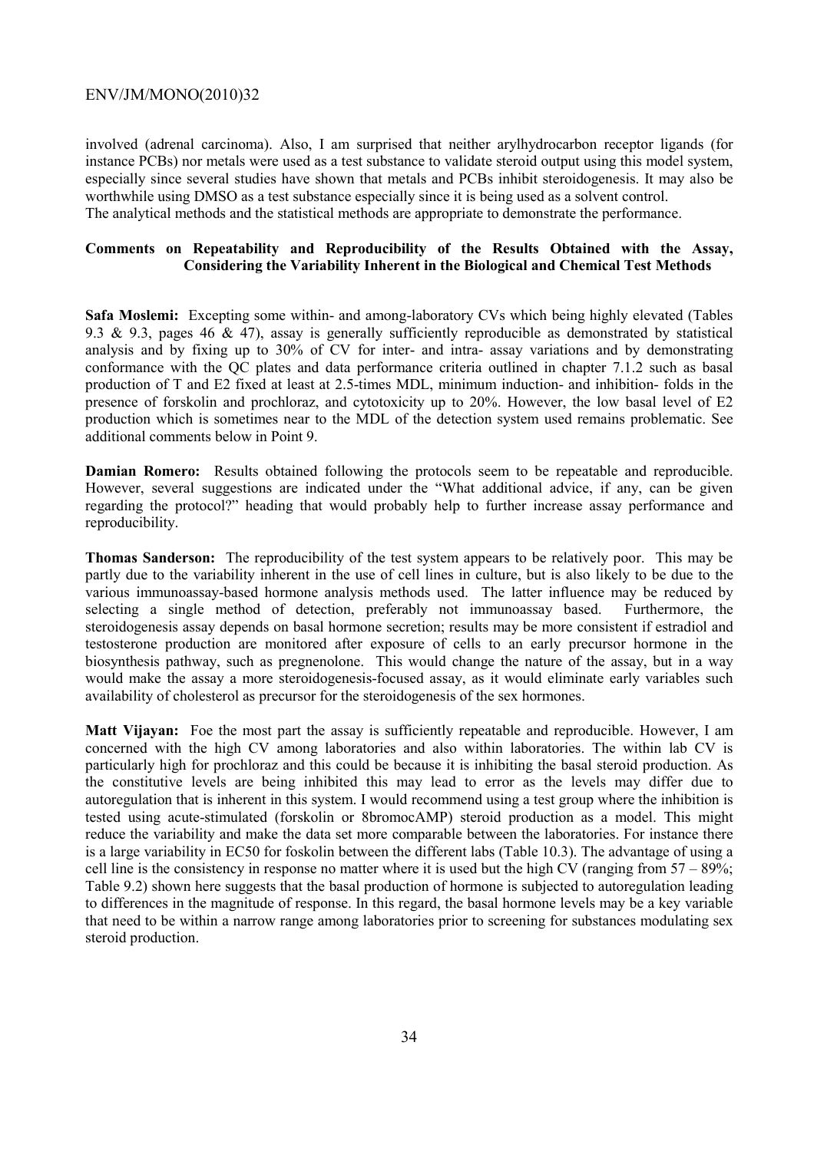involved (adrenal carcinoma). Also, I am surprised that neither arylhydrocarbon receptor ligands (for instance PCBs) nor metals were used as a test substance to validate steroid output using this model system, especially since several studies have shown that metals and PCBs inhibit steroidogenesis. It may also be worthwhile using DMSO as a test substance especially since it is being used as a solvent control. The analytical methods and the statistical methods are appropriate to demonstrate the performance.

### **Comments on Repeatability and Reproducibility of the Results Obtained with the Assay, Considering the Variability Inherent in the Biological and Chemical Test Methods**

**Safa Moslemi:** Excepting some within- and among-laboratory CVs which being highly elevated (Tables 9.3 & 9.3, pages 46 & 47), assay is generally sufficiently reproducible as demonstrated by statistical analysis and by fixing up to 30% of CV for inter- and intra- assay variations and by demonstrating conformance with the QC plates and data performance criteria outlined in chapter 7.1.2 such as basal production of T and E2 fixed at least at 2.5-times MDL, minimum induction- and inhibition- folds in the presence of forskolin and prochloraz, and cytotoxicity up to 20%. However, the low basal level of E2 production which is sometimes near to the MDL of the detection system used remains problematic. See additional comments below in Point 9.

**Damian Romero:** Results obtained following the protocols seem to be repeatable and reproducible. However, several suggestions are indicated under the "What additional advice, if any, can be given regarding the protocol?" heading that would probably help to further increase assay performance and reproducibility.

**Thomas Sanderson:** The reproducibility of the test system appears to be relatively poor. This may be partly due to the variability inherent in the use of cell lines in culture, but is also likely to be due to the various immunoassay-based hormone analysis methods used. The latter influence may be reduced by selecting a single method of detection, preferably not immunoassay based. Furthermore, the steroidogenesis assay depends on basal hormone secretion; results may be more consistent if estradiol and testosterone production are monitored after exposure of cells to an early precursor hormone in the biosynthesis pathway, such as pregnenolone. This would change the nature of the assay, but in a way would make the assay a more steroidogenesis-focused assay, as it would eliminate early variables such availability of cholesterol as precursor for the steroidogenesis of the sex hormones.

**Matt Vijayan:** Foe the most part the assay is sufficiently repeatable and reproducible. However, I am concerned with the high CV among laboratories and also within laboratories. The within lab CV is particularly high for prochloraz and this could be because it is inhibiting the basal steroid production. As the constitutive levels are being inhibited this may lead to error as the levels may differ due to autoregulation that is inherent in this system. I would recommend using a test group where the inhibition is tested using acute-stimulated (forskolin or 8bromocAMP) steroid production as a model. This might reduce the variability and make the data set more comparable between the laboratories. For instance there is a large variability in EC50 for foskolin between the different labs (Table 10.3). The advantage of using a cell line is the consistency in response no matter where it is used but the high CV (ranging from  $57 - 89\%$ ; Table 9.2) shown here suggests that the basal production of hormone is subjected to autoregulation leading to differences in the magnitude of response. In this regard, the basal hormone levels may be a key variable that need to be within a narrow range among laboratories prior to screening for substances modulating sex steroid production.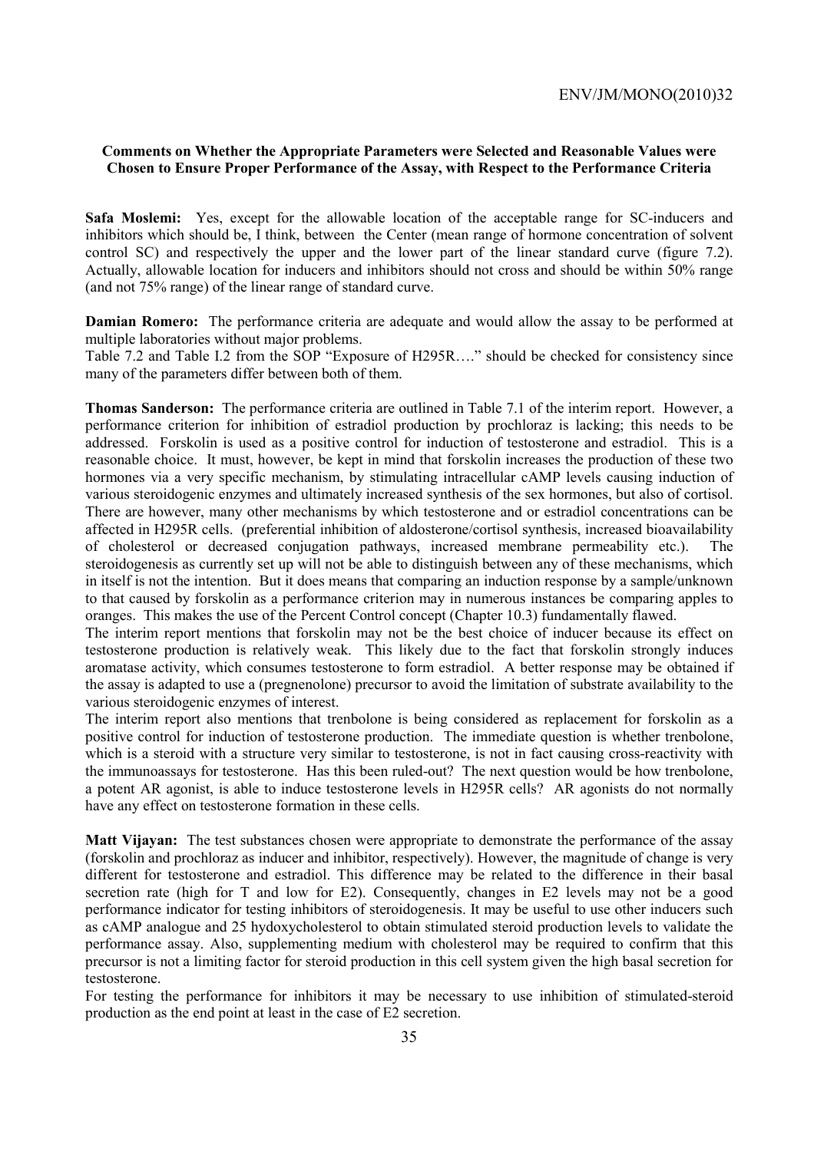### **Comments on Whether the Appropriate Parameters were Selected and Reasonable Values were Chosen to Ensure Proper Performance of the Assay, with Respect to the Performance Criteria**

**Safa Moslemi:** Yes, except for the allowable location of the acceptable range for SC-inducers and inhibitors which should be, I think, between the Center (mean range of hormone concentration of solvent control SC) and respectively the upper and the lower part of the linear standard curve (figure 7.2). Actually, allowable location for inducers and inhibitors should not cross and should be within 50% range (and not 75% range) of the linear range of standard curve.

**Damian Romero:** The performance criteria are adequate and would allow the assay to be performed at multiple laboratories without major problems.

Table 7.2 and Table I.2 from the SOP "Exposure of H295R…." should be checked for consistency since many of the parameters differ between both of them.

**Thomas Sanderson:** The performance criteria are outlined in Table 7.1 of the interim report. However, a performance criterion for inhibition of estradiol production by prochloraz is lacking; this needs to be addressed. Forskolin is used as a positive control for induction of testosterone and estradiol. This is a reasonable choice. It must, however, be kept in mind that forskolin increases the production of these two hormones via a very specific mechanism, by stimulating intracellular cAMP levels causing induction of various steroidogenic enzymes and ultimately increased synthesis of the sex hormones, but also of cortisol. There are however, many other mechanisms by which testosterone and or estradiol concentrations can be affected in H295R cells. (preferential inhibition of aldosterone/cortisol synthesis, increased bioavailability of cholesterol or decreased conjugation pathways, increased membrane permeability etc.). The steroidogenesis as currently set up will not be able to distinguish between any of these mechanisms, which in itself is not the intention. But it does means that comparing an induction response by a sample/unknown to that caused by forskolin as a performance criterion may in numerous instances be comparing apples to oranges. This makes the use of the Percent Control concept (Chapter 10.3) fundamentally flawed.

The interim report mentions that forskolin may not be the best choice of inducer because its effect on testosterone production is relatively weak. This likely due to the fact that forskolin strongly induces aromatase activity, which consumes testosterone to form estradiol. A better response may be obtained if the assay is adapted to use a (pregnenolone) precursor to avoid the limitation of substrate availability to the various steroidogenic enzymes of interest.

The interim report also mentions that trenbolone is being considered as replacement for forskolin as a positive control for induction of testosterone production. The immediate question is whether trenbolone, which is a steroid with a structure very similar to testosterone, is not in fact causing cross-reactivity with the immunoassays for testosterone. Has this been ruled-out? The next question would be how trenbolone, a potent AR agonist, is able to induce testosterone levels in H295R cells? AR agonists do not normally have any effect on testosterone formation in these cells.

**Matt Vijayan:** The test substances chosen were appropriate to demonstrate the performance of the assay (forskolin and prochloraz as inducer and inhibitor, respectively). However, the magnitude of change is very different for testosterone and estradiol. This difference may be related to the difference in their basal secretion rate (high for T and low for E2). Consequently, changes in E2 levels may not be a good performance indicator for testing inhibitors of steroidogenesis. It may be useful to use other inducers such as cAMP analogue and 25 hydoxycholesterol to obtain stimulated steroid production levels to validate the performance assay. Also, supplementing medium with cholesterol may be required to confirm that this precursor is not a limiting factor for steroid production in this cell system given the high basal secretion for testosterone.

For testing the performance for inhibitors it may be necessary to use inhibition of stimulated-steroid production as the end point at least in the case of E2 secretion.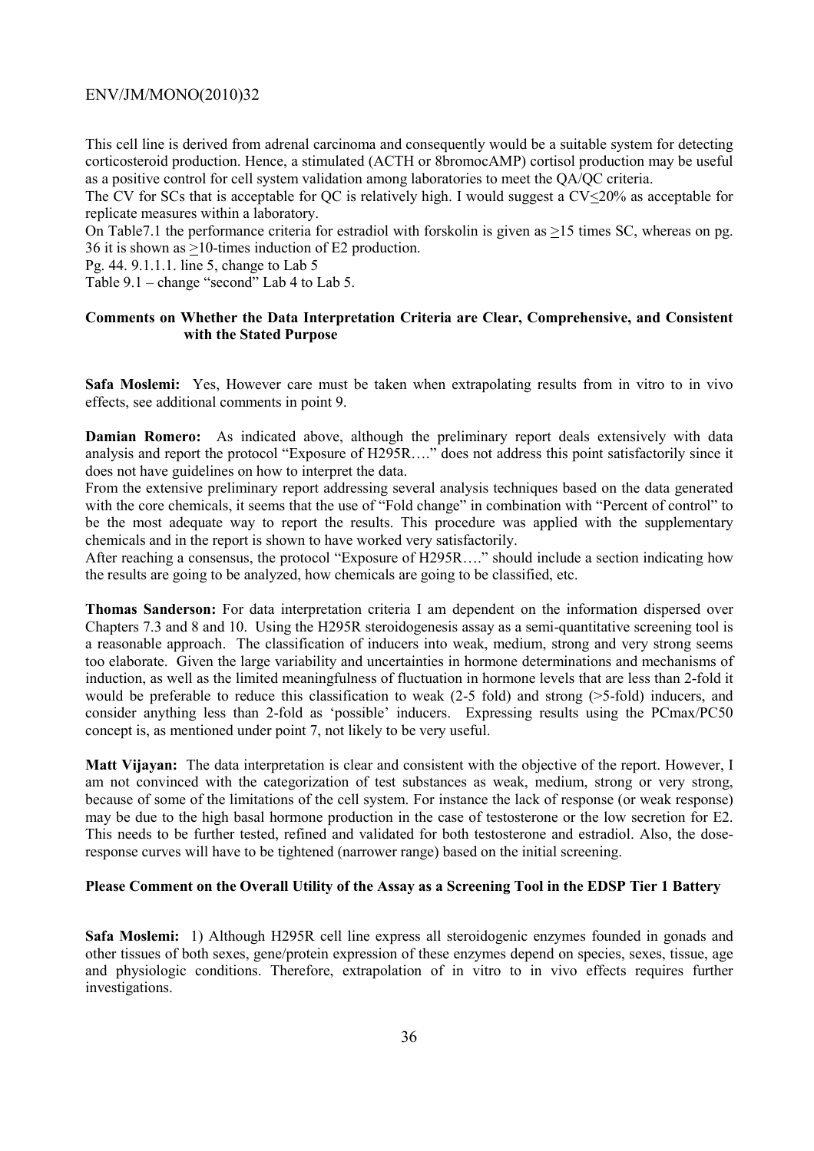This cell line is derived from adrenal carcinoma and consequently would be a suitable system for detecting corticosteroid production. Hence, a stimulated (ACTH or 8bromocAMP) cortisol production may be useful as a positive control for cell system validation among laboratories to meet the QA/QC criteria.

The CV for SCs that is acceptable for QC is relatively high. I would suggest a  $CV<20\%$  as acceptable for replicate measures within a laboratory.

On Table7.1 the performance criteria for estradiol with forskolin is given as >15 times SC, whereas on pg. 36 it is shown as >10-times induction of E2 production.

Pg. 44. 9.1.1.1. line 5, change to Lab 5

Table 9.1 – change "second" Lab 4 to Lab 5.

### **Comments on Whether the Data Interpretation Criteria are Clear, Comprehensive, and Consistent with the Stated Purpose**

**Safa Moslemi:** Yes, However care must be taken when extrapolating results from in vitro to in vivo effects, see additional comments in point 9.

**Damian Romero:** As indicated above, although the preliminary report deals extensively with data analysis and report the protocol "Exposure of H295R…." does not address this point satisfactorily since it does not have guidelines on how to interpret the data.

From the extensive preliminary report addressing several analysis techniques based on the data generated with the core chemicals, it seems that the use of "Fold change" in combination with "Percent of control" to be the most adequate way to report the results. This procedure was applied with the supplementary chemicals and in the report is shown to have worked very satisfactorily.

After reaching a consensus, the protocol "Exposure of H295R…." should include a section indicating how the results are going to be analyzed, how chemicals are going to be classified, etc.

**Thomas Sanderson:** For data interpretation criteria I am dependent on the information dispersed over Chapters 7.3 and 8 and 10. Using the H295R steroidogenesis assay as a semi-quantitative screening tool is a reasonable approach. The classification of inducers into weak, medium, strong and very strong seems too elaborate. Given the large variability and uncertainties in hormone determinations and mechanisms of induction, as well as the limited meaningfulness of fluctuation in hormone levels that are less than 2-fold it would be preferable to reduce this classification to weak (2-5 fold) and strong (>5-fold) inducers, and consider anything less than 2-fold as 'possible' inducers. Expressing results using the PCmax/PC50 concept is, as mentioned under point 7, not likely to be very useful.

**Matt Vijayan:** The data interpretation is clear and consistent with the objective of the report. However, I am not convinced with the categorization of test substances as weak, medium, strong or very strong, because of some of the limitations of the cell system. For instance the lack of response (or weak response) may be due to the high basal hormone production in the case of testosterone or the low secretion for E2. This needs to be further tested, refined and validated for both testosterone and estradiol. Also, the doseresponse curves will have to be tightened (narrower range) based on the initial screening.

### **Please Comment on the Overall Utility of the Assay as a Screening Tool in the EDSP Tier 1 Battery**

**Safa Moslemi:** 1) Although H295R cell line express all steroidogenic enzymes founded in gonads and other tissues of both sexes, gene/protein expression of these enzymes depend on species, sexes, tissue, age and physiologic conditions. Therefore, extrapolation of in vitro to in vivo effects requires further investigations.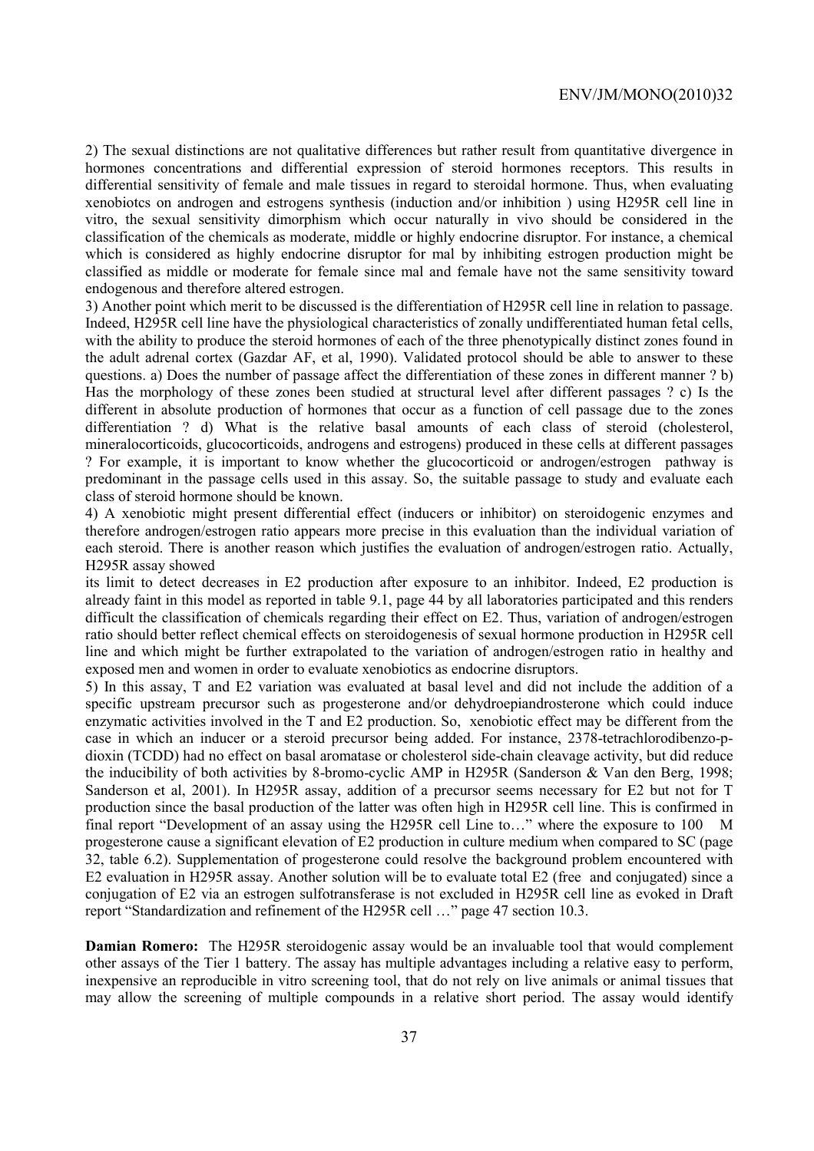2) The sexual distinctions are not qualitative differences but rather result from quantitative divergence in hormones concentrations and differential expression of steroid hormones receptors. This results in differential sensitivity of female and male tissues in regard to steroidal hormone. Thus, when evaluating xenobiotcs on androgen and estrogens synthesis (induction and/or inhibition ) using H295R cell line in vitro, the sexual sensitivity dimorphism which occur naturally in vivo should be considered in the classification of the chemicals as moderate, middle or highly endocrine disruptor. For instance, a chemical which is considered as highly endocrine disruptor for mal by inhibiting estrogen production might be classified as middle or moderate for female since mal and female have not the same sensitivity toward endogenous and therefore altered estrogen.

3) Another point which merit to be discussed is the differentiation of H295R cell line in relation to passage. Indeed, H295R cell line have the physiological characteristics of zonally undifferentiated human fetal cells, with the ability to produce the steroid hormones of each of the three phenotypically distinct zones found in the adult adrenal cortex (Gazdar AF, et al, 1990). Validated protocol should be able to answer to these questions. a) Does the number of passage affect the differentiation of these zones in different manner ? b) Has the morphology of these zones been studied at structural level after different passages ? c) Is the different in absolute production of hormones that occur as a function of cell passage due to the zones differentiation ? d) What is the relative basal amounts of each class of steroid (cholesterol, mineralocorticoids, glucocorticoids, androgens and estrogens) produced in these cells at different passages ? For example, it is important to know whether the glucocorticoid or androgen/estrogen pathway is predominant in the passage cells used in this assay. So, the suitable passage to study and evaluate each class of steroid hormone should be known.

4) A xenobiotic might present differential effect (inducers or inhibitor) on steroidogenic enzymes and therefore androgen/estrogen ratio appears more precise in this evaluation than the individual variation of each steroid. There is another reason which justifies the evaluation of androgen/estrogen ratio. Actually, H295R assay showed

its limit to detect decreases in E2 production after exposure to an inhibitor. Indeed, E2 production is already faint in this model as reported in table 9.1, page 44 by all laboratories participated and this renders difficult the classification of chemicals regarding their effect on E2. Thus, variation of androgen/estrogen ratio should better reflect chemical effects on steroidogenesis of sexual hormone production in H295R cell line and which might be further extrapolated to the variation of androgen/estrogen ratio in healthy and exposed men and women in order to evaluate xenobiotics as endocrine disruptors.

5) In this assay, T and E2 variation was evaluated at basal level and did not include the addition of a specific upstream precursor such as progesterone and/or dehydroepiandrosterone which could induce enzymatic activities involved in the T and E2 production. So, xenobiotic effect may be different from the case in which an inducer or a steroid precursor being added. For instance, 2378-tetrachlorodibenzo-pdioxin (TCDD) had no effect on basal aromatase or cholesterol side-chain cleavage activity, but did reduce the inducibility of both activities by 8-bromo-cyclic AMP in H295R (Sanderson & Van den Berg, 1998; Sanderson et al, 2001). In H295R assay, addition of a precursor seems necessary for E2 but not for T production since the basal production of the latter was often high in H295R cell line. This is confirmed in final report "Development of an assay using the H295R cell Line to…" where the exposure to 100 M progesterone cause a significant elevation of E2 production in culture medium when compared to SC (page 32, table 6.2). Supplementation of progesterone could resolve the background problem encountered with E2 evaluation in H295R assay. Another solution will be to evaluate total E2 (free and conjugated) since a conjugation of E2 via an estrogen sulfotransferase is not excluded in H295R cell line as evoked in Draft report "Standardization and refinement of the H295R cell …" page 47 section 10.3.

**Damian Romero:** The H295R steroidogenic assay would be an invaluable tool that would complement other assays of the Tier 1 battery. The assay has multiple advantages including a relative easy to perform, inexpensive an reproducible in vitro screening tool, that do not rely on live animals or animal tissues that may allow the screening of multiple compounds in a relative short period. The assay would identify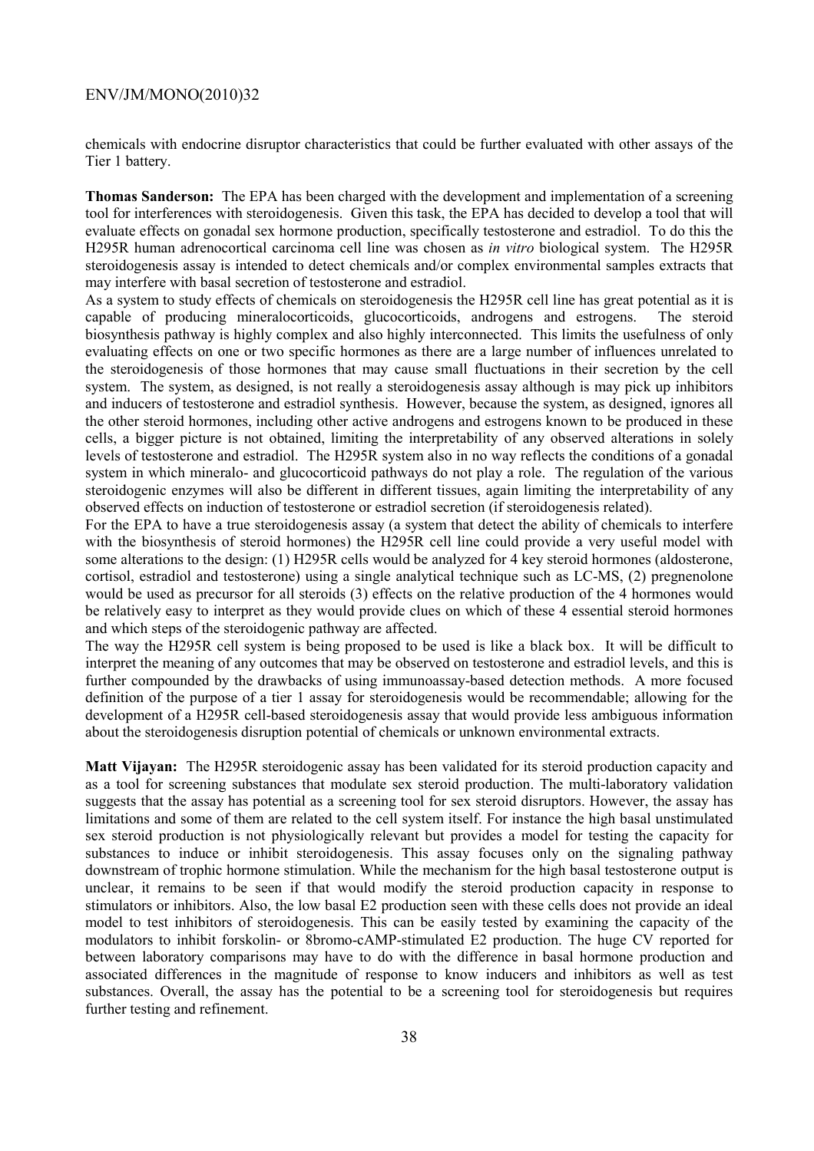chemicals with endocrine disruptor characteristics that could be further evaluated with other assays of the Tier 1 battery.

**Thomas Sanderson:** The EPA has been charged with the development and implementation of a screening tool for interferences with steroidogenesis. Given this task, the EPA has decided to develop a tool that will evaluate effects on gonadal sex hormone production, specifically testosterone and estradiol. To do this the H295R human adrenocortical carcinoma cell line was chosen as *in vitro* biological system. The H295R steroidogenesis assay is intended to detect chemicals and/or complex environmental samples extracts that may interfere with basal secretion of testosterone and estradiol.

As a system to study effects of chemicals on steroidogenesis the H295R cell line has great potential as it is capable of producing mineralocorticoids, glucocorticoids, androgens and estrogens. The steroid biosynthesis pathway is highly complex and also highly interconnected. This limits the usefulness of only evaluating effects on one or two specific hormones as there are a large number of influences unrelated to the steroidogenesis of those hormones that may cause small fluctuations in their secretion by the cell system. The system, as designed, is not really a steroidogenesis assay although is may pick up inhibitors and inducers of testosterone and estradiol synthesis. However, because the system, as designed, ignores all the other steroid hormones, including other active androgens and estrogens known to be produced in these cells, a bigger picture is not obtained, limiting the interpretability of any observed alterations in solely levels of testosterone and estradiol. The H295R system also in no way reflects the conditions of a gonadal system in which mineralo- and glucocorticoid pathways do not play a role. The regulation of the various steroidogenic enzymes will also be different in different tissues, again limiting the interpretability of any observed effects on induction of testosterone or estradiol secretion (if steroidogenesis related).

For the EPA to have a true steroidogenesis assay (a system that detect the ability of chemicals to interfere with the biosynthesis of steroid hormones) the H295R cell line could provide a very useful model with some alterations to the design: (1) H295R cells would be analyzed for 4 key steroid hormones (aldosterone, cortisol, estradiol and testosterone) using a single analytical technique such as LC-MS, (2) pregnenolone would be used as precursor for all steroids (3) effects on the relative production of the 4 hormones would be relatively easy to interpret as they would provide clues on which of these 4 essential steroid hormones and which steps of the steroidogenic pathway are affected.

The way the H295R cell system is being proposed to be used is like a black box. It will be difficult to interpret the meaning of any outcomes that may be observed on testosterone and estradiol levels, and this is further compounded by the drawbacks of using immunoassay-based detection methods. A more focused definition of the purpose of a tier 1 assay for steroidogenesis would be recommendable; allowing for the development of a H295R cell-based steroidogenesis assay that would provide less ambiguous information about the steroidogenesis disruption potential of chemicals or unknown environmental extracts.

**Matt Vijayan:** The H295R steroidogenic assay has been validated for its steroid production capacity and as a tool for screening substances that modulate sex steroid production. The multi-laboratory validation suggests that the assay has potential as a screening tool for sex steroid disruptors. However, the assay has limitations and some of them are related to the cell system itself. For instance the high basal unstimulated sex steroid production is not physiologically relevant but provides a model for testing the capacity for substances to induce or inhibit steroidogenesis. This assay focuses only on the signaling pathway downstream of trophic hormone stimulation. While the mechanism for the high basal testosterone output is unclear, it remains to be seen if that would modify the steroid production capacity in response to stimulators or inhibitors. Also, the low basal E2 production seen with these cells does not provide an ideal model to test inhibitors of steroidogenesis. This can be easily tested by examining the capacity of the modulators to inhibit forskolin- or 8bromo-cAMP-stimulated E2 production. The huge CV reported for between laboratory comparisons may have to do with the difference in basal hormone production and associated differences in the magnitude of response to know inducers and inhibitors as well as test substances. Overall, the assay has the potential to be a screening tool for steroidogenesis but requires further testing and refinement.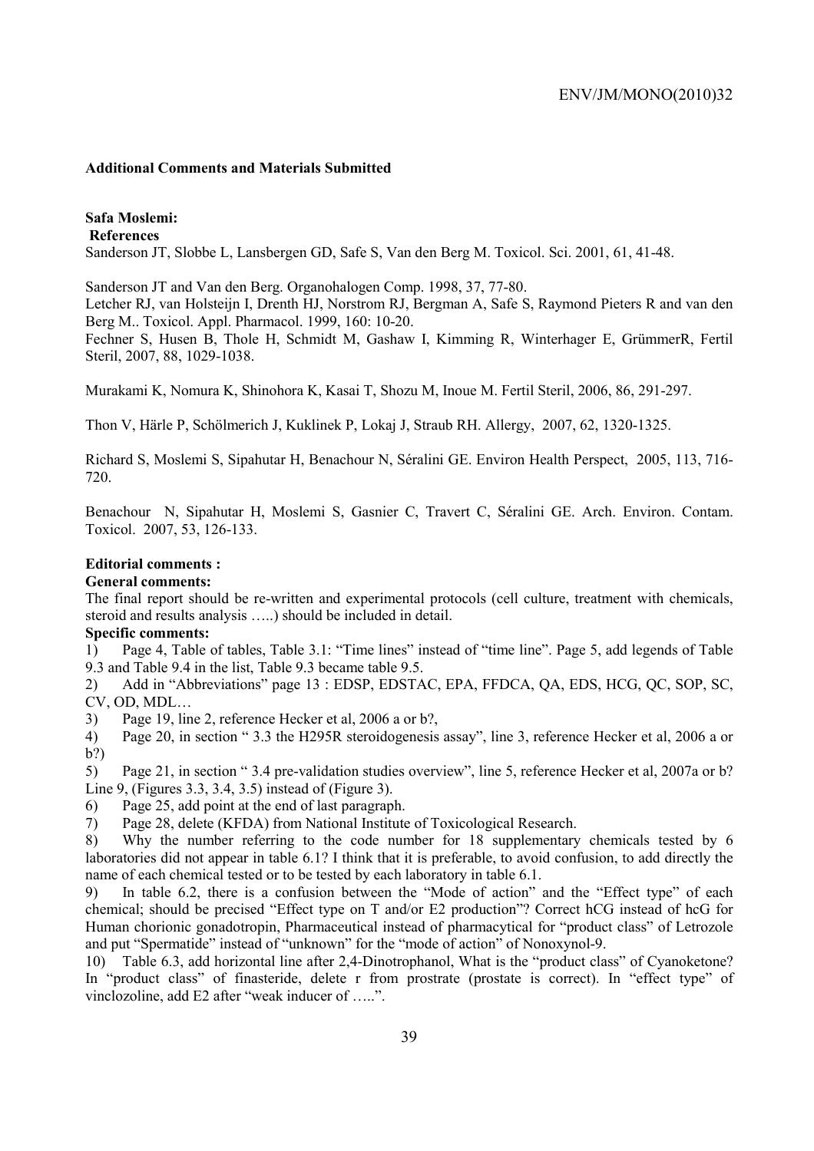#### **Additional Comments and Materials Submitted**

## **Safa Moslemi:**

 **References** 

Sanderson JT, Slobbe L, Lansbergen GD, Safe S, Van den Berg M. Toxicol. Sci. 2001, 61, 41-48.

Sanderson JT and Van den Berg. Organohalogen Comp. 1998, 37, 77-80.

Letcher RJ, van Holsteijn I, Drenth HJ, Norstrom RJ, Bergman A, Safe S, Raymond Pieters R and van den Berg M.. Toxicol. Appl. Pharmacol. 1999, 160: 10-20.

Fechner S, Husen B, Thole H, Schmidt M, Gashaw I, Kimming R, Winterhager E, GrümmerR, Fertil Steril, 2007, 88, 1029-1038.

Murakami K, Nomura K, Shinohora K, Kasai T, Shozu M, Inoue M. Fertil Steril, 2006, 86, 291-297.

Thon V, Härle P, Schölmerich J, Kuklinek P, Lokaj J, Straub RH. Allergy, 2007, 62, 1320-1325.

Richard S, Moslemi S, Sipahutar H, Benachour N, Séralini GE. Environ Health Perspect, 2005, 113, 716- 720.

Benachour N, Sipahutar H, Moslemi S, Gasnier C, Travert C, Séralini GE. Arch. Environ. Contam. Toxicol. 2007, 53, 126-133.

## **Editorial comments :**

#### **General comments:**

The final report should be re-written and experimental protocols (cell culture, treatment with chemicals, steroid and results analysis …..) should be included in detail.

## **Specific comments:**

1) Page 4, Table of tables, Table 3.1: "Time lines" instead of "time line". Page 5, add legends of Table 9.3 and Table 9.4 in the list, Table 9.3 became table 9.5.

2) Add in "Abbreviations" page 13 : EDSP, EDSTAC, EPA, FFDCA, QA, EDS, HCG, QC, SOP, SC, CV, OD, MDL…

3) Page 19, line 2, reference Hecker et al, 2006 a or b?,

4) Page 20, in section " 3.3 the H295R steroidogenesis assay", line 3, reference Hecker et al, 2006 a or b?)

5) Page 21, in section " 3.4 pre-validation studies overview", line 5, reference Hecker et al, 2007a or b? Line 9, (Figures 3.3, 3.4, 3.5) instead of (Figure 3).

6) Page 25, add point at the end of last paragraph.

7) Page 28, delete (KFDA) from National Institute of Toxicological Research.

8) Why the number referring to the code number for 18 supplementary chemicals tested by 6 laboratories did not appear in table 6.1? I think that it is preferable, to avoid confusion, to add directly the name of each chemical tested or to be tested by each laboratory in table 6.1.

9) In table 6.2, there is a confusion between the "Mode of action" and the "Effect type" of each chemical; should be precised "Effect type on T and/or E2 production"? Correct hCG instead of hcG for Human chorionic gonadotropin, Pharmaceutical instead of pharmacytical for "product class" of Letrozole and put "Spermatide" instead of "unknown" for the "mode of action" of Nonoxynol-9.

10) Table 6.3, add horizontal line after 2,4-Dinotrophanol, What is the "product class" of Cyanoketone? In "product class" of finasteride, delete r from prostrate (prostate is correct). In "effect type" of vinclozoline, add E2 after "weak inducer of …..".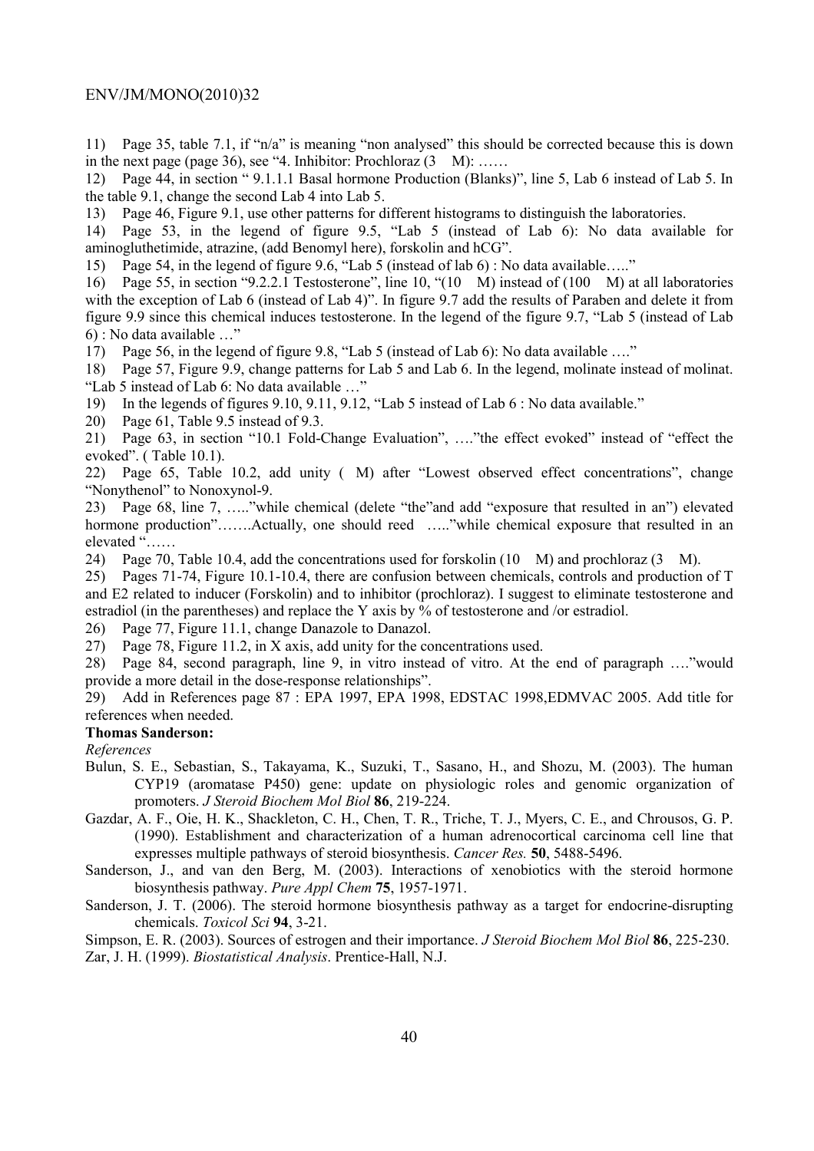11) Page 35, table 7.1, if "n/a" is meaning "non analysed" this should be corrected because this is down in the next page (page 36), see "4. Inhibitor: Prochloraz  $(3 \text{ M}):$  ......

12) Page 44, in section " 9.1.1.1 Basal hormone Production (Blanks)", line 5, Lab 6 instead of Lab 5. In the table 9.1, change the second Lab 4 into Lab 5.

13) Page 46, Figure 9.1, use other patterns for different histograms to distinguish the laboratories.

14) Page 53, in the legend of figure 9.5, "Lab 5 (instead of Lab 6): No data available for aminogluthetimide, atrazine, (add Benomyl here), forskolin and hCG".

15) Page 54, in the legend of figure 9.6, "Lab 5 (instead of lab 6) : No data available….."

16) Page 55, in section "9.2.2.1 Testosterone", line 10, "(10 M) instead of (100 M) at all laboratories with the exception of Lab 6 (instead of Lab 4)". In figure 9.7 add the results of Paraben and delete it from figure 9.9 since this chemical induces testosterone. In the legend of the figure 9.7, "Lab 5 (instead of Lab 6) : No data available …"

17) Page 56, in the legend of figure 9.8, "Lab 5 (instead of Lab 6): No data available …."

18) Page 57, Figure 9.9, change patterns for Lab 5 and Lab 6. In the legend, molinate instead of molinat. "Lab 5 instead of Lab 6: No data available …"

19) In the legends of figures 9.10, 9.11, 9.12, "Lab 5 instead of Lab 6 : No data available."

20) Page 61, Table 9.5 instead of 9.3.

21) Page 63, in section "10.1 Fold-Change Evaluation", …."the effect evoked" instead of "effect the evoked". ( Table 10.1).

22) Page 65, Table 10.2, add unity (M) after "Lowest observed effect concentrations", change "Nonythenol" to Nonoxynol-9.

23) Page 68, line 7, ….."while chemical (delete "the"and add "exposure that resulted in an") elevated hormone production".......Actually, one should reed ....."while chemical exposure that resulted in an elevated "……

24) Page 70, Table 10.4, add the concentrations used for forskolin (10 M) and prochloraz (3 M).

25) Pages 71-74, Figure 10.1-10.4, there are confusion between chemicals, controls and production of T and E2 related to inducer (Forskolin) and to inhibitor (prochloraz). I suggest to eliminate testosterone and estradiol (in the parentheses) and replace the Y axis by  $\frac{1}{2}$  of testosterone and /or estradiol.

26) Page 77, Figure 11.1, change Danazole to Danazol.

27) Page 78, Figure 11.2, in X axis, add unity for the concentrations used.

28) Page 84, second paragraph, line 9, in vitro instead of vitro. At the end of paragraph …."would provide a more detail in the dose-response relationships".

29) Add in References page 87 : EPA 1997, EPA 1998, EDSTAC 1998,EDMVAC 2005. Add title for references when needed.

#### **Thomas Sanderson:**

*References* 

- Bulun, S. E., Sebastian, S., Takayama, K., Suzuki, T., Sasano, H., and Shozu, M. (2003). The human CYP19 (aromatase P450) gene: update on physiologic roles and genomic organization of promoters. *J Steroid Biochem Mol Biol* **86**, 219-224.
- Gazdar, A. F., Oie, H. K., Shackleton, C. H., Chen, T. R., Triche, T. J., Myers, C. E., and Chrousos, G. P. (1990). Establishment and characterization of a human adrenocortical carcinoma cell line that expresses multiple pathways of steroid biosynthesis. *Cancer Res.* **50**, 5488-5496.

Sanderson, J., and van den Berg, M. (2003). Interactions of xenobiotics with the steroid hormone biosynthesis pathway. *Pure Appl Chem* **75**, 1957-1971.

Sanderson, J. T. (2006). The steroid hormone biosynthesis pathway as a target for endocrine-disrupting chemicals. *Toxicol Sci* **94**, 3-21.

Simpson, E. R. (2003). Sources of estrogen and their importance. *J Steroid Biochem Mol Biol* **86**, 225-230. Zar, J. H. (1999). *Biostatistical Analysis*. Prentice-Hall, N.J.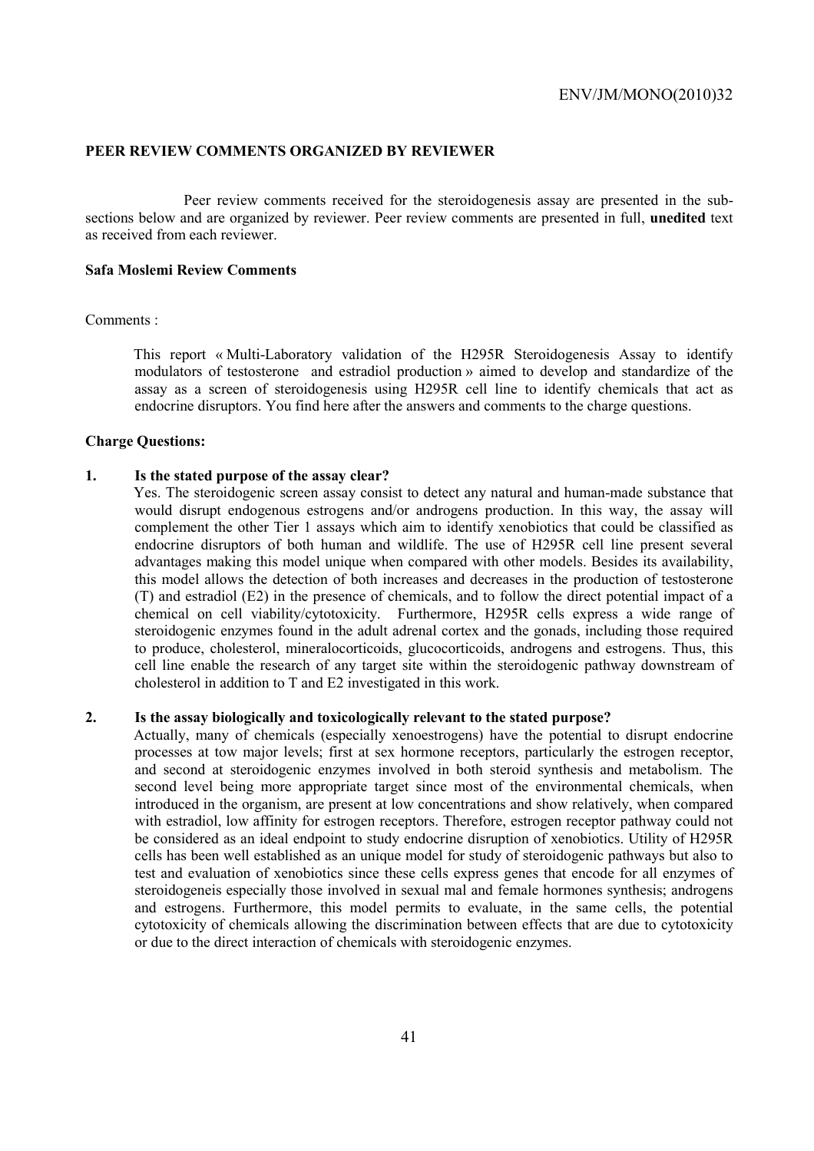## **PEER REVIEW COMMENTS ORGANIZED BY REVIEWER**

 Peer review comments received for the steroidogenesis assay are presented in the subsections below and are organized by reviewer. Peer review comments are presented in full, **unedited** text as received from each reviewer.

## **Safa Moslemi Review Comments**

#### Comments :

This report « Multi-Laboratory validation of the H295R Steroidogenesis Assay to identify modulators of testosterone and estradiol production » aimed to develop and standardize of the assay as a screen of steroidogenesis using H295R cell line to identify chemicals that act as endocrine disruptors. You find here after the answers and comments to the charge questions.

#### **Charge Questions:**

## **1. Is the stated purpose of the assay clear?**

Yes. The steroidogenic screen assay consist to detect any natural and human-made substance that would disrupt endogenous estrogens and/or androgens production. In this way, the assay will complement the other Tier 1 assays which aim to identify xenobiotics that could be classified as endocrine disruptors of both human and wildlife. The use of H295R cell line present several advantages making this model unique when compared with other models. Besides its availability, this model allows the detection of both increases and decreases in the production of testosterone (T) and estradiol (E2) in the presence of chemicals, and to follow the direct potential impact of a chemical on cell viability/cytotoxicity. Furthermore, H295R cells express a wide range of steroidogenic enzymes found in the adult adrenal cortex and the gonads, including those required to produce, cholesterol, mineralocorticoids, glucocorticoids, androgens and estrogens. Thus, this cell line enable the research of any target site within the steroidogenic pathway downstream of cholesterol in addition to T and E2 investigated in this work.

#### **2. Is the assay biologically and toxicologically relevant to the stated purpose?**

Actually, many of chemicals (especially xenoestrogens) have the potential to disrupt endocrine processes at tow major levels; first at sex hormone receptors, particularly the estrogen receptor, and second at steroidogenic enzymes involved in both steroid synthesis and metabolism. The second level being more appropriate target since most of the environmental chemicals, when introduced in the organism, are present at low concentrations and show relatively, when compared with estradiol, low affinity for estrogen receptors. Therefore, estrogen receptor pathway could not be considered as an ideal endpoint to study endocrine disruption of xenobiotics. Utility of H295R cells has been well established as an unique model for study of steroidogenic pathways but also to test and evaluation of xenobiotics since these cells express genes that encode for all enzymes of steroidogeneis especially those involved in sexual mal and female hormones synthesis; androgens and estrogens. Furthermore, this model permits to evaluate, in the same cells, the potential cytotoxicity of chemicals allowing the discrimination between effects that are due to cytotoxicity or due to the direct interaction of chemicals with steroidogenic enzymes.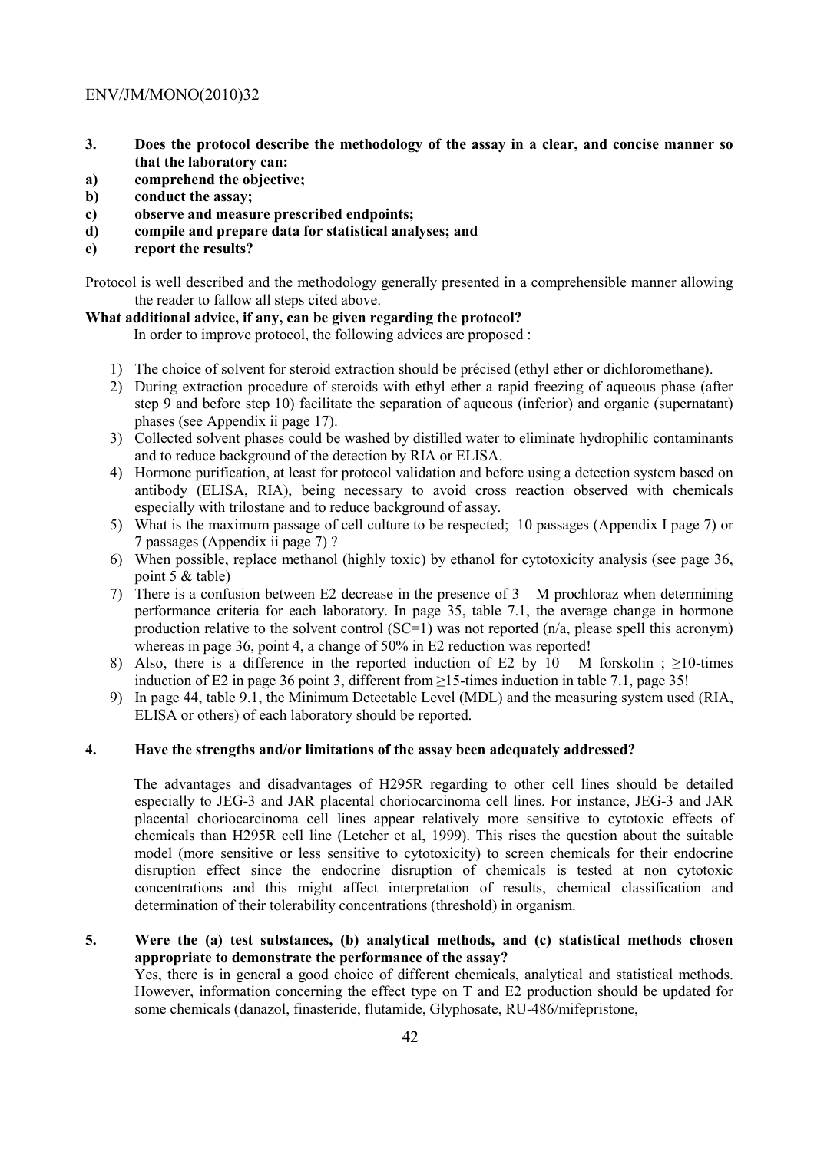- **3. Does the protocol describe the methodology of the assay in a clear, and concise manner so that the laboratory can:**
- **a) comprehend the objective;**
- **b) conduct the assay;**
- **c) observe and measure prescribed endpoints;**
- **d) compile and prepare data for statistical analyses; and**
- **e) report the results?**

Protocol is well described and the methodology generally presented in a comprehensible manner allowing the reader to fallow all steps cited above.

## **What additional advice, if any, can be given regarding the protocol?**

In order to improve protocol, the following advices are proposed :

- 1) The choice of solvent for steroid extraction should be précised (ethyl ether or dichloromethane).
- 2) During extraction procedure of steroids with ethyl ether a rapid freezing of aqueous phase (after step 9 and before step 10) facilitate the separation of aqueous (inferior) and organic (supernatant) phases (see Appendix ii page 17).
- 3) Collected solvent phases could be washed by distilled water to eliminate hydrophilic contaminants and to reduce background of the detection by RIA or ELISA.
- 4) Hormone purification, at least for protocol validation and before using a detection system based on antibody (ELISA, RIA), being necessary to avoid cross reaction observed with chemicals especially with trilostane and to reduce background of assay.
- 5) What is the maximum passage of cell culture to be respected; 10 passages (Appendix I page 7) or 7 passages (Appendix ii page 7) ?
- 6) When possible, replace methanol (highly toxic) by ethanol for cytotoxicity analysis (see page 36, point 5 & table)
- 7) There is a confusion between E2 decrease in the presence of 3 M prochloraz when determining performance criteria for each laboratory. In page 35, table 7.1, the average change in hormone production relative to the solvent control  $(SC=1)$  was not reported  $(n/a)$ , please spell this acronym) whereas in page 36, point 4, a change of 50% in E2 reduction was reported!
- 8) Also, there is a difference in the reported induction of E2 by 10 M forskolin ;  $\geq$ 10-times induction of E2 in page 36 point 3, different from  $\geq$ 15-times induction in table 7.1, page 35!
- 9) In page 44, table 9.1, the Minimum Detectable Level (MDL) and the measuring system used (RIA, ELISA or others) of each laboratory should be reported.

## **4. Have the strengths and/or limitations of the assay been adequately addressed?**

The advantages and disadvantages of H295R regarding to other cell lines should be detailed especially to JEG-3 and JAR placental choriocarcinoma cell lines. For instance, JEG-3 and JAR placental choriocarcinoma cell lines appear relatively more sensitive to cytotoxic effects of chemicals than H295R cell line (Letcher et al, 1999). This rises the question about the suitable model (more sensitive or less sensitive to cytotoxicity) to screen chemicals for their endocrine disruption effect since the endocrine disruption of chemicals is tested at non cytotoxic concentrations and this might affect interpretation of results, chemical classification and determination of their tolerability concentrations (threshold) in organism.

## **5. Were the (a) test substances, (b) analytical methods, and (c) statistical methods chosen appropriate to demonstrate the performance of the assay?**

Yes, there is in general a good choice of different chemicals, analytical and statistical methods. However, information concerning the effect type on T and E2 production should be updated for some chemicals (danazol, finasteride, flutamide, Glyphosate, RU-486/mifepristone,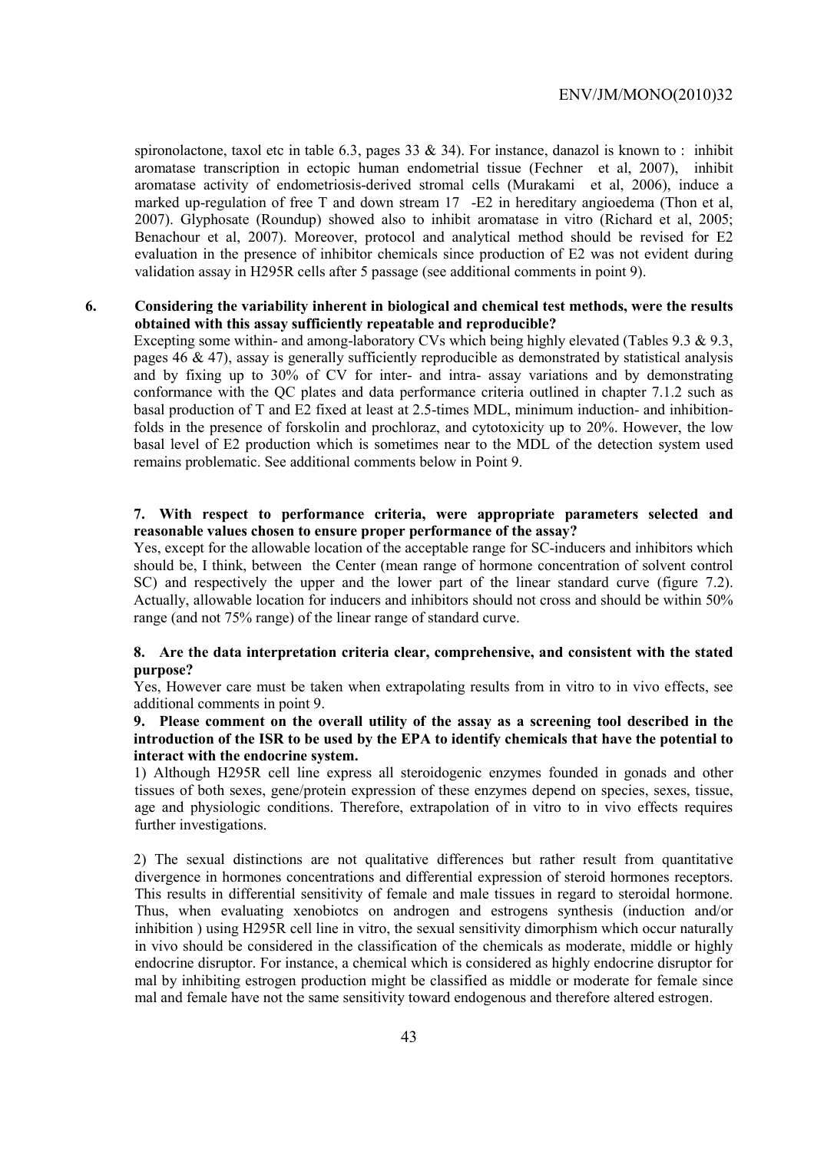spironolactone, taxol etc in table 6.3, pages 33  $\&$  34). For instance, danazol is known to : inhibit aromatase transcription in ectopic human endometrial tissue (Fechner et al, 2007), inhibit aromatase activity of endometriosis-derived stromal cells (Murakami et al, 2006), induce a marked up-regulation of free T and down stream 17 -E2 in hereditary angioedema (Thon et al, 2007). Glyphosate (Roundup) showed also to inhibit aromatase in vitro (Richard et al, 2005; Benachour et al, 2007). Moreover, protocol and analytical method should be revised for E2 evaluation in the presence of inhibitor chemicals since production of E2 was not evident during validation assay in H295R cells after 5 passage (see additional comments in point 9).

## **6. Considering the variability inherent in biological and chemical test methods, were the results obtained with this assay sufficiently repeatable and reproducible?**

Excepting some within- and among-laboratory CVs which being highly elevated (Tables 9.3 & 9.3, pages 46  $\&$  47), assay is generally sufficiently reproducible as demonstrated by statistical analysis and by fixing up to 30% of CV for inter- and intra- assay variations and by demonstrating conformance with the QC plates and data performance criteria outlined in chapter 7.1.2 such as basal production of T and E2 fixed at least at 2.5-times MDL, minimum induction- and inhibitionfolds in the presence of forskolin and prochloraz, and cytotoxicity up to 20%. However, the low basal level of E2 production which is sometimes near to the MDL of the detection system used remains problematic. See additional comments below in Point 9.

## **7. With respect to performance criteria, were appropriate parameters selected and reasonable values chosen to ensure proper performance of the assay?**

Yes, except for the allowable location of the acceptable range for SC-inducers and inhibitors which should be, I think, between the Center (mean range of hormone concentration of solvent control SC) and respectively the upper and the lower part of the linear standard curve (figure 7.2). Actually, allowable location for inducers and inhibitors should not cross and should be within 50% range (and not 75% range) of the linear range of standard curve.

## **8. Are the data interpretation criteria clear, comprehensive, and consistent with the stated purpose?**

Yes, However care must be taken when extrapolating results from in vitro to in vivo effects, see additional comments in point 9.

## **9. Please comment on the overall utility of the assay as a screening tool described in the introduction of the ISR to be used by the EPA to identify chemicals that have the potential to interact with the endocrine system.**

1) Although H295R cell line express all steroidogenic enzymes founded in gonads and other tissues of both sexes, gene/protein expression of these enzymes depend on species, sexes, tissue, age and physiologic conditions. Therefore, extrapolation of in vitro to in vivo effects requires further investigations.

2) The sexual distinctions are not qualitative differences but rather result from quantitative divergence in hormones concentrations and differential expression of steroid hormones receptors. This results in differential sensitivity of female and male tissues in regard to steroidal hormone. Thus, when evaluating xenobiotcs on androgen and estrogens synthesis (induction and/or inhibition ) using H295R cell line in vitro, the sexual sensitivity dimorphism which occur naturally in vivo should be considered in the classification of the chemicals as moderate, middle or highly endocrine disruptor. For instance, a chemical which is considered as highly endocrine disruptor for mal by inhibiting estrogen production might be classified as middle or moderate for female since mal and female have not the same sensitivity toward endogenous and therefore altered estrogen.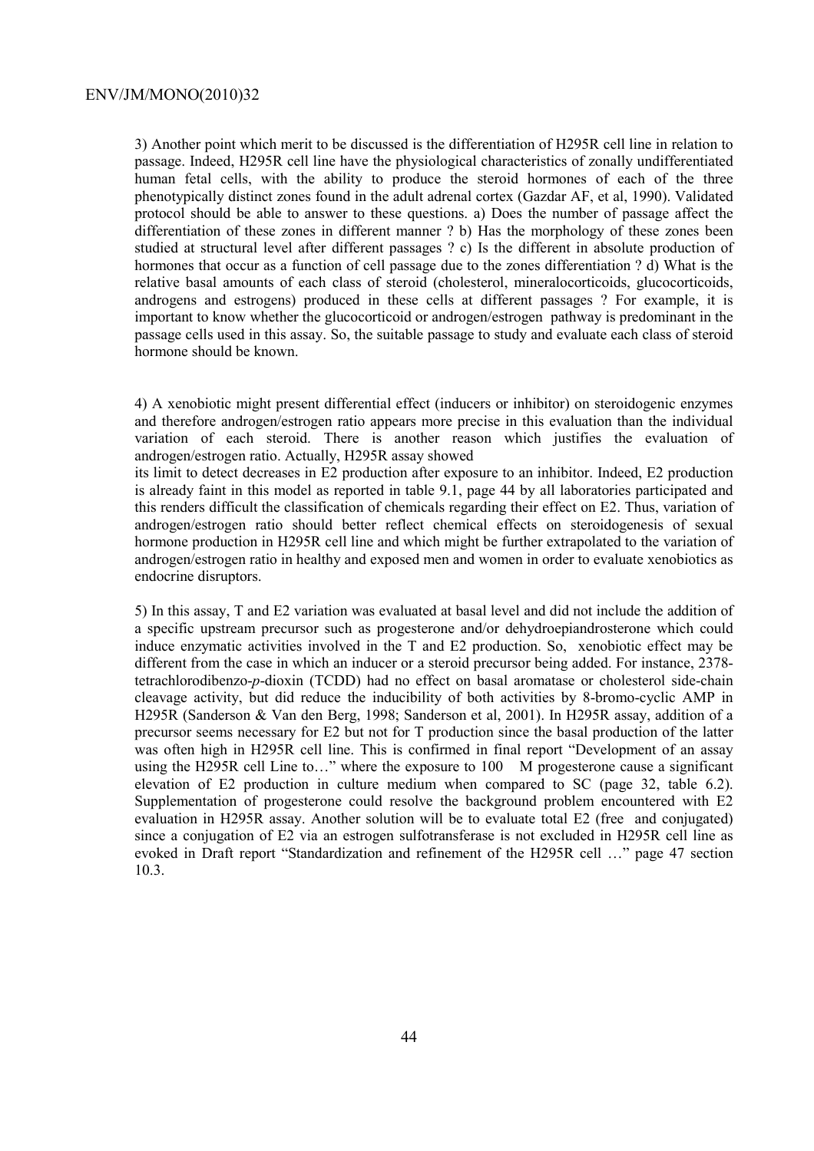3) Another point which merit to be discussed is the differentiation of H295R cell line in relation to passage. Indeed, H295R cell line have the physiological characteristics of zonally undifferentiated human fetal cells, with the ability to produce the steroid hormones of each of the three phenotypically distinct zones found in the adult adrenal cortex (Gazdar AF, et al, 1990). Validated protocol should be able to answer to these questions. a) Does the number of passage affect the differentiation of these zones in different manner ? b) Has the morphology of these zones been studied at structural level after different passages ? c) Is the different in absolute production of hormones that occur as a function of cell passage due to the zones differentiation ? d) What is the relative basal amounts of each class of steroid (cholesterol, mineralocorticoids, glucocorticoids, androgens and estrogens) produced in these cells at different passages ? For example, it is important to know whether the glucocorticoid or androgen/estrogen pathway is predominant in the passage cells used in this assay. So, the suitable passage to study and evaluate each class of steroid hormone should be known.

4) A xenobiotic might present differential effect (inducers or inhibitor) on steroidogenic enzymes and therefore androgen/estrogen ratio appears more precise in this evaluation than the individual variation of each steroid. There is another reason which justifies the evaluation of androgen/estrogen ratio. Actually, H295R assay showed

its limit to detect decreases in E2 production after exposure to an inhibitor. Indeed, E2 production is already faint in this model as reported in table 9.1, page 44 by all laboratories participated and this renders difficult the classification of chemicals regarding their effect on E2. Thus, variation of androgen/estrogen ratio should better reflect chemical effects on steroidogenesis of sexual hormone production in H295R cell line and which might be further extrapolated to the variation of androgen/estrogen ratio in healthy and exposed men and women in order to evaluate xenobiotics as endocrine disruptors.

5) In this assay, T and E2 variation was evaluated at basal level and did not include the addition of a specific upstream precursor such as progesterone and/or dehydroepiandrosterone which could induce enzymatic activities involved in the T and E2 production. So, xenobiotic effect may be different from the case in which an inducer or a steroid precursor being added. For instance, 2378 tetrachlorodibenzo-*p*-dioxin (TCDD) had no effect on basal aromatase or cholesterol side-chain cleavage activity, but did reduce the inducibility of both activities by 8-bromo-cyclic AMP in H295R (Sanderson & Van den Berg, 1998; Sanderson et al, 2001). In H295R assay, addition of a precursor seems necessary for E2 but not for T production since the basal production of the latter was often high in H295R cell line. This is confirmed in final report "Development of an assay using the H295R cell Line to…" where the exposure to 100 M progesterone cause a significant elevation of E2 production in culture medium when compared to SC (page 32, table 6.2). Supplementation of progesterone could resolve the background problem encountered with E2 evaluation in H295R assay. Another solution will be to evaluate total E2 (free and conjugated) since a conjugation of E2 via an estrogen sulfotransferase is not excluded in H295R cell line as evoked in Draft report "Standardization and refinement of the H295R cell …" page 47 section 10.3.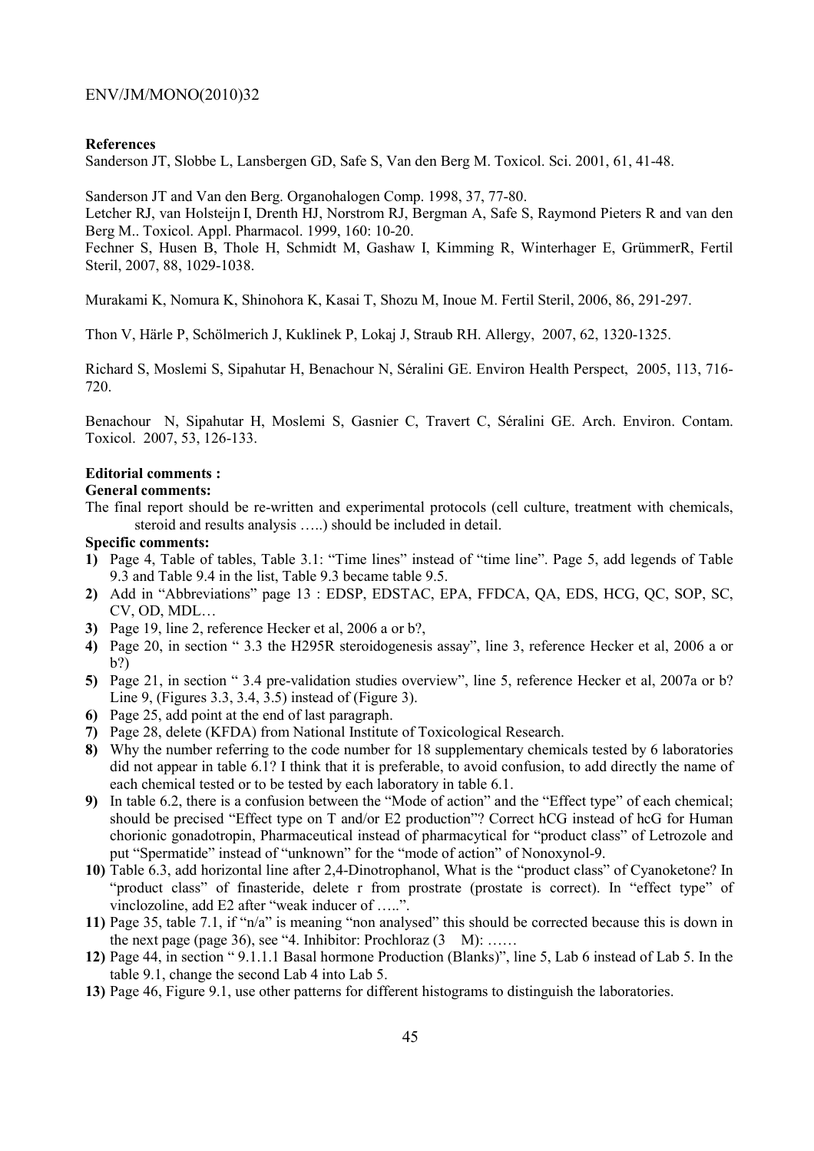#### **References**

Sanderson JT, Slobbe L, Lansbergen GD, Safe S, Van den Berg M. Toxicol. Sci. 2001, 61, 41-48.

Sanderson JT and Van den Berg. Organohalogen Comp. 1998, 37, 77-80.

Letcher RJ, van Holsteijn I, Drenth HJ, Norstrom RJ, Bergman A, Safe S, Raymond Pieters R and van den Berg M.. Toxicol. Appl. Pharmacol. 1999, 160: 10-20.

Fechner S, Husen B, Thole H, Schmidt M, Gashaw I, Kimming R, Winterhager E, GrümmerR, Fertil Steril, 2007, 88, 1029-1038.

Murakami K, Nomura K, Shinohora K, Kasai T, Shozu M, Inoue M. Fertil Steril, 2006, 86, 291-297.

Thon V, Härle P, Schölmerich J, Kuklinek P, Lokaj J, Straub RH. Allergy, 2007, 62, 1320-1325.

Richard S, Moslemi S, Sipahutar H, Benachour N, Séralini GE. Environ Health Perspect, 2005, 113, 716- 720.

Benachour N, Sipahutar H, Moslemi S, Gasnier C, Travert C, Séralini GE. Arch. Environ. Contam. Toxicol. 2007, 53, 126-133.

## **Editorial comments :**

#### **General comments:**

The final report should be re-written and experimental protocols (cell culture, treatment with chemicals, steroid and results analysis …..) should be included in detail.

## **Specific comments:**

- **1)** Page 4, Table of tables, Table 3.1: "Time lines" instead of "time line". Page 5, add legends of Table 9.3 and Table 9.4 in the list, Table 9.3 became table 9.5.
- **2)** Add in "Abbreviations" page 13 : EDSP, EDSTAC, EPA, FFDCA, QA, EDS, HCG, QC, SOP, SC, CV, OD, MDL…
- **3)** Page 19, line 2, reference Hecker et al, 2006 a or b?,
- **4)** Page 20, in section " 3.3 the H295R steroidogenesis assay", line 3, reference Hecker et al, 2006 a or b?)
- **5)** Page 21, in section " 3.4 pre-validation studies overview", line 5, reference Hecker et al, 2007a or b? Line 9, (Figures 3.3, 3.4, 3.5) instead of (Figure 3).
- **6)** Page 25, add point at the end of last paragraph.
- **7)** Page 28, delete (KFDA) from National Institute of Toxicological Research.
- **8)** Why the number referring to the code number for 18 supplementary chemicals tested by 6 laboratories did not appear in table 6.1? I think that it is preferable, to avoid confusion, to add directly the name of each chemical tested or to be tested by each laboratory in table 6.1.
- **9)** In table 6.2, there is a confusion between the "Mode of action" and the "Effect type" of each chemical; should be precised "Effect type on T and/or E2 production"? Correct hCG instead of hcG for Human chorionic gonadotropin, Pharmaceutical instead of pharmacytical for "product class" of Letrozole and put "Spermatide" instead of "unknown" for the "mode of action" of Nonoxynol-9.
- **10)** Table 6.3, add horizontal line after 2,4-Dinotrophanol, What is the "product class" of Cyanoketone? In "product class" of finasteride, delete r from prostrate (prostate is correct). In "effect type" of vinclozoline, add E2 after "weak inducer of …..".
- **11)** Page 35, table 7.1, if "n/a" is meaning "non analysed" this should be corrected because this is down in the next page (page 36), see "4. Inhibitor: Prochloraz  $(3 \text{ M}):$  ......
- **12)** Page 44, in section " 9.1.1.1 Basal hormone Production (Blanks)", line 5, Lab 6 instead of Lab 5. In the table 9.1, change the second Lab 4 into Lab 5.
- **13)** Page 46, Figure 9.1, use other patterns for different histograms to distinguish the laboratories.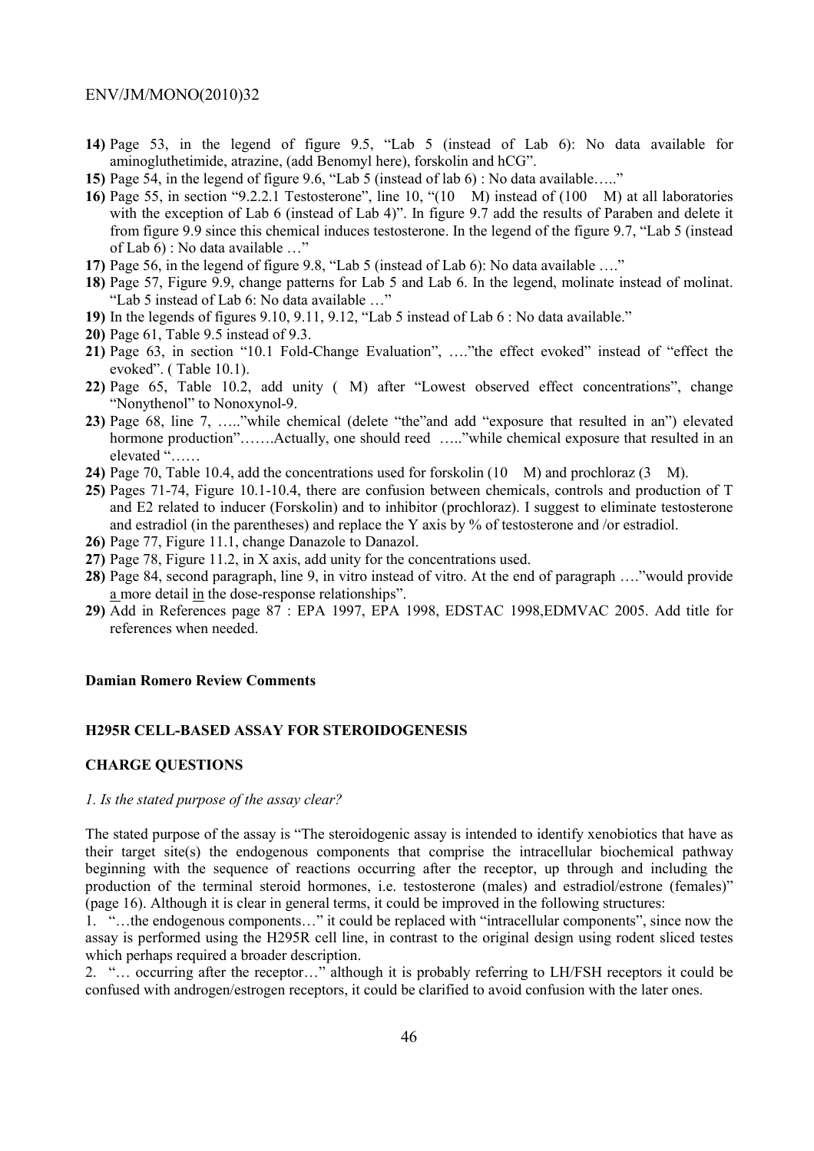- **14)** Page 53, in the legend of figure 9.5, "Lab 5 (instead of Lab 6): No data available for aminogluthetimide, atrazine, (add Benomyl here), forskolin and hCG".
- **15)** Page 54, in the legend of figure 9.6, "Lab 5 (instead of lab 6) : No data available….."
- **16)** Page 55, in section "9.2.2.1 Testosterone", line 10, "(10 M) instead of (100 M) at all laboratories with the exception of Lab 6 (instead of Lab 4)". In figure 9.7 add the results of Paraben and delete it from figure 9.9 since this chemical induces testosterone. In the legend of the figure 9.7, "Lab 5 (instead of Lab 6) : No data available …"
- **17)** Page 56, in the legend of figure 9.8, "Lab 5 (instead of Lab 6): No data available …."
- **18)** Page 57, Figure 9.9, change patterns for Lab 5 and Lab 6. In the legend, molinate instead of molinat. "Lab 5 instead of Lab 6: No data available …"
- **19)** In the legends of figures 9.10, 9.11, 9.12, "Lab 5 instead of Lab 6 : No data available."
- **20)** Page 61, Table 9.5 instead of 9.3.
- **21)** Page 63, in section "10.1 Fold-Change Evaluation", …."the effect evoked" instead of "effect the evoked". ( Table 10.1).
- **22)** Page 65, Table 10.2, add unity (M) after "Lowest observed effect concentrations", change "Nonythenol" to Nonoxynol-9.
- **23)** Page 68, line 7, ….."while chemical (delete "the"and add "exposure that resulted in an") elevated hormone production"…….Actually, one should reed ……"while chemical exposure that resulted in an elevated "……
- **24)** Page 70, Table 10.4, add the concentrations used for forskolin (10 M) and prochloraz (3 M).
- **25)** Pages 71-74, Figure 10.1-10.4, there are confusion between chemicals, controls and production of T and E2 related to inducer (Forskolin) and to inhibitor (prochloraz). I suggest to eliminate testosterone and estradiol (in the parentheses) and replace the Y axis by % of testosterone and /or estradiol.
- **26)** Page 77, Figure 11.1, change Danazole to Danazol.
- **27)** Page 78, Figure 11.2, in X axis, add unity for the concentrations used.
- **28)** Page 84, second paragraph, line 9, in vitro instead of vitro. At the end of paragraph …."would provide a more detail in the dose-response relationships".
- **29)** Add in References page 87 : EPA 1997, EPA 1998, EDSTAC 1998,EDMVAC 2005. Add title for references when needed.

## **Damian Romero Review Comments**

## **H295R CELL-BASED ASSAY FOR STEROIDOGENESIS**

#### **CHARGE QUESTIONS**

## *1. Is the stated purpose of the assay clear?*

The stated purpose of the assay is "The steroidogenic assay is intended to identify xenobiotics that have as their target site(s) the endogenous components that comprise the intracellular biochemical pathway beginning with the sequence of reactions occurring after the receptor, up through and including the production of the terminal steroid hormones, i.e. testosterone (males) and estradiol/estrone (females)" (page 16). Although it is clear in general terms, it could be improved in the following structures:

1. "…the endogenous components…" it could be replaced with "intracellular components", since now the assay is performed using the H295R cell line, in contrast to the original design using rodent sliced testes which perhaps required a broader description.

2. "… occurring after the receptor…" although it is probably referring to LH/FSH receptors it could be confused with androgen/estrogen receptors, it could be clarified to avoid confusion with the later ones.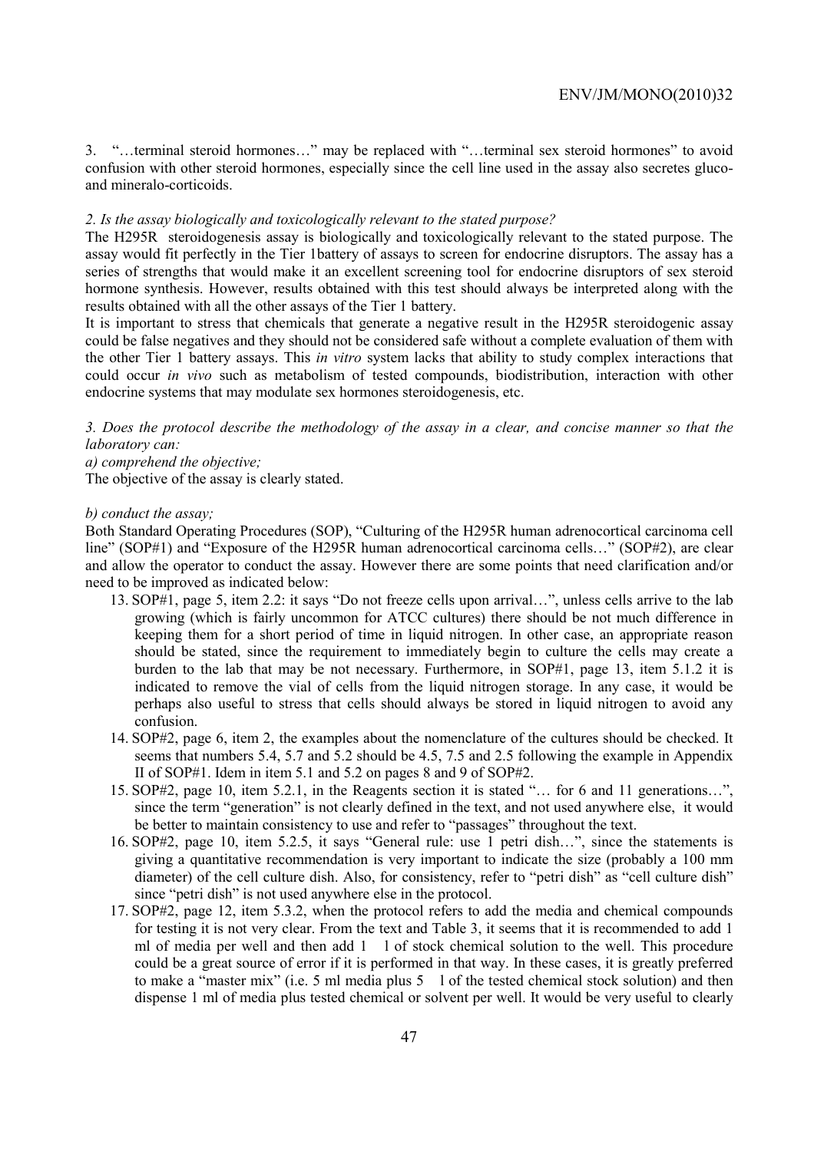3. "…terminal steroid hormones…" may be replaced with "…terminal sex steroid hormones" to avoid confusion with other steroid hormones, especially since the cell line used in the assay also secretes glucoand mineralo-corticoids.

## *2. Is the assay biologically and toxicologically relevant to the stated purpose?*

The H295R steroidogenesis assay is biologically and toxicologically relevant to the stated purpose. The assay would fit perfectly in the Tier 1battery of assays to screen for endocrine disruptors. The assay has a series of strengths that would make it an excellent screening tool for endocrine disruptors of sex steroid hormone synthesis. However, results obtained with this test should always be interpreted along with the results obtained with all the other assays of the Tier 1 battery.

It is important to stress that chemicals that generate a negative result in the H295R steroidogenic assay could be false negatives and they should not be considered safe without a complete evaluation of them with the other Tier 1 battery assays. This *in vitro* system lacks that ability to study complex interactions that could occur *in vivo* such as metabolism of tested compounds, biodistribution, interaction with other endocrine systems that may modulate sex hormones steroidogenesis, etc.

*3. Does the protocol describe the methodology of the assay in a clear, and concise manner so that the laboratory can:* 

*a) comprehend the objective;* 

The objective of the assay is clearly stated.

#### *b) conduct the assay;*

Both Standard Operating Procedures (SOP), "Culturing of the H295R human adrenocortical carcinoma cell line" (SOP#1) and "Exposure of the H295R human adrenocortical carcinoma cells..." (SOP#2), are clear and allow the operator to conduct the assay. However there are some points that need clarification and/or need to be improved as indicated below:

- 13. SOP#1, page 5, item 2.2: it says "Do not freeze cells upon arrival…", unless cells arrive to the lab growing (which is fairly uncommon for ATCC cultures) there should be not much difference in keeping them for a short period of time in liquid nitrogen. In other case, an appropriate reason should be stated, since the requirement to immediately begin to culture the cells may create a burden to the lab that may be not necessary. Furthermore, in SOP#1, page 13, item 5.1.2 it is indicated to remove the vial of cells from the liquid nitrogen storage. In any case, it would be perhaps also useful to stress that cells should always be stored in liquid nitrogen to avoid any confusion.
- 14. SOP#2, page 6, item 2, the examples about the nomenclature of the cultures should be checked. It seems that numbers 5.4, 5.7 and 5.2 should be 4.5, 7.5 and 2.5 following the example in Appendix II of SOP#1. Idem in item 5.1 and 5.2 on pages 8 and 9 of SOP#2.
- 15. SOP#2, page 10, item 5.2.1, in the Reagents section it is stated "… for 6 and 11 generations…", since the term "generation" is not clearly defined in the text, and not used anywhere else, it would be better to maintain consistency to use and refer to "passages" throughout the text.
- 16. SOP#2, page 10, item 5.2.5, it says "General rule: use 1 petri dish…", since the statements is giving a quantitative recommendation is very important to indicate the size (probably a 100 mm diameter) of the cell culture dish. Also, for consistency, refer to "petri dish" as "cell culture dish" since "petri dish" is not used anywhere else in the protocol.
- 17. SOP#2, page 12, item 5.3.2, when the protocol refers to add the media and chemical compounds for testing it is not very clear. From the text and Table 3, it seems that it is recommended to add 1 ml of media per well and then add 1 l of stock chemical solution to the well. This procedure could be a great source of error if it is performed in that way. In these cases, it is greatly preferred to make a "master mix" (i.e. 5 ml media plus 5 l of the tested chemical stock solution) and then dispense 1 ml of media plus tested chemical or solvent per well. It would be very useful to clearly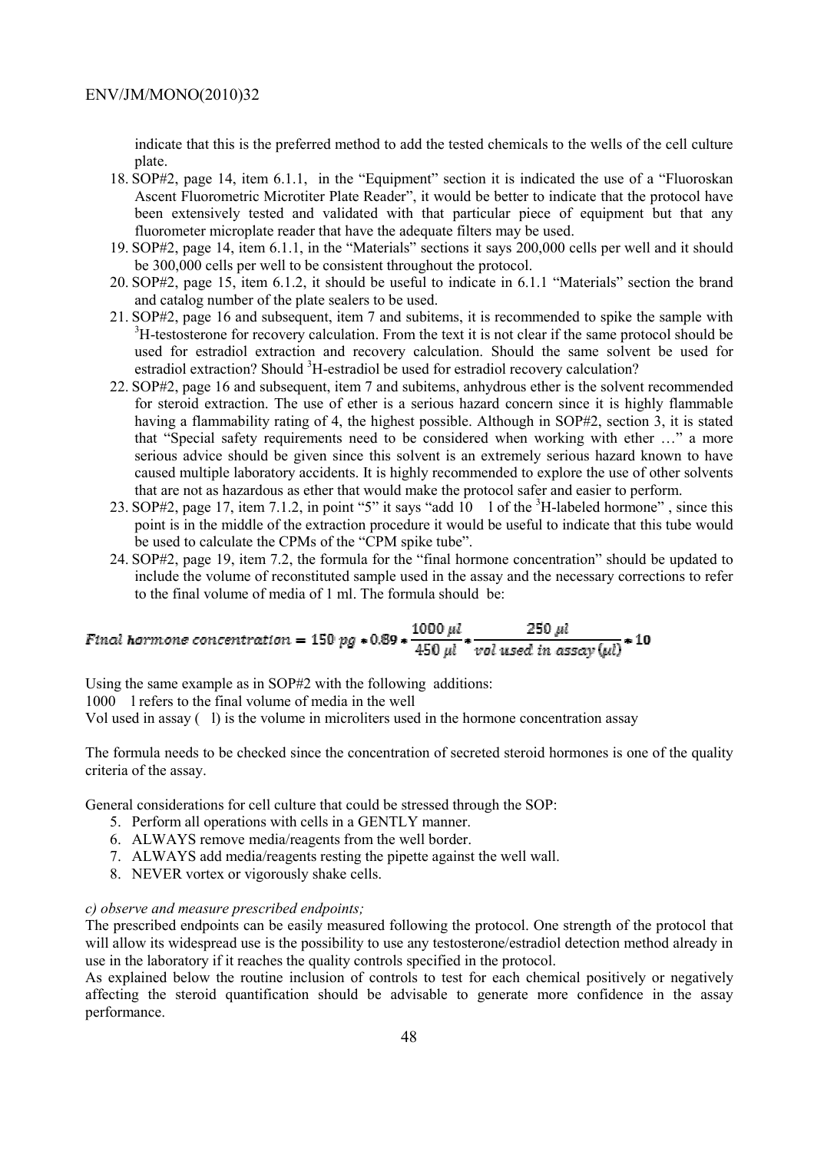indicate that this is the preferred method to add the tested chemicals to the wells of the cell culture plate.

- 18. SOP#2, page 14, item 6.1.1, in the "Equipment" section it is indicated the use of a "Fluoroskan Ascent Fluorometric Microtiter Plate Reader", it would be better to indicate that the protocol have been extensively tested and validated with that particular piece of equipment but that any fluorometer microplate reader that have the adequate filters may be used.
- 19. SOP#2, page 14, item 6.1.1, in the "Materials" sections it says 200,000 cells per well and it should be 300,000 cells per well to be consistent throughout the protocol.
- 20. SOP#2, page 15, item 6.1.2, it should be useful to indicate in 6.1.1 "Materials" section the brand and catalog number of the plate sealers to be used.
- 21. SOP#2, page 16 and subsequent, item 7 and subitems, it is recommended to spike the sample with <sup>3</sup>H-testosterone for recovery calculation. From the text it is not clear if the same protocol should be used for estradiol extraction and recovery calculation. Should the same solvent be used for estradiol extraction? Should <sup>3</sup>H-estradiol be used for estradiol recovery calculation?
- 22. SOP#2, page 16 and subsequent, item 7 and subitems, anhydrous ether is the solvent recommended for steroid extraction. The use of ether is a serious hazard concern since it is highly flammable having a flammability rating of 4, the highest possible. Although in SOP#2, section 3, it is stated that "Special safety requirements need to be considered when working with ether …" a more serious advice should be given since this solvent is an extremely serious hazard known to have caused multiple laboratory accidents. It is highly recommended to explore the use of other solvents that are not as hazardous as ether that would make the protocol safer and easier to perform.
- 23. SOP#2, page 17, item 7.1.2, in point "5" it says "add  $10 \text{ } 1$  of the <sup>3</sup>H-labeled hormone", since this point is in the middle of the extraction procedure it would be useful to indicate that this tube would be used to calculate the CPMs of the "CPM spike tube".
- 24. SOP#2, page 19, item 7.2, the formula for the "final hormone concentration" should be updated to include the volume of reconstituted sample used in the assay and the necessary corrections to refer to the final volume of media of 1 ml. The formula should be:

$$
Final\,\,hormone\,\,concentration=150\,\,pg*0.89*\frac{1000\,\,\mu l}{450\,\,\mu l}*\frac{250\,\,\mu l}{vol\,\,used\,\,in\,\,assay\,(\mu l)}*10
$$

Using the same example as in SOP#2 with the following additions:

1000 l refers to the final volume of media in the well

Vol used in assay  $(l)$  is the volume in microliters used in the hormone concentration assay

The formula needs to be checked since the concentration of secreted steroid hormones is one of the quality criteria of the assay.

General considerations for cell culture that could be stressed through the SOP:

- 5. Perform all operations with cells in a GENTLY manner.
- 6. ALWAYS remove media/reagents from the well border.
- 7. ALWAYS add media/reagents resting the pipette against the well wall.
- 8. NEVER vortex or vigorously shake cells.

#### *c) observe and measure prescribed endpoints;*

The prescribed endpoints can be easily measured following the protocol. One strength of the protocol that will allow its widespread use is the possibility to use any testosterone/estradiol detection method already in use in the laboratory if it reaches the quality controls specified in the protocol.

As explained below the routine inclusion of controls to test for each chemical positively or negatively affecting the steroid quantification should be advisable to generate more confidence in the assay performance.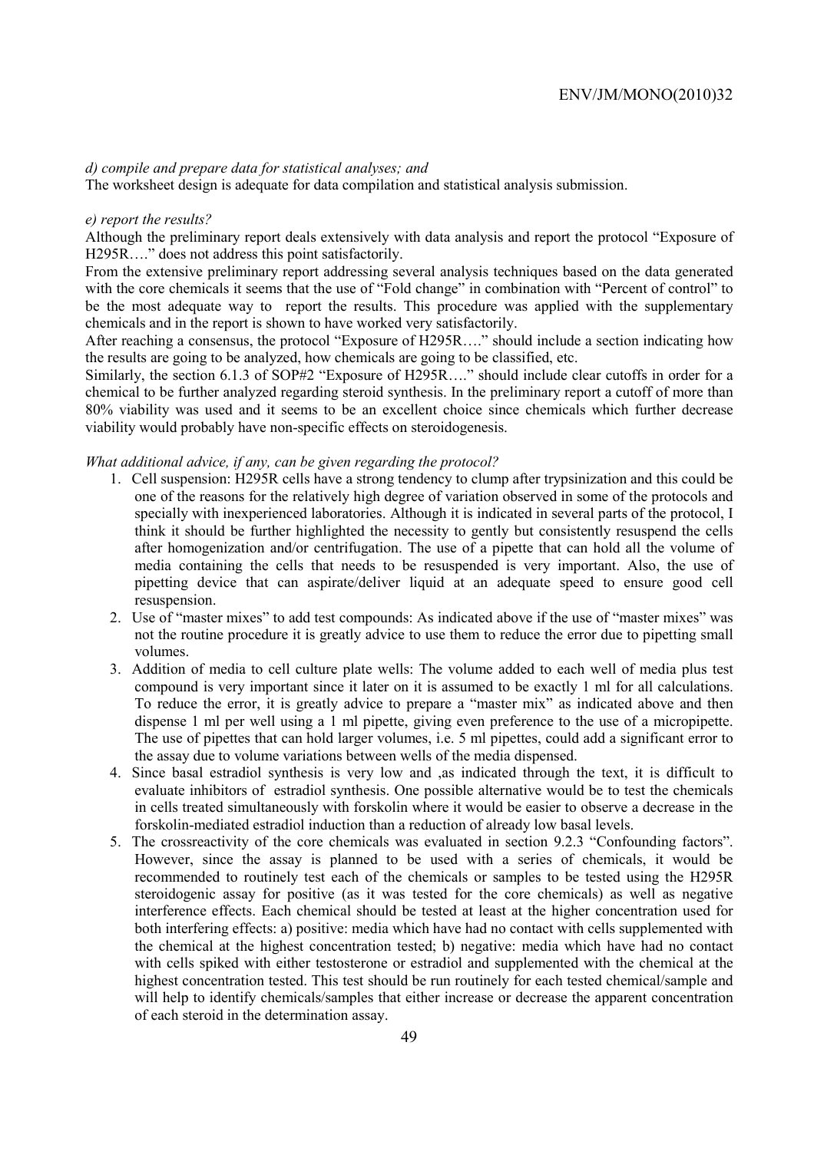#### *d) compile and prepare data for statistical analyses; and*

The worksheet design is adequate for data compilation and statistical analysis submission.

#### *e) report the results?*

Although the preliminary report deals extensively with data analysis and report the protocol "Exposure of H295R…." does not address this point satisfactorily.

From the extensive preliminary report addressing several analysis techniques based on the data generated with the core chemicals it seems that the use of "Fold change" in combination with "Percent of control" to be the most adequate way to report the results. This procedure was applied with the supplementary chemicals and in the report is shown to have worked very satisfactorily.

After reaching a consensus, the protocol "Exposure of H295R…." should include a section indicating how the results are going to be analyzed, how chemicals are going to be classified, etc.

Similarly, the section 6.1.3 of SOP#2 "Exposure of H295R...." should include clear cutoffs in order for a chemical to be further analyzed regarding steroid synthesis. In the preliminary report a cutoff of more than 80% viability was used and it seems to be an excellent choice since chemicals which further decrease viability would probably have non-specific effects on steroidogenesis.

## *What additional advice, if any, can be given regarding the protocol?*

- 1. Cell suspension: H295R cells have a strong tendency to clump after trypsinization and this could be one of the reasons for the relatively high degree of variation observed in some of the protocols and specially with inexperienced laboratories. Although it is indicated in several parts of the protocol, I think it should be further highlighted the necessity to gently but consistently resuspend the cells after homogenization and/or centrifugation. The use of a pipette that can hold all the volume of media containing the cells that needs to be resuspended is very important. Also, the use of pipetting device that can aspirate/deliver liquid at an adequate speed to ensure good cell resuspension.
- 2. Use of "master mixes" to add test compounds: As indicated above if the use of "master mixes" was not the routine procedure it is greatly advice to use them to reduce the error due to pipetting small volumes.
- 3. Addition of media to cell culture plate wells: The volume added to each well of media plus test compound is very important since it later on it is assumed to be exactly 1 ml for all calculations. To reduce the error, it is greatly advice to prepare a "master mix" as indicated above and then dispense 1 ml per well using a 1 ml pipette, giving even preference to the use of a micropipette. The use of pipettes that can hold larger volumes, i.e. 5 ml pipettes, could add a significant error to the assay due to volume variations between wells of the media dispensed.
- 4. Since basal estradiol synthesis is very low and ,as indicated through the text, it is difficult to evaluate inhibitors of estradiol synthesis. One possible alternative would be to test the chemicals in cells treated simultaneously with forskolin where it would be easier to observe a decrease in the forskolin-mediated estradiol induction than a reduction of already low basal levels.
- 5. The crossreactivity of the core chemicals was evaluated in section 9.2.3 "Confounding factors". However, since the assay is planned to be used with a series of chemicals, it would be recommended to routinely test each of the chemicals or samples to be tested using the H295R steroidogenic assay for positive (as it was tested for the core chemicals) as well as negative interference effects. Each chemical should be tested at least at the higher concentration used for both interfering effects: a) positive: media which have had no contact with cells supplemented with the chemical at the highest concentration tested; b) negative: media which have had no contact with cells spiked with either testosterone or estradiol and supplemented with the chemical at the highest concentration tested. This test should be run routinely for each tested chemical/sample and will help to identify chemicals/samples that either increase or decrease the apparent concentration of each steroid in the determination assay.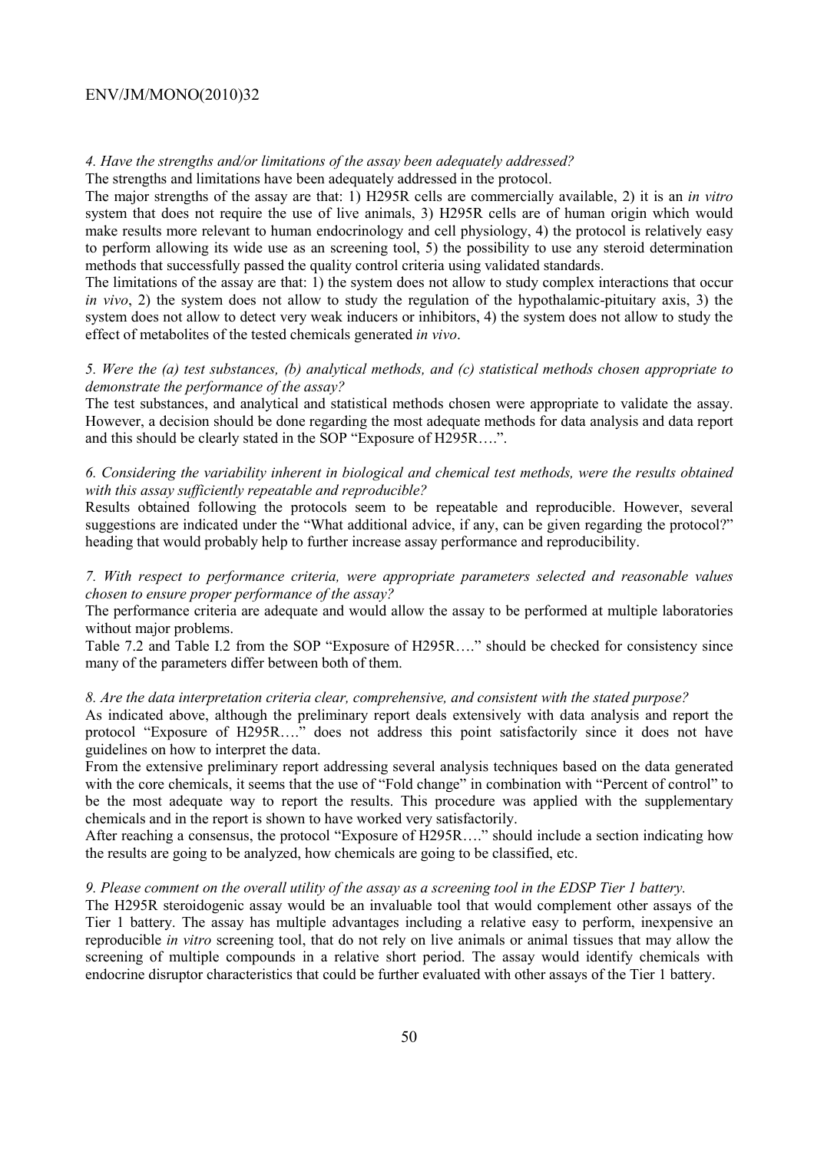#### *4. Have the strengths and/or limitations of the assay been adequately addressed?*

The strengths and limitations have been adequately addressed in the protocol.

The major strengths of the assay are that: 1) H295R cells are commercially available, 2) it is an *in vitro* system that does not require the use of live animals, 3) H295R cells are of human origin which would make results more relevant to human endocrinology and cell physiology, 4) the protocol is relatively easy to perform allowing its wide use as an screening tool, 5) the possibility to use any steroid determination methods that successfully passed the quality control criteria using validated standards.

The limitations of the assay are that: 1) the system does not allow to study complex interactions that occur *in vivo*, 2) the system does not allow to study the regulation of the hypothalamic-pituitary axis, 3) the system does not allow to detect very weak inducers or inhibitors, 4) the system does not allow to study the effect of metabolites of the tested chemicals generated *in vivo*.

## *5. Were the (a) test substances, (b) analytical methods, and (c) statistical methods chosen appropriate to demonstrate the performance of the assay?*

The test substances, and analytical and statistical methods chosen were appropriate to validate the assay. However, a decision should be done regarding the most adequate methods for data analysis and data report and this should be clearly stated in the SOP "Exposure of H295R….".

## *6. Considering the variability inherent in biological and chemical test methods, were the results obtained with this assay sufficiently repeatable and reproducible?*

Results obtained following the protocols seem to be repeatable and reproducible. However, several suggestions are indicated under the "What additional advice, if any, can be given regarding the protocol?" heading that would probably help to further increase assay performance and reproducibility.

## *7. With respect to performance criteria, were appropriate parameters selected and reasonable values chosen to ensure proper performance of the assay?*

The performance criteria are adequate and would allow the assay to be performed at multiple laboratories without major problems.

Table 7.2 and Table I.2 from the SOP "Exposure of H295R…." should be checked for consistency since many of the parameters differ between both of them.

### *8. Are the data interpretation criteria clear, comprehensive, and consistent with the stated purpose?*

As indicated above, although the preliminary report deals extensively with data analysis and report the protocol "Exposure of H295R…." does not address this point satisfactorily since it does not have guidelines on how to interpret the data.

From the extensive preliminary report addressing several analysis techniques based on the data generated with the core chemicals, it seems that the use of "Fold change" in combination with "Percent of control" to be the most adequate way to report the results. This procedure was applied with the supplementary chemicals and in the report is shown to have worked very satisfactorily.

After reaching a consensus, the protocol "Exposure of H295R…." should include a section indicating how the results are going to be analyzed, how chemicals are going to be classified, etc.

#### *9. Please comment on the overall utility of the assay as a screening tool in the EDSP Tier 1 battery.*

The H295R steroidogenic assay would be an invaluable tool that would complement other assays of the Tier 1 battery. The assay has multiple advantages including a relative easy to perform, inexpensive an reproducible *in vitro* screening tool, that do not rely on live animals or animal tissues that may allow the screening of multiple compounds in a relative short period. The assay would identify chemicals with endocrine disruptor characteristics that could be further evaluated with other assays of the Tier 1 battery.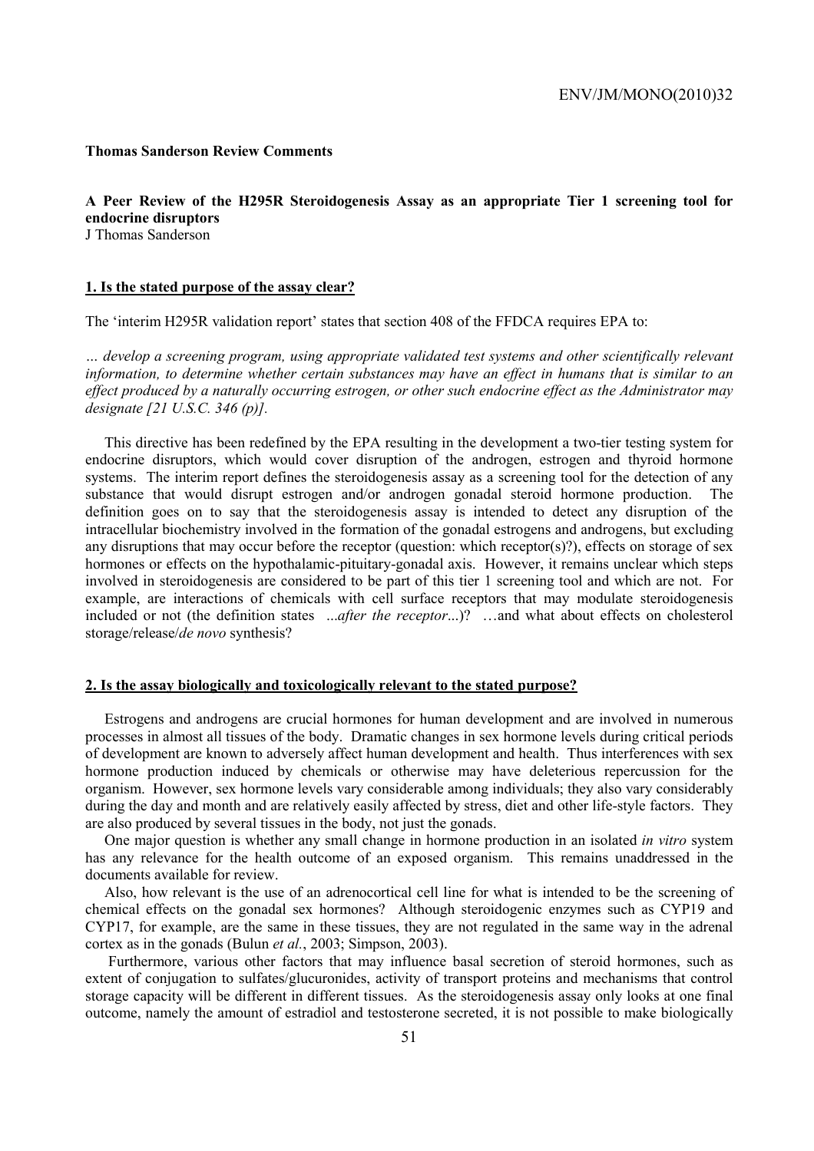#### **Thomas Sanderson Review Comments**

#### **A Peer Review of the H295R Steroidogenesis Assay as an appropriate Tier 1 screening tool for endocrine disruptors**  J Thomas Sanderson

#### **1. Is the stated purpose of the assay clear?**

The 'interim H295R validation report' states that section 408 of the FFDCA requires EPA to:

*… develop a screening program, using appropriate validated test systems and other scientifically relevant information, to determine whether certain substances may have an effect in humans that is similar to an effect produced by a naturally occurring estrogen, or other such endocrine effect as the Administrator may designate [21 U.S.C. 346 (p)].* 

This directive has been redefined by the EPA resulting in the development a two-tier testing system for endocrine disruptors, which would cover disruption of the androgen, estrogen and thyroid hormone systems. The interim report defines the steroidogenesis assay as a screening tool for the detection of any substance that would disrupt estrogen and/or androgen gonadal steroid hormone production. The definition goes on to say that the steroidogenesis assay is intended to detect any disruption of the intracellular biochemistry involved in the formation of the gonadal estrogens and androgens, but excluding any disruptions that may occur before the receptor (question: which receptor(s)?), effects on storage of sex hormones or effects on the hypothalamic-pituitary-gonadal axis. However, it remains unclear which steps involved in steroidogenesis are considered to be part of this tier 1 screening tool and which are not. For example, are interactions of chemicals with cell surface receptors that may modulate steroidogenesis included or not (the definition states ...*after the receptor*...)? …and what about effects on cholesterol storage/release/*de novo* synthesis?

#### **2. Is the assay biologically and toxicologically relevant to the stated purpose?**

Estrogens and androgens are crucial hormones for human development and are involved in numerous processes in almost all tissues of the body. Dramatic changes in sex hormone levels during critical periods of development are known to adversely affect human development and health. Thus interferences with sex hormone production induced by chemicals or otherwise may have deleterious repercussion for the organism. However, sex hormone levels vary considerable among individuals; they also vary considerably during the day and month and are relatively easily affected by stress, diet and other life-style factors. They are also produced by several tissues in the body, not just the gonads.

One major question is whether any small change in hormone production in an isolated *in vitro* system has any relevance for the health outcome of an exposed organism. This remains unaddressed in the documents available for review.

Also, how relevant is the use of an adrenocortical cell line for what is intended to be the screening of chemical effects on the gonadal sex hormones? Although steroidogenic enzymes such as CYP19 and CYP17, for example, are the same in these tissues, they are not regulated in the same way in the adrenal cortex as in the gonads (Bulun *et al.*, 2003; Simpson, 2003).

 Furthermore, various other factors that may influence basal secretion of steroid hormones, such as extent of conjugation to sulfates/glucuronides, activity of transport proteins and mechanisms that control storage capacity will be different in different tissues. As the steroidogenesis assay only looks at one final outcome, namely the amount of estradiol and testosterone secreted, it is not possible to make biologically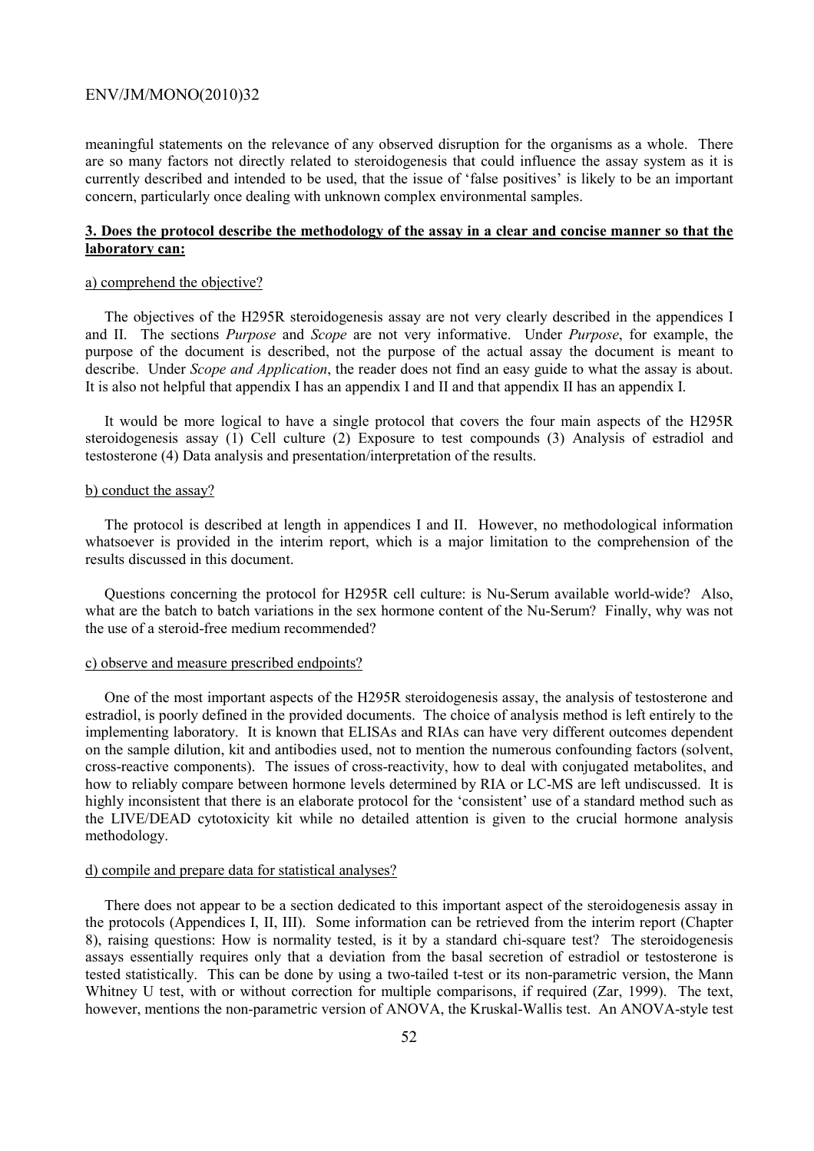meaningful statements on the relevance of any observed disruption for the organisms as a whole. There are so many factors not directly related to steroidogenesis that could influence the assay system as it is currently described and intended to be used, that the issue of 'false positives' is likely to be an important concern, particularly once dealing with unknown complex environmental samples.

## **3. Does the protocol describe the methodology of the assay in a clear and concise manner so that the laboratory can:**

#### a) comprehend the objective?

The objectives of the H295R steroidogenesis assay are not very clearly described in the appendices I and II. The sections *Purpose* and *Scope* are not very informative. Under *Purpose*, for example, the purpose of the document is described, not the purpose of the actual assay the document is meant to describe. Under *Scope and Application*, the reader does not find an easy guide to what the assay is about. It is also not helpful that appendix I has an appendix I and II and that appendix II has an appendix I.

It would be more logical to have a single protocol that covers the four main aspects of the H295R steroidogenesis assay (1) Cell culture (2) Exposure to test compounds (3) Analysis of estradiol and testosterone (4) Data analysis and presentation/interpretation of the results.

#### b) conduct the assay?

The protocol is described at length in appendices I and II. However, no methodological information whatsoever is provided in the interim report, which is a major limitation to the comprehension of the results discussed in this document.

Questions concerning the protocol for H295R cell culture: is Nu-Serum available world-wide? Also, what are the batch to batch variations in the sex hormone content of the Nu-Serum? Finally, why was not the use of a steroid-free medium recommended?

#### c) observe and measure prescribed endpoints?

One of the most important aspects of the H295R steroidogenesis assay, the analysis of testosterone and estradiol, is poorly defined in the provided documents. The choice of analysis method is left entirely to the implementing laboratory. It is known that ELISAs and RIAs can have very different outcomes dependent on the sample dilution, kit and antibodies used, not to mention the numerous confounding factors (solvent, cross-reactive components). The issues of cross-reactivity, how to deal with conjugated metabolites, and how to reliably compare between hormone levels determined by RIA or LC-MS are left undiscussed. It is highly inconsistent that there is an elaborate protocol for the 'consistent' use of a standard method such as the LIVE/DEAD cytotoxicity kit while no detailed attention is given to the crucial hormone analysis methodology.

#### d) compile and prepare data for statistical analyses?

There does not appear to be a section dedicated to this important aspect of the steroidogenesis assay in the protocols (Appendices I, II, III). Some information can be retrieved from the interim report (Chapter 8), raising questions: How is normality tested, is it by a standard chi-square test? The steroidogenesis assays essentially requires only that a deviation from the basal secretion of estradiol or testosterone is tested statistically. This can be done by using a two-tailed t-test or its non-parametric version, the Mann Whitney U test, with or without correction for multiple comparisons, if required (Zar, 1999). The text, however, mentions the non-parametric version of ANOVA, the Kruskal-Wallis test. An ANOVA-style test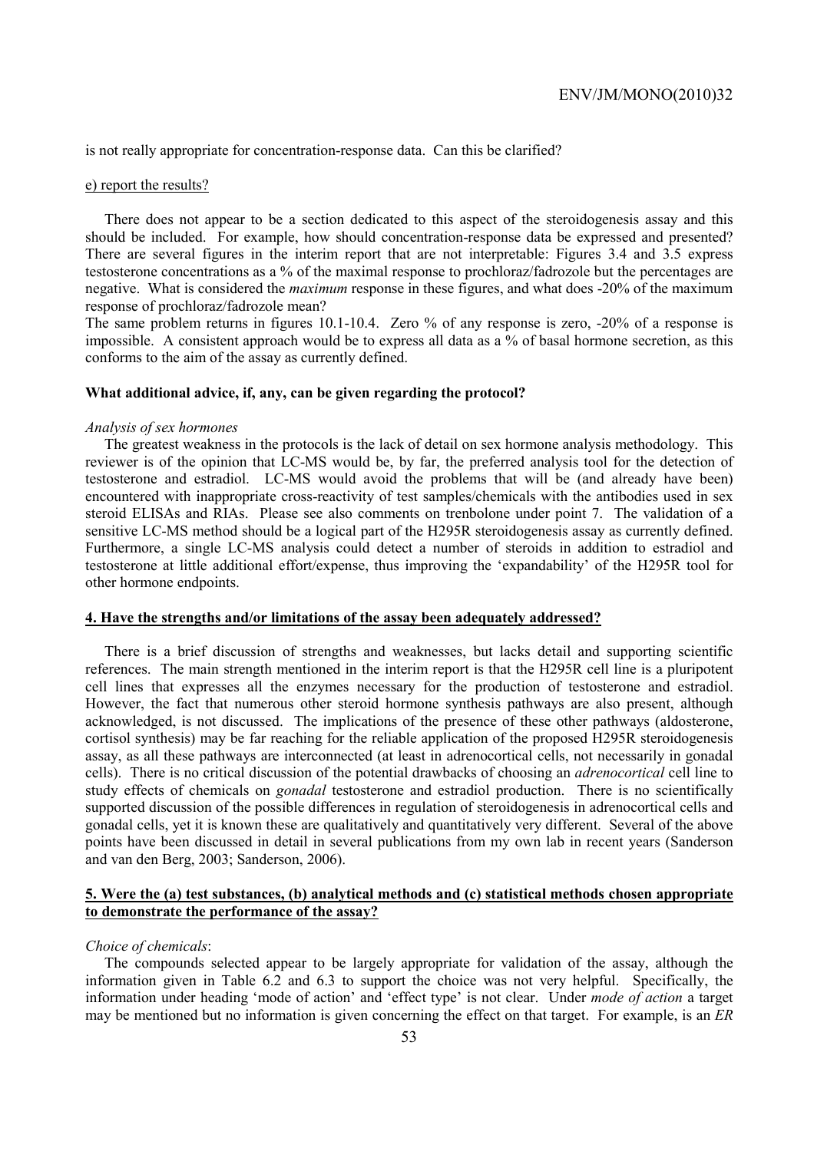is not really appropriate for concentration-response data. Can this be clarified?

#### e) report the results?

There does not appear to be a section dedicated to this aspect of the steroidogenesis assay and this should be included. For example, how should concentration-response data be expressed and presented? There are several figures in the interim report that are not interpretable: Figures 3.4 and 3.5 express testosterone concentrations as a % of the maximal response to prochloraz/fadrozole but the percentages are negative. What is considered the *maximum* response in these figures, and what does -20% of the maximum response of prochloraz/fadrozole mean?

The same problem returns in figures 10.1-10.4. Zero % of any response is zero, -20% of a response is impossible. A consistent approach would be to express all data as a  $\%$  of basal hormone secretion, as this conforms to the aim of the assay as currently defined.

#### **What additional advice, if, any, can be given regarding the protocol?**

#### *Analysis of sex hormones*

The greatest weakness in the protocols is the lack of detail on sex hormone analysis methodology. This reviewer is of the opinion that LC-MS would be, by far, the preferred analysis tool for the detection of testosterone and estradiol. LC-MS would avoid the problems that will be (and already have been) encountered with inappropriate cross-reactivity of test samples/chemicals with the antibodies used in sex steroid ELISAs and RIAs. Please see also comments on trenbolone under point 7. The validation of a sensitive LC-MS method should be a logical part of the H295R steroidogenesis assay as currently defined. Furthermore, a single LC-MS analysis could detect a number of steroids in addition to estradiol and testosterone at little additional effort/expense, thus improving the 'expandability' of the H295R tool for other hormone endpoints.

#### **4. Have the strengths and/or limitations of the assay been adequately addressed?**

There is a brief discussion of strengths and weaknesses, but lacks detail and supporting scientific references. The main strength mentioned in the interim report is that the H295R cell line is a pluripotent cell lines that expresses all the enzymes necessary for the production of testosterone and estradiol. However, the fact that numerous other steroid hormone synthesis pathways are also present, although acknowledged, is not discussed. The implications of the presence of these other pathways (aldosterone, cortisol synthesis) may be far reaching for the reliable application of the proposed H295R steroidogenesis assay, as all these pathways are interconnected (at least in adrenocortical cells, not necessarily in gonadal cells). There is no critical discussion of the potential drawbacks of choosing an *adrenocortical* cell line to study effects of chemicals on *gonadal* testosterone and estradiol production. There is no scientifically supported discussion of the possible differences in regulation of steroidogenesis in adrenocortical cells and gonadal cells, yet it is known these are qualitatively and quantitatively very different. Several of the above points have been discussed in detail in several publications from my own lab in recent years (Sanderson and van den Berg, 2003; Sanderson, 2006).

## **5. Were the (a) test substances, (b) analytical methods and (c) statistical methods chosen appropriate to demonstrate the performance of the assay?**

#### *Choice of chemicals*:

The compounds selected appear to be largely appropriate for validation of the assay, although the information given in Table 6.2 and 6.3 to support the choice was not very helpful. Specifically, the information under heading 'mode of action' and 'effect type' is not clear. Under *mode of action* a target may be mentioned but no information is given concerning the effect on that target. For example, is an *ER*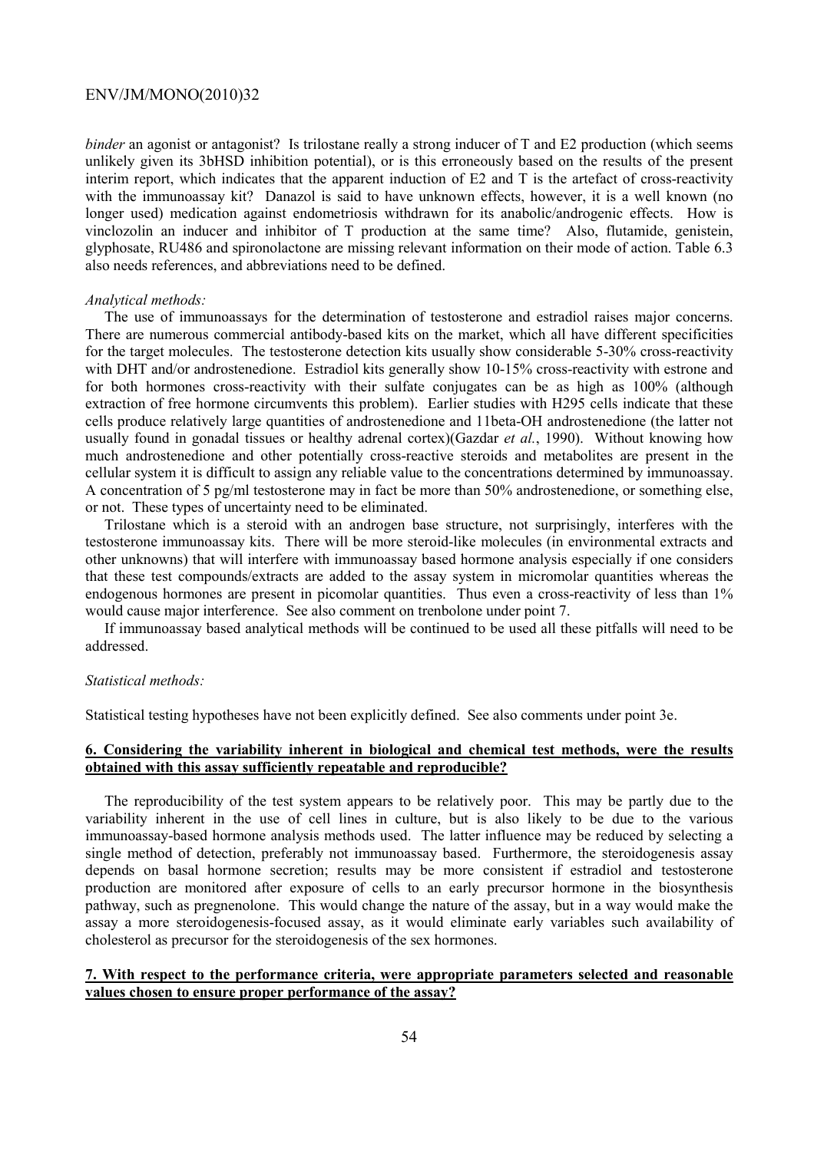*binder* an agonist or antagonist? Is trilostane really a strong inducer of T and E2 production (which seems unlikely given its 3bHSD inhibition potential), or is this erroneously based on the results of the present interim report, which indicates that the apparent induction of E2 and T is the artefact of cross-reactivity with the immunoassay kit? Danazol is said to have unknown effects, however, it is a well known (no longer used) medication against endometriosis withdrawn for its anabolic/androgenic effects. How is vinclozolin an inducer and inhibitor of T production at the same time? Also, flutamide, genistein, glyphosate, RU486 and spironolactone are missing relevant information on their mode of action. Table 6.3 also needs references, and abbreviations need to be defined.

#### *Analytical methods:*

The use of immunoassays for the determination of testosterone and estradiol raises major concerns. There are numerous commercial antibody-based kits on the market, which all have different specificities for the target molecules. The testosterone detection kits usually show considerable 5-30% cross-reactivity with DHT and/or androstenedione. Estradiol kits generally show 10-15% cross-reactivity with estrone and for both hormones cross-reactivity with their sulfate conjugates can be as high as 100% (although extraction of free hormone circumvents this problem). Earlier studies with H295 cells indicate that these cells produce relatively large quantities of androstenedione and 11beta-OH androstenedione (the latter not usually found in gonadal tissues or healthy adrenal cortex)(Gazdar *et al.*, 1990). Without knowing how much androstenedione and other potentially cross-reactive steroids and metabolites are present in the cellular system it is difficult to assign any reliable value to the concentrations determined by immunoassay. A concentration of 5 pg/ml testosterone may in fact be more than 50% androstenedione, or something else, or not. These types of uncertainty need to be eliminated.

Trilostane which is a steroid with an androgen base structure, not surprisingly, interferes with the testosterone immunoassay kits. There will be more steroid-like molecules (in environmental extracts and other unknowns) that will interfere with immunoassay based hormone analysis especially if one considers that these test compounds/extracts are added to the assay system in micromolar quantities whereas the endogenous hormones are present in picomolar quantities. Thus even a cross-reactivity of less than 1% would cause major interference. See also comment on trenbolone under point 7.

If immunoassay based analytical methods will be continued to be used all these pitfalls will need to be addressed.

## *Statistical methods:*

Statistical testing hypotheses have not been explicitly defined. See also comments under point 3e.

## **6. Considering the variability inherent in biological and chemical test methods, were the results obtained with this assay sufficiently repeatable and reproducible?**

The reproducibility of the test system appears to be relatively poor. This may be partly due to the variability inherent in the use of cell lines in culture, but is also likely to be due to the various immunoassay-based hormone analysis methods used. The latter influence may be reduced by selecting a single method of detection, preferably not immunoassay based. Furthermore, the steroidogenesis assay depends on basal hormone secretion; results may be more consistent if estradiol and testosterone production are monitored after exposure of cells to an early precursor hormone in the biosynthesis pathway, such as pregnenolone. This would change the nature of the assay, but in a way would make the assay a more steroidogenesis-focused assay, as it would eliminate early variables such availability of cholesterol as precursor for the steroidogenesis of the sex hormones.

## **7. With respect to the performance criteria, were appropriate parameters selected and reasonable values chosen to ensure proper performance of the assay?**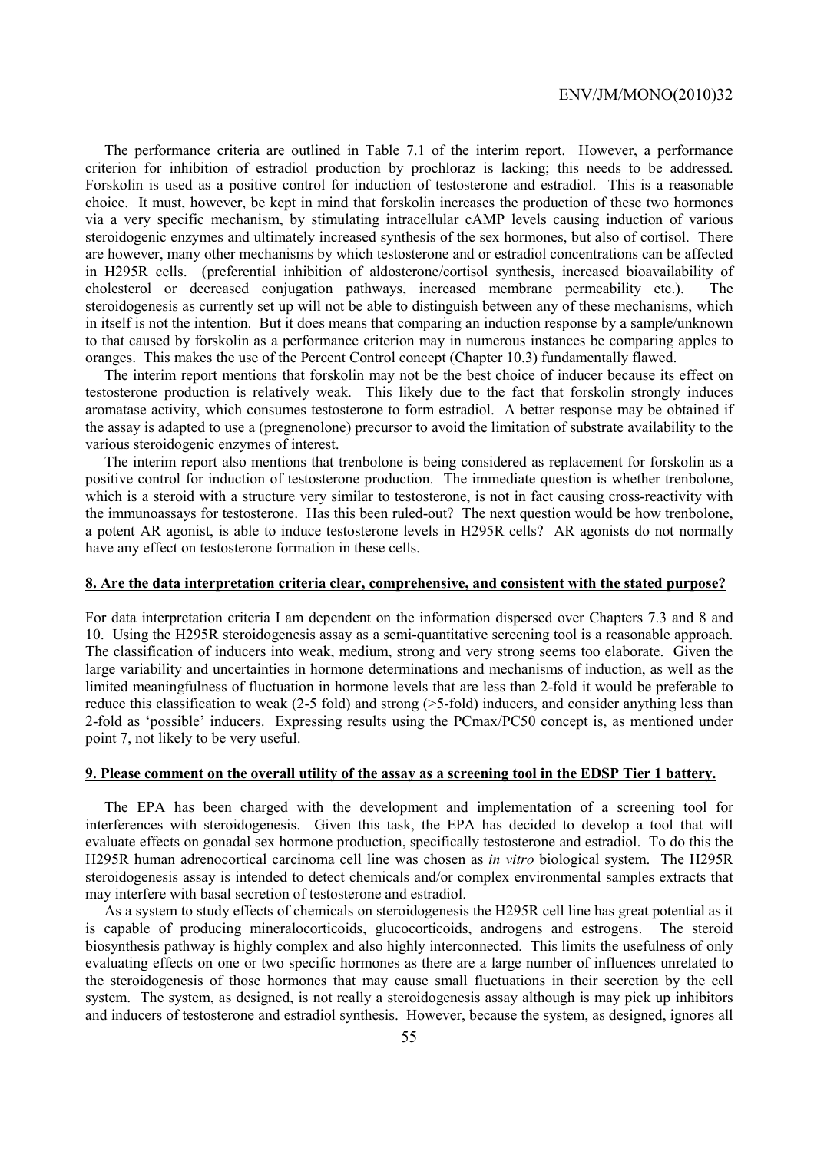The performance criteria are outlined in Table 7.1 of the interim report. However, a performance criterion for inhibition of estradiol production by prochloraz is lacking; this needs to be addressed. Forskolin is used as a positive control for induction of testosterone and estradiol. This is a reasonable choice. It must, however, be kept in mind that forskolin increases the production of these two hormones via a very specific mechanism, by stimulating intracellular cAMP levels causing induction of various steroidogenic enzymes and ultimately increased synthesis of the sex hormones, but also of cortisol. There are however, many other mechanisms by which testosterone and or estradiol concentrations can be affected in H295R cells. (preferential inhibition of aldosterone/cortisol synthesis, increased bioavailability of cholesterol or decreased conjugation pathways, increased membrane permeability etc.). The steroidogenesis as currently set up will not be able to distinguish between any of these mechanisms, which in itself is not the intention. But it does means that comparing an induction response by a sample/unknown to that caused by forskolin as a performance criterion may in numerous instances be comparing apples to oranges. This makes the use of the Percent Control concept (Chapter 10.3) fundamentally flawed.

The interim report mentions that forskolin may not be the best choice of inducer because its effect on testosterone production is relatively weak. This likely due to the fact that forskolin strongly induces aromatase activity, which consumes testosterone to form estradiol. A better response may be obtained if the assay is adapted to use a (pregnenolone) precursor to avoid the limitation of substrate availability to the various steroidogenic enzymes of interest.

The interim report also mentions that trenbolone is being considered as replacement for forskolin as a positive control for induction of testosterone production. The immediate question is whether trenbolone, which is a steroid with a structure very similar to testosterone, is not in fact causing cross-reactivity with the immunoassays for testosterone. Has this been ruled-out? The next question would be how trenbolone, a potent AR agonist, is able to induce testosterone levels in H295R cells? AR agonists do not normally have any effect on testosterone formation in these cells.

#### **8. Are the data interpretation criteria clear, comprehensive, and consistent with the stated purpose?**

For data interpretation criteria I am dependent on the information dispersed over Chapters 7.3 and 8 and 10. Using the H295R steroidogenesis assay as a semi-quantitative screening tool is a reasonable approach. The classification of inducers into weak, medium, strong and very strong seems too elaborate. Given the large variability and uncertainties in hormone determinations and mechanisms of induction, as well as the limited meaningfulness of fluctuation in hormone levels that are less than 2-fold it would be preferable to reduce this classification to weak (2-5 fold) and strong (>5-fold) inducers, and consider anything less than 2-fold as 'possible' inducers. Expressing results using the PCmax/PC50 concept is, as mentioned under point 7, not likely to be very useful.

## **9. Please comment on the overall utility of the assay as a screening tool in the EDSP Tier 1 battery.**

The EPA has been charged with the development and implementation of a screening tool for interferences with steroidogenesis. Given this task, the EPA has decided to develop a tool that will evaluate effects on gonadal sex hormone production, specifically testosterone and estradiol. To do this the H295R human adrenocortical carcinoma cell line was chosen as *in vitro* biological system. The H295R steroidogenesis assay is intended to detect chemicals and/or complex environmental samples extracts that may interfere with basal secretion of testosterone and estradiol.

As a system to study effects of chemicals on steroidogenesis the H295R cell line has great potential as it is capable of producing mineralocorticoids, glucocorticoids, androgens and estrogens. The steroid biosynthesis pathway is highly complex and also highly interconnected. This limits the usefulness of only evaluating effects on one or two specific hormones as there are a large number of influences unrelated to the steroidogenesis of those hormones that may cause small fluctuations in their secretion by the cell system. The system, as designed, is not really a steroidogenesis assay although is may pick up inhibitors and inducers of testosterone and estradiol synthesis. However, because the system, as designed, ignores all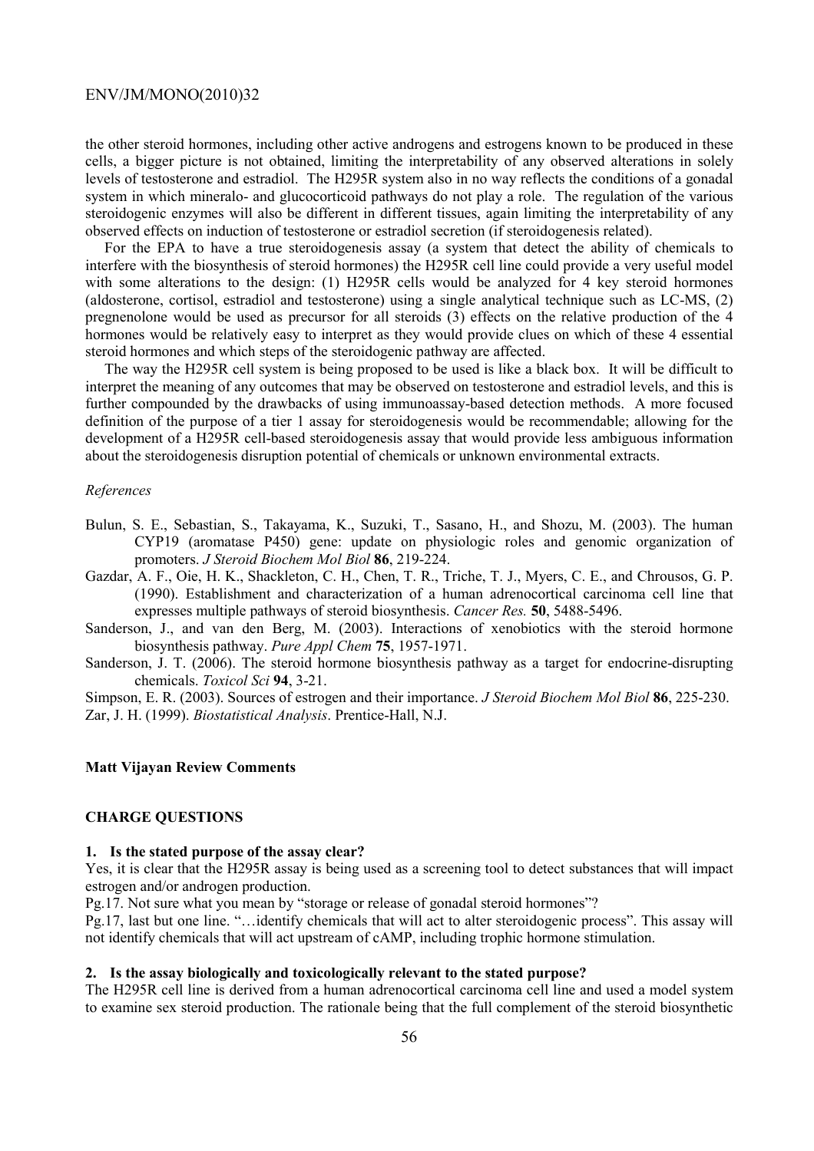the other steroid hormones, including other active androgens and estrogens known to be produced in these cells, a bigger picture is not obtained, limiting the interpretability of any observed alterations in solely levels of testosterone and estradiol. The H295R system also in no way reflects the conditions of a gonadal system in which mineralo- and glucocorticoid pathways do not play a role. The regulation of the various steroidogenic enzymes will also be different in different tissues, again limiting the interpretability of any observed effects on induction of testosterone or estradiol secretion (if steroidogenesis related).

For the EPA to have a true steroidogenesis assay (a system that detect the ability of chemicals to interfere with the biosynthesis of steroid hormones) the H295R cell line could provide a very useful model with some alterations to the design: (1) H295R cells would be analyzed for 4 key steroid hormones (aldosterone, cortisol, estradiol and testosterone) using a single analytical technique such as LC-MS, (2) pregnenolone would be used as precursor for all steroids (3) effects on the relative production of the 4 hormones would be relatively easy to interpret as they would provide clues on which of these 4 essential steroid hormones and which steps of the steroidogenic pathway are affected.

The way the H295R cell system is being proposed to be used is like a black box. It will be difficult to interpret the meaning of any outcomes that may be observed on testosterone and estradiol levels, and this is further compounded by the drawbacks of using immunoassay-based detection methods. A more focused definition of the purpose of a tier 1 assay for steroidogenesis would be recommendable; allowing for the development of a H295R cell-based steroidogenesis assay that would provide less ambiguous information about the steroidogenesis disruption potential of chemicals or unknown environmental extracts.

#### *References*

- Bulun, S. E., Sebastian, S., Takayama, K., Suzuki, T., Sasano, H., and Shozu, M. (2003). The human CYP19 (aromatase P450) gene: update on physiologic roles and genomic organization of promoters. *J Steroid Biochem Mol Biol* **86**, 219-224.
- Gazdar, A. F., Oie, H. K., Shackleton, C. H., Chen, T. R., Triche, T. J., Myers, C. E., and Chrousos, G. P. (1990). Establishment and characterization of a human adrenocortical carcinoma cell line that expresses multiple pathways of steroid biosynthesis. *Cancer Res.* **50**, 5488-5496.
- Sanderson, J., and van den Berg, M. (2003). Interactions of xenobiotics with the steroid hormone biosynthesis pathway. *Pure Appl Chem* **75**, 1957-1971.
- Sanderson, J. T. (2006). The steroid hormone biosynthesis pathway as a target for endocrine-disrupting chemicals. *Toxicol Sci* **94**, 3-21.

Simpson, E. R. (2003). Sources of estrogen and their importance. *J Steroid Biochem Mol Biol* **86**, 225-230. Zar, J. H. (1999). *Biostatistical Analysis*. Prentice-Hall, N.J.

#### **Matt Vijayan Review Comments**

## **CHARGE QUESTIONS**

#### **1. Is the stated purpose of the assay clear?**

Yes, it is clear that the H295R assay is being used as a screening tool to detect substances that will impact estrogen and/or androgen production.

Pg.17. Not sure what you mean by "storage or release of gonadal steroid hormones"?

Pg.17, last but one line. "…identify chemicals that will act to alter steroidogenic process". This assay will not identify chemicals that will act upstream of cAMP, including trophic hormone stimulation.

#### **2. Is the assay biologically and toxicologically relevant to the stated purpose?**

The H295R cell line is derived from a human adrenocortical carcinoma cell line and used a model system to examine sex steroid production. The rationale being that the full complement of the steroid biosynthetic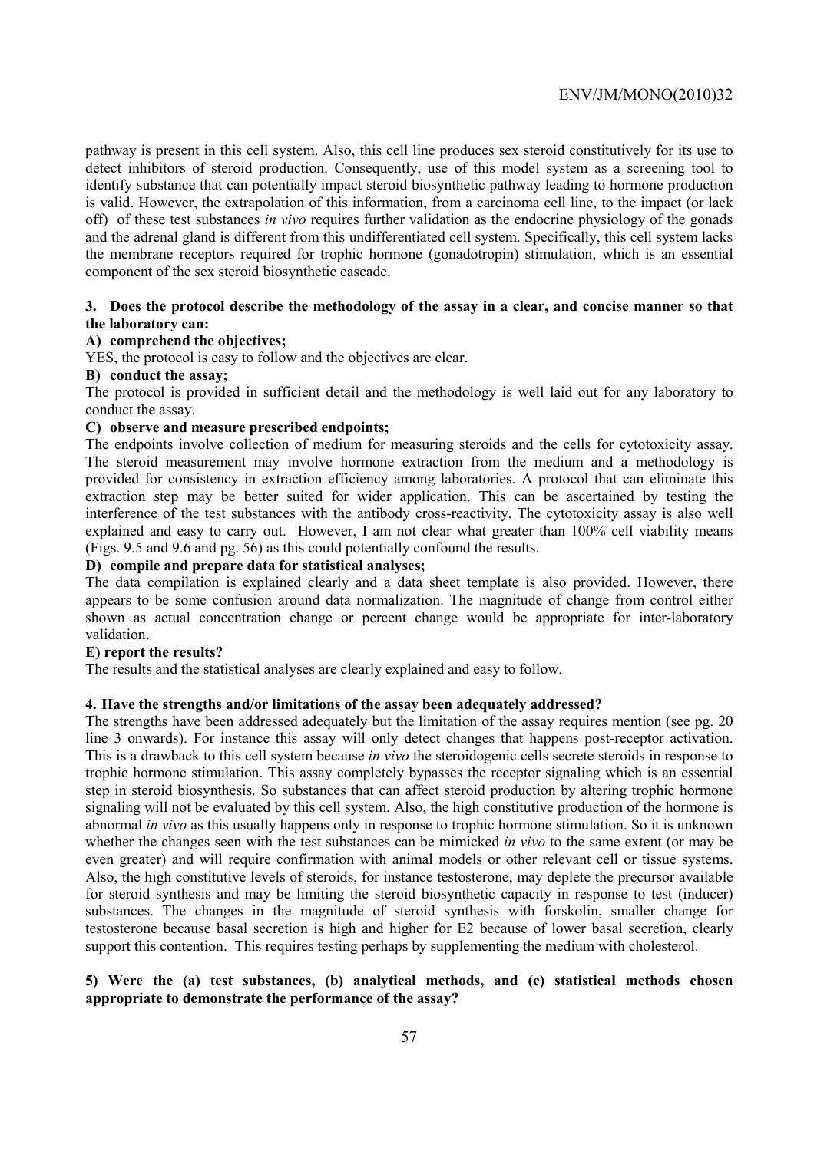pathway is present in this cell system. Also, this cell line produces sex steroid constitutively for its use to detect inhibitors of steroid production. Consequently, use of this model system as a screening tool to identify substance that can potentially impact steroid biosynthetic pathway leading to hormone production is valid. However, the extrapolation of this information, from a carcinoma cell line, to the impact (or lack off) of these test substances *in vivo* requires further validation as the endocrine physiology of the gonads and the adrenal gland is different from this undifferentiated cell system. Specifically, this cell system lacks the membrane receptors required for trophic hormone (gonadotropin) stimulation, which is an essential component of the sex steroid biosynthetic cascade.

## **3. Does the protocol describe the methodology of the assay in a clear, and concise manner so that the laboratory can:**

## **A) comprehend the objectives;**

YES, the protocol is easy to follow and the objectives are clear.

#### **B) conduct the assay;**

The protocol is provided in sufficient detail and the methodology is well laid out for any laboratory to conduct the assay.

## **C) observe and measure prescribed endpoints;**

The endpoints involve collection of medium for measuring steroids and the cells for cytotoxicity assay. The steroid measurement may involve hormone extraction from the medium and a methodology is provided for consistency in extraction efficiency among laboratories. A protocol that can eliminate this extraction step may be better suited for wider application. This can be ascertained by testing the interference of the test substances with the antibody cross-reactivity. The cytotoxicity assay is also well explained and easy to carry out. However, I am not clear what greater than 100% cell viability means (Figs. 9.5 and 9.6 and pg. 56) as this could potentially confound the results.

## **D) compile and prepare data for statistical analyses;**

The data compilation is explained clearly and a data sheet template is also provided. However, there appears to be some confusion around data normalization. The magnitude of change from control either shown as actual concentration change or percent change would be appropriate for inter-laboratory validation.

#### **E) report the results?**

The results and the statistical analyses are clearly explained and easy to follow.

#### **4. Have the strengths and/or limitations of the assay been adequately addressed?**

The strengths have been addressed adequately but the limitation of the assay requires mention (see pg. 20 line 3 onwards). For instance this assay will only detect changes that happens post-receptor activation. This is a drawback to this cell system because *in vivo* the steroidogenic cells secrete steroids in response to trophic hormone stimulation. This assay completely bypasses the receptor signaling which is an essential step in steroid biosynthesis. So substances that can affect steroid production by altering trophic hormone signaling will not be evaluated by this cell system. Also, the high constitutive production of the hormone is abnormal *in vivo* as this usually happens only in response to trophic hormone stimulation. So it is unknown whether the changes seen with the test substances can be mimicked *in vivo* to the same extent (or may be even greater) and will require confirmation with animal models or other relevant cell or tissue systems. Also, the high constitutive levels of steroids, for instance testosterone, may deplete the precursor available for steroid synthesis and may be limiting the steroid biosynthetic capacity in response to test (inducer) substances. The changes in the magnitude of steroid synthesis with forskolin, smaller change for testosterone because basal secretion is high and higher for E2 because of lower basal secretion, clearly support this contention. This requires testing perhaps by supplementing the medium with cholesterol.

## **5) Were the (a) test substances, (b) analytical methods, and (c) statistical methods chosen appropriate to demonstrate the performance of the assay?**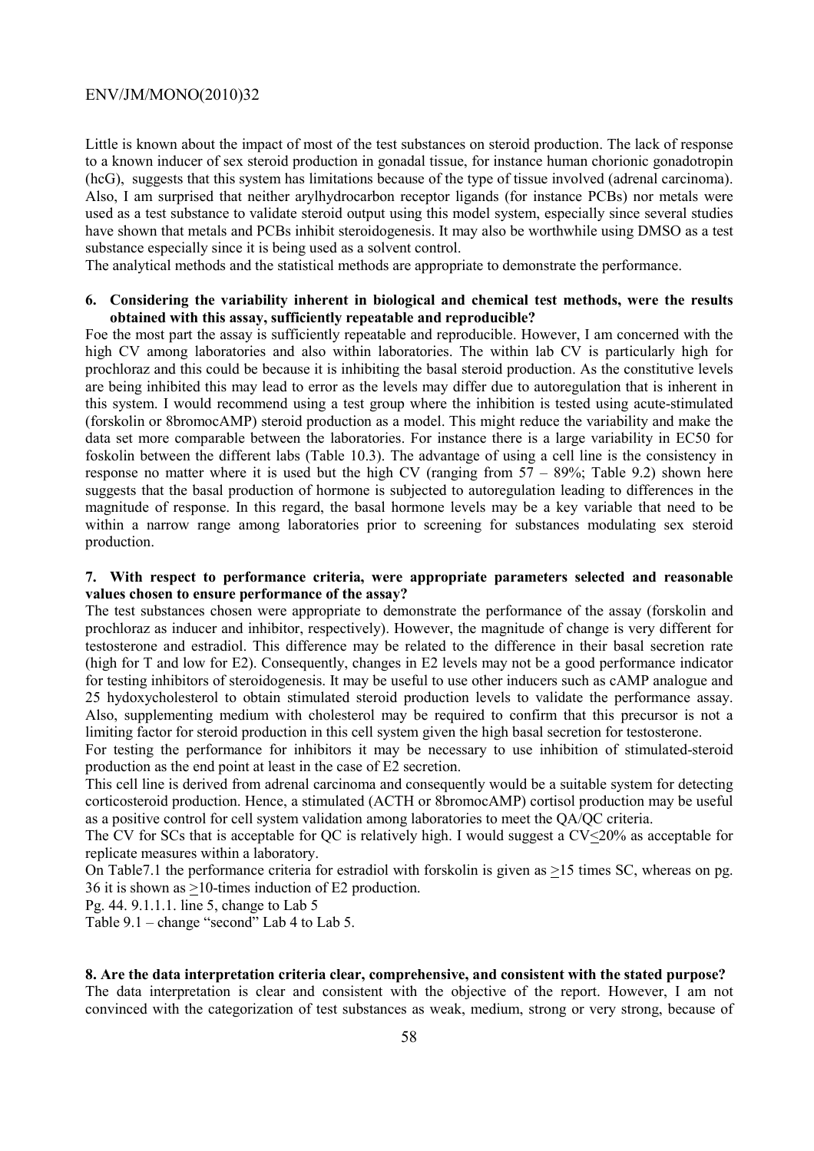Little is known about the impact of most of the test substances on steroid production. The lack of response to a known inducer of sex steroid production in gonadal tissue, for instance human chorionic gonadotropin (hcG), suggests that this system has limitations because of the type of tissue involved (adrenal carcinoma). Also, I am surprised that neither arylhydrocarbon receptor ligands (for instance PCBs) nor metals were used as a test substance to validate steroid output using this model system, especially since several studies have shown that metals and PCBs inhibit steroidogenesis. It may also be worthwhile using DMSO as a test substance especially since it is being used as a solvent control.

The analytical methods and the statistical methods are appropriate to demonstrate the performance.

## **6. Considering the variability inherent in biological and chemical test methods, were the results obtained with this assay, sufficiently repeatable and reproducible?**

Foe the most part the assay is sufficiently repeatable and reproducible. However, I am concerned with the high CV among laboratories and also within laboratories. The within lab CV is particularly high for prochloraz and this could be because it is inhibiting the basal steroid production. As the constitutive levels are being inhibited this may lead to error as the levels may differ due to autoregulation that is inherent in this system. I would recommend using a test group where the inhibition is tested using acute-stimulated (forskolin or 8bromocAMP) steroid production as a model. This might reduce the variability and make the data set more comparable between the laboratories. For instance there is a large variability in EC50 for foskolin between the different labs (Table 10.3). The advantage of using a cell line is the consistency in response no matter where it is used but the high CV (ranging from  $57 - 89\%$ ; Table 9.2) shown here suggests that the basal production of hormone is subjected to autoregulation leading to differences in the magnitude of response. In this regard, the basal hormone levels may be a key variable that need to be within a narrow range among laboratories prior to screening for substances modulating sex steroid production.

## **7. With respect to performance criteria, were appropriate parameters selected and reasonable values chosen to ensure performance of the assay?**

The test substances chosen were appropriate to demonstrate the performance of the assay (forskolin and prochloraz as inducer and inhibitor, respectively). However, the magnitude of change is very different for testosterone and estradiol. This difference may be related to the difference in their basal secretion rate (high for T and low for E2). Consequently, changes in E2 levels may not be a good performance indicator for testing inhibitors of steroidogenesis. It may be useful to use other inducers such as cAMP analogue and 25 hydoxycholesterol to obtain stimulated steroid production levels to validate the performance assay. Also, supplementing medium with cholesterol may be required to confirm that this precursor is not a limiting factor for steroid production in this cell system given the high basal secretion for testosterone.

For testing the performance for inhibitors it may be necessary to use inhibition of stimulated-steroid production as the end point at least in the case of E2 secretion.

This cell line is derived from adrenal carcinoma and consequently would be a suitable system for detecting corticosteroid production. Hence, a stimulated (ACTH or 8bromocAMP) cortisol production may be useful as a positive control for cell system validation among laboratories to meet the QA/QC criteria.

The CV for SCs that is acceptable for QC is relatively high. I would suggest a CV<20% as acceptable for replicate measures within a laboratory.

On Table7.1 the performance criteria for estradiol with forskolin is given as >15 times SC, whereas on pg. 36 it is shown as >10-times induction of E2 production.

Pg. 44. 9.1.1.1. line 5, change to Lab 5

Table 9.1 – change "second" Lab 4 to Lab 5.

## **8. Are the data interpretation criteria clear, comprehensive, and consistent with the stated purpose?**

The data interpretation is clear and consistent with the objective of the report. However, I am not convinced with the categorization of test substances as weak, medium, strong or very strong, because of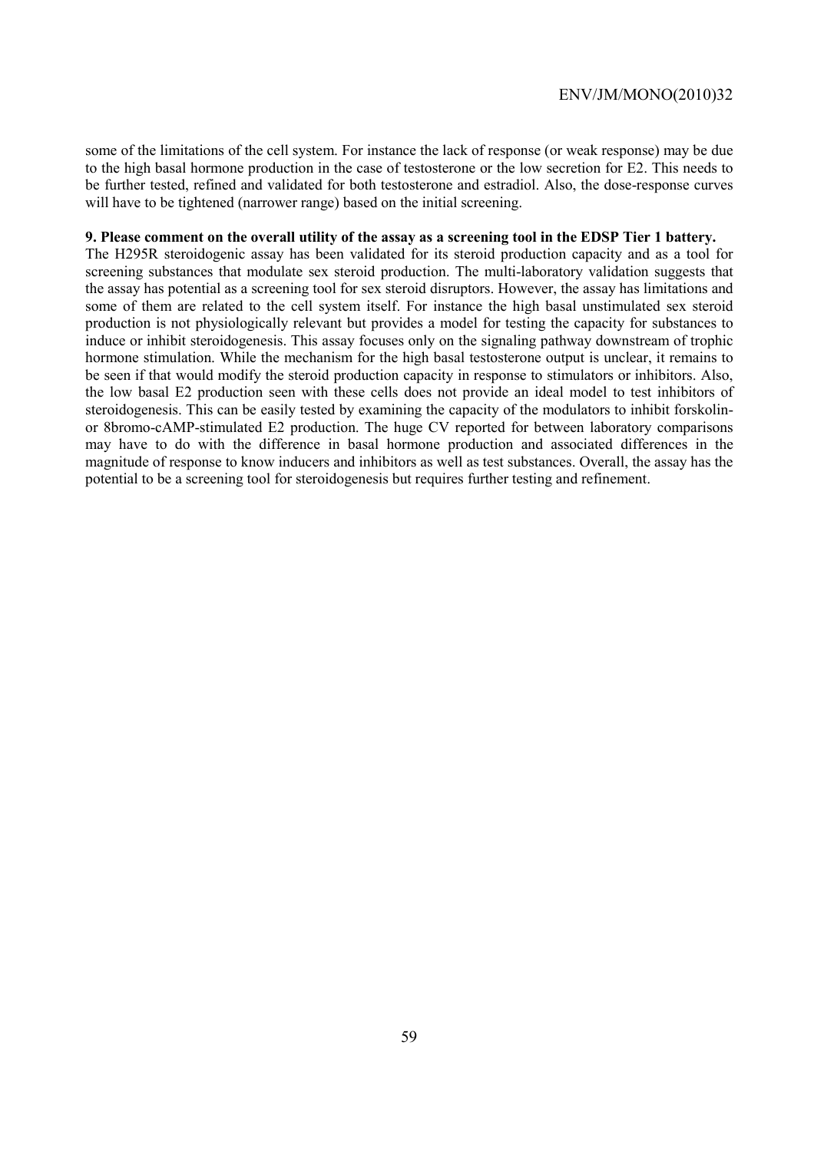some of the limitations of the cell system. For instance the lack of response (or weak response) may be due to the high basal hormone production in the case of testosterone or the low secretion for E2. This needs to be further tested, refined and validated for both testosterone and estradiol. Also, the dose-response curves will have to be tightened (narrower range) based on the initial screening.

#### **9. Please comment on the overall utility of the assay as a screening tool in the EDSP Tier 1 battery.**

The H295R steroidogenic assay has been validated for its steroid production capacity and as a tool for screening substances that modulate sex steroid production. The multi-laboratory validation suggests that the assay has potential as a screening tool for sex steroid disruptors. However, the assay has limitations and some of them are related to the cell system itself. For instance the high basal unstimulated sex steroid production is not physiologically relevant but provides a model for testing the capacity for substances to induce or inhibit steroidogenesis. This assay focuses only on the signaling pathway downstream of trophic hormone stimulation. While the mechanism for the high basal testosterone output is unclear, it remains to be seen if that would modify the steroid production capacity in response to stimulators or inhibitors. Also, the low basal E2 production seen with these cells does not provide an ideal model to test inhibitors of steroidogenesis. This can be easily tested by examining the capacity of the modulators to inhibit forskolinor 8bromo-cAMP-stimulated E2 production. The huge CV reported for between laboratory comparisons may have to do with the difference in basal hormone production and associated differences in the magnitude of response to know inducers and inhibitors as well as test substances. Overall, the assay has the potential to be a screening tool for steroidogenesis but requires further testing and refinement.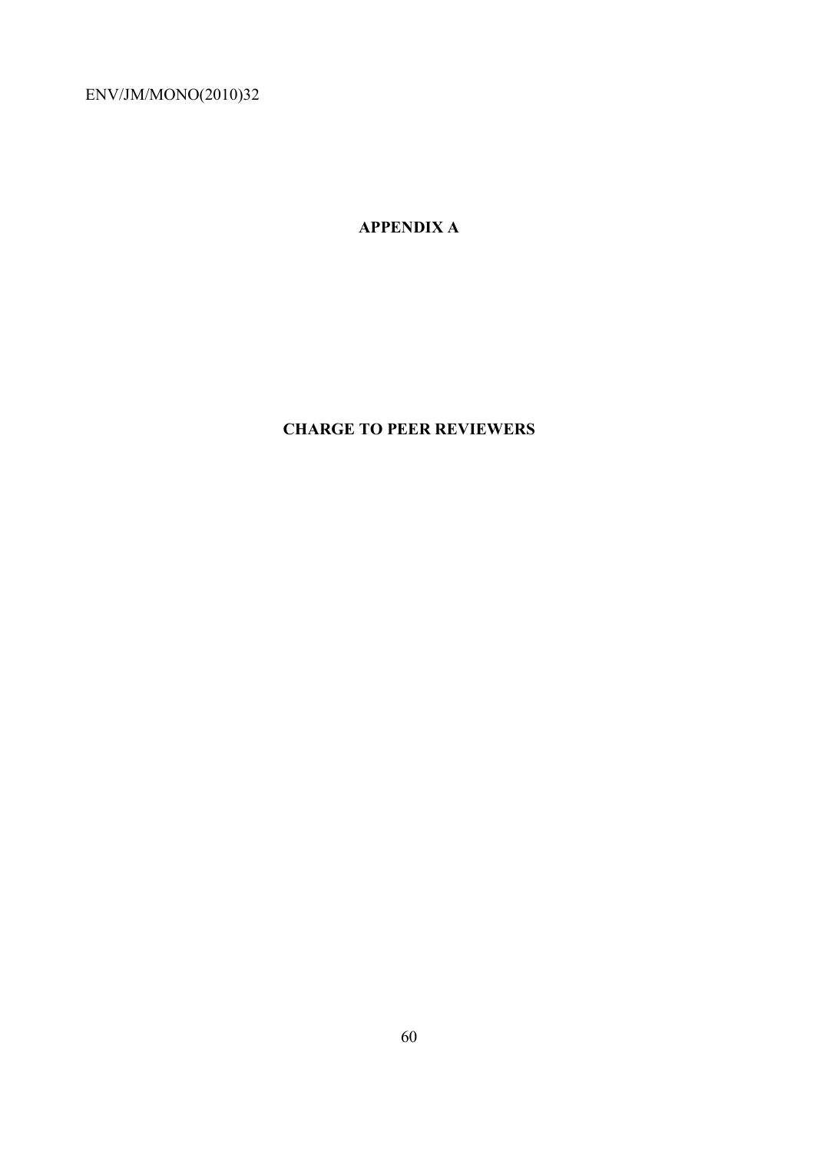**APPENDIX A** 

# **CHARGE TO PEER REVIEWERS**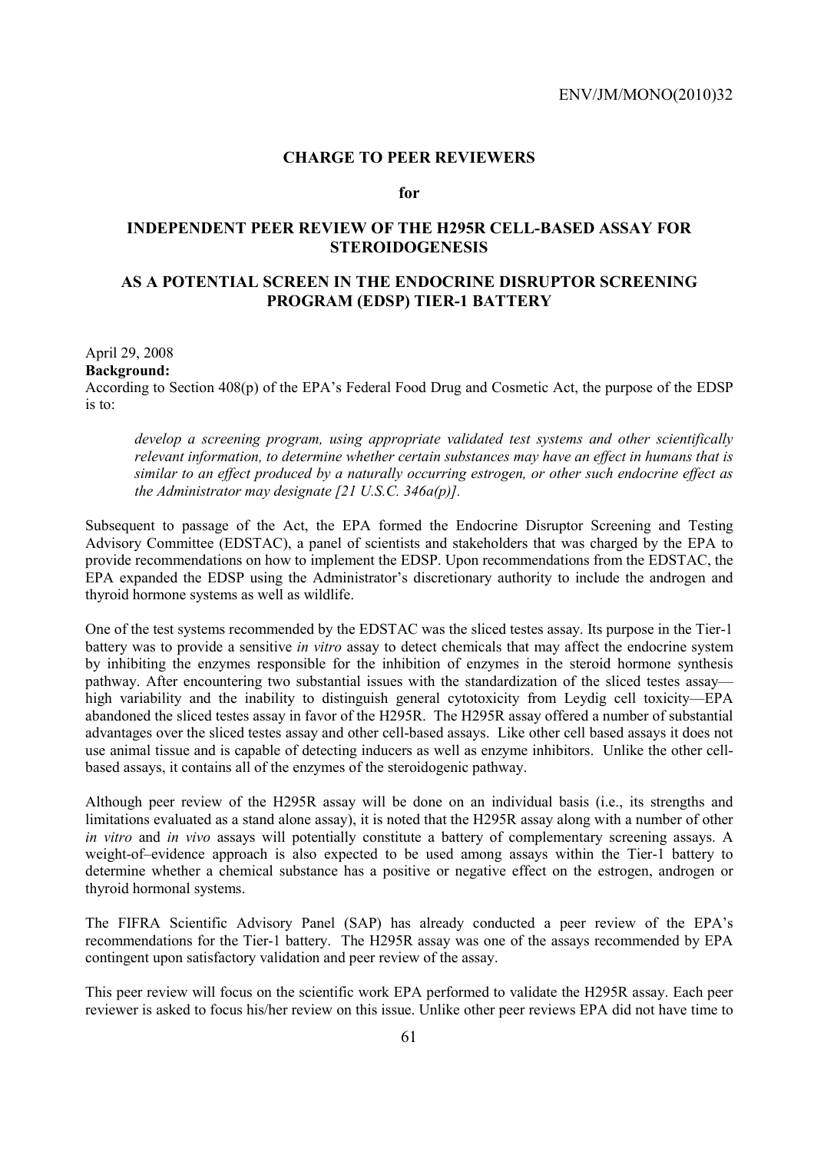## **CHARGE TO PEER REVIEWERS**

## **for**

## **INDEPENDENT PEER REVIEW OF THE H295R CELL-BASED ASSAY FOR STEROIDOGENESIS**

## **AS A POTENTIAL SCREEN IN THE ENDOCRINE DISRUPTOR SCREENING PROGRAM (EDSP) TIER-1 BATTERY**

April 29, 2008 **Background:**  According to Section 408(p) of the EPA's Federal Food Drug and Cosmetic Act, the purpose of the EDSP is to:

*develop a screening program, using appropriate validated test systems and other scientifically relevant information, to determine whether certain substances may have an effect in humans that is similar to an effect produced by a naturally occurring estrogen, or other such endocrine effect as the Administrator may designate [21 U.S.C. 346a(p)].* 

Subsequent to passage of the Act, the EPA formed the Endocrine Disruptor Screening and Testing Advisory Committee (EDSTAC), a panel of scientists and stakeholders that was charged by the EPA to provide recommendations on how to implement the EDSP. Upon recommendations from the EDSTAC, the EPA expanded the EDSP using the Administrator's discretionary authority to include the androgen and thyroid hormone systems as well as wildlife.

One of the test systems recommended by the EDSTAC was the sliced testes assay. Its purpose in the Tier-1 battery was to provide a sensitive *in vitro* assay to detect chemicals that may affect the endocrine system by inhibiting the enzymes responsible for the inhibition of enzymes in the steroid hormone synthesis pathway. After encountering two substantial issues with the standardization of the sliced testes assay high variability and the inability to distinguish general cytotoxicity from Leydig cell toxicity—EPA abandoned the sliced testes assay in favor of the H295R. The H295R assay offered a number of substantial advantages over the sliced testes assay and other cell-based assays. Like other cell based assays it does not use animal tissue and is capable of detecting inducers as well as enzyme inhibitors. Unlike the other cellbased assays, it contains all of the enzymes of the steroidogenic pathway.

Although peer review of the H295R assay will be done on an individual basis (i.e., its strengths and limitations evaluated as a stand alone assay), it is noted that the H295R assay along with a number of other *in vitro* and *in vivo* assays will potentially constitute a battery of complementary screening assays. A weight-of–evidence approach is also expected to be used among assays within the Tier-1 battery to determine whether a chemical substance has a positive or negative effect on the estrogen, androgen or thyroid hormonal systems.

The FIFRA Scientific Advisory Panel (SAP) has already conducted a peer review of the EPA's recommendations for the Tier-1 battery. The H295R assay was one of the assays recommended by EPA contingent upon satisfactory validation and peer review of the assay.

This peer review will focus on the scientific work EPA performed to validate the H295R assay. Each peer reviewer is asked to focus his/her review on this issue. Unlike other peer reviews EPA did not have time to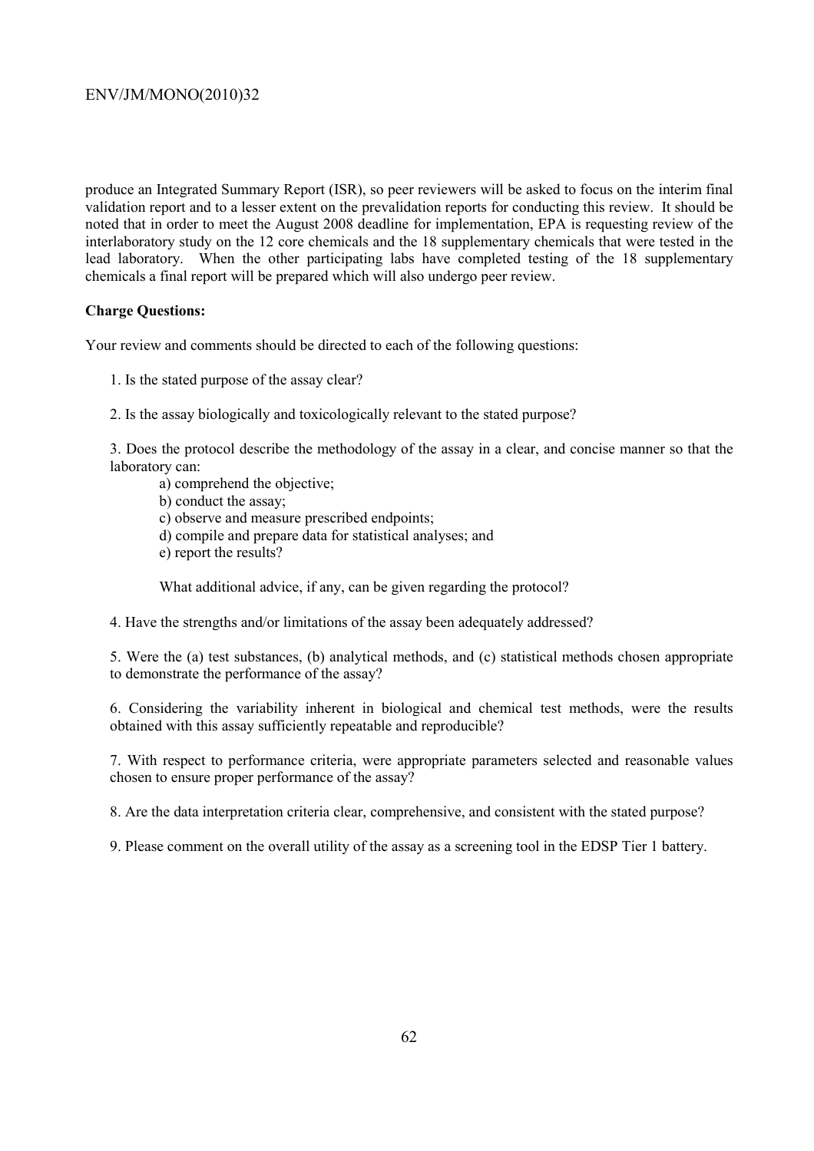produce an Integrated Summary Report (ISR), so peer reviewers will be asked to focus on the interim final validation report and to a lesser extent on the prevalidation reports for conducting this review. It should be noted that in order to meet the August 2008 deadline for implementation, EPA is requesting review of the interlaboratory study on the 12 core chemicals and the 18 supplementary chemicals that were tested in the lead laboratory. When the other participating labs have completed testing of the 18 supplementary chemicals a final report will be prepared which will also undergo peer review.

## **Charge Questions:**

Your review and comments should be directed to each of the following questions:

- 1. Is the stated purpose of the assay clear?
- 2. Is the assay biologically and toxicologically relevant to the stated purpose?

3. Does the protocol describe the methodology of the assay in a clear, and concise manner so that the laboratory can:

- a) comprehend the objective;
- b) conduct the assay;
- c) observe and measure prescribed endpoints;
- d) compile and prepare data for statistical analyses; and
- e) report the results?

What additional advice, if any, can be given regarding the protocol?

4. Have the strengths and/or limitations of the assay been adequately addressed?

5. Were the (a) test substances, (b) analytical methods, and (c) statistical methods chosen appropriate to demonstrate the performance of the assay?

6. Considering the variability inherent in biological and chemical test methods, were the results obtained with this assay sufficiently repeatable and reproducible?

7. With respect to performance criteria, were appropriate parameters selected and reasonable values chosen to ensure proper performance of the assay?

8. Are the data interpretation criteria clear, comprehensive, and consistent with the stated purpose?

9. Please comment on the overall utility of the assay as a screening tool in the EDSP Tier 1 battery.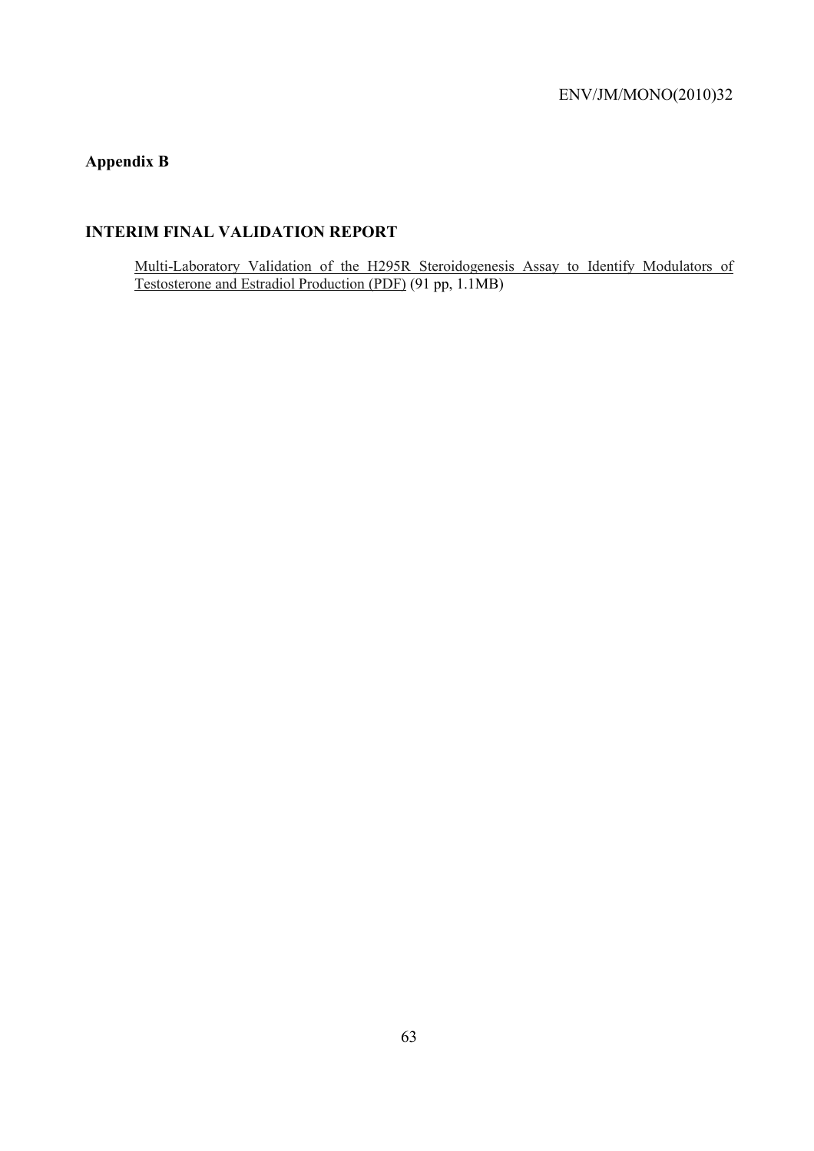## **Appendix B**

## **INTERIM FINAL VALIDATION REPORT**

Multi-Laboratory Validation of the H295R Steroidogenesis Assay to Identify Modulators of Testosterone and Estradiol Production (PDF) (91 pp, 1.1MB)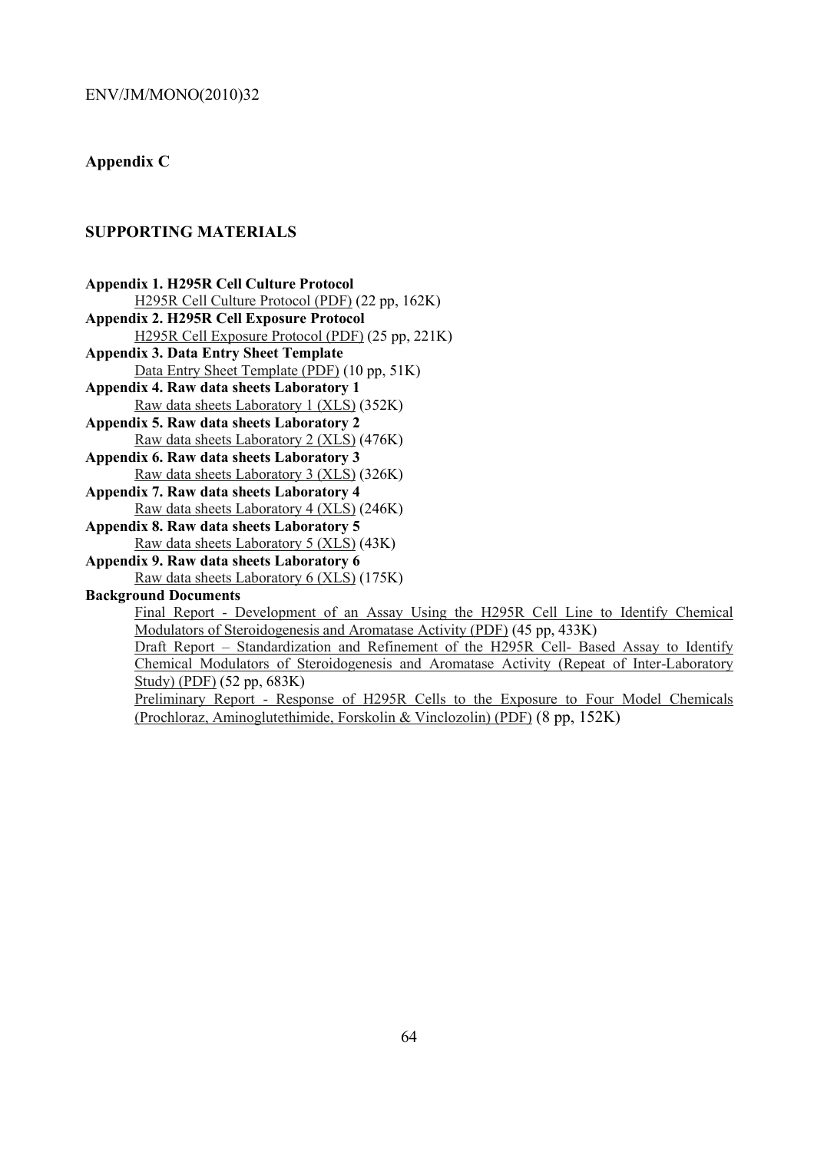## **Appendix C**

## **SUPPORTING MATERIALS**

**Appendix 1. H295R Cell Culture Protocol**  H295R Cell Culture Protocol (PDF) (22 pp, 162K) **Appendix 2. H295R Cell Exposure Protocol**  H295R Cell Exposure Protocol (PDF) (25 pp, 221K) **Appendix 3. Data Entry Sheet Template**  Data Entry Sheet Template (PDF) (10 pp, 51K) **Appendix 4. Raw data sheets Laboratory 1**  Raw data sheets Laboratory 1 (XLS) (352K) **Appendix 5. Raw data sheets Laboratory 2**  Raw data sheets Laboratory 2 (XLS) (476K) **Appendix 6. Raw data sheets Laboratory 3**  Raw data sheets Laboratory 3 (XLS) (326K) **Appendix 7. Raw data sheets Laboratory 4**  Raw data sheets Laboratory 4 (XLS) (246K) **Appendix 8. Raw data sheets Laboratory 5**  Raw data sheets Laboratory 5 (XLS) (43K) **Appendix 9. Raw data sheets Laboratory 6**  Raw data sheets Laboratory 6 (XLS) (175K) **Background Documents**  Final Report - Development of an Assay Using the H295R Cell Line to Identify Chemical Modulators of Steroidogenesis and Aromatase Activity (PDF) (45 pp, 433K)

Draft Report – Standardization and Refinement of the H295R Cell- Based Assay to Identify Chemical Modulators of Steroidogenesis and Aromatase Activity (Repeat of Inter-Laboratory Study) (PDF) (52 pp, 683K)

Preliminary Report - Response of H295R Cells to the Exposure to Four Model Chemicals (Prochloraz, Aminoglutethimide, Forskolin & Vinclozolin) (PDF) (8 pp, 152K)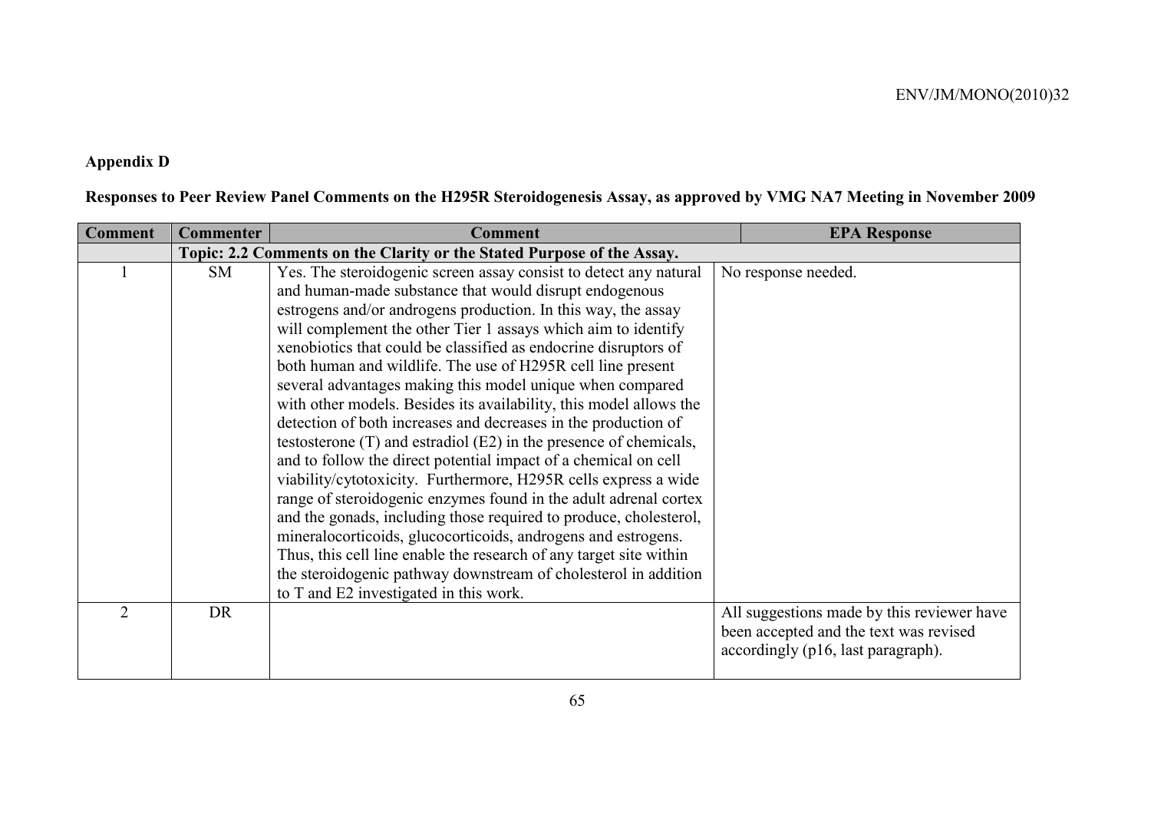# **Appendix D**

|  |  | Responses to Peer Review Panel Comments on the H295R Steroidogenesis Assay, as approved by VMG NA7 Meeting in November 2009 |
|--|--|-----------------------------------------------------------------------------------------------------------------------------|
|  |  |                                                                                                                             |

| <b>Comment</b> | <b>Commenter</b>                                                       | <b>Comment</b>                                                     | <b>EPA Response</b>                        |  |  |
|----------------|------------------------------------------------------------------------|--------------------------------------------------------------------|--------------------------------------------|--|--|
|                | Topic: 2.2 Comments on the Clarity or the Stated Purpose of the Assay. |                                                                    |                                            |  |  |
|                | <b>SM</b>                                                              | Yes. The steroidogenic screen assay consist to detect any natural  | No response needed.                        |  |  |
|                |                                                                        | and human-made substance that would disrupt endogenous             |                                            |  |  |
|                |                                                                        | estrogens and/or androgens production. In this way, the assay      |                                            |  |  |
|                |                                                                        | will complement the other Tier 1 assays which aim to identify      |                                            |  |  |
|                |                                                                        | xenobiotics that could be classified as endocrine disruptors of    |                                            |  |  |
|                |                                                                        | both human and wildlife. The use of H295R cell line present        |                                            |  |  |
|                |                                                                        | several advantages making this model unique when compared          |                                            |  |  |
|                |                                                                        | with other models. Besides its availability, this model allows the |                                            |  |  |
|                |                                                                        | detection of both increases and decreases in the production of     |                                            |  |  |
|                |                                                                        | testosterone (T) and estradiol (E2) in the presence of chemicals,  |                                            |  |  |
|                |                                                                        | and to follow the direct potential impact of a chemical on cell    |                                            |  |  |
|                |                                                                        | viability/cytotoxicity. Furthermore, H295R cells express a wide    |                                            |  |  |
|                |                                                                        | range of steroidogenic enzymes found in the adult adrenal cortex   |                                            |  |  |
|                |                                                                        | and the gonads, including those required to produce, cholesterol,  |                                            |  |  |
|                |                                                                        | mineralocorticoids, glucocorticoids, androgens and estrogens.      |                                            |  |  |
|                |                                                                        | Thus, this cell line enable the research of any target site within |                                            |  |  |
|                |                                                                        | the steroidogenic pathway downstream of cholesterol in addition    |                                            |  |  |
|                |                                                                        | to T and E2 investigated in this work.                             |                                            |  |  |
| $\overline{2}$ | DR                                                                     |                                                                    | All suggestions made by this reviewer have |  |  |
|                |                                                                        |                                                                    | been accepted and the text was revised     |  |  |
|                |                                                                        |                                                                    | accordingly (p16, last paragraph).         |  |  |
|                |                                                                        |                                                                    |                                            |  |  |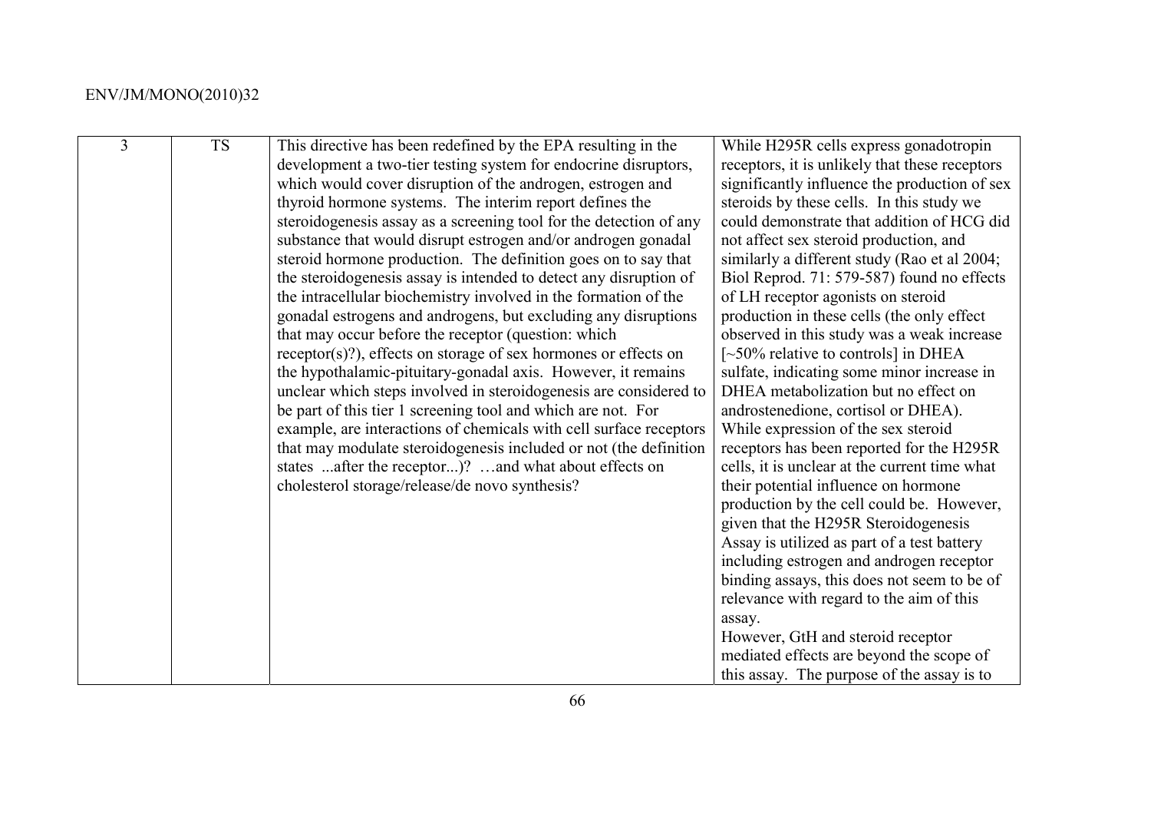| $\overline{3}$ | <b>TS</b> | This directive has been redefined by the EPA resulting in the      | While H295R cells express gonadotropin         |
|----------------|-----------|--------------------------------------------------------------------|------------------------------------------------|
|                |           | development a two-tier testing system for endocrine disruptors,    | receptors, it is unlikely that these receptors |
|                |           | which would cover disruption of the androgen, estrogen and         | significantly influence the production of sex  |
|                |           | thyroid hormone systems. The interim report defines the            | steroids by these cells. In this study we      |
|                |           | steroidogenesis assay as a screening tool for the detection of any | could demonstrate that addition of HCG did     |
|                |           | substance that would disrupt estrogen and/or androgen gonadal      | not affect sex steroid production, and         |
|                |           | steroid hormone production. The definition goes on to say that     | similarly a different study (Rao et al 2004;   |
|                |           | the steroidogenesis assay is intended to detect any disruption of  | Biol Reprod. 71: 579-587) found no effects     |
|                |           | the intracellular biochemistry involved in the formation of the    | of LH receptor agonists on steroid             |
|                |           | gonadal estrogens and androgens, but excluding any disruptions     | production in these cells (the only effect     |
|                |           | that may occur before the receptor (question: which                | observed in this study was a weak increase     |
|                |           | $receptor(s)$ ?), effects on storage of sex hormones or effects on | $\sim$ 50% relative to controls] in DHEA       |
|                |           | the hypothalamic-pituitary-gonadal axis. However, it remains       | sulfate, indicating some minor increase in     |
|                |           | unclear which steps involved in steroidogenesis are considered to  | DHEA metabolization but no effect on           |
|                |           | be part of this tier 1 screening tool and which are not. For       | androstenedione, cortisol or DHEA).            |
|                |           | example, are interactions of chemicals with cell surface receptors | While expression of the sex steroid            |
|                |           | that may modulate steroidogenesis included or not (the definition  | receptors has been reported for the H295R      |
|                |           | states after the receptor)? and what about effects on              | cells, it is unclear at the current time what  |
|                |           | cholesterol storage/release/de novo synthesis?                     | their potential influence on hormone           |
|                |           |                                                                    | production by the cell could be. However,      |
|                |           |                                                                    | given that the H295R Steroidogenesis           |
|                |           |                                                                    | Assay is utilized as part of a test battery    |
|                |           |                                                                    | including estrogen and androgen receptor       |
|                |           |                                                                    | binding assays, this does not seem to be of    |
|                |           |                                                                    | relevance with regard to the aim of this       |
|                |           |                                                                    | assay.                                         |
|                |           |                                                                    | However, GtH and steroid receptor              |
|                |           |                                                                    | mediated effects are beyond the scope of       |
|                |           |                                                                    | this assay. The purpose of the assay is to     |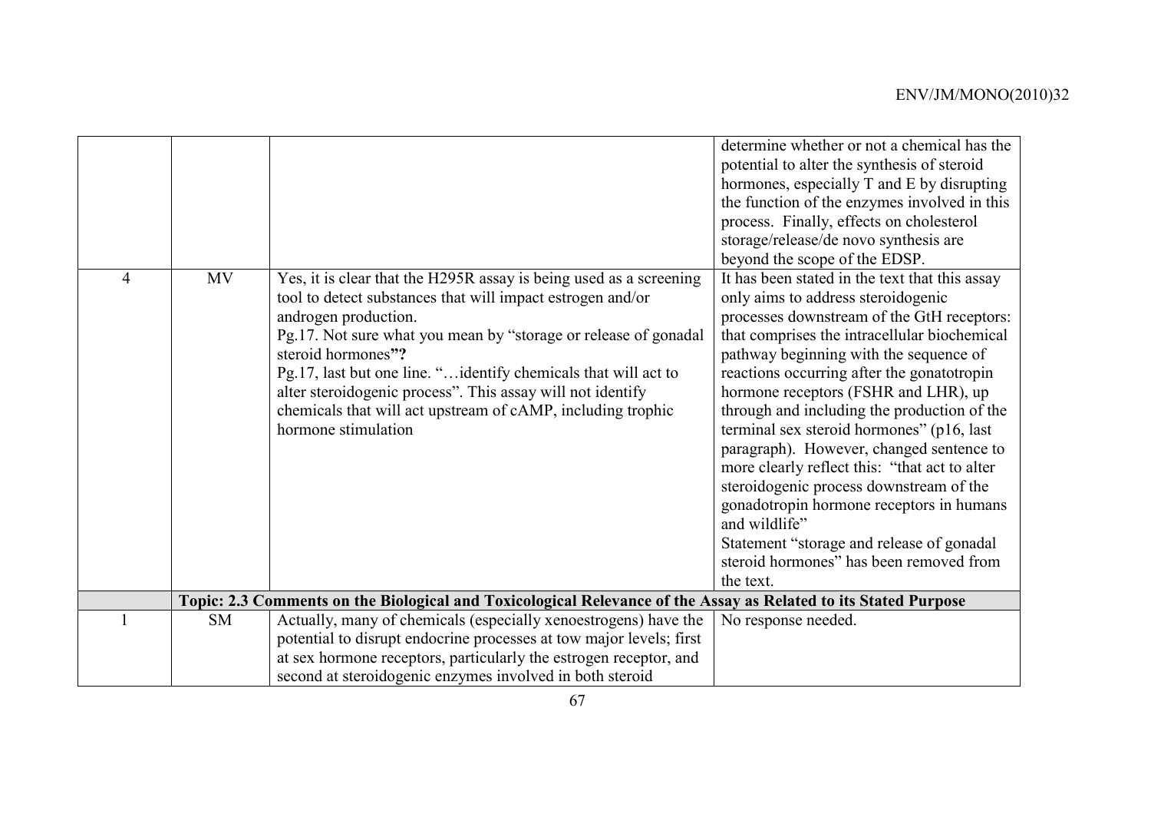|   |           |                                                                                                                                                                                                                                                                                                                                                                                                                                                                         | determine whether or not a chemical has the<br>potential to alter the synthesis of steroid<br>hormones, especially T and E by disrupting<br>the function of the enzymes involved in this<br>process. Finally, effects on cholesterol<br>storage/release/de novo synthesis are<br>beyond the scope of the EDSP.                                                                                                                                                                                                                                                                                                                                                                                                           |
|---|-----------|-------------------------------------------------------------------------------------------------------------------------------------------------------------------------------------------------------------------------------------------------------------------------------------------------------------------------------------------------------------------------------------------------------------------------------------------------------------------------|--------------------------------------------------------------------------------------------------------------------------------------------------------------------------------------------------------------------------------------------------------------------------------------------------------------------------------------------------------------------------------------------------------------------------------------------------------------------------------------------------------------------------------------------------------------------------------------------------------------------------------------------------------------------------------------------------------------------------|
| 4 | <b>MV</b> | Yes, it is clear that the H295R assay is being used as a screening<br>tool to detect substances that will impact estrogen and/or<br>androgen production.<br>Pg.17. Not sure what you mean by "storage or release of gonadal<br>steroid hormones"?<br>Pg.17, last but one line. "identify chemicals that will act to<br>alter steroidogenic process". This assay will not identify<br>chemicals that will act upstream of cAMP, including trophic<br>hormone stimulation | It has been stated in the text that this assay<br>only aims to address steroidogenic<br>processes downstream of the GtH receptors:<br>that comprises the intracellular biochemical<br>pathway beginning with the sequence of<br>reactions occurring after the gonatotropin<br>hormone receptors (FSHR and LHR), up<br>through and including the production of the<br>terminal sex steroid hormones" (p16, last<br>paragraph). However, changed sentence to<br>more clearly reflect this: "that act to alter<br>steroidogenic process downstream of the<br>gonadotropin hormone receptors in humans<br>and wildlife"<br>Statement "storage and release of gonadal<br>steroid hormones" has been removed from<br>the text. |
|   |           | Topic: 2.3 Comments on the Biological and Toxicological Relevance of the Assay as Related to its Stated Purpose                                                                                                                                                                                                                                                                                                                                                         |                                                                                                                                                                                                                                                                                                                                                                                                                                                                                                                                                                                                                                                                                                                          |
|   | <b>SM</b> | Actually, many of chemicals (especially xenoestrogens) have the<br>potential to disrupt endocrine processes at tow major levels; first<br>at sex hormone receptors, particularly the estrogen receptor, and<br>second at steroidogenic enzymes involved in both steroid                                                                                                                                                                                                 | No response needed.                                                                                                                                                                                                                                                                                                                                                                                                                                                                                                                                                                                                                                                                                                      |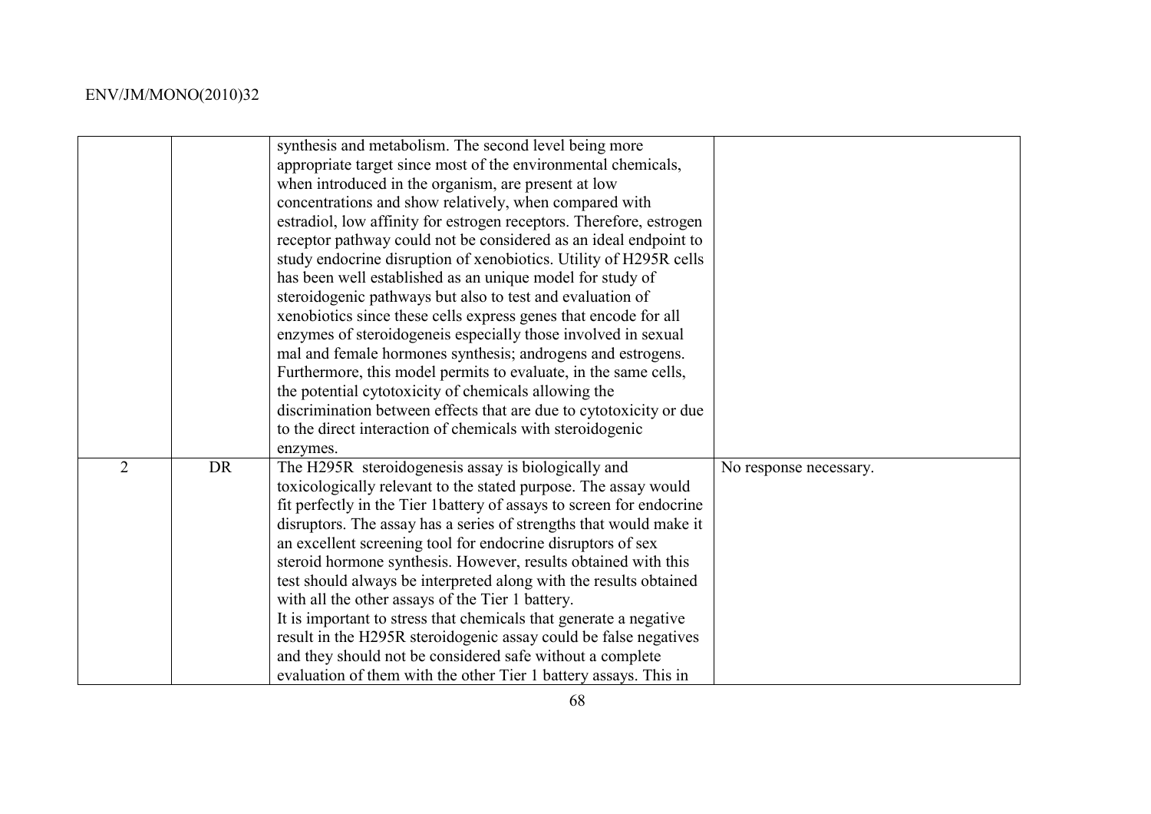|   |           | synthesis and metabolism. The second level being more<br>appropriate target since most of the environmental chemicals,<br>when introduced in the organism, are present at low<br>concentrations and show relatively, when compared with<br>estradiol, low affinity for estrogen receptors. Therefore, estrogen<br>receptor pathway could not be considered as an ideal endpoint to<br>study endocrine disruption of xenobiotics. Utility of H295R cells<br>has been well established as an unique model for study of<br>steroidogenic pathways but also to test and evaluation of<br>xenobiotics since these cells express genes that encode for all<br>enzymes of steroidogeneis especially those involved in sexual<br>mal and female hormones synthesis; androgens and estrogens.<br>Furthermore, this model permits to evaluate, in the same cells,<br>the potential cytotoxicity of chemicals allowing the<br>discrimination between effects that are due to cytotoxicity or due<br>to the direct interaction of chemicals with steroidogenic<br>enzymes. |                        |
|---|-----------|----------------------------------------------------------------------------------------------------------------------------------------------------------------------------------------------------------------------------------------------------------------------------------------------------------------------------------------------------------------------------------------------------------------------------------------------------------------------------------------------------------------------------------------------------------------------------------------------------------------------------------------------------------------------------------------------------------------------------------------------------------------------------------------------------------------------------------------------------------------------------------------------------------------------------------------------------------------------------------------------------------------------------------------------------------------|------------------------|
| 2 | <b>DR</b> | The H295R steroidogenesis assay is biologically and<br>toxicologically relevant to the stated purpose. The assay would<br>fit perfectly in the Tier 1 battery of assays to screen for endocrine<br>disruptors. The assay has a series of strengths that would make it<br>an excellent screening tool for endocrine disruptors of sex<br>steroid hormone synthesis. However, results obtained with this<br>test should always be interpreted along with the results obtained<br>with all the other assays of the Tier 1 battery.<br>It is important to stress that chemicals that generate a negative<br>result in the H295R steroidogenic assay could be false negatives<br>and they should not be considered safe without a complete<br>evaluation of them with the other Tier 1 battery assays. This in                                                                                                                                                                                                                                                      | No response necessary. |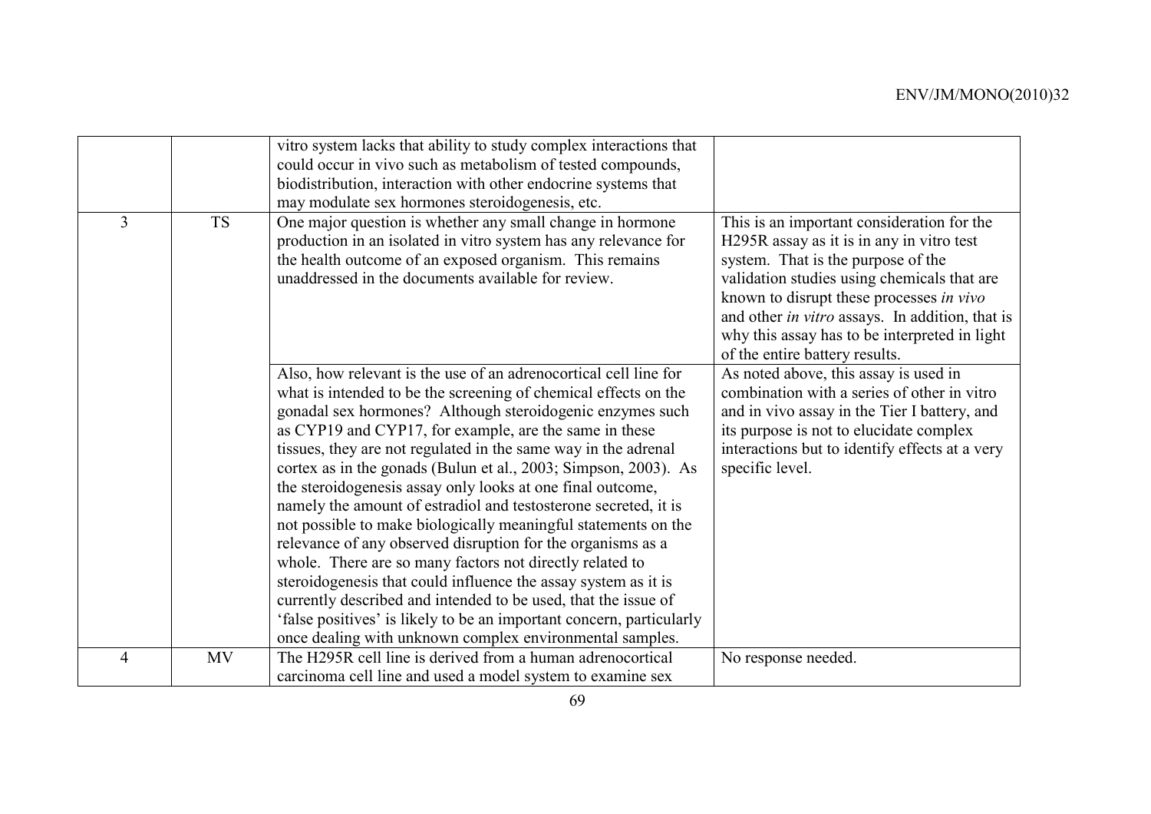|                |           | vitro system lacks that ability to study complex interactions that<br>could occur in vivo such as metabolism of tested compounds,<br>biodistribution, interaction with other endocrine systems that<br>may modulate sex hormones steroidogenesis, etc.                                                                                                                                                                                                                                                                                                                                                                                                                                                                                                                                                                                                                                                                                                                                                |                                                                                                                                                                                                                                                                                                                                                                |
|----------------|-----------|-------------------------------------------------------------------------------------------------------------------------------------------------------------------------------------------------------------------------------------------------------------------------------------------------------------------------------------------------------------------------------------------------------------------------------------------------------------------------------------------------------------------------------------------------------------------------------------------------------------------------------------------------------------------------------------------------------------------------------------------------------------------------------------------------------------------------------------------------------------------------------------------------------------------------------------------------------------------------------------------------------|----------------------------------------------------------------------------------------------------------------------------------------------------------------------------------------------------------------------------------------------------------------------------------------------------------------------------------------------------------------|
| $\overline{3}$ | <b>TS</b> | One major question is whether any small change in hormone<br>production in an isolated in vitro system has any relevance for<br>the health outcome of an exposed organism. This remains<br>unaddressed in the documents available for review.                                                                                                                                                                                                                                                                                                                                                                                                                                                                                                                                                                                                                                                                                                                                                         | This is an important consideration for the<br>H295R assay as it is in any in vitro test<br>system. That is the purpose of the<br>validation studies using chemicals that are<br>known to disrupt these processes in vivo<br>and other in vitro assays. In addition, that is<br>why this assay has to be interpreted in light<br>of the entire battery results. |
|                |           | Also, how relevant is the use of an adrenocortical cell line for<br>what is intended to be the screening of chemical effects on the<br>gonadal sex hormones? Although steroidogenic enzymes such<br>as CYP19 and CYP17, for example, are the same in these<br>tissues, they are not regulated in the same way in the adrenal<br>cortex as in the gonads (Bulun et al., 2003; Simpson, 2003). As<br>the steroidogenesis assay only looks at one final outcome,<br>namely the amount of estradiol and testosterone secreted, it is<br>not possible to make biologically meaningful statements on the<br>relevance of any observed disruption for the organisms as a<br>whole. There are so many factors not directly related to<br>steroidogenesis that could influence the assay system as it is<br>currently described and intended to be used, that the issue of<br>'false positives' is likely to be an important concern, particularly<br>once dealing with unknown complex environmental samples. | As noted above, this assay is used in<br>combination with a series of other in vitro<br>and in vivo assay in the Tier I battery, and<br>its purpose is not to elucidate complex<br>interactions but to identify effects at a very<br>specific level.                                                                                                           |
| $\overline{4}$ | <b>MV</b> | The H295R cell line is derived from a human adrenocortical<br>carcinoma cell line and used a model system to examine sex                                                                                                                                                                                                                                                                                                                                                                                                                                                                                                                                                                                                                                                                                                                                                                                                                                                                              | No response needed.                                                                                                                                                                                                                                                                                                                                            |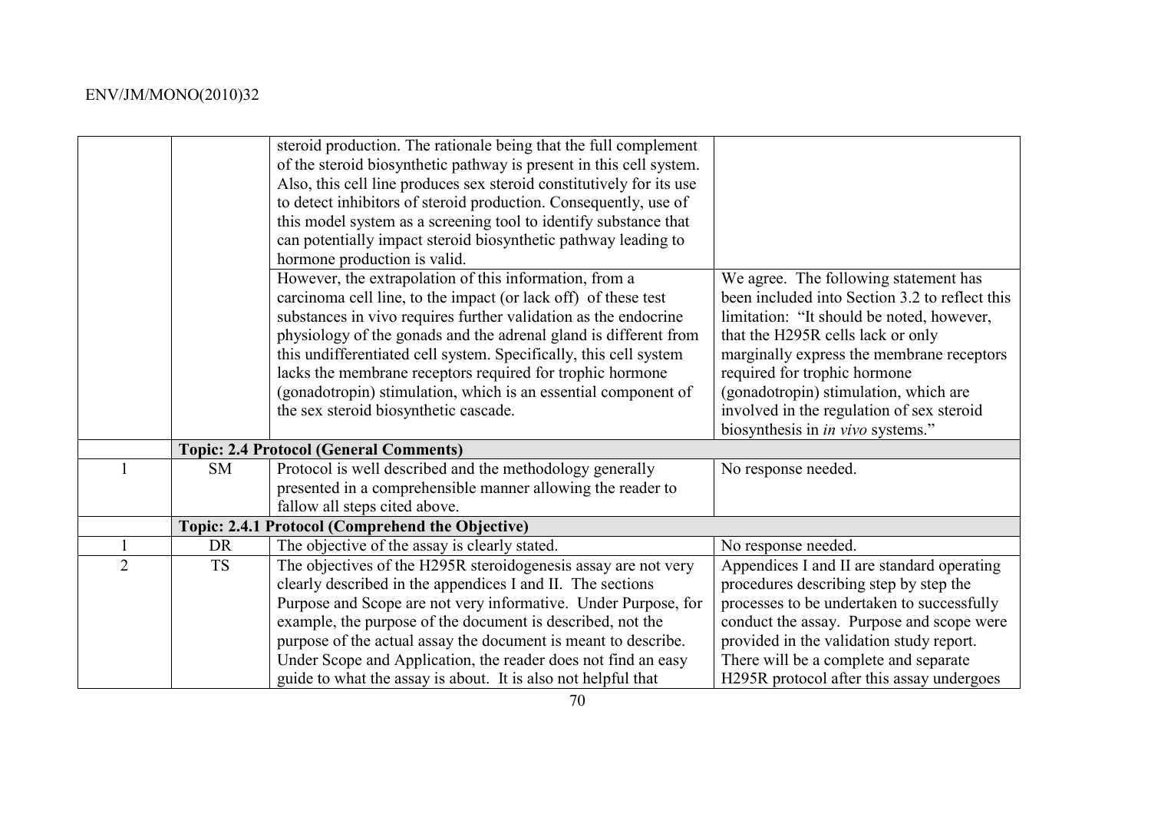|                |           | steroid production. The rationale being that the full complement<br>of the steroid biosynthetic pathway is present in this cell system.<br>Also, this cell line produces sex steroid constitutively for its use<br>to detect inhibitors of steroid production. Consequently, use of<br>this model system as a screening tool to identify substance that<br>can potentially impact steroid biosynthetic pathway leading to<br>hormone production is valid.                                                    |                                                                                                                                                                                                                                                                                                                                                                                          |
|----------------|-----------|--------------------------------------------------------------------------------------------------------------------------------------------------------------------------------------------------------------------------------------------------------------------------------------------------------------------------------------------------------------------------------------------------------------------------------------------------------------------------------------------------------------|------------------------------------------------------------------------------------------------------------------------------------------------------------------------------------------------------------------------------------------------------------------------------------------------------------------------------------------------------------------------------------------|
|                |           | However, the extrapolation of this information, from a<br>carcinoma cell line, to the impact (or lack off) of these test<br>substances in vivo requires further validation as the endocrine<br>physiology of the gonads and the adrenal gland is different from<br>this undifferentiated cell system. Specifically, this cell system<br>lacks the membrane receptors required for trophic hormone<br>(gonadotropin) stimulation, which is an essential component of<br>the sex steroid biosynthetic cascade. | We agree. The following statement has<br>been included into Section 3.2 to reflect this<br>limitation: "It should be noted, however,<br>that the H295R cells lack or only<br>marginally express the membrane receptors<br>required for trophic hormone<br>(gonadotropin) stimulation, which are<br>involved in the regulation of sex steroid<br>biosynthesis in <i>in vivo</i> systems." |
|                |           | <b>Topic: 2.4 Protocol (General Comments)</b>                                                                                                                                                                                                                                                                                                                                                                                                                                                                |                                                                                                                                                                                                                                                                                                                                                                                          |
|                | SM        | Protocol is well described and the methodology generally<br>presented in a comprehensible manner allowing the reader to<br>fallow all steps cited above.                                                                                                                                                                                                                                                                                                                                                     | No response needed.                                                                                                                                                                                                                                                                                                                                                                      |
|                |           | Topic: 2.4.1 Protocol (Comprehend the Objective)                                                                                                                                                                                                                                                                                                                                                                                                                                                             |                                                                                                                                                                                                                                                                                                                                                                                          |
|                | <b>DR</b> | The objective of the assay is clearly stated.                                                                                                                                                                                                                                                                                                                                                                                                                                                                | No response needed.                                                                                                                                                                                                                                                                                                                                                                      |
| $\overline{2}$ | <b>TS</b> | The objectives of the H295R steroidogenesis assay are not very<br>clearly described in the appendices I and II. The sections<br>Purpose and Scope are not very informative. Under Purpose, for<br>example, the purpose of the document is described, not the<br>purpose of the actual assay the document is meant to describe.<br>Under Scope and Application, the reader does not find an easy<br>guide to what the assay is about. It is also not helpful that                                             | Appendices I and II are standard operating<br>procedures describing step by step the<br>processes to be undertaken to successfully<br>conduct the assay. Purpose and scope were<br>provided in the validation study report.<br>There will be a complete and separate<br>H295R protocol after this assay undergoes                                                                        |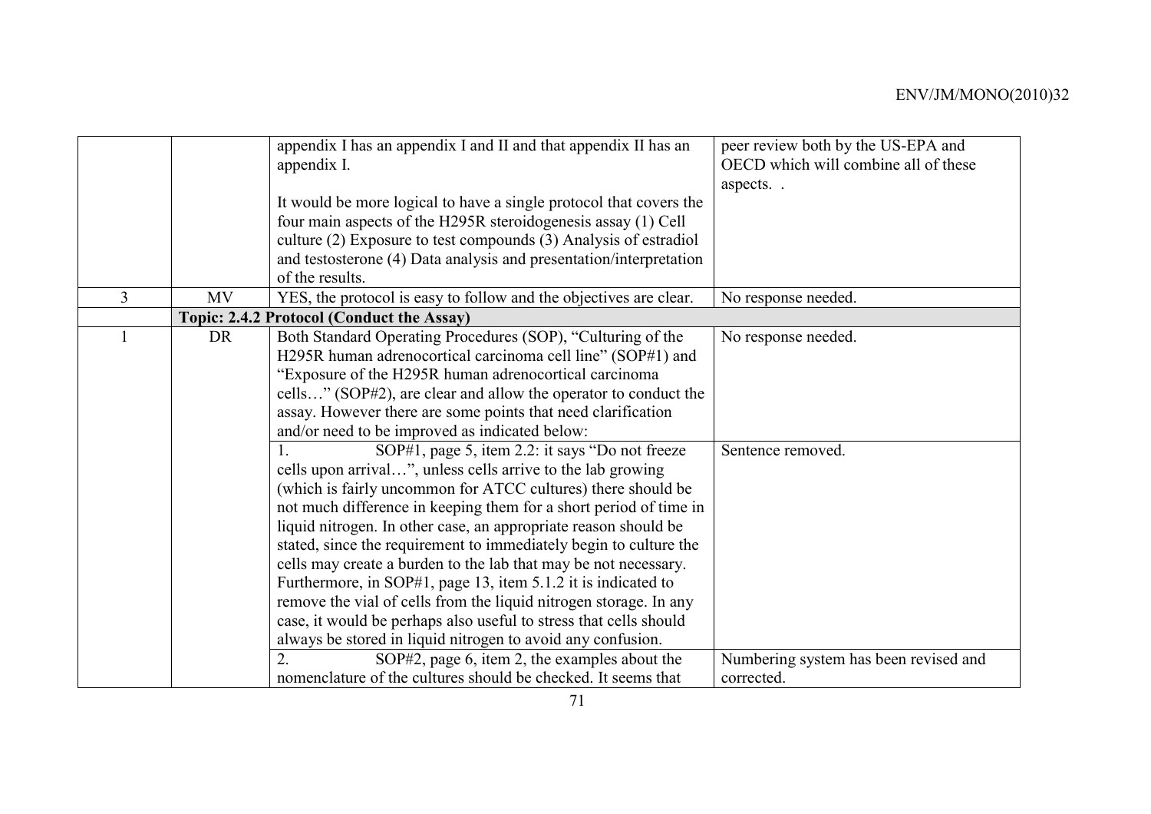|                |           | appendix I has an appendix I and II and that appendix II has an<br>appendix I.                                                      | peer review both by the US-EPA and<br>OECD which will combine all of these |
|----------------|-----------|-------------------------------------------------------------------------------------------------------------------------------------|----------------------------------------------------------------------------|
|                |           | It would be more logical to have a single protocol that covers the<br>four main aspects of the H295R steroidogenesis assay (1) Cell | aspects                                                                    |
|                |           | culture (2) Exposure to test compounds (3) Analysis of estradiol                                                                    |                                                                            |
|                |           | and testosterone (4) Data analysis and presentation/interpretation<br>of the results.                                               |                                                                            |
| $\overline{3}$ | <b>MV</b> | YES, the protocol is easy to follow and the objectives are clear.                                                                   | No response needed.                                                        |
|                |           | Topic: 2.4.2 Protocol (Conduct the Assay)                                                                                           |                                                                            |
|                | <b>DR</b> | Both Standard Operating Procedures (SOP), "Culturing of the                                                                         | No response needed.                                                        |
|                |           | H295R human adrenocortical carcinoma cell line" (SOP#1) and                                                                         |                                                                            |
|                |           | "Exposure of the H295R human adrenocortical carcinoma                                                                               |                                                                            |
|                |           | cells" (SOP#2), are clear and allow the operator to conduct the                                                                     |                                                                            |
|                |           | assay. However there are some points that need clarification                                                                        |                                                                            |
|                |           | and/or need to be improved as indicated below:                                                                                      |                                                                            |
|                |           | SOP#1, page 5, item 2.2: it says "Do not freeze"                                                                                    | Sentence removed.                                                          |
|                |           | cells upon arrival", unless cells arrive to the lab growing                                                                         |                                                                            |
|                |           | (which is fairly uncommon for ATCC cultures) there should be                                                                        |                                                                            |
|                |           | not much difference in keeping them for a short period of time in                                                                   |                                                                            |
|                |           | liquid nitrogen. In other case, an appropriate reason should be                                                                     |                                                                            |
|                |           | stated, since the requirement to immediately begin to culture the                                                                   |                                                                            |
|                |           | cells may create a burden to the lab that may be not necessary.                                                                     |                                                                            |
|                |           | Furthermore, in SOP#1, page 13, item 5.1.2 it is indicated to                                                                       |                                                                            |
|                |           | remove the vial of cells from the liquid nitrogen storage. In any                                                                   |                                                                            |
|                |           | case, it would be perhaps also useful to stress that cells should                                                                   |                                                                            |
|                |           | always be stored in liquid nitrogen to avoid any confusion.                                                                         |                                                                            |
|                |           | $\overline{2}$ .<br>SOP#2, page 6, item 2, the examples about the                                                                   | Numbering system has been revised and                                      |
|                |           | nomenclature of the cultures should be checked. It seems that                                                                       | corrected.                                                                 |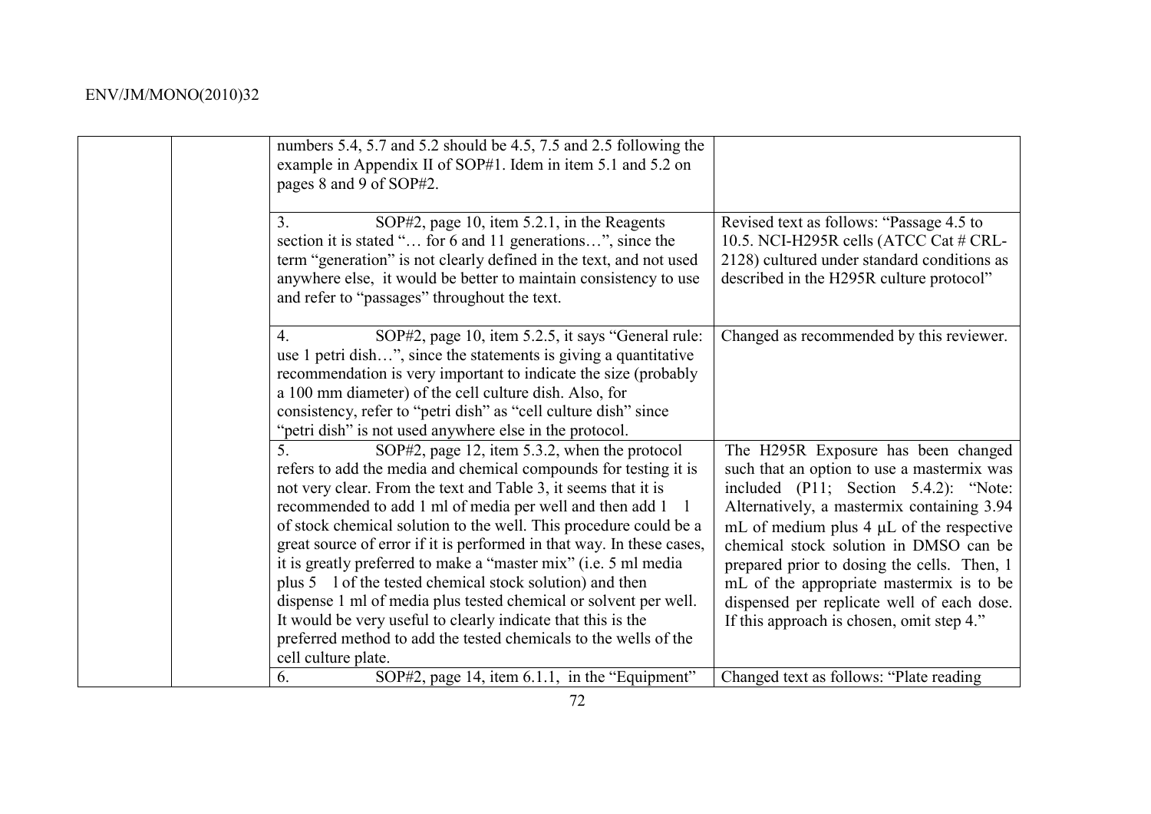| numbers 5.4, 5.7 and 5.2 should be 4.5, 7.5 and 2.5 following the<br>example in Appendix II of SOP#1. Idem in item 5.1 and 5.2 on<br>pages 8 and 9 of SOP#2.                                                                                                                                                                                                                                                                                                                                                                                                                                                                                                                                                                                                      |                                                                                                                                                                                                                                                                                                                                                                                                                                                           |
|-------------------------------------------------------------------------------------------------------------------------------------------------------------------------------------------------------------------------------------------------------------------------------------------------------------------------------------------------------------------------------------------------------------------------------------------------------------------------------------------------------------------------------------------------------------------------------------------------------------------------------------------------------------------------------------------------------------------------------------------------------------------|-----------------------------------------------------------------------------------------------------------------------------------------------------------------------------------------------------------------------------------------------------------------------------------------------------------------------------------------------------------------------------------------------------------------------------------------------------------|
| SOP#2, page 10, item 5.2.1, in the Reagents<br>3.<br>section it is stated " for 6 and 11 generations", since the<br>term "generation" is not clearly defined in the text, and not used<br>anywhere else, it would be better to maintain consistency to use<br>and refer to "passages" throughout the text.                                                                                                                                                                                                                                                                                                                                                                                                                                                        | Revised text as follows: "Passage 4.5 to<br>10.5. NCI-H295R cells (ATCC Cat # CRL-<br>2128) cultured under standard conditions as<br>described in the H295R culture protocol"                                                                                                                                                                                                                                                                             |
| SOP#2, page 10, item 5.2.5, it says "General rule:<br>$\overline{4}$ .<br>use 1 petri dish", since the statements is giving a quantitative<br>recommendation is very important to indicate the size (probably<br>a 100 mm diameter) of the cell culture dish. Also, for<br>consistency, refer to "petri dish" as "cell culture dish" since<br>"petri dish" is not used anywhere else in the protocol.                                                                                                                                                                                                                                                                                                                                                             | Changed as recommended by this reviewer.                                                                                                                                                                                                                                                                                                                                                                                                                  |
| 5.<br>SOP#2, page 12, item 5.3.2, when the protocol<br>refers to add the media and chemical compounds for testing it is<br>not very clear. From the text and Table 3, it seems that it is<br>recommended to add 1 ml of media per well and then add 1<br>of stock chemical solution to the well. This procedure could be a<br>great source of error if it is performed in that way. In these cases,<br>it is greatly preferred to make a "master mix" (i.e. 5 ml media<br>plus 5 1 of the tested chemical stock solution) and then<br>dispense 1 ml of media plus tested chemical or solvent per well.<br>It would be very useful to clearly indicate that this is the<br>preferred method to add the tested chemicals to the wells of the<br>cell culture plate. | The H295R Exposure has been changed<br>such that an option to use a mastermix was<br>included (P11; Section 5.4.2): "Note:<br>Alternatively, a mastermix containing 3.94<br>mL of medium plus $4 \mu L$ of the respective<br>chemical stock solution in DMSO can be<br>prepared prior to dosing the cells. Then, 1<br>mL of the appropriate mastermix is to be<br>dispensed per replicate well of each dose.<br>If this approach is chosen, omit step 4." |
| SOP#2, page 14, item 6.1.1, in the "Equipment"<br>6.                                                                                                                                                                                                                                                                                                                                                                                                                                                                                                                                                                                                                                                                                                              | Changed text as follows: "Plate reading                                                                                                                                                                                                                                                                                                                                                                                                                   |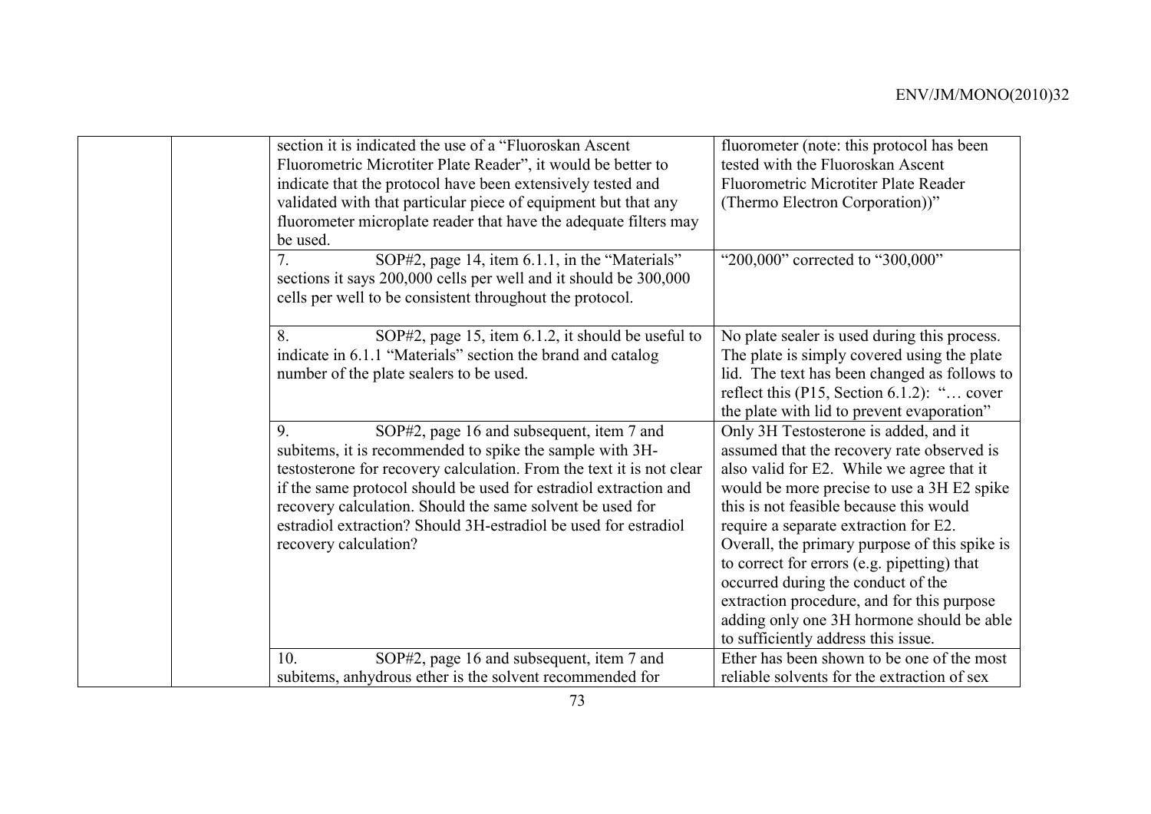| section it is indicated the use of a "Fluoroskan Ascent"<br>fluorometer (note: this protocol has been<br>Fluorometric Microtiter Plate Reader", it would be better to<br>tested with the Fluoroskan Ascent<br>indicate that the protocol have been extensively tested and<br><b>Fluorometric Microtiter Plate Reader</b><br>validated with that particular piece of equipment but that any<br>(Thermo Electron Corporation))"<br>fluorometer microplate reader that have the adequate filters may<br>be used. |  |
|---------------------------------------------------------------------------------------------------------------------------------------------------------------------------------------------------------------------------------------------------------------------------------------------------------------------------------------------------------------------------------------------------------------------------------------------------------------------------------------------------------------|--|
|                                                                                                                                                                                                                                                                                                                                                                                                                                                                                                               |  |
|                                                                                                                                                                                                                                                                                                                                                                                                                                                                                                               |  |
|                                                                                                                                                                                                                                                                                                                                                                                                                                                                                                               |  |
|                                                                                                                                                                                                                                                                                                                                                                                                                                                                                                               |  |
|                                                                                                                                                                                                                                                                                                                                                                                                                                                                                                               |  |
|                                                                                                                                                                                                                                                                                                                                                                                                                                                                                                               |  |
| 7.<br>SOP#2, page 14, item 6.1.1, in the "Materials"<br>"200,000" corrected to "300,000"                                                                                                                                                                                                                                                                                                                                                                                                                      |  |
| sections it says 200,000 cells per well and it should be 300,000                                                                                                                                                                                                                                                                                                                                                                                                                                              |  |
| cells per well to be consistent throughout the protocol.                                                                                                                                                                                                                                                                                                                                                                                                                                                      |  |
|                                                                                                                                                                                                                                                                                                                                                                                                                                                                                                               |  |
| SOP#2, page 15, item 6.1.2, it should be useful to<br>No plate sealer is used during this process.<br>8.                                                                                                                                                                                                                                                                                                                                                                                                      |  |
| indicate in 6.1.1 "Materials" section the brand and catalog<br>The plate is simply covered using the plate                                                                                                                                                                                                                                                                                                                                                                                                    |  |
| lid. The text has been changed as follows to<br>number of the plate sealers to be used.                                                                                                                                                                                                                                                                                                                                                                                                                       |  |
| reflect this $(P15, Section 6.1.2)$ : " cover                                                                                                                                                                                                                                                                                                                                                                                                                                                                 |  |
| the plate with lid to prevent evaporation"                                                                                                                                                                                                                                                                                                                                                                                                                                                                    |  |
| 9.<br>SOP#2, page 16 and subsequent, item 7 and<br>Only 3H Testosterone is added, and it                                                                                                                                                                                                                                                                                                                                                                                                                      |  |
| subitems, it is recommended to spike the sample with 3H-<br>assumed that the recovery rate observed is                                                                                                                                                                                                                                                                                                                                                                                                        |  |
| testosterone for recovery calculation. From the text it is not clear<br>also valid for E2. While we agree that it                                                                                                                                                                                                                                                                                                                                                                                             |  |
| if the same protocol should be used for estradiol extraction and<br>would be more precise to use a 3H E2 spike                                                                                                                                                                                                                                                                                                                                                                                                |  |
| this is not feasible because this would<br>recovery calculation. Should the same solvent be used for                                                                                                                                                                                                                                                                                                                                                                                                          |  |
| estradiol extraction? Should 3H-estradiol be used for estradiol<br>require a separate extraction for E2.                                                                                                                                                                                                                                                                                                                                                                                                      |  |
| Overall, the primary purpose of this spike is<br>recovery calculation?                                                                                                                                                                                                                                                                                                                                                                                                                                        |  |
| to correct for errors (e.g. pipetting) that                                                                                                                                                                                                                                                                                                                                                                                                                                                                   |  |
| occurred during the conduct of the                                                                                                                                                                                                                                                                                                                                                                                                                                                                            |  |
| extraction procedure, and for this purpose                                                                                                                                                                                                                                                                                                                                                                                                                                                                    |  |
| adding only one 3H hormone should be able                                                                                                                                                                                                                                                                                                                                                                                                                                                                     |  |
|                                                                                                                                                                                                                                                                                                                                                                                                                                                                                                               |  |
|                                                                                                                                                                                                                                                                                                                                                                                                                                                                                                               |  |
| to sufficiently address this issue.<br>SOP#2, page 16 and subsequent, item 7 and<br>Ether has been shown to be one of the most<br>10.                                                                                                                                                                                                                                                                                                                                                                         |  |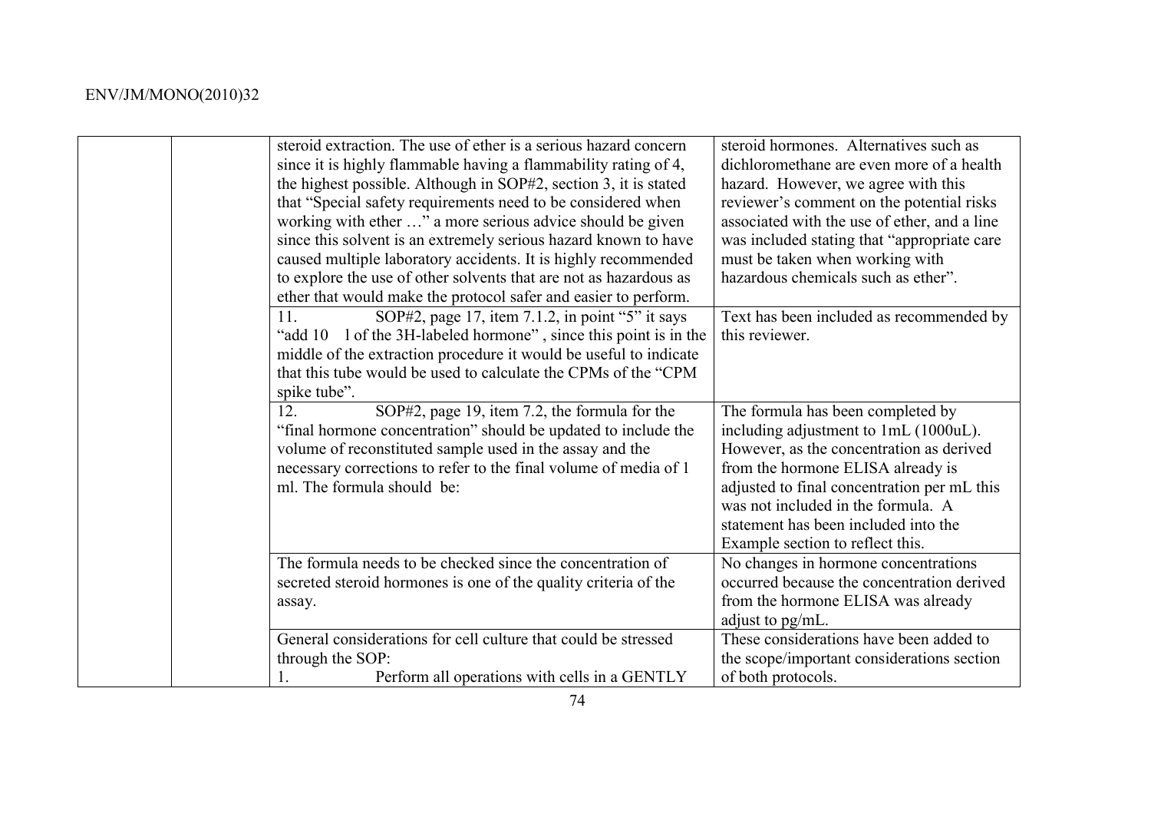| steroid extraction. The use of ether is a serious hazard concern<br>since it is highly flammable having a flammability rating of 4,<br>the highest possible. Although in SOP#2, section 3, it is stated<br>that "Special safety requirements need to be considered when<br>working with ether " a more serious advice should be given<br>since this solvent is an extremely serious hazard known to have<br>caused multiple laboratory accidents. It is highly recommended<br>to explore the use of other solvents that are not as hazardous as<br>ether that would make the protocol safer and easier to perform. | steroid hormones. Alternatives such as<br>dichloromethane are even more of a health<br>hazard. However, we agree with this<br>reviewer's comment on the potential risks<br>associated with the use of ether, and a line<br>was included stating that "appropriate care"<br>must be taken when working with<br>hazardous chemicals such as ether". |
|--------------------------------------------------------------------------------------------------------------------------------------------------------------------------------------------------------------------------------------------------------------------------------------------------------------------------------------------------------------------------------------------------------------------------------------------------------------------------------------------------------------------------------------------------------------------------------------------------------------------|---------------------------------------------------------------------------------------------------------------------------------------------------------------------------------------------------------------------------------------------------------------------------------------------------------------------------------------------------|
| SOP#2, page 17, item 7.1.2, in point "5" it says<br>11<br>"add 10 1 of the 3H-labeled hormone", since this point is in the<br>middle of the extraction procedure it would be useful to indicate<br>that this tube would be used to calculate the CPMs of the "CPM<br>spike tube".                                                                                                                                                                                                                                                                                                                                  | Text has been included as recommended by<br>this reviewer.                                                                                                                                                                                                                                                                                        |
| 12.<br>SOP#2, page 19, item 7.2, the formula for the<br>"final hormone concentration" should be updated to include the<br>volume of reconstituted sample used in the assay and the<br>necessary corrections to refer to the final volume of media of 1<br>ml. The formula should be:                                                                                                                                                                                                                                                                                                                               | The formula has been completed by<br>including adjustment to 1mL (1000uL).<br>However, as the concentration as derived<br>from the hormone ELISA already is<br>adjusted to final concentration per mL this<br>was not included in the formula. A<br>statement has been included into the<br>Example section to reflect this.                      |
| The formula needs to be checked since the concentration of<br>secreted steroid hormones is one of the quality criteria of the<br>assay.                                                                                                                                                                                                                                                                                                                                                                                                                                                                            | No changes in hormone concentrations<br>occurred because the concentration derived<br>from the hormone ELISA was already<br>adjust to pg/mL.                                                                                                                                                                                                      |
| General considerations for cell culture that could be stressed<br>through the SOP:<br>Perform all operations with cells in a GENTLY                                                                                                                                                                                                                                                                                                                                                                                                                                                                                | These considerations have been added to<br>the scope/important considerations section<br>of both protocols.                                                                                                                                                                                                                                       |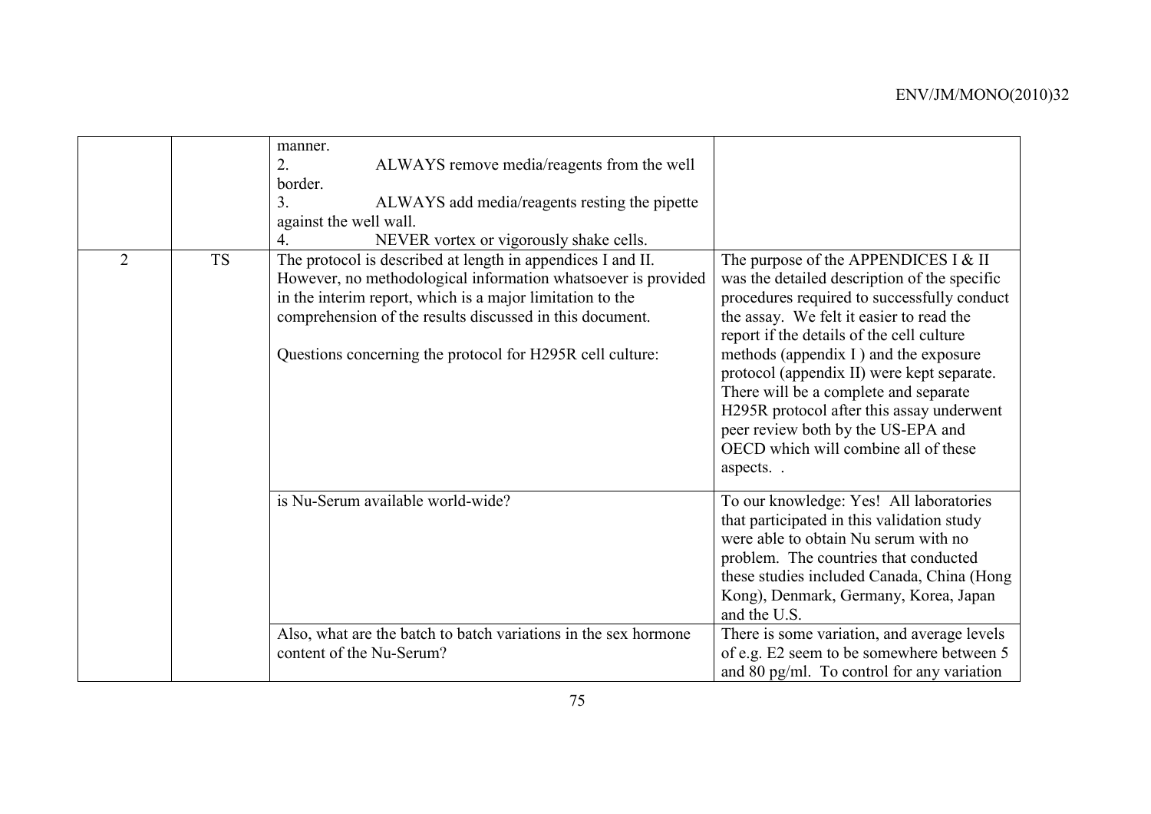|                |           | manner.<br>ALWAYS remove media/reagents from the well<br>2.<br>border.<br>3 <sub>1</sub><br>ALWAYS add media/reagents resting the pipette<br>against the well wall.<br>NEVER vortex or vigorously shake cells.<br>$\overline{4}$ .                                                                                 |                                                                                                                                                                                                                                                                                                                                                                                                                                                                                                       |
|----------------|-----------|--------------------------------------------------------------------------------------------------------------------------------------------------------------------------------------------------------------------------------------------------------------------------------------------------------------------|-------------------------------------------------------------------------------------------------------------------------------------------------------------------------------------------------------------------------------------------------------------------------------------------------------------------------------------------------------------------------------------------------------------------------------------------------------------------------------------------------------|
| $\overline{2}$ | <b>TS</b> | The protocol is described at length in appendices I and II.<br>However, no methodological information whatsoever is provided<br>in the interim report, which is a major limitation to the<br>comprehension of the results discussed in this document.<br>Questions concerning the protocol for H295R cell culture: | The purpose of the APPENDICES I $&$ II<br>was the detailed description of the specific<br>procedures required to successfully conduct<br>the assay. We felt it easier to read the<br>report if the details of the cell culture<br>methods (appendix I) and the exposure<br>protocol (appendix II) were kept separate.<br>There will be a complete and separate<br>H295R protocol after this assay underwent<br>peer review both by the US-EPA and<br>OECD which will combine all of these<br>aspects. |
|                |           | is Nu-Serum available world-wide?<br>Also, what are the batch to batch variations in the sex hormone                                                                                                                                                                                                               | To our knowledge: Yes! All laboratories<br>that participated in this validation study<br>were able to obtain Nu serum with no<br>problem. The countries that conducted<br>these studies included Canada, China (Hong<br>Kong), Denmark, Germany, Korea, Japan<br>and the U.S.<br>There is some variation, and average levels                                                                                                                                                                          |
|                |           | content of the Nu-Serum?                                                                                                                                                                                                                                                                                           | of e.g. E2 seem to be somewhere between 5<br>and 80 pg/ml. To control for any variation                                                                                                                                                                                                                                                                                                                                                                                                               |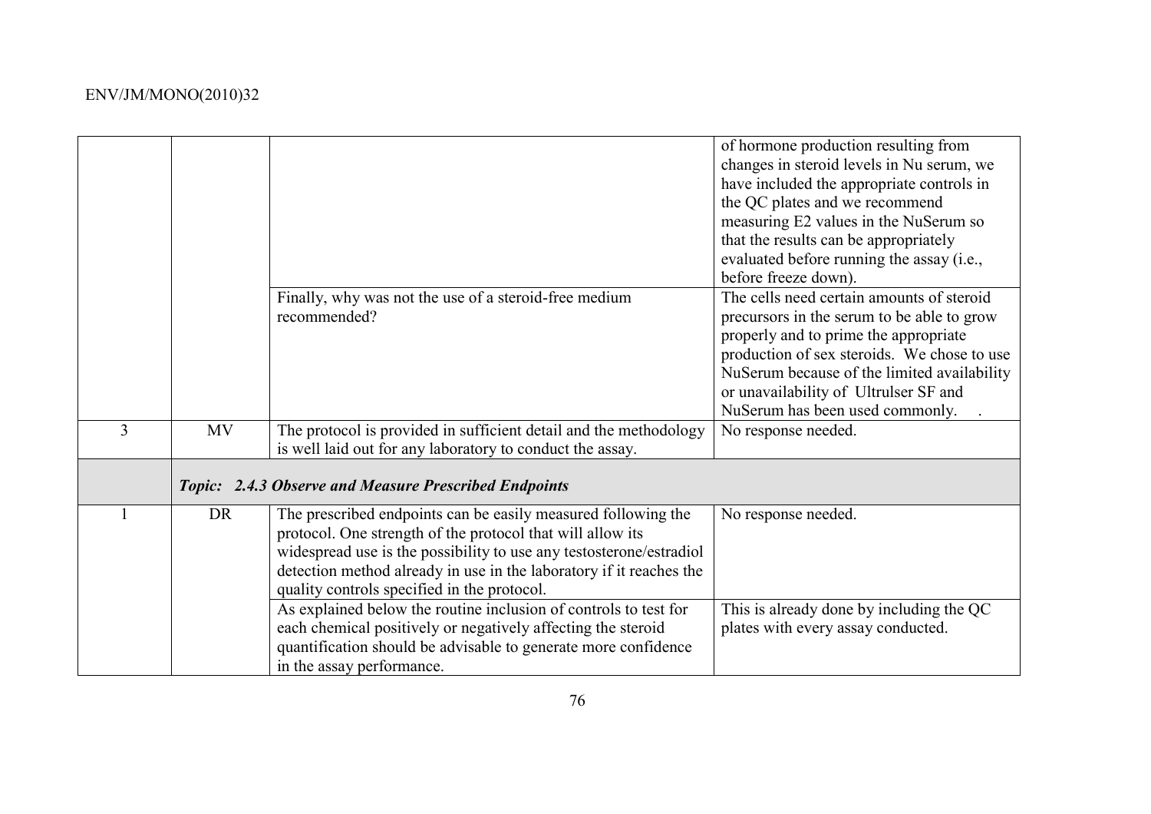|   |           | Finally, why was not the use of a steroid-free medium<br>recommended?                                                                                                                                                                                                                                                    | of hormone production resulting from<br>changes in steroid levels in Nu serum, we<br>have included the appropriate controls in<br>the QC plates and we recommend<br>measuring E2 values in the NuSerum so<br>that the results can be appropriately<br>evaluated before running the assay (i.e.,<br>before freeze down).<br>The cells need certain amounts of steroid<br>precursors in the serum to be able to grow |
|---|-----------|--------------------------------------------------------------------------------------------------------------------------------------------------------------------------------------------------------------------------------------------------------------------------------------------------------------------------|--------------------------------------------------------------------------------------------------------------------------------------------------------------------------------------------------------------------------------------------------------------------------------------------------------------------------------------------------------------------------------------------------------------------|
|   |           |                                                                                                                                                                                                                                                                                                                          | properly and to prime the appropriate<br>production of sex steroids. We chose to use<br>NuSerum because of the limited availability<br>or unavailability of Ultrulser SF and<br>NuSerum has been used commonly.                                                                                                                                                                                                    |
| 3 | <b>MV</b> | The protocol is provided in sufficient detail and the methodology<br>is well laid out for any laboratory to conduct the assay.                                                                                                                                                                                           | No response needed.                                                                                                                                                                                                                                                                                                                                                                                                |
|   |           | Topic: 2.4.3 Observe and Measure Prescribed Endpoints                                                                                                                                                                                                                                                                    |                                                                                                                                                                                                                                                                                                                                                                                                                    |
|   | <b>DR</b> | The prescribed endpoints can be easily measured following the<br>protocol. One strength of the protocol that will allow its<br>widespread use is the possibility to use any testosterone/estradiol<br>detection method already in use in the laboratory if it reaches the<br>quality controls specified in the protocol. | No response needed.                                                                                                                                                                                                                                                                                                                                                                                                |
|   |           | As explained below the routine inclusion of controls to test for<br>each chemical positively or negatively affecting the steroid<br>quantification should be advisable to generate more confidence<br>in the assay performance.                                                                                          | This is already done by including the QC<br>plates with every assay conducted.                                                                                                                                                                                                                                                                                                                                     |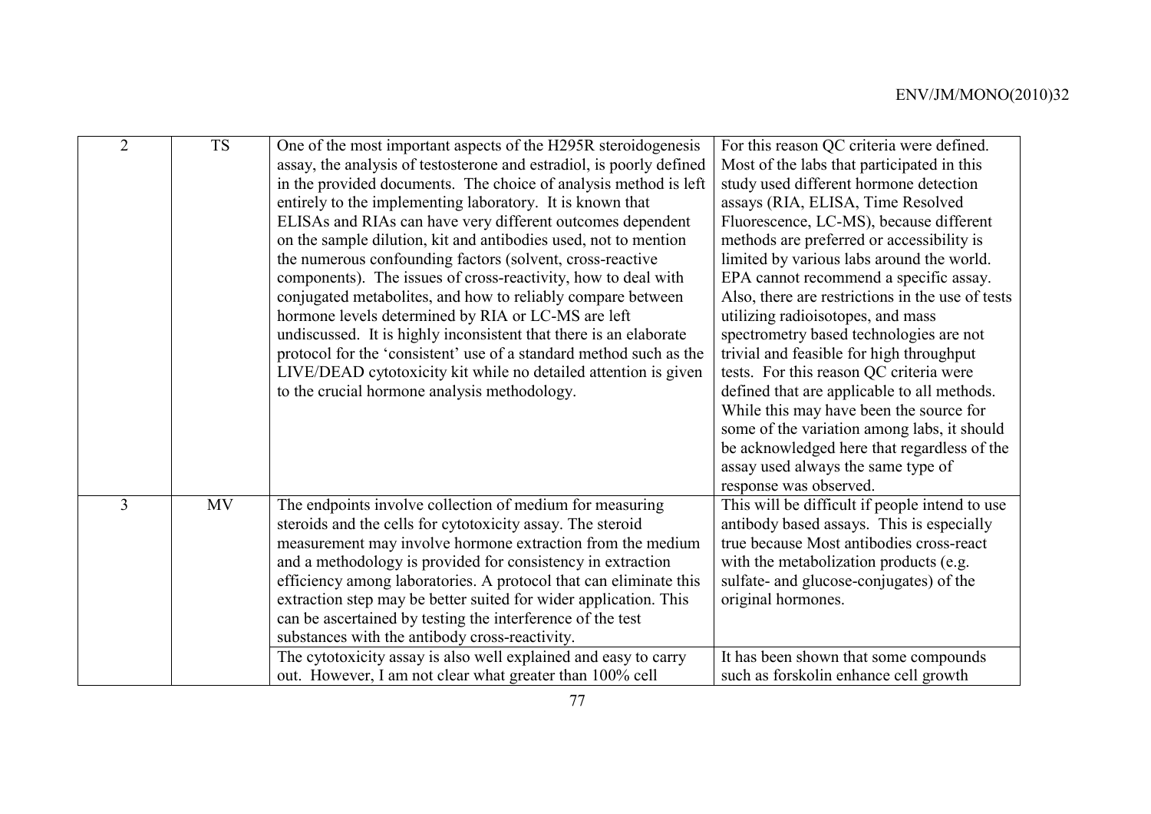| $\overline{2}$ | <b>TS</b> | One of the most important aspects of the H295R steroidogenesis       | For this reason QC criteria were defined.        |
|----------------|-----------|----------------------------------------------------------------------|--------------------------------------------------|
|                |           | assay, the analysis of testosterone and estradiol, is poorly defined | Most of the labs that participated in this       |
|                |           | in the provided documents. The choice of analysis method is left     | study used different hormone detection           |
|                |           | entirely to the implementing laboratory. It is known that            | assays (RIA, ELISA, Time Resolved                |
|                |           | ELISAs and RIAs can have very different outcomes dependent           | Fluorescence, LC-MS), because different          |
|                |           | on the sample dilution, kit and antibodies used, not to mention      | methods are preferred or accessibility is        |
|                |           | the numerous confounding factors (solvent, cross-reactive            | limited by various labs around the world.        |
|                |           | components). The issues of cross-reactivity, how to deal with        | EPA cannot recommend a specific assay.           |
|                |           | conjugated metabolites, and how to reliably compare between          | Also, there are restrictions in the use of tests |
|                |           | hormone levels determined by RIA or LC-MS are left                   | utilizing radioisotopes, and mass                |
|                |           | undiscussed. It is highly inconsistent that there is an elaborate    | spectrometry based technologies are not          |
|                |           | protocol for the 'consistent' use of a standard method such as the   | trivial and feasible for high throughput         |
|                |           | LIVE/DEAD cytotoxicity kit while no detailed attention is given      | tests. For this reason QC criteria were          |
|                |           | to the crucial hormone analysis methodology.                         | defined that are applicable to all methods.      |
|                |           |                                                                      | While this may have been the source for          |
|                |           |                                                                      | some of the variation among labs, it should      |
|                |           |                                                                      | be acknowledged here that regardless of the      |
|                |           |                                                                      | assay used always the same type of               |
|                |           |                                                                      | response was observed.                           |
| $\overline{3}$ | MV        | The endpoints involve collection of medium for measuring             | This will be difficult if people intend to use   |
|                |           | steroids and the cells for cytotoxicity assay. The steroid           | antibody based assays. This is especially        |
|                |           | measurement may involve hormone extraction from the medium           | true because Most antibodies cross-react         |
|                |           | and a methodology is provided for consistency in extraction          | with the metabolization products (e.g.           |
|                |           | efficiency among laboratories. A protocol that can eliminate this    | sulfate- and glucose-conjugates) of the          |
|                |           | extraction step may be better suited for wider application. This     | original hormones.                               |
|                |           | can be ascertained by testing the interference of the test           |                                                  |
|                |           | substances with the antibody cross-reactivity.                       |                                                  |
|                |           | The cytotoxicity assay is also well explained and easy to carry      | It has been shown that some compounds            |
|                |           | out. However, I am not clear what greater than 100% cell             | such as forskolin enhance cell growth            |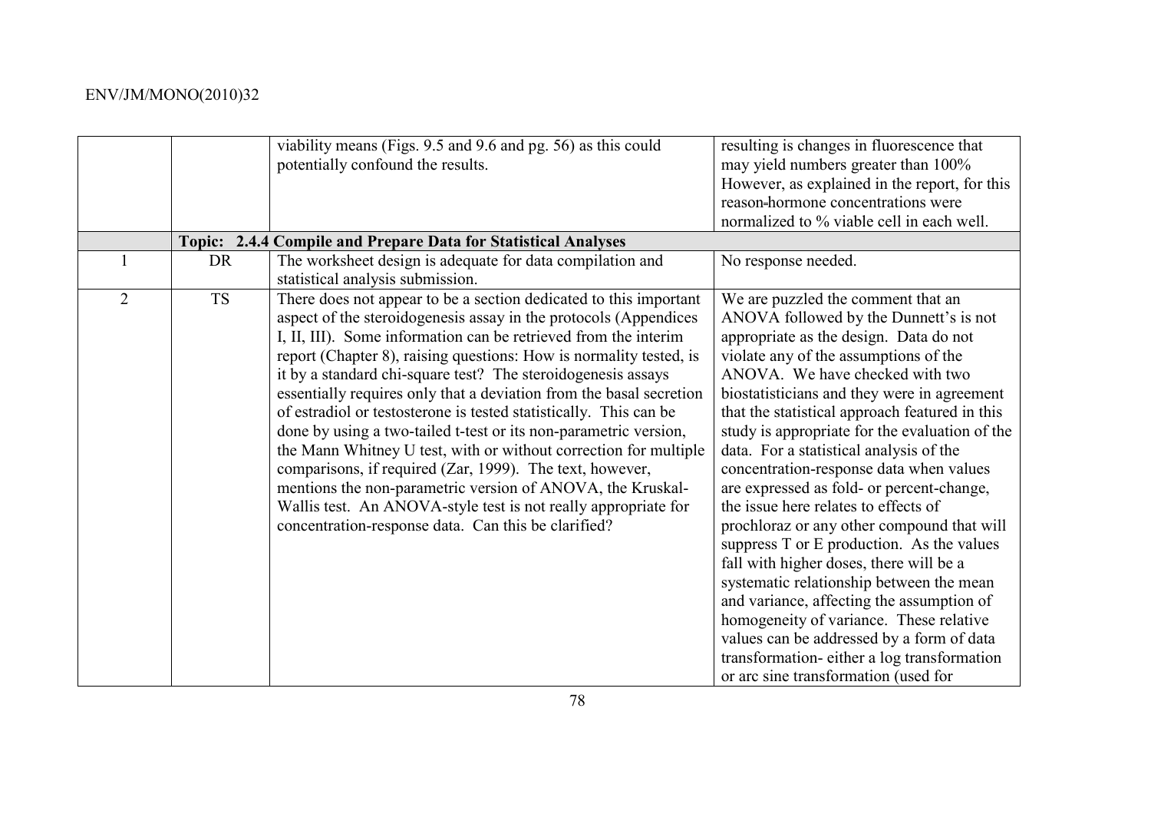|                |           | viability means (Figs. 9.5 and 9.6 and pg. 56) as this could<br>potentially confound the results.                                                                                                                                                                                                                                                                                                                                                                                                                                                                                                                                                                                                                                                                                                                                                                                     | resulting is changes in fluorescence that<br>may yield numbers greater than 100%<br>However, as explained in the report, for this<br>reason-hormone concentrations were<br>normalized to % viable cell in each well.                                                                                                                                                                                                                                                                                                                                                                                                                                                                                                                                                                                                                                                                                                                          |
|----------------|-----------|---------------------------------------------------------------------------------------------------------------------------------------------------------------------------------------------------------------------------------------------------------------------------------------------------------------------------------------------------------------------------------------------------------------------------------------------------------------------------------------------------------------------------------------------------------------------------------------------------------------------------------------------------------------------------------------------------------------------------------------------------------------------------------------------------------------------------------------------------------------------------------------|-----------------------------------------------------------------------------------------------------------------------------------------------------------------------------------------------------------------------------------------------------------------------------------------------------------------------------------------------------------------------------------------------------------------------------------------------------------------------------------------------------------------------------------------------------------------------------------------------------------------------------------------------------------------------------------------------------------------------------------------------------------------------------------------------------------------------------------------------------------------------------------------------------------------------------------------------|
|                |           | Topic: 2.4.4 Compile and Prepare Data for Statistical Analyses                                                                                                                                                                                                                                                                                                                                                                                                                                                                                                                                                                                                                                                                                                                                                                                                                        |                                                                                                                                                                                                                                                                                                                                                                                                                                                                                                                                                                                                                                                                                                                                                                                                                                                                                                                                               |
|                | <b>DR</b> | The worksheet design is adequate for data compilation and<br>statistical analysis submission.                                                                                                                                                                                                                                                                                                                                                                                                                                                                                                                                                                                                                                                                                                                                                                                         | No response needed.                                                                                                                                                                                                                                                                                                                                                                                                                                                                                                                                                                                                                                                                                                                                                                                                                                                                                                                           |
| $\overline{2}$ | <b>TS</b> | There does not appear to be a section dedicated to this important<br>aspect of the steroidogenesis assay in the protocols (Appendices<br>I, II, III). Some information can be retrieved from the interim<br>report (Chapter 8), raising questions: How is normality tested, is<br>it by a standard chi-square test? The steroidogenesis assays<br>essentially requires only that a deviation from the basal secretion<br>of estradiol or testosterone is tested statistically. This can be<br>done by using a two-tailed t-test or its non-parametric version,<br>the Mann Whitney U test, with or without correction for multiple<br>comparisons, if required (Zar, 1999). The text, however,<br>mentions the non-parametric version of ANOVA, the Kruskal-<br>Wallis test. An ANOVA-style test is not really appropriate for<br>concentration-response data. Can this be clarified? | We are puzzled the comment that an<br>ANOVA followed by the Dunnett's is not<br>appropriate as the design. Data do not<br>violate any of the assumptions of the<br>ANOVA. We have checked with two<br>biostatisticians and they were in agreement<br>that the statistical approach featured in this<br>study is appropriate for the evaluation of the<br>data. For a statistical analysis of the<br>concentration-response data when values<br>are expressed as fold- or percent-change,<br>the issue here relates to effects of<br>prochloraz or any other compound that will<br>suppress T or E production. As the values<br>fall with higher doses, there will be a<br>systematic relationship between the mean<br>and variance, affecting the assumption of<br>homogeneity of variance. These relative<br>values can be addressed by a form of data<br>transformation-either a log transformation<br>or arc sine transformation (used for |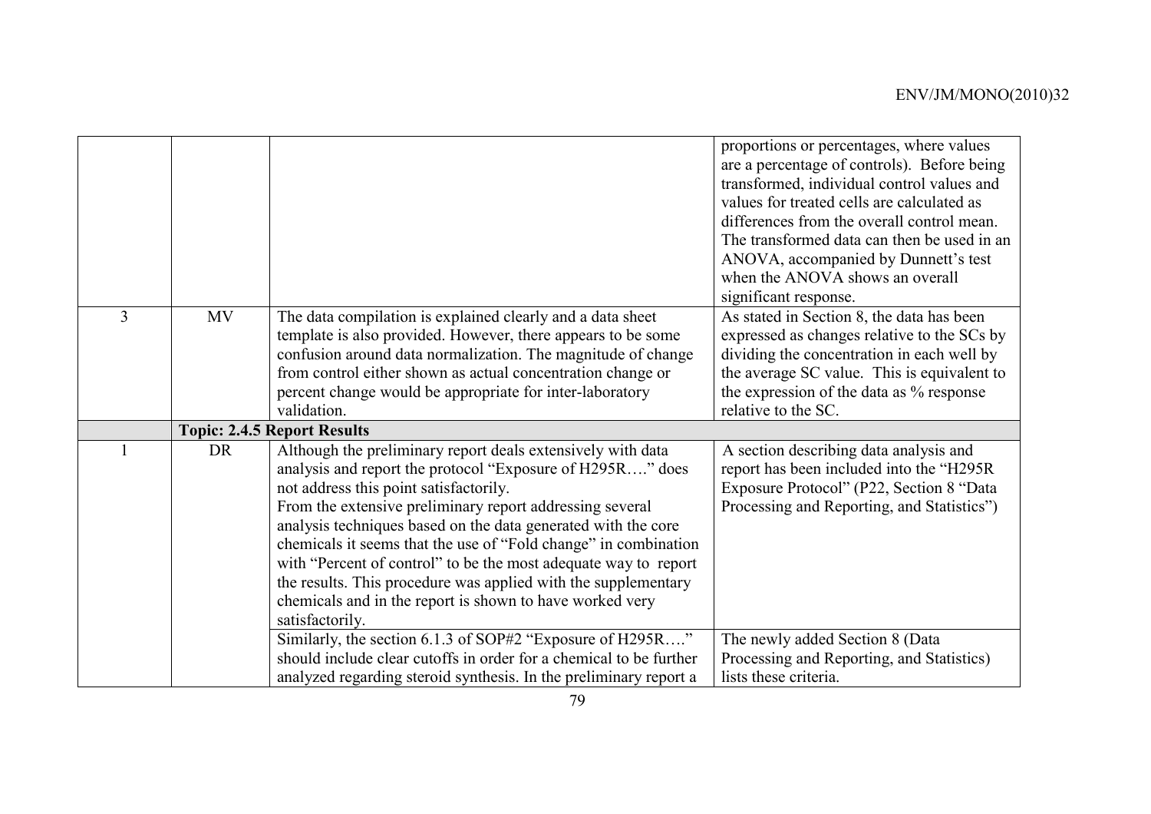|   |           |                                                                                                                                                                                                                                                                                                                                                                                                                                                                                                                                                                                        | proportions or percentages, where values<br>are a percentage of controls). Before being<br>transformed, individual control values and<br>values for treated cells are calculated as<br>differences from the overall control mean.<br>The transformed data can then be used in an<br>ANOVA, accompanied by Dunnett's test<br>when the ANOVA shows an overall<br>significant response. |
|---|-----------|----------------------------------------------------------------------------------------------------------------------------------------------------------------------------------------------------------------------------------------------------------------------------------------------------------------------------------------------------------------------------------------------------------------------------------------------------------------------------------------------------------------------------------------------------------------------------------------|--------------------------------------------------------------------------------------------------------------------------------------------------------------------------------------------------------------------------------------------------------------------------------------------------------------------------------------------------------------------------------------|
| 3 | <b>MV</b> | The data compilation is explained clearly and a data sheet<br>template is also provided. However, there appears to be some                                                                                                                                                                                                                                                                                                                                                                                                                                                             | As stated in Section 8, the data has been<br>expressed as changes relative to the SCs by                                                                                                                                                                                                                                                                                             |
|   |           | confusion around data normalization. The magnitude of change                                                                                                                                                                                                                                                                                                                                                                                                                                                                                                                           | dividing the concentration in each well by                                                                                                                                                                                                                                                                                                                                           |
|   |           | from control either shown as actual concentration change or                                                                                                                                                                                                                                                                                                                                                                                                                                                                                                                            | the average SC value. This is equivalent to                                                                                                                                                                                                                                                                                                                                          |
|   |           | percent change would be appropriate for inter-laboratory                                                                                                                                                                                                                                                                                                                                                                                                                                                                                                                               | the expression of the data as % response                                                                                                                                                                                                                                                                                                                                             |
|   |           | validation.                                                                                                                                                                                                                                                                                                                                                                                                                                                                                                                                                                            | relative to the SC.                                                                                                                                                                                                                                                                                                                                                                  |
|   |           | <b>Topic: 2.4.5 Report Results</b>                                                                                                                                                                                                                                                                                                                                                                                                                                                                                                                                                     |                                                                                                                                                                                                                                                                                                                                                                                      |
|   | <b>DR</b> | Although the preliminary report deals extensively with data<br>analysis and report the protocol "Exposure of H295R" does<br>not address this point satisfactorily.<br>From the extensive preliminary report addressing several<br>analysis techniques based on the data generated with the core<br>chemicals it seems that the use of "Fold change" in combination<br>with "Percent of control" to be the most adequate way to report<br>the results. This procedure was applied with the supplementary<br>chemicals and in the report is shown to have worked very<br>satisfactorily. | A section describing data analysis and<br>report has been included into the "H295R<br>Exposure Protocol" (P22, Section 8 "Data<br>Processing and Reporting, and Statistics")                                                                                                                                                                                                         |
|   |           | Similarly, the section 6.1.3 of SOP#2 "Exposure of H295R"<br>should include clear cutoffs in order for a chemical to be further<br>analyzed regarding steroid synthesis. In the preliminary report a                                                                                                                                                                                                                                                                                                                                                                                   | The newly added Section 8 (Data<br>Processing and Reporting, and Statistics)<br>lists these criteria.                                                                                                                                                                                                                                                                                |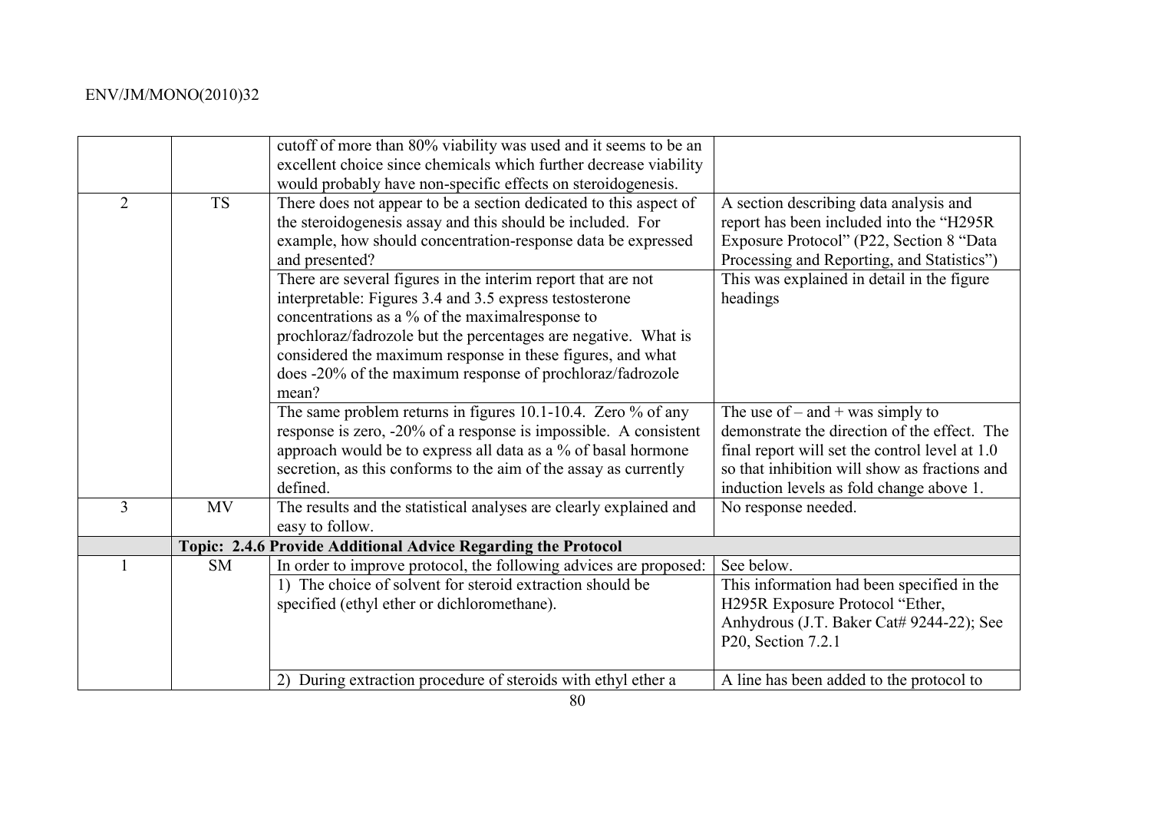|                |           | cutoff of more than 80% viability was used and it seems to be an   |                                                |
|----------------|-----------|--------------------------------------------------------------------|------------------------------------------------|
|                |           | excellent choice since chemicals which further decrease viability  |                                                |
|                |           | would probably have non-specific effects on steroidogenesis.       |                                                |
| $\overline{2}$ | <b>TS</b> | There does not appear to be a section dedicated to this aspect of  | A section describing data analysis and         |
|                |           | the steroidogenesis assay and this should be included. For         | report has been included into the "H295R       |
|                |           | example, how should concentration-response data be expressed       | Exposure Protocol" (P22, Section 8 "Data       |
|                |           | and presented?                                                     | Processing and Reporting, and Statistics")     |
|                |           | There are several figures in the interim report that are not       | This was explained in detail in the figure     |
|                |           | interpretable: Figures 3.4 and 3.5 express testosterone            | headings                                       |
|                |           | concentrations as a % of the maximal response to                   |                                                |
|                |           | prochloraz/fadrozole but the percentages are negative. What is     |                                                |
|                |           | considered the maximum response in these figures, and what         |                                                |
|                |           | does -20% of the maximum response of prochloraz/fadrozole          |                                                |
|                |           | mean?                                                              |                                                |
|                |           |                                                                    |                                                |
|                |           | The same problem returns in figures 10.1-10.4. Zero $%$ of any     | The use of $-$ and $+$ was simply to           |
|                |           | response is zero, -20% of a response is impossible. A consistent   | demonstrate the direction of the effect. The   |
|                |           | approach would be to express all data as a % of basal hormone      | final report will set the control level at 1.0 |
|                |           | secretion, as this conforms to the aim of the assay as currently   | so that inhibition will show as fractions and  |
|                |           | defined.                                                           | induction levels as fold change above 1.       |
| 3              | <b>MV</b> | The results and the statistical analyses are clearly explained and | No response needed.                            |
|                |           | easy to follow.                                                    |                                                |
|                |           | Topic: 2.4.6 Provide Additional Advice Regarding the Protocol      |                                                |
|                | <b>SM</b> | In order to improve protocol, the following advices are proposed:  | See below.                                     |
|                |           | 1) The choice of solvent for steroid extraction should be          | This information had been specified in the     |
|                |           | specified (ethyl ether or dichloromethane).                        | H295R Exposure Protocol "Ether,                |
|                |           |                                                                    | Anhydrous (J.T. Baker Cat# 9244-22); See       |
|                |           |                                                                    | P20, Section 7.2.1                             |
|                |           |                                                                    |                                                |
|                |           | 2) During extraction procedure of steroids with ethyl ether a      | A line has been added to the protocol to       |
|                |           |                                                                    |                                                |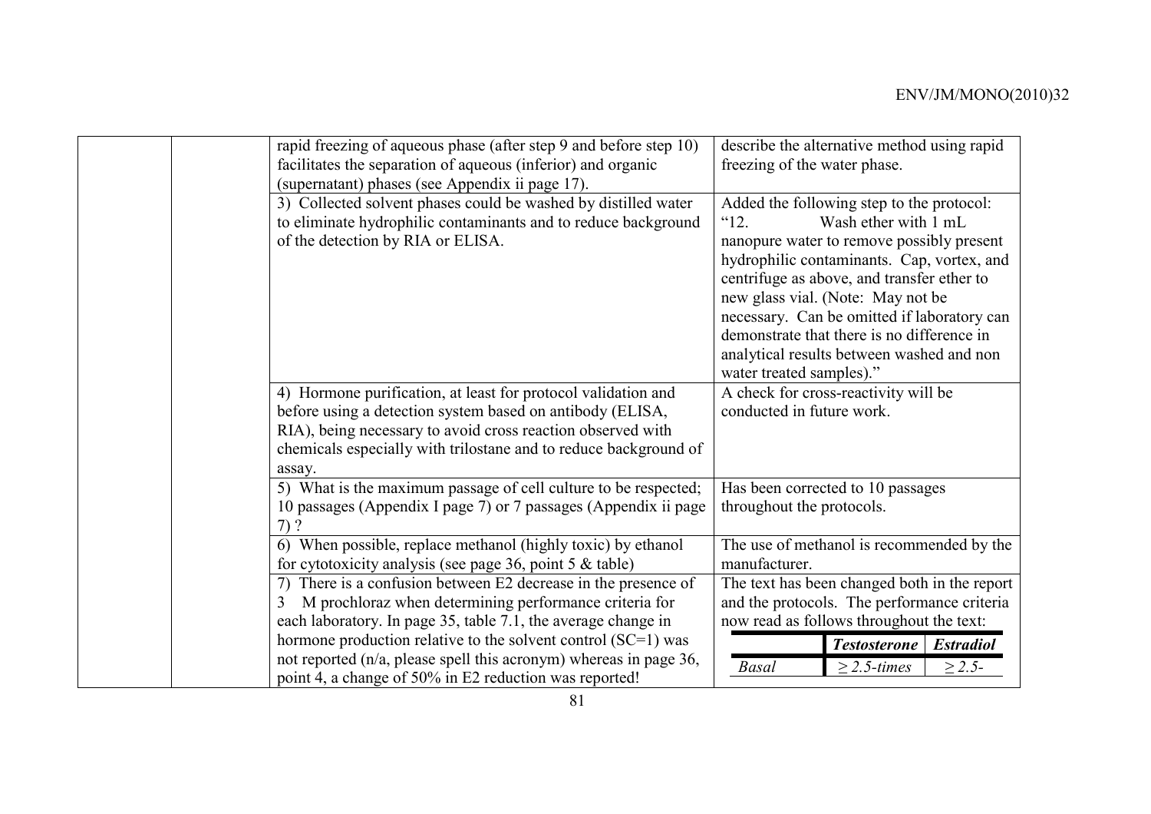| rapid freezing of aqueous phase (after step 9 and before step 10)<br>facilitates the separation of aqueous (inferior) and organic<br>(supernatant) phases (see Appendix ii page 17).                   | describe the alternative method using rapid<br>freezing of the water phase.                                                                                                                                                                                                                                                                                                                                                        |
|--------------------------------------------------------------------------------------------------------------------------------------------------------------------------------------------------------|------------------------------------------------------------------------------------------------------------------------------------------------------------------------------------------------------------------------------------------------------------------------------------------------------------------------------------------------------------------------------------------------------------------------------------|
| 3) Collected solvent phases could be washed by distilled water<br>to eliminate hydrophilic contaminants and to reduce background<br>of the detection by RIA or ELISA.                                  | Added the following step to the protocol:<br>$^{12}$ .<br>Wash ether with 1 mL<br>nanopure water to remove possibly present<br>hydrophilic contaminants. Cap, vortex, and<br>centrifuge as above, and transfer ether to<br>new glass vial. (Note: May not be<br>necessary. Can be omitted if laboratory can<br>demonstrate that there is no difference in<br>analytical results between washed and non<br>water treated samples)." |
| 4) Hormone purification, at least for protocol validation and                                                                                                                                          | A check for cross-reactivity will be                                                                                                                                                                                                                                                                                                                                                                                               |
| before using a detection system based on antibody (ELISA,<br>RIA), being necessary to avoid cross reaction observed with<br>chemicals especially with trilostane and to reduce background of<br>assay. | conducted in future work.                                                                                                                                                                                                                                                                                                                                                                                                          |
| 5) What is the maximum passage of cell culture to be respected;                                                                                                                                        | Has been corrected to 10 passages                                                                                                                                                                                                                                                                                                                                                                                                  |
| 10 passages (Appendix I page 7) or 7 passages (Appendix ii page<br>$7)$ ?                                                                                                                              | throughout the protocols.                                                                                                                                                                                                                                                                                                                                                                                                          |
| 6) When possible, replace methanol (highly toxic) by ethanol<br>for cytotoxicity analysis (see page 36, point 5 $&$ table)                                                                             | The use of methanol is recommended by the<br>manufacturer.                                                                                                                                                                                                                                                                                                                                                                         |
| 7) There is a confusion between E2 decrease in the presence of<br>M prochloraz when determining performance criteria for<br>3                                                                          | The text has been changed both in the report<br>and the protocols. The performance criteria                                                                                                                                                                                                                                                                                                                                        |
| each laboratory. In page 35, table 7.1, the average change in                                                                                                                                          | now read as follows throughout the text:                                                                                                                                                                                                                                                                                                                                                                                           |
| hormone production relative to the solvent control $(SC=1)$ was                                                                                                                                        | <b>Testosterone</b><br><b>Estradiol</b>                                                                                                                                                                                                                                                                                                                                                                                            |
| not reported (n/a, please spell this acronym) whereas in page 36,<br>point 4, a change of 50% in E2 reduction was reported!                                                                            | $\geq$ 2.5-times<br>$\geq 2.5-$<br><b>Basal</b>                                                                                                                                                                                                                                                                                                                                                                                    |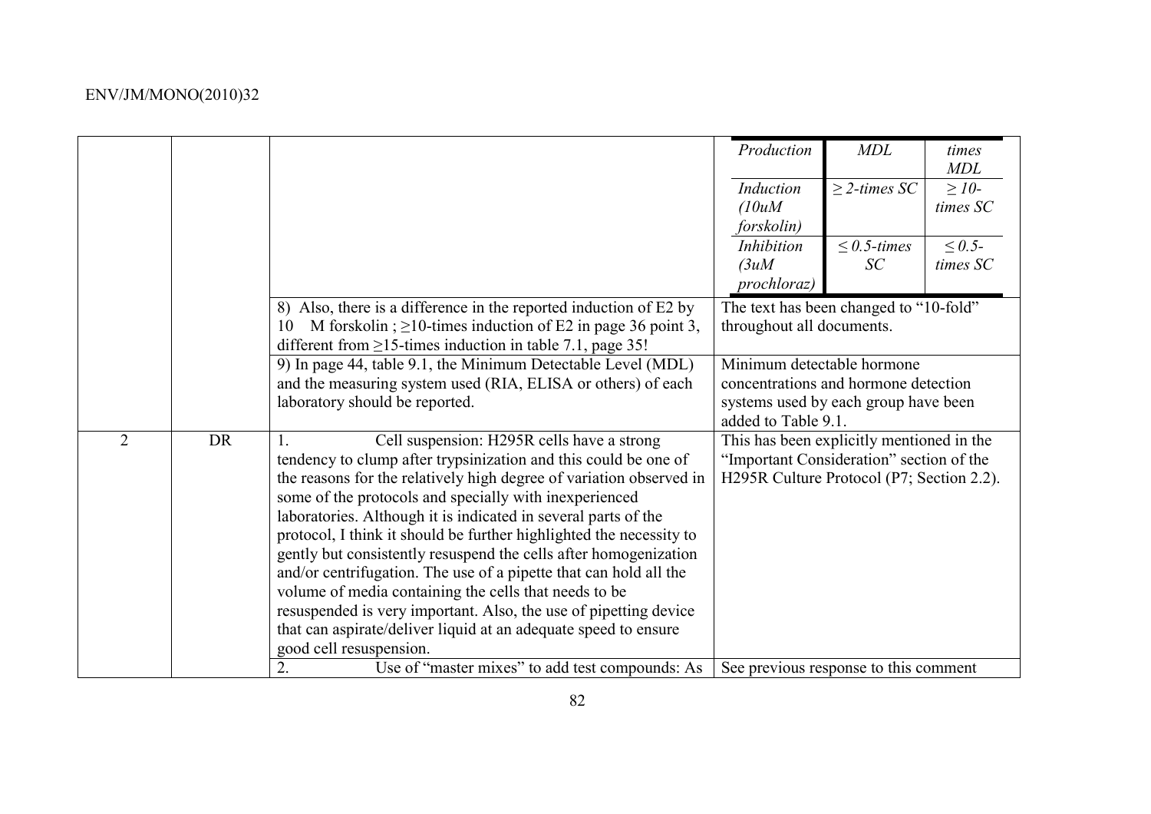|                |           |                                                                                                                                                                                                                                                                                                                                                                                                                                                                                                                                                                                                                                                                                                                                                                  | Production                                                                                                                         | <b>MDL</b>              | times<br>MDL             |
|----------------|-----------|------------------------------------------------------------------------------------------------------------------------------------------------------------------------------------------------------------------------------------------------------------------------------------------------------------------------------------------------------------------------------------------------------------------------------------------------------------------------------------------------------------------------------------------------------------------------------------------------------------------------------------------------------------------------------------------------------------------------------------------------------------------|------------------------------------------------------------------------------------------------------------------------------------|-------------------------|--------------------------|
|                |           |                                                                                                                                                                                                                                                                                                                                                                                                                                                                                                                                                                                                                                                                                                                                                                  | Induction<br>(10uM)<br>forskolin)                                                                                                  | $\geq$ 2-times SC       | $\geq$ 10-<br>times SC   |
|                |           |                                                                                                                                                                                                                                                                                                                                                                                                                                                                                                                                                                                                                                                                                                                                                                  | Inhibition<br>3uM<br>prochloraz)                                                                                                   | $\leq 0.5$ -times<br>SC | $\leq 0.5$ -<br>times SC |
|                |           | 8) Also, there is a difference in the reported induction of E2 by<br>M forskolin; $\geq$ 10-times induction of E2 in page 36 point 3,<br>10<br>different from $\geq$ 15-times induction in table 7.1, page 35!                                                                                                                                                                                                                                                                                                                                                                                                                                                                                                                                                   | The text has been changed to "10-fold"<br>throughout all documents.                                                                |                         |                          |
|                |           | 9) In page 44, table 9.1, the Minimum Detectable Level (MDL)<br>and the measuring system used (RIA, ELISA or others) of each<br>laboratory should be reported.                                                                                                                                                                                                                                                                                                                                                                                                                                                                                                                                                                                                   | Minimum detectable hormone<br>concentrations and hormone detection<br>systems used by each group have been<br>added to Table 9.1.  |                         |                          |
| $\overline{2}$ | <b>DR</b> | Cell suspension: H295R cells have a strong<br>1<br>tendency to clump after trypsinization and this could be one of<br>the reasons for the relatively high degree of variation observed in<br>some of the protocols and specially with inexperienced<br>laboratories. Although it is indicated in several parts of the<br>protocol, I think it should be further highlighted the necessity to<br>gently but consistently resuspend the cells after homogenization<br>and/or centrifugation. The use of a pipette that can hold all the<br>volume of media containing the cells that needs to be<br>resuspended is very important. Also, the use of pipetting device<br>that can aspirate/deliver liquid at an adequate speed to ensure<br>good cell resuspension. | This has been explicitly mentioned in the<br>"Important Consideration" section of the<br>H295R Culture Protocol (P7; Section 2.2). |                         |                          |
|                |           | Use of "master mixes" to add test compounds: As<br>2.                                                                                                                                                                                                                                                                                                                                                                                                                                                                                                                                                                                                                                                                                                            | See previous response to this comment                                                                                              |                         |                          |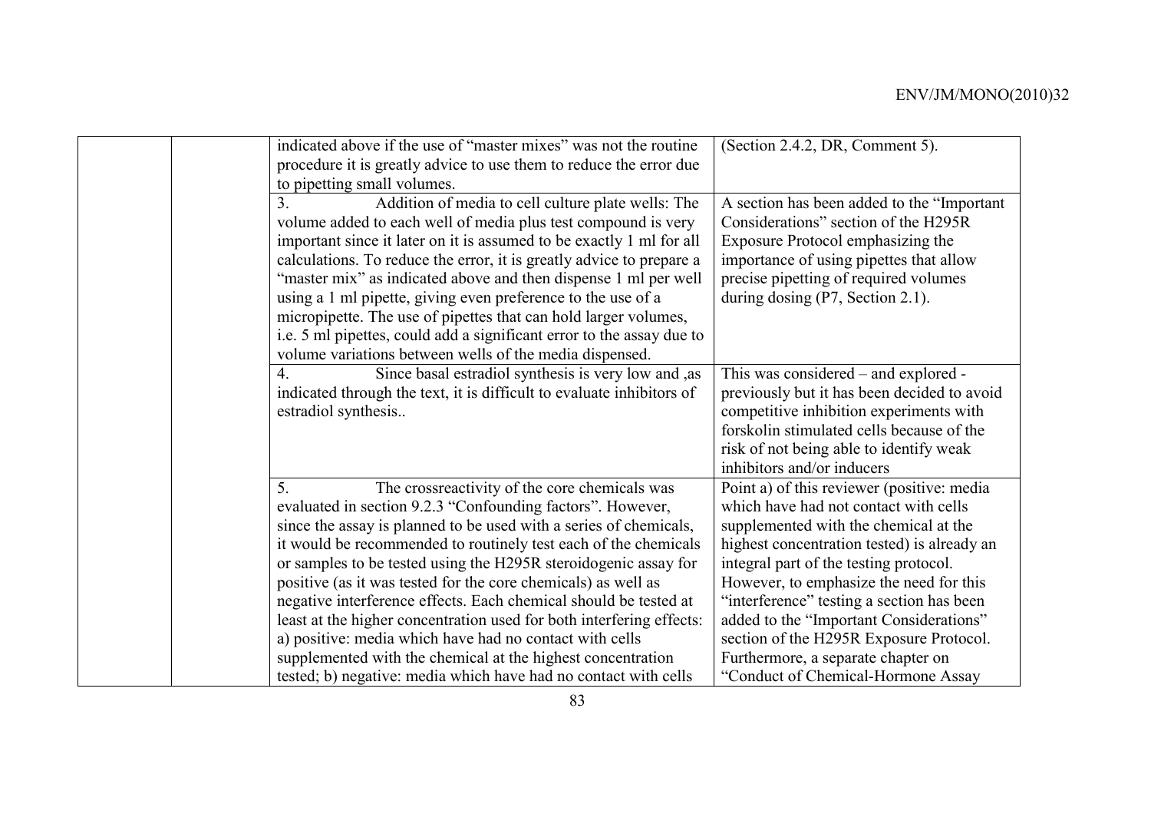| indicated above if the use of "master mixes" was not the routine<br>procedure it is greatly advice to use them to reduce the error due | (Section 2.4.2, DR, Comment 5).             |
|----------------------------------------------------------------------------------------------------------------------------------------|---------------------------------------------|
| to pipetting small volumes.                                                                                                            |                                             |
| 3 <sub>1</sub><br>Addition of media to cell culture plate wells: The                                                                   | A section has been added to the "Important" |
| volume added to each well of media plus test compound is very                                                                          | Considerations" section of the H295R        |
| important since it later on it is assumed to be exactly 1 ml for all                                                                   | Exposure Protocol emphasizing the           |
| calculations. To reduce the error, it is greatly advice to prepare a                                                                   | importance of using pipettes that allow     |
| "master mix" as indicated above and then dispense 1 ml per well                                                                        | precise pipetting of required volumes       |
| using a 1 ml pipette, giving even preference to the use of a                                                                           | during dosing $(P7, Section 2.1)$ .         |
| micropipette. The use of pipettes that can hold larger volumes,                                                                        |                                             |
| i.e. 5 ml pipettes, could add a significant error to the assay due to                                                                  |                                             |
| volume variations between wells of the media dispensed.                                                                                |                                             |
| $\overline{4}$ .<br>Since basal estradiol synthesis is very low and , as                                                               | This was considered – and explored -        |
| indicated through the text, it is difficult to evaluate inhibitors of                                                                  | previously but it has been decided to avoid |
| estradiol synthesis                                                                                                                    | competitive inhibition experiments with     |
|                                                                                                                                        | forskolin stimulated cells because of the   |
|                                                                                                                                        | risk of not being able to identify weak     |
|                                                                                                                                        | inhibitors and/or inducers                  |
| 5.<br>The crossreactivity of the core chemicals was                                                                                    | Point a) of this reviewer (positive: media  |
| evaluated in section 9.2.3 "Confounding factors". However,                                                                             | which have had not contact with cells       |
| since the assay is planned to be used with a series of chemicals,                                                                      | supplemented with the chemical at the       |
| it would be recommended to routinely test each of the chemicals                                                                        | highest concentration tested) is already an |
| or samples to be tested using the H295R steroidogenic assay for                                                                        | integral part of the testing protocol.      |
| positive (as it was tested for the core chemicals) as well as                                                                          | However, to emphasize the need for this     |
| negative interference effects. Each chemical should be tested at                                                                       | "interference" testing a section has been   |
| least at the higher concentration used for both interfering effects:                                                                   | added to the "Important Considerations"     |
| a) positive: media which have had no contact with cells                                                                                | section of the H295R Exposure Protocol.     |
| supplemented with the chemical at the highest concentration                                                                            | Furthermore, a separate chapter on          |
| tested; b) negative: media which have had no contact with cells                                                                        | "Conduct of Chemical-Hormone Assay          |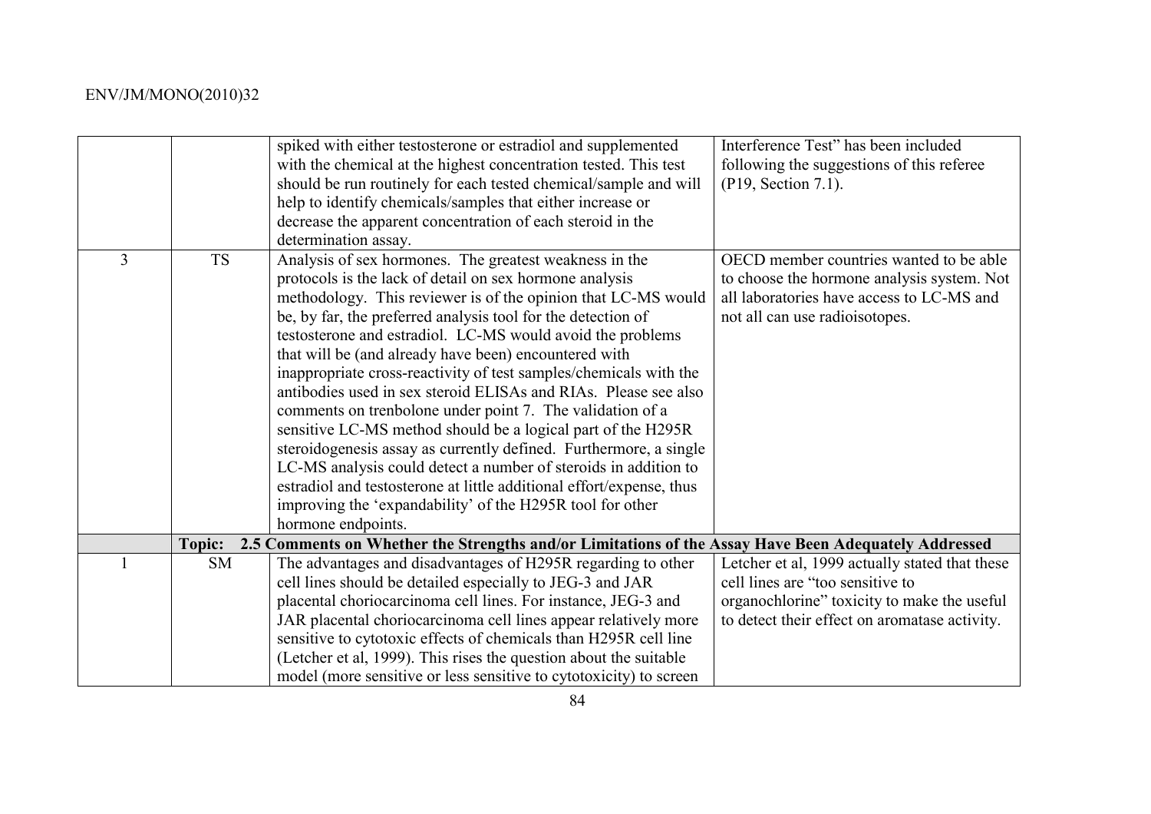|   |           | spiked with either testosterone or estradiol and supplemented                                        | Interference Test" has been included           |
|---|-----------|------------------------------------------------------------------------------------------------------|------------------------------------------------|
|   |           | with the chemical at the highest concentration tested. This test                                     | following the suggestions of this referee      |
|   |           | should be run routinely for each tested chemical/sample and will                                     | (P19, Section 7.1).                            |
|   |           | help to identify chemicals/samples that either increase or                                           |                                                |
|   |           | decrease the apparent concentration of each steroid in the                                           |                                                |
|   |           | determination assay.                                                                                 |                                                |
| 3 | <b>TS</b> | Analysis of sex hormones. The greatest weakness in the                                               | OECD member countries wanted to be able        |
|   |           | protocols is the lack of detail on sex hormone analysis                                              | to choose the hormone analysis system. Not     |
|   |           | methodology. This reviewer is of the opinion that LC-MS would                                        | all laboratories have access to LC-MS and      |
|   |           | be, by far, the preferred analysis tool for the detection of                                         | not all can use radioisotopes.                 |
|   |           | testosterone and estradiol. LC-MS would avoid the problems                                           |                                                |
|   |           | that will be (and already have been) encountered with                                                |                                                |
|   |           | inappropriate cross-reactivity of test samples/chemicals with the                                    |                                                |
|   |           | antibodies used in sex steroid ELISAs and RIAs. Please see also                                      |                                                |
|   |           | comments on trenbolone under point 7. The validation of a                                            |                                                |
|   |           | sensitive LC-MS method should be a logical part of the H295R                                         |                                                |
|   |           | steroidogenesis assay as currently defined. Furthermore, a single                                    |                                                |
|   |           | LC-MS analysis could detect a number of steroids in addition to                                      |                                                |
|   |           | estradiol and testosterone at little additional effort/expense, thus                                 |                                                |
|   |           | improving the 'expandability' of the H295R tool for other                                            |                                                |
|   |           | hormone endpoints.                                                                                   |                                                |
|   | Topic:    | 2.5 Comments on Whether the Strengths and/or Limitations of the Assay Have Been Adequately Addressed |                                                |
|   | <b>SM</b> | The advantages and disadvantages of H295R regarding to other                                         | Letcher et al, 1999 actually stated that these |
|   |           | cell lines should be detailed especially to JEG-3 and JAR                                            | cell lines are "too sensitive to               |
|   |           | placental choriocarcinoma cell lines. For instance, JEG-3 and                                        | organochlorine" toxicity to make the useful    |
|   |           | JAR placental choriocarcinoma cell lines appear relatively more                                      | to detect their effect on aromatase activity.  |
|   |           | sensitive to cytotoxic effects of chemicals than H295R cell line                                     |                                                |
|   |           | (Letcher et al, 1999). This rises the question about the suitable                                    |                                                |
|   |           | model (more sensitive or less sensitive to cytotoxicity) to screen                                   |                                                |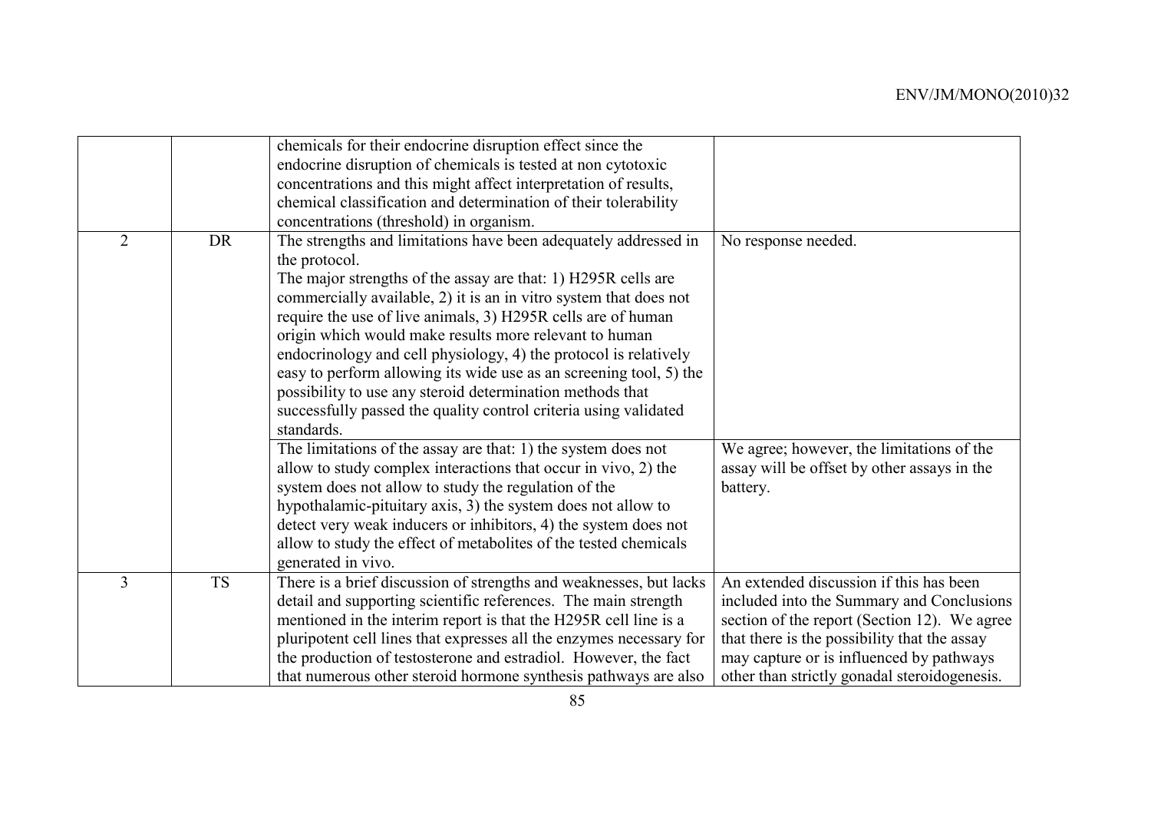|                |           | chemicals for their endocrine disruption effect since the<br>endocrine disruption of chemicals is tested at non cytotoxic<br>concentrations and this might affect interpretation of results,<br>chemical classification and determination of their tolerability<br>concentrations (threshold) in organism.                                                                                                                                                                                                                                                                                                                                |                                                                                                                                                                                                                                                                                  |
|----------------|-----------|-------------------------------------------------------------------------------------------------------------------------------------------------------------------------------------------------------------------------------------------------------------------------------------------------------------------------------------------------------------------------------------------------------------------------------------------------------------------------------------------------------------------------------------------------------------------------------------------------------------------------------------------|----------------------------------------------------------------------------------------------------------------------------------------------------------------------------------------------------------------------------------------------------------------------------------|
| $\overline{2}$ | <b>DR</b> | The strengths and limitations have been adequately addressed in<br>the protocol.<br>The major strengths of the assay are that: 1) H295R cells are<br>commercially available, 2) it is an in vitro system that does not<br>require the use of live animals, 3) H295R cells are of human<br>origin which would make results more relevant to human<br>endocrinology and cell physiology, 4) the protocol is relatively<br>easy to perform allowing its wide use as an screening tool, 5) the<br>possibility to use any steroid determination methods that<br>successfully passed the quality control criteria using validated<br>standards. | No response needed.                                                                                                                                                                                                                                                              |
|                |           | The limitations of the assay are that: 1) the system does not<br>allow to study complex interactions that occur in vivo, 2) the<br>system does not allow to study the regulation of the<br>hypothalamic-pituitary axis, 3) the system does not allow to<br>detect very weak inducers or inhibitors, 4) the system does not<br>allow to study the effect of metabolites of the tested chemicals<br>generated in vivo.                                                                                                                                                                                                                      | We agree; however, the limitations of the<br>assay will be offset by other assays in the<br>battery.                                                                                                                                                                             |
| 3              | <b>TS</b> | There is a brief discussion of strengths and weaknesses, but lacks<br>detail and supporting scientific references. The main strength<br>mentioned in the interim report is that the H295R cell line is a<br>pluripotent cell lines that expresses all the enzymes necessary for<br>the production of testosterone and estradiol. However, the fact<br>that numerous other steroid hormone synthesis pathways are also                                                                                                                                                                                                                     | An extended discussion if this has been<br>included into the Summary and Conclusions<br>section of the report (Section 12). We agree<br>that there is the possibility that the assay<br>may capture or is influenced by pathways<br>other than strictly gonadal steroidogenesis. |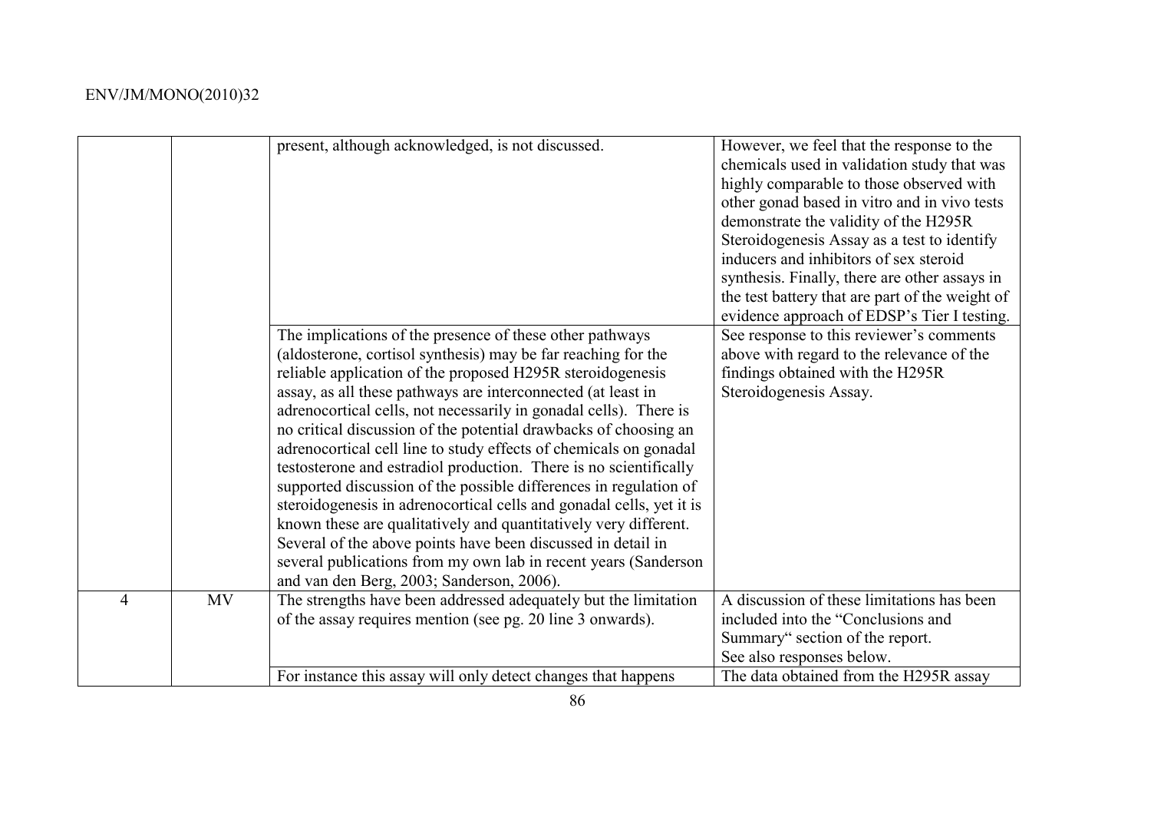|   |           | present, although acknowledged, is not discussed.                                                                                                                                                                                                                                                                                                                                                                                                                                                                                                                                                                                                                                                                                                                                                                                                                                                                                           | However, we feel that the response to the<br>chemicals used in validation study that was<br>highly comparable to those observed with<br>other gonad based in vitro and in vivo tests<br>demonstrate the validity of the H295R<br>Steroidogenesis Assay as a test to identify<br>inducers and inhibitors of sex steroid<br>synthesis. Finally, there are other assays in<br>the test battery that are part of the weight of<br>evidence approach of EDSP's Tier I testing. |
|---|-----------|---------------------------------------------------------------------------------------------------------------------------------------------------------------------------------------------------------------------------------------------------------------------------------------------------------------------------------------------------------------------------------------------------------------------------------------------------------------------------------------------------------------------------------------------------------------------------------------------------------------------------------------------------------------------------------------------------------------------------------------------------------------------------------------------------------------------------------------------------------------------------------------------------------------------------------------------|---------------------------------------------------------------------------------------------------------------------------------------------------------------------------------------------------------------------------------------------------------------------------------------------------------------------------------------------------------------------------------------------------------------------------------------------------------------------------|
|   |           | The implications of the presence of these other pathways<br>(aldosterone, cortisol synthesis) may be far reaching for the<br>reliable application of the proposed H295R steroidogenesis<br>assay, as all these pathways are interconnected (at least in<br>adrenocortical cells, not necessarily in gonadal cells). There is<br>no critical discussion of the potential drawbacks of choosing an<br>adrenocortical cell line to study effects of chemicals on gonadal<br>testosterone and estradiol production. There is no scientifically<br>supported discussion of the possible differences in regulation of<br>steroidogenesis in adrenocortical cells and gonadal cells, yet it is<br>known these are qualitatively and quantitatively very different.<br>Several of the above points have been discussed in detail in<br>several publications from my own lab in recent years (Sanderson<br>and van den Berg, 2003; Sanderson, 2006). | See response to this reviewer's comments<br>above with regard to the relevance of the<br>findings obtained with the H295R<br>Steroidogenesis Assay.                                                                                                                                                                                                                                                                                                                       |
| 4 | <b>MV</b> | The strengths have been addressed adequately but the limitation<br>of the assay requires mention (see pg. 20 line 3 onwards).                                                                                                                                                                                                                                                                                                                                                                                                                                                                                                                                                                                                                                                                                                                                                                                                               | A discussion of these limitations has been<br>included into the "Conclusions and<br>Summary" section of the report.<br>See also responses below.                                                                                                                                                                                                                                                                                                                          |
|   |           | For instance this assay will only detect changes that happens                                                                                                                                                                                                                                                                                                                                                                                                                                                                                                                                                                                                                                                                                                                                                                                                                                                                               | The data obtained from the H295R assay                                                                                                                                                                                                                                                                                                                                                                                                                                    |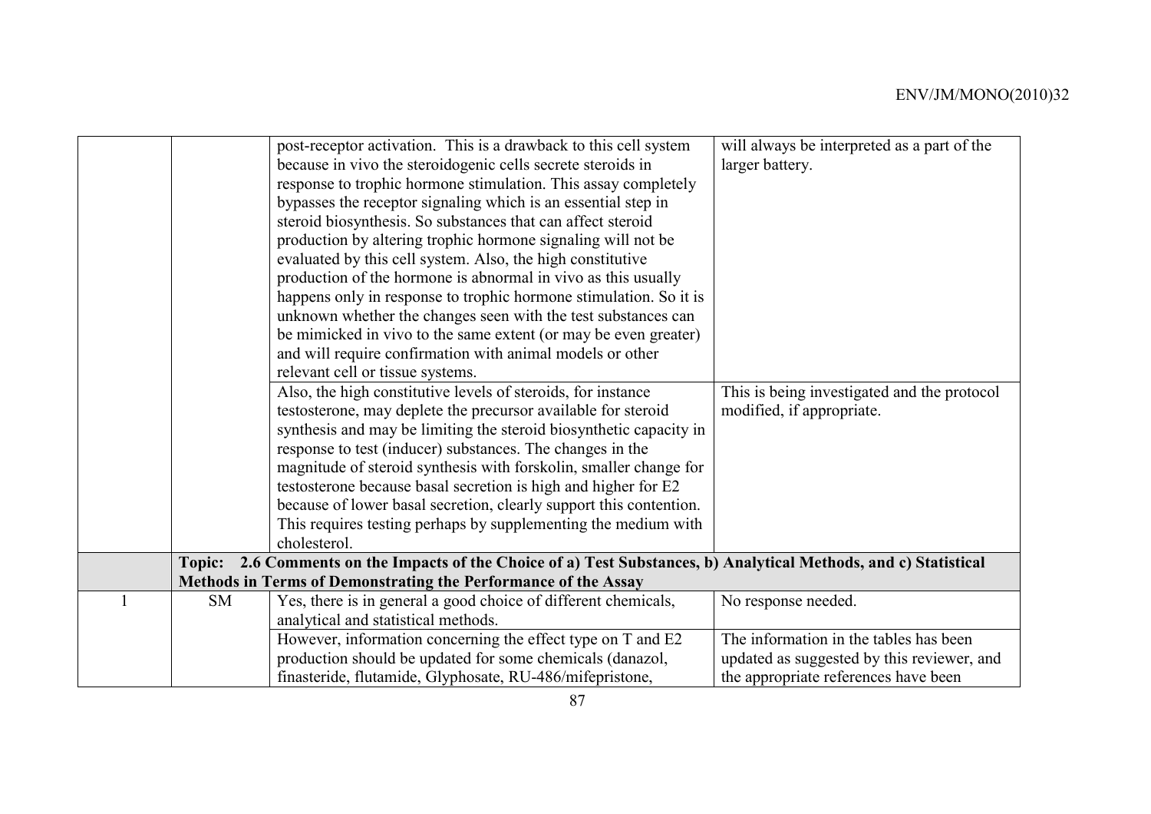|               | post-receptor activation. This is a drawback to this cell system                                           | will always be interpreted as a part of the |
|---------------|------------------------------------------------------------------------------------------------------------|---------------------------------------------|
|               | because in vivo the steroidogenic cells secrete steroids in                                                | larger battery.                             |
|               | response to trophic hormone stimulation. This assay completely                                             |                                             |
|               | bypasses the receptor signaling which is an essential step in                                              |                                             |
|               | steroid biosynthesis. So substances that can affect steroid                                                |                                             |
|               | production by altering trophic hormone signaling will not be                                               |                                             |
|               | evaluated by this cell system. Also, the high constitutive                                                 |                                             |
|               | production of the hormone is abnormal in vivo as this usually                                              |                                             |
|               | happens only in response to trophic hormone stimulation. So it is                                          |                                             |
|               | unknown whether the changes seen with the test substances can                                              |                                             |
|               | be mimicked in vivo to the same extent (or may be even greater)                                            |                                             |
|               | and will require confirmation with animal models or other                                                  |                                             |
|               | relevant cell or tissue systems.                                                                           |                                             |
|               | Also, the high constitutive levels of steroids, for instance                                               | This is being investigated and the protocol |
|               | testosterone, may deplete the precursor available for steroid                                              | modified, if appropriate.                   |
|               | synthesis and may be limiting the steroid biosynthetic capacity in                                         |                                             |
|               | response to test (inducer) substances. The changes in the                                                  |                                             |
|               | magnitude of steroid synthesis with forskolin, smaller change for                                          |                                             |
|               | testosterone because basal secretion is high and higher for E2                                             |                                             |
|               | because of lower basal secretion, clearly support this contention.                                         |                                             |
|               | This requires testing perhaps by supplementing the medium with                                             |                                             |
|               | cholesterol.                                                                                               |                                             |
| <b>Topic:</b> | 2.6 Comments on the Impacts of the Choice of a) Test Substances, b) Analytical Methods, and c) Statistical |                                             |
|               | Methods in Terms of Demonstrating the Performance of the Assay                                             |                                             |
| <b>SM</b>     | Yes, there is in general a good choice of different chemicals,                                             | No response needed.                         |
|               | analytical and statistical methods.                                                                        |                                             |
|               | However, information concerning the effect type on T and E2                                                | The information in the tables has been      |
|               | production should be updated for some chemicals (danazol,                                                  | updated as suggested by this reviewer, and  |
|               | finasteride, flutamide, Glyphosate, RU-486/mifepristone,                                                   | the appropriate references have been        |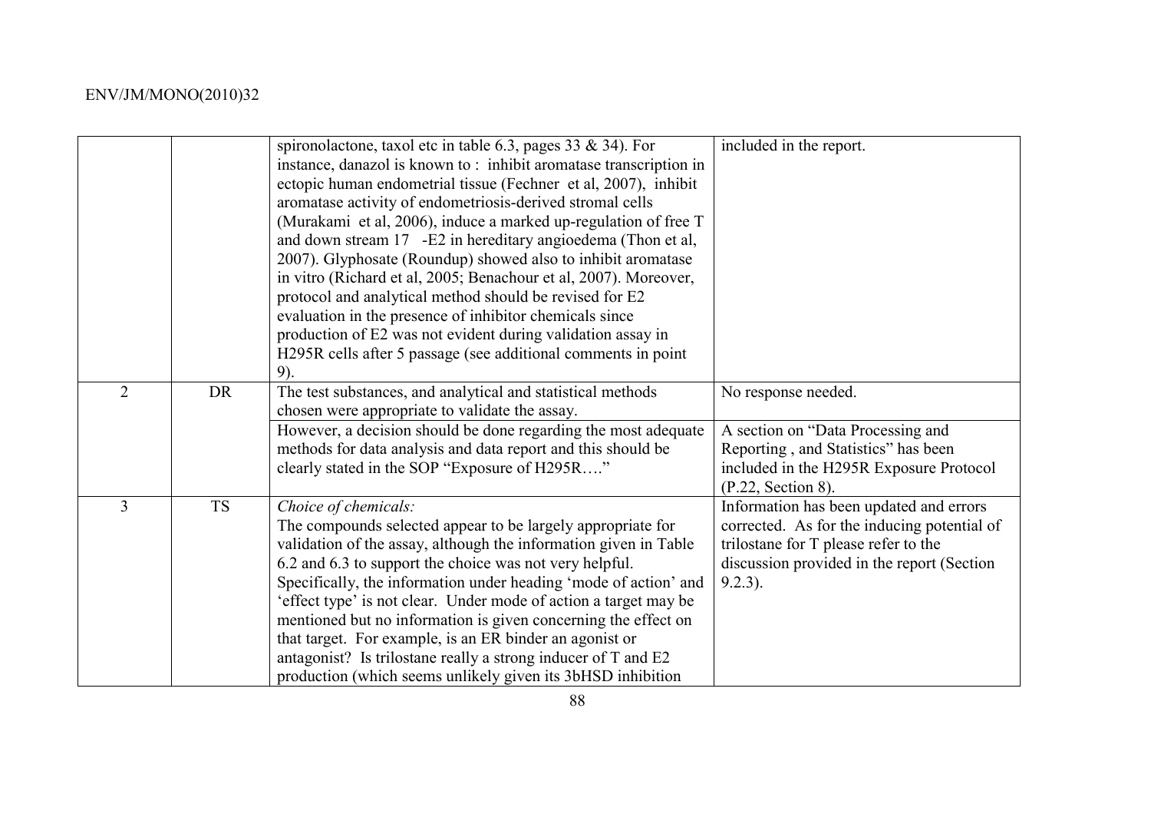|                |           | spironolactone, taxol etc in table 6.3, pages 33 & 34). For<br>instance, danazol is known to: inhibit aromatase transcription in<br>ectopic human endometrial tissue (Fechner et al, 2007), inhibit<br>aromatase activity of endometriosis-derived stromal cells<br>(Murakami et al, 2006), induce a marked up-regulation of free T<br>and down stream 17 -E2 in hereditary angioedema (Thon et al,<br>2007). Glyphosate (Roundup) showed also to inhibit aromatase<br>in vitro (Richard et al, 2005; Benachour et al, 2007). Moreover,<br>protocol and analytical method should be revised for E2<br>evaluation in the presence of inhibitor chemicals since<br>production of E2 was not evident during validation assay in<br>H295R cells after 5 passage (see additional comments in point) | included in the report.                                                                                                                                                                    |
|----------------|-----------|------------------------------------------------------------------------------------------------------------------------------------------------------------------------------------------------------------------------------------------------------------------------------------------------------------------------------------------------------------------------------------------------------------------------------------------------------------------------------------------------------------------------------------------------------------------------------------------------------------------------------------------------------------------------------------------------------------------------------------------------------------------------------------------------|--------------------------------------------------------------------------------------------------------------------------------------------------------------------------------------------|
|                |           | 9).                                                                                                                                                                                                                                                                                                                                                                                                                                                                                                                                                                                                                                                                                                                                                                                            |                                                                                                                                                                                            |
| $\overline{2}$ | <b>DR</b> | The test substances, and analytical and statistical methods<br>chosen were appropriate to validate the assay.                                                                                                                                                                                                                                                                                                                                                                                                                                                                                                                                                                                                                                                                                  | No response needed.                                                                                                                                                                        |
|                |           | However, a decision should be done regarding the most adequate<br>methods for data analysis and data report and this should be<br>clearly stated in the SOP "Exposure of H295R"                                                                                                                                                                                                                                                                                                                                                                                                                                                                                                                                                                                                                | A section on "Data Processing and<br>Reporting, and Statistics" has been<br>included in the H295R Exposure Protocol<br>(P.22, Section 8).                                                  |
| $\overline{3}$ | <b>TS</b> | Choice of chemicals:<br>The compounds selected appear to be largely appropriate for<br>validation of the assay, although the information given in Table<br>6.2 and 6.3 to support the choice was not very helpful.<br>Specifically, the information under heading 'mode of action' and<br>'effect type' is not clear. Under mode of action a target may be<br>mentioned but no information is given concerning the effect on<br>that target. For example, is an ER binder an agonist or<br>antagonist? Is trilostane really a strong inducer of T and E2<br>production (which seems unlikely given its 3bHSD inhibition                                                                                                                                                                        | Information has been updated and errors<br>corrected. As for the inducing potential of<br>trilostane for T please refer to the<br>discussion provided in the report (Section<br>$9.2.3$ ). |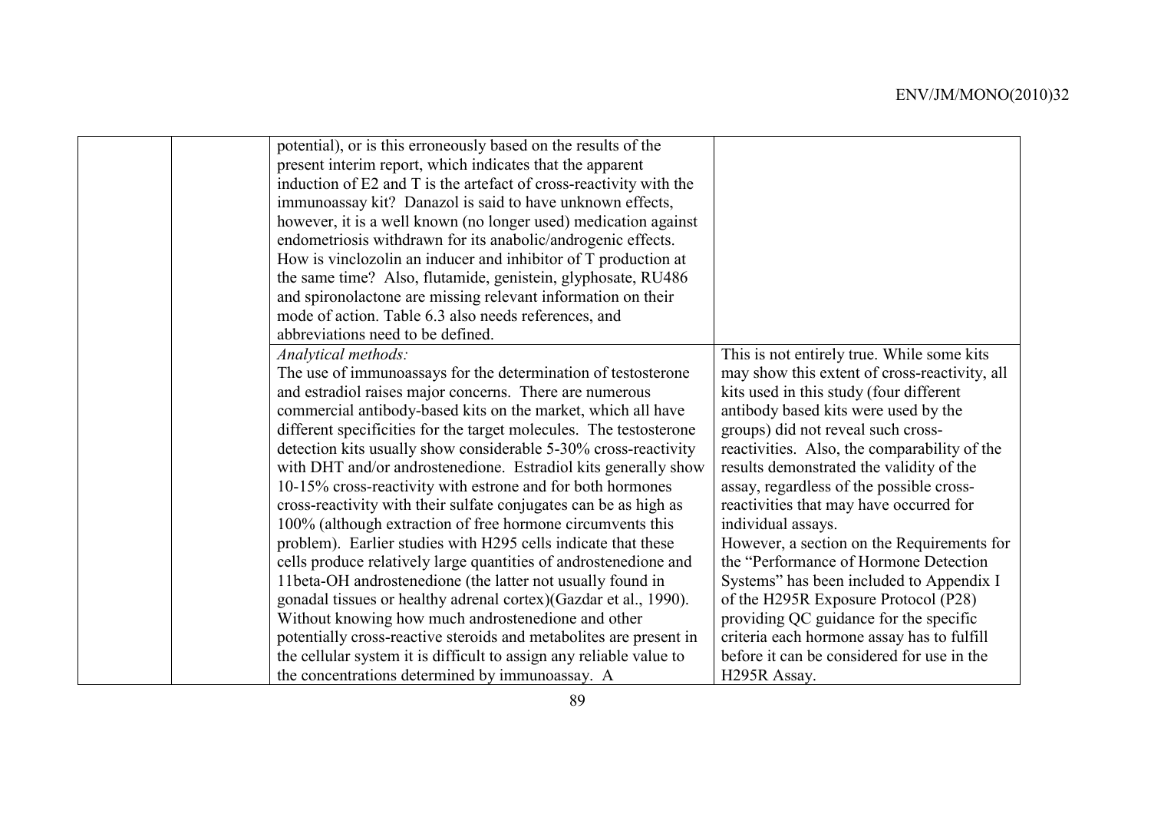| potential), or is this erroneously based on the results of the<br>present interim report, which indicates that the apparent<br>induction of E2 and T is the artefact of cross-reactivity with the<br>immunoassay kit? Danazol is said to have unknown effects,<br>however, it is a well known (no longer used) medication against<br>endometriosis withdrawn for its anabolic/androgenic effects.<br>How is vinclozolin an inducer and inhibitor of T production at<br>the same time? Also, flutamide, genistein, glyphosate, RU486<br>and spironolactone are missing relevant information on their<br>mode of action. Table 6.3 also needs references, and<br>abbreviations need to be defined.<br>This is not entirely true. While some kits<br>Analytical methods:<br>The use of immunoassays for the determination of testosterone<br>may show this extent of cross-reactivity, all<br>and estradiol raises major concerns. There are numerous<br>kits used in this study (four different<br>commercial antibody-based kits on the market, which all have<br>antibody based kits were used by the<br>different specificities for the target molecules. The testosterone<br>groups) did not reveal such cross-<br>detection kits usually show considerable 5-30% cross-reactivity<br>reactivities. Also, the comparability of the<br>with DHT and/or androstenedione. Estradiol kits generally show<br>results demonstrated the validity of the<br>10-15% cross-reactivity with estrone and for both hormones<br>assay, regardless of the possible cross-<br>cross-reactivity with their sulfate conjugates can be as high as<br>reactivities that may have occurred for<br>100% (although extraction of free hormone circumvents this<br>individual assays.<br>problem). Earlier studies with H295 cells indicate that these<br>However, a section on the Requirements for<br>cells produce relatively large quantities of androstenedione and<br>the "Performance of Hormone Detection"<br>11 beta-OH androstenedione (the latter not usually found in<br>Systems" has been included to Appendix I<br>of the H295R Exposure Protocol (P28)<br>gonadal tissues or healthy adrenal cortex)(Gazdar et al., 1990).<br>Without knowing how much androstenedione and other<br>providing QC guidance for the specific<br>potentially cross-reactive steroids and metabolites are present in<br>criteria each hormone assay has to fulfill<br>the cellular system it is difficult to assign any reliable value to<br>before it can be considered for use in the |                                                 |                           |
|--------------------------------------------------------------------------------------------------------------------------------------------------------------------------------------------------------------------------------------------------------------------------------------------------------------------------------------------------------------------------------------------------------------------------------------------------------------------------------------------------------------------------------------------------------------------------------------------------------------------------------------------------------------------------------------------------------------------------------------------------------------------------------------------------------------------------------------------------------------------------------------------------------------------------------------------------------------------------------------------------------------------------------------------------------------------------------------------------------------------------------------------------------------------------------------------------------------------------------------------------------------------------------------------------------------------------------------------------------------------------------------------------------------------------------------------------------------------------------------------------------------------------------------------------------------------------------------------------------------------------------------------------------------------------------------------------------------------------------------------------------------------------------------------------------------------------------------------------------------------------------------------------------------------------------------------------------------------------------------------------------------------------------------------------------------------------------------------------------------------------------------------------------------------------------------------------------------------------------------------------------------------------------------------------------------------------------------------------------------------------------------------------------------------------------------------------------------------------------------------------------------------------------------------------------------|-------------------------------------------------|---------------------------|
|                                                                                                                                                                                                                                                                                                                                                                                                                                                                                                                                                                                                                                                                                                                                                                                                                                                                                                                                                                                                                                                                                                                                                                                                                                                                                                                                                                                                                                                                                                                                                                                                                                                                                                                                                                                                                                                                                                                                                                                                                                                                                                                                                                                                                                                                                                                                                                                                                                                                                                                                                              |                                                 |                           |
|                                                                                                                                                                                                                                                                                                                                                                                                                                                                                                                                                                                                                                                                                                                                                                                                                                                                                                                                                                                                                                                                                                                                                                                                                                                                                                                                                                                                                                                                                                                                                                                                                                                                                                                                                                                                                                                                                                                                                                                                                                                                                                                                                                                                                                                                                                                                                                                                                                                                                                                                                              |                                                 |                           |
|                                                                                                                                                                                                                                                                                                                                                                                                                                                                                                                                                                                                                                                                                                                                                                                                                                                                                                                                                                                                                                                                                                                                                                                                                                                                                                                                                                                                                                                                                                                                                                                                                                                                                                                                                                                                                                                                                                                                                                                                                                                                                                                                                                                                                                                                                                                                                                                                                                                                                                                                                              |                                                 |                           |
|                                                                                                                                                                                                                                                                                                                                                                                                                                                                                                                                                                                                                                                                                                                                                                                                                                                                                                                                                                                                                                                                                                                                                                                                                                                                                                                                                                                                                                                                                                                                                                                                                                                                                                                                                                                                                                                                                                                                                                                                                                                                                                                                                                                                                                                                                                                                                                                                                                                                                                                                                              |                                                 |                           |
|                                                                                                                                                                                                                                                                                                                                                                                                                                                                                                                                                                                                                                                                                                                                                                                                                                                                                                                                                                                                                                                                                                                                                                                                                                                                                                                                                                                                                                                                                                                                                                                                                                                                                                                                                                                                                                                                                                                                                                                                                                                                                                                                                                                                                                                                                                                                                                                                                                                                                                                                                              |                                                 |                           |
|                                                                                                                                                                                                                                                                                                                                                                                                                                                                                                                                                                                                                                                                                                                                                                                                                                                                                                                                                                                                                                                                                                                                                                                                                                                                                                                                                                                                                                                                                                                                                                                                                                                                                                                                                                                                                                                                                                                                                                                                                                                                                                                                                                                                                                                                                                                                                                                                                                                                                                                                                              |                                                 |                           |
|                                                                                                                                                                                                                                                                                                                                                                                                                                                                                                                                                                                                                                                                                                                                                                                                                                                                                                                                                                                                                                                                                                                                                                                                                                                                                                                                                                                                                                                                                                                                                                                                                                                                                                                                                                                                                                                                                                                                                                                                                                                                                                                                                                                                                                                                                                                                                                                                                                                                                                                                                              |                                                 |                           |
|                                                                                                                                                                                                                                                                                                                                                                                                                                                                                                                                                                                                                                                                                                                                                                                                                                                                                                                                                                                                                                                                                                                                                                                                                                                                                                                                                                                                                                                                                                                                                                                                                                                                                                                                                                                                                                                                                                                                                                                                                                                                                                                                                                                                                                                                                                                                                                                                                                                                                                                                                              |                                                 |                           |
|                                                                                                                                                                                                                                                                                                                                                                                                                                                                                                                                                                                                                                                                                                                                                                                                                                                                                                                                                                                                                                                                                                                                                                                                                                                                                                                                                                                                                                                                                                                                                                                                                                                                                                                                                                                                                                                                                                                                                                                                                                                                                                                                                                                                                                                                                                                                                                                                                                                                                                                                                              |                                                 |                           |
|                                                                                                                                                                                                                                                                                                                                                                                                                                                                                                                                                                                                                                                                                                                                                                                                                                                                                                                                                                                                                                                                                                                                                                                                                                                                                                                                                                                                                                                                                                                                                                                                                                                                                                                                                                                                                                                                                                                                                                                                                                                                                                                                                                                                                                                                                                                                                                                                                                                                                                                                                              |                                                 |                           |
|                                                                                                                                                                                                                                                                                                                                                                                                                                                                                                                                                                                                                                                                                                                                                                                                                                                                                                                                                                                                                                                                                                                                                                                                                                                                                                                                                                                                                                                                                                                                                                                                                                                                                                                                                                                                                                                                                                                                                                                                                                                                                                                                                                                                                                                                                                                                                                                                                                                                                                                                                              |                                                 |                           |
|                                                                                                                                                                                                                                                                                                                                                                                                                                                                                                                                                                                                                                                                                                                                                                                                                                                                                                                                                                                                                                                                                                                                                                                                                                                                                                                                                                                                                                                                                                                                                                                                                                                                                                                                                                                                                                                                                                                                                                                                                                                                                                                                                                                                                                                                                                                                                                                                                                                                                                                                                              |                                                 |                           |
|                                                                                                                                                                                                                                                                                                                                                                                                                                                                                                                                                                                                                                                                                                                                                                                                                                                                                                                                                                                                                                                                                                                                                                                                                                                                                                                                                                                                                                                                                                                                                                                                                                                                                                                                                                                                                                                                                                                                                                                                                                                                                                                                                                                                                                                                                                                                                                                                                                                                                                                                                              |                                                 |                           |
|                                                                                                                                                                                                                                                                                                                                                                                                                                                                                                                                                                                                                                                                                                                                                                                                                                                                                                                                                                                                                                                                                                                                                                                                                                                                                                                                                                                                                                                                                                                                                                                                                                                                                                                                                                                                                                                                                                                                                                                                                                                                                                                                                                                                                                                                                                                                                                                                                                                                                                                                                              |                                                 |                           |
|                                                                                                                                                                                                                                                                                                                                                                                                                                                                                                                                                                                                                                                                                                                                                                                                                                                                                                                                                                                                                                                                                                                                                                                                                                                                                                                                                                                                                                                                                                                                                                                                                                                                                                                                                                                                                                                                                                                                                                                                                                                                                                                                                                                                                                                                                                                                                                                                                                                                                                                                                              |                                                 |                           |
|                                                                                                                                                                                                                                                                                                                                                                                                                                                                                                                                                                                                                                                                                                                                                                                                                                                                                                                                                                                                                                                                                                                                                                                                                                                                                                                                                                                                                                                                                                                                                                                                                                                                                                                                                                                                                                                                                                                                                                                                                                                                                                                                                                                                                                                                                                                                                                                                                                                                                                                                                              |                                                 |                           |
|                                                                                                                                                                                                                                                                                                                                                                                                                                                                                                                                                                                                                                                                                                                                                                                                                                                                                                                                                                                                                                                                                                                                                                                                                                                                                                                                                                                                                                                                                                                                                                                                                                                                                                                                                                                                                                                                                                                                                                                                                                                                                                                                                                                                                                                                                                                                                                                                                                                                                                                                                              |                                                 |                           |
|                                                                                                                                                                                                                                                                                                                                                                                                                                                                                                                                                                                                                                                                                                                                                                                                                                                                                                                                                                                                                                                                                                                                                                                                                                                                                                                                                                                                                                                                                                                                                                                                                                                                                                                                                                                                                                                                                                                                                                                                                                                                                                                                                                                                                                                                                                                                                                                                                                                                                                                                                              |                                                 |                           |
|                                                                                                                                                                                                                                                                                                                                                                                                                                                                                                                                                                                                                                                                                                                                                                                                                                                                                                                                                                                                                                                                                                                                                                                                                                                                                                                                                                                                                                                                                                                                                                                                                                                                                                                                                                                                                                                                                                                                                                                                                                                                                                                                                                                                                                                                                                                                                                                                                                                                                                                                                              |                                                 |                           |
|                                                                                                                                                                                                                                                                                                                                                                                                                                                                                                                                                                                                                                                                                                                                                                                                                                                                                                                                                                                                                                                                                                                                                                                                                                                                                                                                                                                                                                                                                                                                                                                                                                                                                                                                                                                                                                                                                                                                                                                                                                                                                                                                                                                                                                                                                                                                                                                                                                                                                                                                                              |                                                 |                           |
|                                                                                                                                                                                                                                                                                                                                                                                                                                                                                                                                                                                                                                                                                                                                                                                                                                                                                                                                                                                                                                                                                                                                                                                                                                                                                                                                                                                                                                                                                                                                                                                                                                                                                                                                                                                                                                                                                                                                                                                                                                                                                                                                                                                                                                                                                                                                                                                                                                                                                                                                                              |                                                 |                           |
|                                                                                                                                                                                                                                                                                                                                                                                                                                                                                                                                                                                                                                                                                                                                                                                                                                                                                                                                                                                                                                                                                                                                                                                                                                                                                                                                                                                                                                                                                                                                                                                                                                                                                                                                                                                                                                                                                                                                                                                                                                                                                                                                                                                                                                                                                                                                                                                                                                                                                                                                                              |                                                 |                           |
|                                                                                                                                                                                                                                                                                                                                                                                                                                                                                                                                                                                                                                                                                                                                                                                                                                                                                                                                                                                                                                                                                                                                                                                                                                                                                                                                                                                                                                                                                                                                                                                                                                                                                                                                                                                                                                                                                                                                                                                                                                                                                                                                                                                                                                                                                                                                                                                                                                                                                                                                                              |                                                 |                           |
|                                                                                                                                                                                                                                                                                                                                                                                                                                                                                                                                                                                                                                                                                                                                                                                                                                                                                                                                                                                                                                                                                                                                                                                                                                                                                                                                                                                                                                                                                                                                                                                                                                                                                                                                                                                                                                                                                                                                                                                                                                                                                                                                                                                                                                                                                                                                                                                                                                                                                                                                                              |                                                 |                           |
|                                                                                                                                                                                                                                                                                                                                                                                                                                                                                                                                                                                                                                                                                                                                                                                                                                                                                                                                                                                                                                                                                                                                                                                                                                                                                                                                                                                                                                                                                                                                                                                                                                                                                                                                                                                                                                                                                                                                                                                                                                                                                                                                                                                                                                                                                                                                                                                                                                                                                                                                                              |                                                 |                           |
|                                                                                                                                                                                                                                                                                                                                                                                                                                                                                                                                                                                                                                                                                                                                                                                                                                                                                                                                                                                                                                                                                                                                                                                                                                                                                                                                                                                                                                                                                                                                                                                                                                                                                                                                                                                                                                                                                                                                                                                                                                                                                                                                                                                                                                                                                                                                                                                                                                                                                                                                                              |                                                 |                           |
|                                                                                                                                                                                                                                                                                                                                                                                                                                                                                                                                                                                                                                                                                                                                                                                                                                                                                                                                                                                                                                                                                                                                                                                                                                                                                                                                                                                                                                                                                                                                                                                                                                                                                                                                                                                                                                                                                                                                                                                                                                                                                                                                                                                                                                                                                                                                                                                                                                                                                                                                                              |                                                 |                           |
|                                                                                                                                                                                                                                                                                                                                                                                                                                                                                                                                                                                                                                                                                                                                                                                                                                                                                                                                                                                                                                                                                                                                                                                                                                                                                                                                                                                                                                                                                                                                                                                                                                                                                                                                                                                                                                                                                                                                                                                                                                                                                                                                                                                                                                                                                                                                                                                                                                                                                                                                                              |                                                 |                           |
|                                                                                                                                                                                                                                                                                                                                                                                                                                                                                                                                                                                                                                                                                                                                                                                                                                                                                                                                                                                                                                                                                                                                                                                                                                                                                                                                                                                                                                                                                                                                                                                                                                                                                                                                                                                                                                                                                                                                                                                                                                                                                                                                                                                                                                                                                                                                                                                                                                                                                                                                                              |                                                 |                           |
|                                                                                                                                                                                                                                                                                                                                                                                                                                                                                                                                                                                                                                                                                                                                                                                                                                                                                                                                                                                                                                                                                                                                                                                                                                                                                                                                                                                                                                                                                                                                                                                                                                                                                                                                                                                                                                                                                                                                                                                                                                                                                                                                                                                                                                                                                                                                                                                                                                                                                                                                                              | the concentrations determined by immunoassay. A | H <sub>295</sub> R Assay. |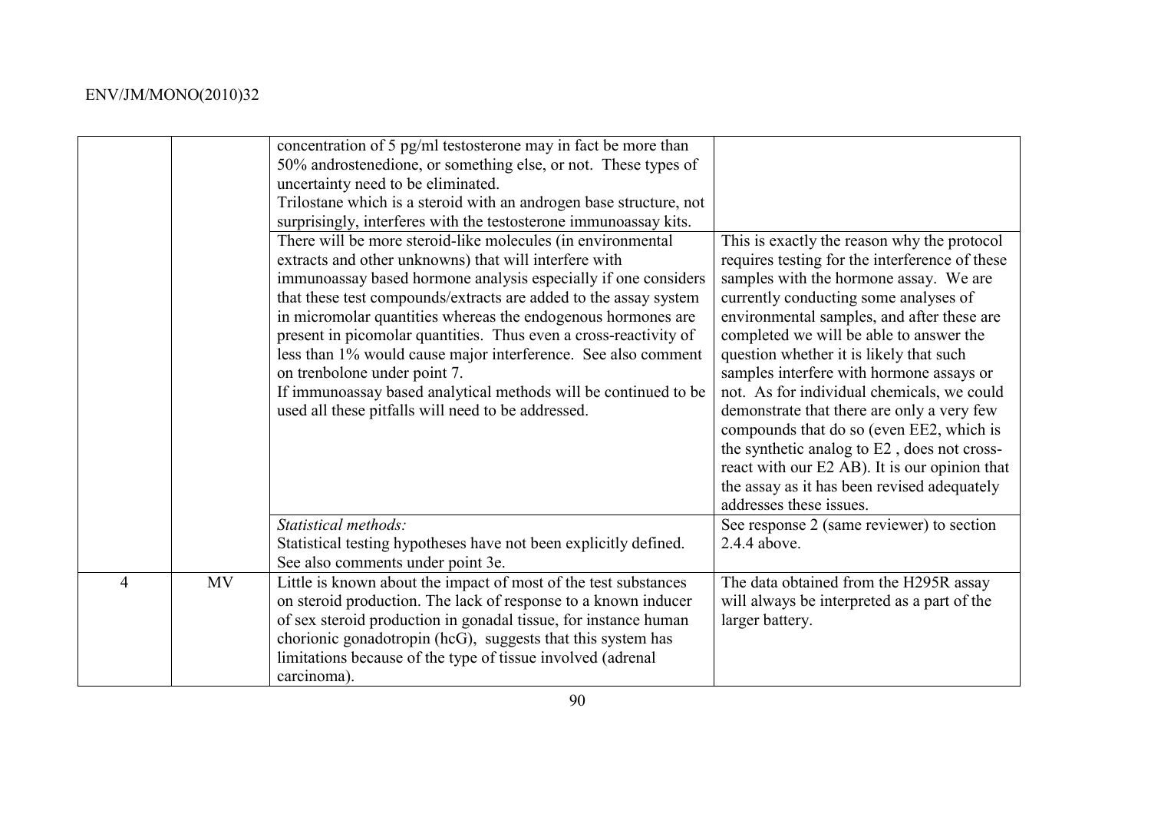|                |           | concentration of 5 pg/ml testosterone may in fact be more than<br>50% androstenedione, or something else, or not. These types of<br>uncertainty need to be eliminated.<br>Trilostane which is a steroid with an androgen base structure, not<br>surprisingly, interferes with the testosterone immunoassay kits.<br>There will be more steroid-like molecules (in environmental<br>extracts and other unknowns) that will interfere with<br>immunoassay based hormone analysis especially if one considers<br>that these test compounds/extracts are added to the assay system<br>in micromolar quantities whereas the endogenous hormones are<br>present in picomolar quantities. Thus even a cross-reactivity of<br>less than 1% would cause major interference. See also comment<br>on trenbolone under point 7.<br>If immunoassay based analytical methods will be continued to be<br>used all these pitfalls will need to be addressed. | This is exactly the reason why the protocol<br>requires testing for the interference of these<br>samples with the hormone assay. We are<br>currently conducting some analyses of<br>environmental samples, and after these are<br>completed we will be able to answer the<br>question whether it is likely that such<br>samples interfere with hormone assays or<br>not. As for individual chemicals, we could<br>demonstrate that there are only a very few<br>compounds that do so (even EE2, which is<br>the synthetic analog to E2, does not cross-<br>react with our E2 AB). It is our opinion that<br>the assay as it has been revised adequately<br>addresses these issues. |
|----------------|-----------|----------------------------------------------------------------------------------------------------------------------------------------------------------------------------------------------------------------------------------------------------------------------------------------------------------------------------------------------------------------------------------------------------------------------------------------------------------------------------------------------------------------------------------------------------------------------------------------------------------------------------------------------------------------------------------------------------------------------------------------------------------------------------------------------------------------------------------------------------------------------------------------------------------------------------------------------|------------------------------------------------------------------------------------------------------------------------------------------------------------------------------------------------------------------------------------------------------------------------------------------------------------------------------------------------------------------------------------------------------------------------------------------------------------------------------------------------------------------------------------------------------------------------------------------------------------------------------------------------------------------------------------|
|                |           | Statistical methods:<br>Statistical testing hypotheses have not been explicitly defined.                                                                                                                                                                                                                                                                                                                                                                                                                                                                                                                                                                                                                                                                                                                                                                                                                                                     | See response 2 (same reviewer) to section<br>2.4.4 above.                                                                                                                                                                                                                                                                                                                                                                                                                                                                                                                                                                                                                          |
|                |           | See also comments under point 3e.                                                                                                                                                                                                                                                                                                                                                                                                                                                                                                                                                                                                                                                                                                                                                                                                                                                                                                            |                                                                                                                                                                                                                                                                                                                                                                                                                                                                                                                                                                                                                                                                                    |
| $\overline{4}$ | <b>MV</b> | Little is known about the impact of most of the test substances<br>on steroid production. The lack of response to a known inducer<br>of sex steroid production in gonadal tissue, for instance human<br>chorionic gonadotropin (hcG), suggests that this system has<br>limitations because of the type of tissue involved (adrenal<br>carcinoma).                                                                                                                                                                                                                                                                                                                                                                                                                                                                                                                                                                                            | The data obtained from the H295R assay<br>will always be interpreted as a part of the<br>larger battery.                                                                                                                                                                                                                                                                                                                                                                                                                                                                                                                                                                           |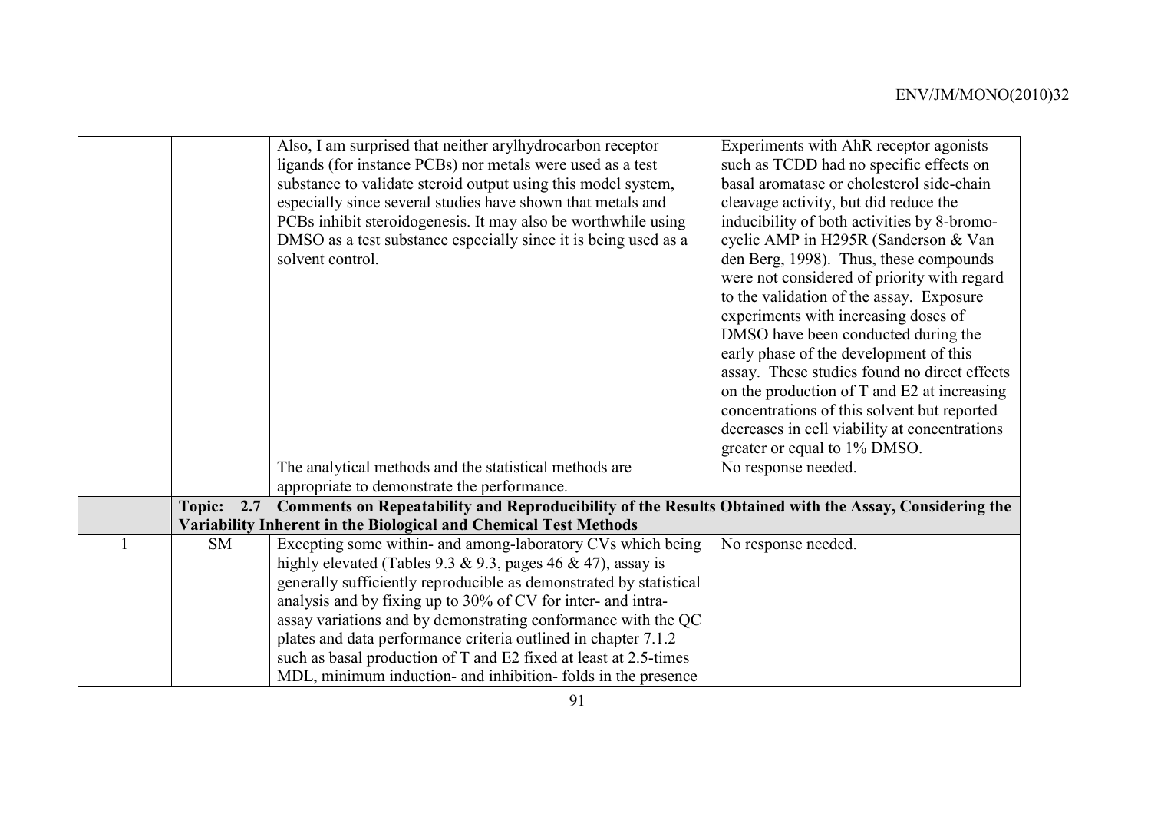|  |           | Also, I am surprised that neither arylhydrocarbon receptor                                                       | Experiments with AhR receptor agonists        |
|--|-----------|------------------------------------------------------------------------------------------------------------------|-----------------------------------------------|
|  |           | ligands (for instance PCBs) nor metals were used as a test                                                       | such as TCDD had no specific effects on       |
|  |           | substance to validate steroid output using this model system,                                                    | basal aromatase or cholesterol side-chain     |
|  |           | especially since several studies have shown that metals and                                                      | cleavage activity, but did reduce the         |
|  |           | PCBs inhibit steroidogenesis. It may also be worthwhile using                                                    | inducibility of both activities by 8-bromo-   |
|  |           | DMSO as a test substance especially since it is being used as a                                                  | cyclic AMP in H295R (Sanderson & Van          |
|  |           | solvent control.                                                                                                 | den Berg, 1998). Thus, these compounds        |
|  |           |                                                                                                                  | were not considered of priority with regard   |
|  |           |                                                                                                                  | to the validation of the assay. Exposure      |
|  |           |                                                                                                                  | experiments with increasing doses of          |
|  |           |                                                                                                                  | DMSO have been conducted during the           |
|  |           |                                                                                                                  |                                               |
|  |           |                                                                                                                  | early phase of the development of this        |
|  |           |                                                                                                                  | assay. These studies found no direct effects  |
|  |           |                                                                                                                  | on the production of T and E2 at increasing   |
|  |           |                                                                                                                  | concentrations of this solvent but reported   |
|  |           |                                                                                                                  | decreases in cell viability at concentrations |
|  |           |                                                                                                                  | greater or equal to 1% DMSO.                  |
|  |           | The analytical methods and the statistical methods are                                                           | No response needed.                           |
|  |           | appropriate to demonstrate the performance.                                                                      |                                               |
|  |           | Topic: 2.7 Comments on Repeatability and Reproducibility of the Results Obtained with the Assay, Considering the |                                               |
|  |           | Variability Inherent in the Biological and Chemical Test Methods                                                 |                                               |
|  | <b>SM</b> | Excepting some within- and among-laboratory CVs which being                                                      | No response needed.                           |
|  |           | highly elevated (Tables 9.3 & 9.3, pages 46 & 47), assay is                                                      |                                               |
|  |           | generally sufficiently reproducible as demonstrated by statistical                                               |                                               |
|  |           | analysis and by fixing up to 30% of CV for inter- and intra-                                                     |                                               |
|  |           | assay variations and by demonstrating conformance with the QC                                                    |                                               |
|  |           | plates and data performance criteria outlined in chapter 7.1.2                                                   |                                               |
|  |           | such as basal production of T and E2 fixed at least at 2.5-times                                                 |                                               |
|  |           | MDL, minimum induction- and inhibition- folds in the presence                                                    |                                               |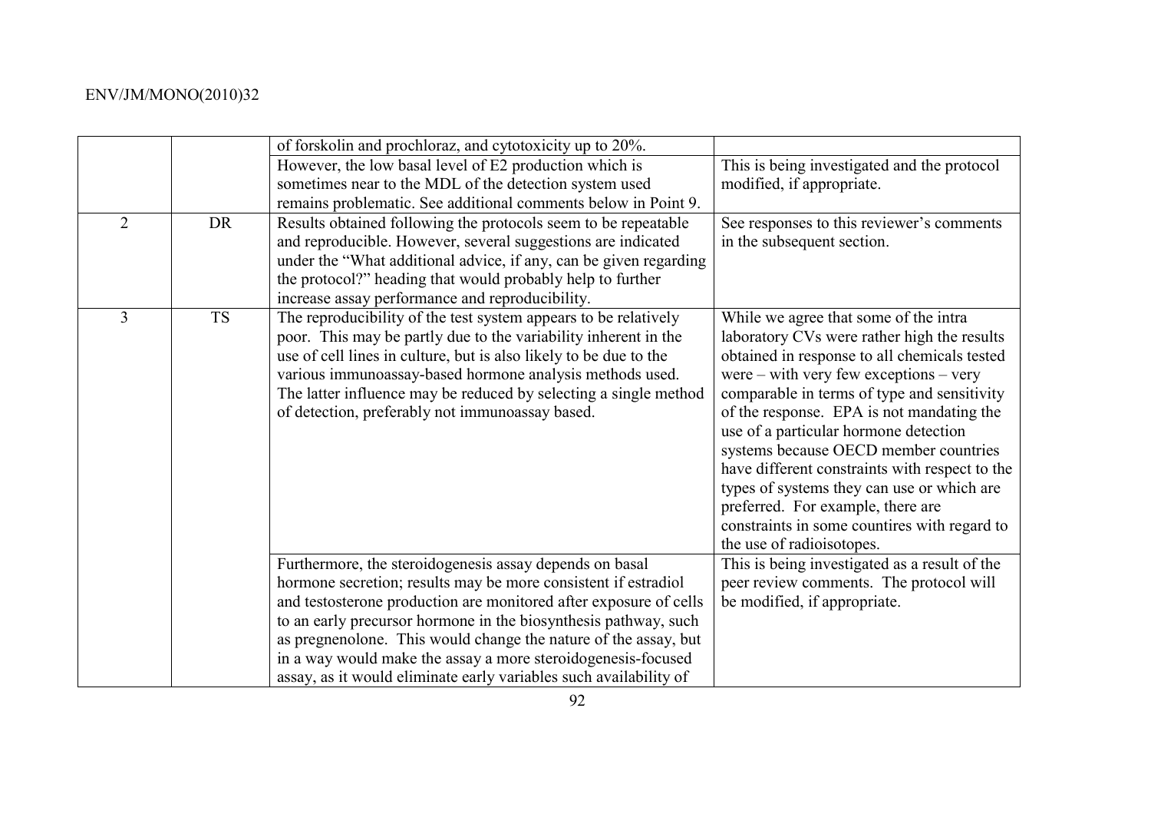|                |           | of forskolin and prochloraz, and cytotoxicity up to 20%.                                                                                                                                                                                                                                                                                                                                                                                                                  |                                                                                                                                                                                                                                                                                                                                                                                                                                                                                                                                                                                    |
|----------------|-----------|---------------------------------------------------------------------------------------------------------------------------------------------------------------------------------------------------------------------------------------------------------------------------------------------------------------------------------------------------------------------------------------------------------------------------------------------------------------------------|------------------------------------------------------------------------------------------------------------------------------------------------------------------------------------------------------------------------------------------------------------------------------------------------------------------------------------------------------------------------------------------------------------------------------------------------------------------------------------------------------------------------------------------------------------------------------------|
|                |           | However, the low basal level of E2 production which is                                                                                                                                                                                                                                                                                                                                                                                                                    | This is being investigated and the protocol                                                                                                                                                                                                                                                                                                                                                                                                                                                                                                                                        |
|                |           | sometimes near to the MDL of the detection system used                                                                                                                                                                                                                                                                                                                                                                                                                    | modified, if appropriate.                                                                                                                                                                                                                                                                                                                                                                                                                                                                                                                                                          |
|                |           | remains problematic. See additional comments below in Point 9.                                                                                                                                                                                                                                                                                                                                                                                                            |                                                                                                                                                                                                                                                                                                                                                                                                                                                                                                                                                                                    |
| $\overline{2}$ | <b>DR</b> | Results obtained following the protocols seem to be repeatable                                                                                                                                                                                                                                                                                                                                                                                                            | See responses to this reviewer's comments                                                                                                                                                                                                                                                                                                                                                                                                                                                                                                                                          |
|                |           | and reproducible. However, several suggestions are indicated                                                                                                                                                                                                                                                                                                                                                                                                              | in the subsequent section.                                                                                                                                                                                                                                                                                                                                                                                                                                                                                                                                                         |
|                |           | under the "What additional advice, if any, can be given regarding                                                                                                                                                                                                                                                                                                                                                                                                         |                                                                                                                                                                                                                                                                                                                                                                                                                                                                                                                                                                                    |
|                |           | the protocol?" heading that would probably help to further                                                                                                                                                                                                                                                                                                                                                                                                                |                                                                                                                                                                                                                                                                                                                                                                                                                                                                                                                                                                                    |
|                |           | increase assay performance and reproducibility.                                                                                                                                                                                                                                                                                                                                                                                                                           |                                                                                                                                                                                                                                                                                                                                                                                                                                                                                                                                                                                    |
| 3              | <b>TS</b> | The reproducibility of the test system appears to be relatively<br>poor. This may be partly due to the variability inherent in the<br>use of cell lines in culture, but is also likely to be due to the<br>various immunoassay-based hormone analysis methods used.<br>The latter influence may be reduced by selecting a single method<br>of detection, preferably not immunoassay based.                                                                                | While we agree that some of the intra<br>laboratory CVs were rather high the results<br>obtained in response to all chemicals tested<br>were $-$ with very few exceptions $-$ very<br>comparable in terms of type and sensitivity<br>of the response. EPA is not mandating the<br>use of a particular hormone detection<br>systems because OECD member countries<br>have different constraints with respect to the<br>types of systems they can use or which are<br>preferred. For example, there are<br>constraints in some countires with regard to<br>the use of radioisotopes. |
|                |           | Furthermore, the steroidogenesis assay depends on basal<br>hormone secretion; results may be more consistent if estradiol<br>and testosterone production are monitored after exposure of cells<br>to an early precursor hormone in the biosynthesis pathway, such<br>as pregnenolone. This would change the nature of the assay, but<br>in a way would make the assay a more steroidogenesis-focused<br>assay, as it would eliminate early variables such availability of | This is being investigated as a result of the<br>peer review comments. The protocol will<br>be modified, if appropriate.                                                                                                                                                                                                                                                                                                                                                                                                                                                           |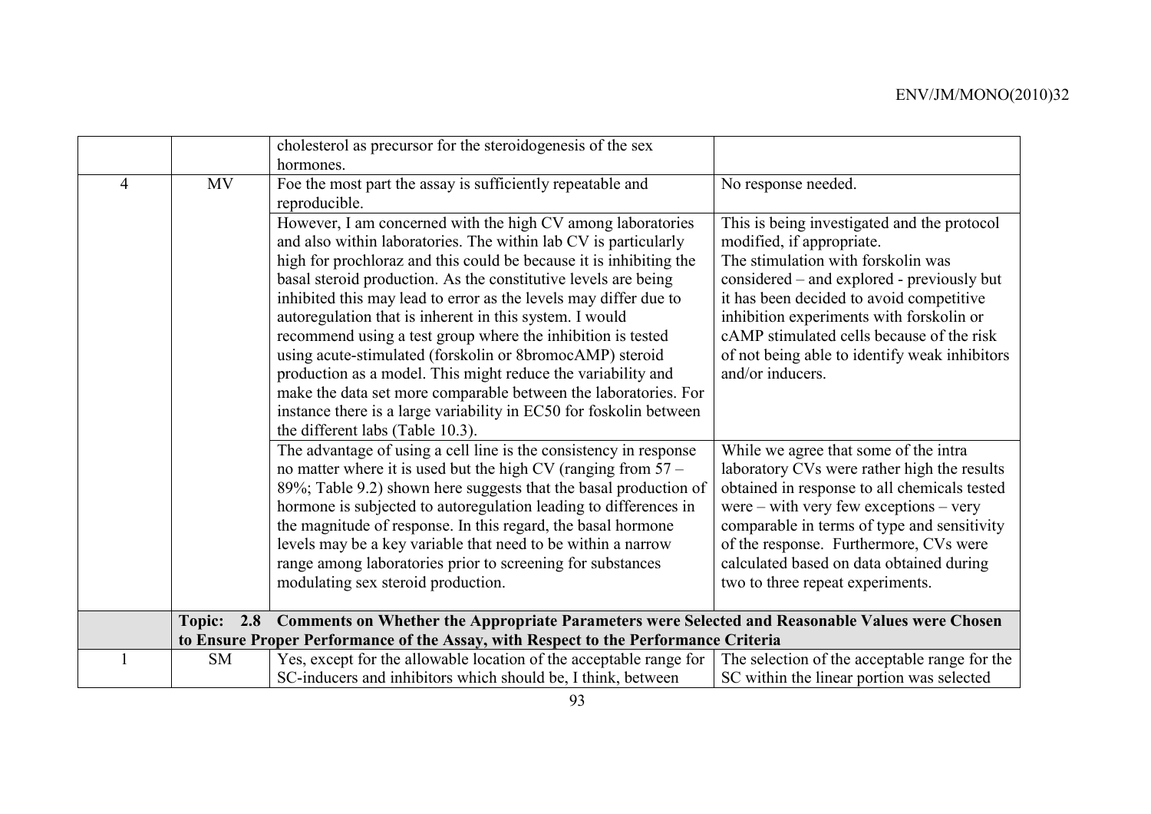|                                                                                                              |           | cholesterol as precursor for the steroidogenesis of the sex                                                                                                                                                                                                                                                                                                                                                                                                                                                                                                                                                                                                                                                                                                                   |                                                                                                                                                                                                                                                                                                                                                                        |
|--------------------------------------------------------------------------------------------------------------|-----------|-------------------------------------------------------------------------------------------------------------------------------------------------------------------------------------------------------------------------------------------------------------------------------------------------------------------------------------------------------------------------------------------------------------------------------------------------------------------------------------------------------------------------------------------------------------------------------------------------------------------------------------------------------------------------------------------------------------------------------------------------------------------------------|------------------------------------------------------------------------------------------------------------------------------------------------------------------------------------------------------------------------------------------------------------------------------------------------------------------------------------------------------------------------|
|                                                                                                              |           | hormones.                                                                                                                                                                                                                                                                                                                                                                                                                                                                                                                                                                                                                                                                                                                                                                     |                                                                                                                                                                                                                                                                                                                                                                        |
| 4                                                                                                            | <b>MV</b> | Foe the most part the assay is sufficiently repeatable and<br>reproducible.                                                                                                                                                                                                                                                                                                                                                                                                                                                                                                                                                                                                                                                                                                   | No response needed.                                                                                                                                                                                                                                                                                                                                                    |
|                                                                                                              |           | However, I am concerned with the high CV among laboratories<br>and also within laboratories. The within lab CV is particularly<br>high for prochloraz and this could be because it is inhibiting the<br>basal steroid production. As the constitutive levels are being<br>inhibited this may lead to error as the levels may differ due to<br>autoregulation that is inherent in this system. I would<br>recommend using a test group where the inhibition is tested<br>using acute-stimulated (forskolin or 8bromocAMP) steroid<br>production as a model. This might reduce the variability and<br>make the data set more comparable between the laboratories. For<br>instance there is a large variability in EC50 for foskolin between<br>the different labs (Table 10.3). | This is being investigated and the protocol<br>modified, if appropriate.<br>The stimulation with forskolin was<br>considered – and explored - previously but<br>it has been decided to avoid competitive<br>inhibition experiments with forskolin or<br>cAMP stimulated cells because of the risk<br>of not being able to identify weak inhibitors<br>and/or inducers. |
|                                                                                                              |           | The advantage of using a cell line is the consistency in response<br>no matter where it is used but the high CV (ranging from $57 -$<br>89%; Table 9.2) shown here suggests that the basal production of<br>hormone is subjected to autoregulation leading to differences in<br>the magnitude of response. In this regard, the basal hormone<br>levels may be a key variable that need to be within a narrow<br>range among laboratories prior to screening for substances<br>modulating sex steroid production.                                                                                                                                                                                                                                                              | While we agree that some of the intra<br>laboratory CVs were rather high the results<br>obtained in response to all chemicals tested<br>were $-$ with very few exceptions $-$ very<br>comparable in terms of type and sensitivity<br>of the response. Furthermore, CVs were<br>calculated based on data obtained during<br>two to three repeat experiments.            |
| 2.8 Comments on Whether the Appropriate Parameters were Selected and Reasonable Values were Chosen<br>Topic: |           |                                                                                                                                                                                                                                                                                                                                                                                                                                                                                                                                                                                                                                                                                                                                                                               |                                                                                                                                                                                                                                                                                                                                                                        |
|                                                                                                              |           | to Ensure Proper Performance of the Assay, with Respect to the Performance Criteria                                                                                                                                                                                                                                                                                                                                                                                                                                                                                                                                                                                                                                                                                           |                                                                                                                                                                                                                                                                                                                                                                        |
|                                                                                                              | <b>SM</b> | Yes, except for the allowable location of the acceptable range for<br>SC-inducers and inhibitors which should be, I think, between                                                                                                                                                                                                                                                                                                                                                                                                                                                                                                                                                                                                                                            | The selection of the acceptable range for the<br>SC within the linear portion was selected                                                                                                                                                                                                                                                                             |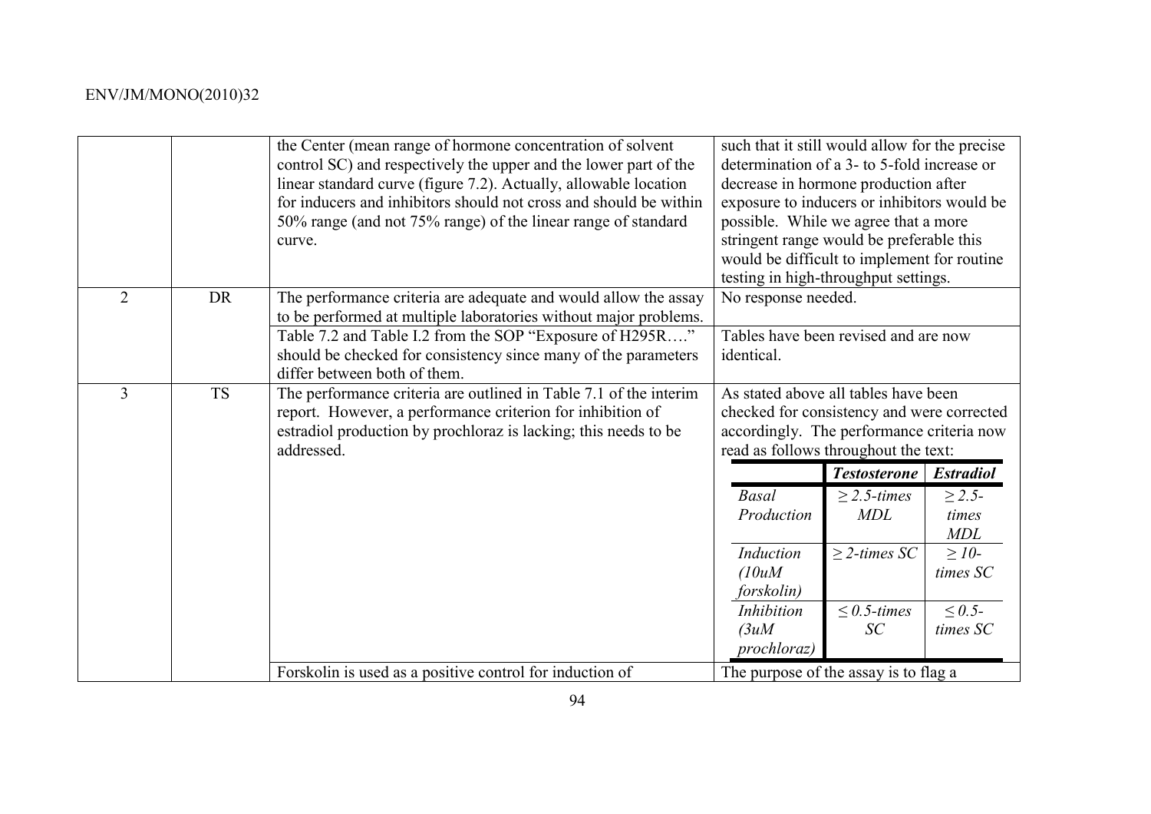|   |           | the Center (mean range of hormone concentration of solvent<br>control SC) and respectively the upper and the lower part of the<br>linear standard curve (figure 7.2). Actually, allowable location<br>for inducers and inhibitors should not cross and should be within<br>50% range (and not 75% range) of the linear range of standard<br>curve. | such that it still would allow for the precise<br>determination of a 3- to 5-fold increase or<br>decrease in hormone production after<br>exposure to inducers or inhibitors would be<br>possible. While we agree that a more<br>stringent range would be preferable this<br>would be difficult to implement for routine<br>testing in high-throughput settings. |                                |                                     |
|---|-----------|----------------------------------------------------------------------------------------------------------------------------------------------------------------------------------------------------------------------------------------------------------------------------------------------------------------------------------------------------|-----------------------------------------------------------------------------------------------------------------------------------------------------------------------------------------------------------------------------------------------------------------------------------------------------------------------------------------------------------------|--------------------------------|-------------------------------------|
| 2 | <b>DR</b> | The performance criteria are adequate and would allow the assay<br>to be performed at multiple laboratories without major problems.                                                                                                                                                                                                                | No response needed.                                                                                                                                                                                                                                                                                                                                             |                                |                                     |
|   |           | Table 7.2 and Table I.2 from the SOP "Exposure of H295R"<br>should be checked for consistency since many of the parameters<br>differ between both of them.                                                                                                                                                                                         | Tables have been revised and are now<br>identical.                                                                                                                                                                                                                                                                                                              |                                |                                     |
| 3 | <b>TS</b> | The performance criteria are outlined in Table 7.1 of the interim<br>report. However, a performance criterion for inhibition of<br>estradiol production by prochloraz is lacking; this needs to be<br>addressed.                                                                                                                                   | As stated above all tables have been<br>checked for consistency and were corrected<br>accordingly. The performance criteria now<br>read as follows throughout the text:                                                                                                                                                                                         |                                |                                     |
|   |           |                                                                                                                                                                                                                                                                                                                                                    |                                                                                                                                                                                                                                                                                                                                                                 | <b>Testosterone</b>            | <b>Estradiol</b>                    |
|   |           |                                                                                                                                                                                                                                                                                                                                                    | <b>Basal</b><br>Production                                                                                                                                                                                                                                                                                                                                      | $\geq$ 2.5-times<br><b>MDL</b> | $\geq 2.5$ -<br>times<br><b>MDL</b> |
|   |           |                                                                                                                                                                                                                                                                                                                                                    | Induction<br>(10uM)<br>forskolin)                                                                                                                                                                                                                                                                                                                               | $\geq$ 2-times SC              | $\geq$ 10-<br>times SC              |
|   |           |                                                                                                                                                                                                                                                                                                                                                    | Inhibition<br>(3u)<br>prochloraz)                                                                                                                                                                                                                                                                                                                               | $\leq 0.5$ -times<br>SC        | $\leq 0.5$ -<br>times SC            |
|   |           | Forskolin is used as a positive control for induction of                                                                                                                                                                                                                                                                                           | The purpose of the assay is to flag a                                                                                                                                                                                                                                                                                                                           |                                |                                     |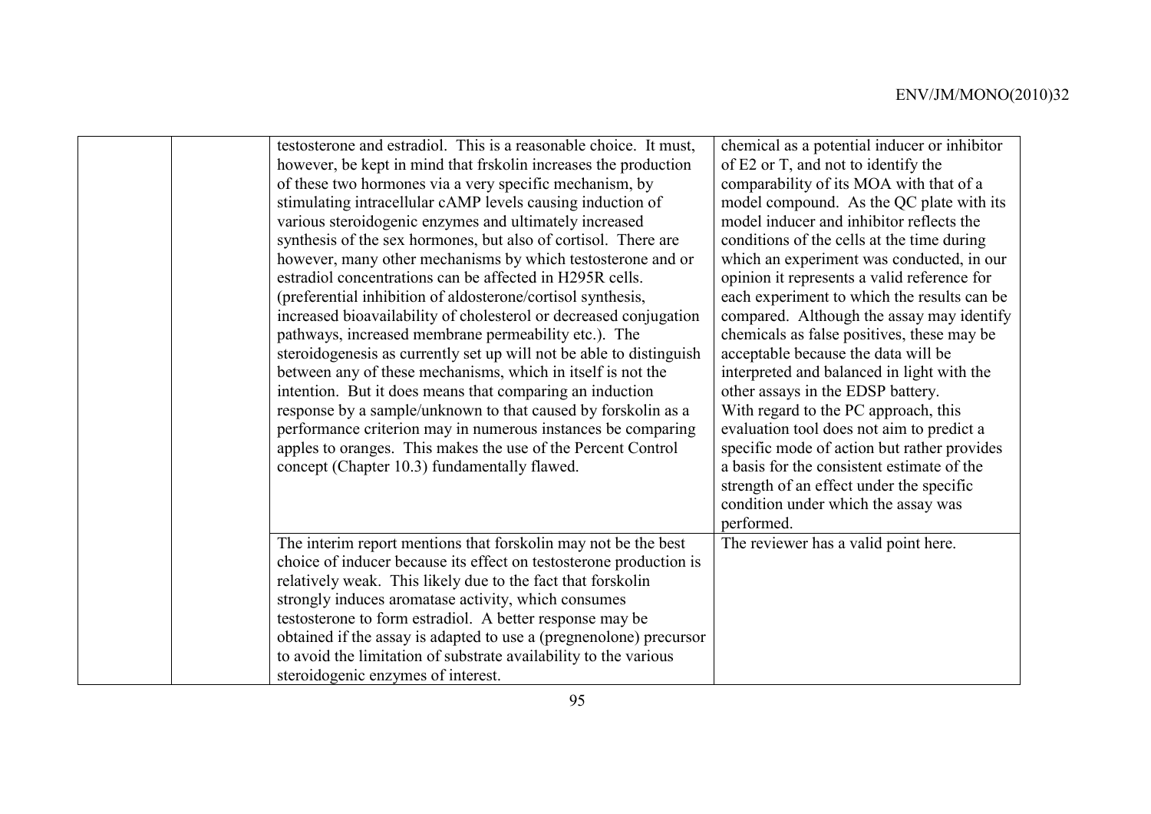| testosterone and estradiol. This is a reasonable choice. It must,<br>however, be kept in mind that frskolin increases the production<br>of these two hormones via a very specific mechanism, by<br>stimulating intracellular cAMP levels causing induction of<br>various steroidogenic enzymes and ultimately increased<br>synthesis of the sex hormones, but also of cortisol. There are<br>however, many other mechanisms by which testosterone and or<br>estradiol concentrations can be affected in H295R cells.<br>(preferential inhibition of aldosterone/cortisol synthesis,<br>increased bioavailability of cholesterol or decreased conjugation<br>pathways, increased membrane permeability etc.). The<br>steroidogenesis as currently set up will not be able to distinguish<br>between any of these mechanisms, which in itself is not the<br>intention. But it does means that comparing an induction<br>response by a sample/unknown to that caused by forskolin as a<br>performance criterion may in numerous instances be comparing<br>apples to oranges. This makes the use of the Percent Control<br>concept (Chapter 10.3) fundamentally flawed. | chemical as a potential inducer or inhibitor<br>of E2 or T, and not to identify the<br>comparability of its MOA with that of a<br>model compound. As the QC plate with its<br>model inducer and inhibitor reflects the<br>conditions of the cells at the time during<br>which an experiment was conducted, in our<br>opinion it represents a valid reference for<br>each experiment to which the results can be<br>compared. Although the assay may identify<br>chemicals as false positives, these may be<br>acceptable because the data will be<br>interpreted and balanced in light with the<br>other assays in the EDSP battery.<br>With regard to the PC approach, this<br>evaluation tool does not aim to predict a<br>specific mode of action but rather provides<br>a basis for the consistent estimate of the |
|---------------------------------------------------------------------------------------------------------------------------------------------------------------------------------------------------------------------------------------------------------------------------------------------------------------------------------------------------------------------------------------------------------------------------------------------------------------------------------------------------------------------------------------------------------------------------------------------------------------------------------------------------------------------------------------------------------------------------------------------------------------------------------------------------------------------------------------------------------------------------------------------------------------------------------------------------------------------------------------------------------------------------------------------------------------------------------------------------------------------------------------------------------------------|------------------------------------------------------------------------------------------------------------------------------------------------------------------------------------------------------------------------------------------------------------------------------------------------------------------------------------------------------------------------------------------------------------------------------------------------------------------------------------------------------------------------------------------------------------------------------------------------------------------------------------------------------------------------------------------------------------------------------------------------------------------------------------------------------------------------|
|                                                                                                                                                                                                                                                                                                                                                                                                                                                                                                                                                                                                                                                                                                                                                                                                                                                                                                                                                                                                                                                                                                                                                                     | strength of an effect under the specific<br>condition under which the assay was<br>performed.                                                                                                                                                                                                                                                                                                                                                                                                                                                                                                                                                                                                                                                                                                                          |
| The interim report mentions that forskolin may not be the best<br>choice of inducer because its effect on testosterone production is<br>relatively weak. This likely due to the fact that forskolin<br>strongly induces aromatase activity, which consumes<br>testosterone to form estradiol. A better response may be<br>obtained if the assay is adapted to use a (pregnenolone) precursor<br>to avoid the limitation of substrate availability to the various<br>steroidogenic enzymes of interest.                                                                                                                                                                                                                                                                                                                                                                                                                                                                                                                                                                                                                                                              | The reviewer has a valid point here.                                                                                                                                                                                                                                                                                                                                                                                                                                                                                                                                                                                                                                                                                                                                                                                   |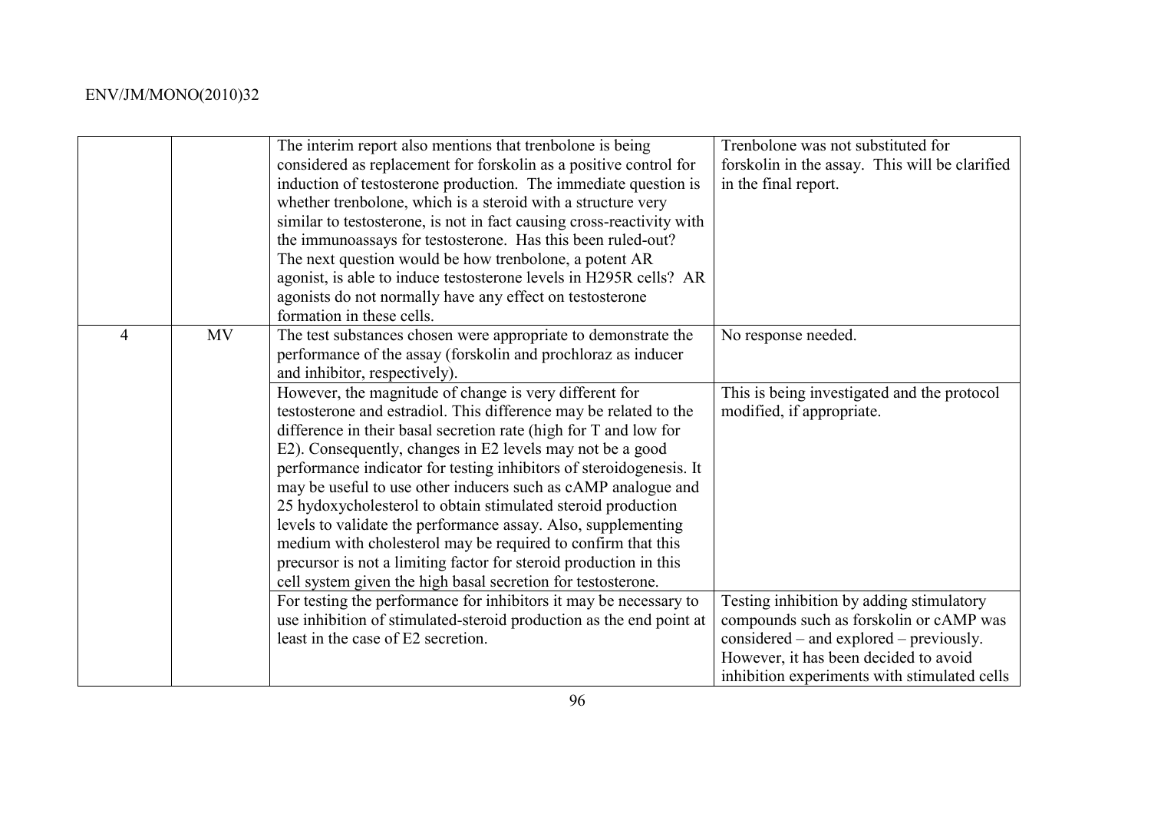|                |           | The interim report also mentions that trenbolone is being<br>considered as replacement for forskolin as a positive control for<br>induction of testosterone production. The immediate question is<br>whether trenbolone, which is a steroid with a structure very<br>similar to testosterone, is not in fact causing cross-reactivity with<br>the immunoassays for testosterone. Has this been ruled-out?<br>The next question would be how trenbolone, a potent AR<br>agonist, is able to induce testosterone levels in H295R cells? AR<br>agonists do not normally have any effect on testosterone<br>formation in these cells.                                                                                                                                                                                                                                                                              | Trenbolone was not substituted for<br>forskolin in the assay. This will be clarified<br>in the final report.                                                                                                            |
|----------------|-----------|----------------------------------------------------------------------------------------------------------------------------------------------------------------------------------------------------------------------------------------------------------------------------------------------------------------------------------------------------------------------------------------------------------------------------------------------------------------------------------------------------------------------------------------------------------------------------------------------------------------------------------------------------------------------------------------------------------------------------------------------------------------------------------------------------------------------------------------------------------------------------------------------------------------|-------------------------------------------------------------------------------------------------------------------------------------------------------------------------------------------------------------------------|
| $\overline{4}$ | <b>MV</b> | The test substances chosen were appropriate to demonstrate the<br>performance of the assay (forskolin and prochloraz as inducer<br>and inhibitor, respectively).<br>However, the magnitude of change is very different for<br>testosterone and estradiol. This difference may be related to the<br>difference in their basal secretion rate (high for T and low for<br>E2). Consequently, changes in E2 levels may not be a good<br>performance indicator for testing inhibitors of steroidogenesis. It<br>may be useful to use other inducers such as cAMP analogue and<br>25 hydoxycholesterol to obtain stimulated steroid production<br>levels to validate the performance assay. Also, supplementing<br>medium with cholesterol may be required to confirm that this<br>precursor is not a limiting factor for steroid production in this<br>cell system given the high basal secretion for testosterone. | No response needed.<br>This is being investigated and the protocol<br>modified, if appropriate.                                                                                                                         |
|                |           | For testing the performance for inhibitors it may be necessary to<br>use inhibition of stimulated-steroid production as the end point at<br>least in the case of E2 secretion.                                                                                                                                                                                                                                                                                                                                                                                                                                                                                                                                                                                                                                                                                                                                 | Testing inhibition by adding stimulatory<br>compounds such as forskolin or cAMP was<br>considered – and explored – previously.<br>However, it has been decided to avoid<br>inhibition experiments with stimulated cells |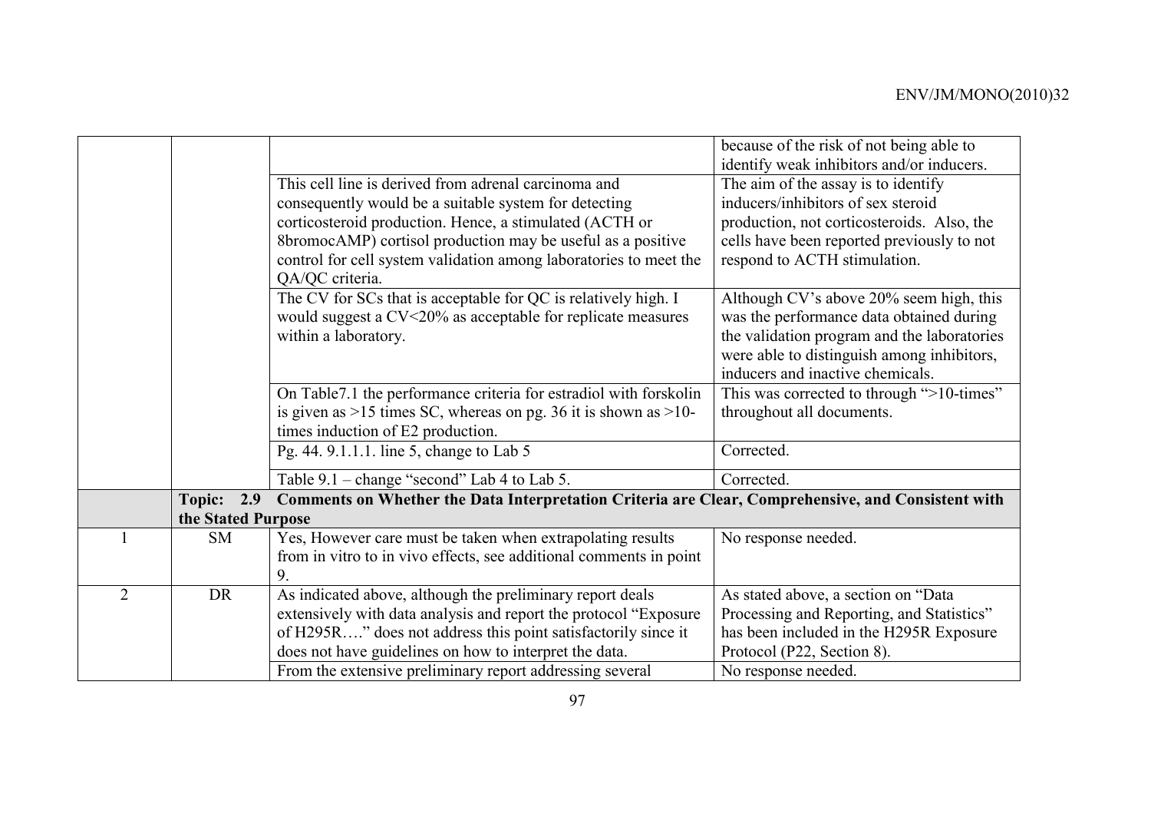|                |                    |                                                                                                    | because of the risk of not being able to    |
|----------------|--------------------|----------------------------------------------------------------------------------------------------|---------------------------------------------|
|                |                    |                                                                                                    | identify weak inhibitors and/or inducers.   |
|                |                    | This cell line is derived from adrenal carcinoma and                                               | The aim of the assay is to identify         |
|                |                    | consequently would be a suitable system for detecting                                              | inducers/inhibitors of sex steroid          |
|                |                    | corticosteroid production. Hence, a stimulated (ACTH or                                            | production, not corticosteroids. Also, the  |
|                |                    | 8bromocAMP) cortisol production may be useful as a positive                                        | cells have been reported previously to not  |
|                |                    | control for cell system validation among laboratories to meet the                                  | respond to ACTH stimulation.                |
|                |                    | QA/QC criteria.                                                                                    |                                             |
|                |                    | The CV for SCs that is acceptable for QC is relatively high. I                                     | Although CV's above 20% seem high, this     |
|                |                    | would suggest a CV<20% as acceptable for replicate measures                                        | was the performance data obtained during    |
|                |                    | within a laboratory.                                                                               | the validation program and the laboratories |
|                |                    |                                                                                                    | were able to distinguish among inhibitors,  |
|                |                    |                                                                                                    | inducers and inactive chemicals.            |
|                |                    | On Table 7.1 the performance criteria for estradiol with forskolin                                 | This was corrected to through ">10-times"   |
|                |                    | is given as $>15$ times SC, whereas on pg. 36 it is shown as $>10$ -                               | throughout all documents.                   |
|                |                    | times induction of E2 production.                                                                  |                                             |
|                |                    | Pg. 44. 9.1.1.1. line 5, change to Lab 5                                                           | Corrected.                                  |
|                |                    | Table 9.1 – change "second" Lab 4 to Lab 5.                                                        | Corrected.                                  |
|                | Topic:<br>2.9      | Comments on Whether the Data Interpretation Criteria are Clear, Comprehensive, and Consistent with |                                             |
|                | the Stated Purpose |                                                                                                    |                                             |
|                | <b>SM</b>          | Yes, However care must be taken when extrapolating results                                         | No response needed.                         |
|                |                    | from in vitro to in vivo effects, see additional comments in point                                 |                                             |
|                |                    | 9.                                                                                                 |                                             |
| $\overline{2}$ | <b>DR</b>          | As indicated above, although the preliminary report deals                                          | As stated above, a section on "Data         |
|                |                    | extensively with data analysis and report the protocol "Exposure"                                  | Processing and Reporting, and Statistics"   |
|                |                    | of H295R" does not address this point satisfactorily since it                                      | has been included in the H295R Exposure     |
|                |                    | does not have guidelines on how to interpret the data.                                             | Protocol (P22, Section 8).                  |
|                |                    | From the extensive preliminary report addressing several                                           | No response needed.                         |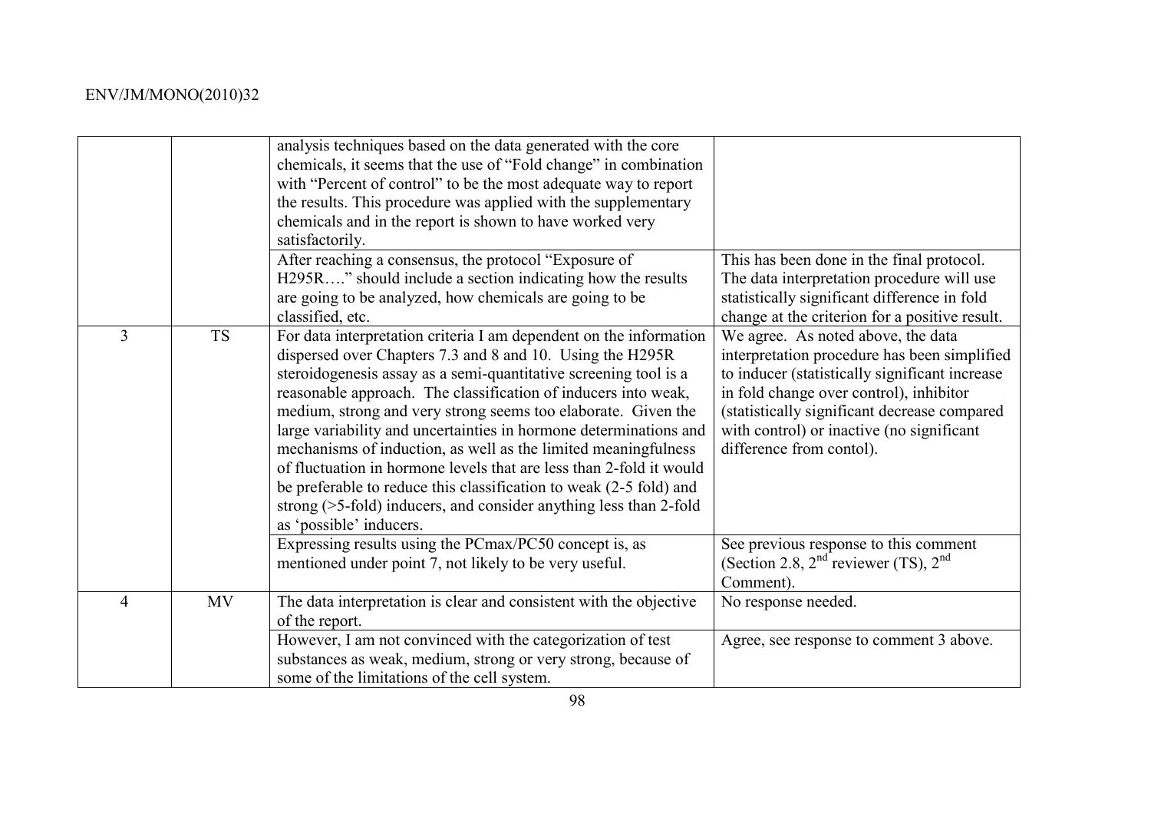|                |           | analysis techniques based on the data generated with the core<br>chemicals, it seems that the use of "Fold change" in combination<br>with "Percent of control" to be the most adequate way to report<br>the results. This procedure was applied with the supplementary<br>chemicals and in the report is shown to have worked very<br>satisfactorily.                                                                                                                                                                                                                                                                                                                                                                         |                                                                                                                                                                                                                                                                                                          |
|----------------|-----------|-------------------------------------------------------------------------------------------------------------------------------------------------------------------------------------------------------------------------------------------------------------------------------------------------------------------------------------------------------------------------------------------------------------------------------------------------------------------------------------------------------------------------------------------------------------------------------------------------------------------------------------------------------------------------------------------------------------------------------|----------------------------------------------------------------------------------------------------------------------------------------------------------------------------------------------------------------------------------------------------------------------------------------------------------|
|                |           | After reaching a consensus, the protocol "Exposure of<br>H295R" should include a section indicating how the results<br>are going to be analyzed, how chemicals are going to be<br>classified, etc.                                                                                                                                                                                                                                                                                                                                                                                                                                                                                                                            | This has been done in the final protocol.<br>The data interpretation procedure will use<br>statistically significant difference in fold<br>change at the criterion for a positive result.                                                                                                                |
| $\overline{3}$ | <b>TS</b> | For data interpretation criteria I am dependent on the information<br>dispersed over Chapters 7.3 and 8 and 10. Using the H295R<br>steroidogenesis assay as a semi-quantitative screening tool is a<br>reasonable approach. The classification of inducers into weak,<br>medium, strong and very strong seems too elaborate. Given the<br>large variability and uncertainties in hormone determinations and<br>mechanisms of induction, as well as the limited meaningfulness<br>of fluctuation in hormone levels that are less than 2-fold it would<br>be preferable to reduce this classification to weak (2-5 fold) and<br>strong $($ >5-fold) inducers, and consider anything less than 2-fold<br>as 'possible' inducers. | We agree. As noted above, the data<br>interpretation procedure has been simplified<br>to inducer (statistically significant increase<br>in fold change over control), inhibitor<br>(statistically significant decrease compared<br>with control) or inactive (no significant<br>difference from contol). |
|                |           | Expressing results using the PCmax/PC50 concept is, as<br>mentioned under point 7, not likely to be very useful.                                                                                                                                                                                                                                                                                                                                                                                                                                                                                                                                                                                                              | See previous response to this comment<br>(Section 2.8, $2nd$ reviewer (TS), $2nd$<br>Comment).                                                                                                                                                                                                           |
| 4              | <b>MV</b> | The data interpretation is clear and consistent with the objective<br>of the report.<br>However, I am not convinced with the categorization of test                                                                                                                                                                                                                                                                                                                                                                                                                                                                                                                                                                           | No response needed.<br>Agree, see response to comment 3 above.                                                                                                                                                                                                                                           |
|                |           | substances as weak, medium, strong or very strong, because of<br>some of the limitations of the cell system.                                                                                                                                                                                                                                                                                                                                                                                                                                                                                                                                                                                                                  |                                                                                                                                                                                                                                                                                                          |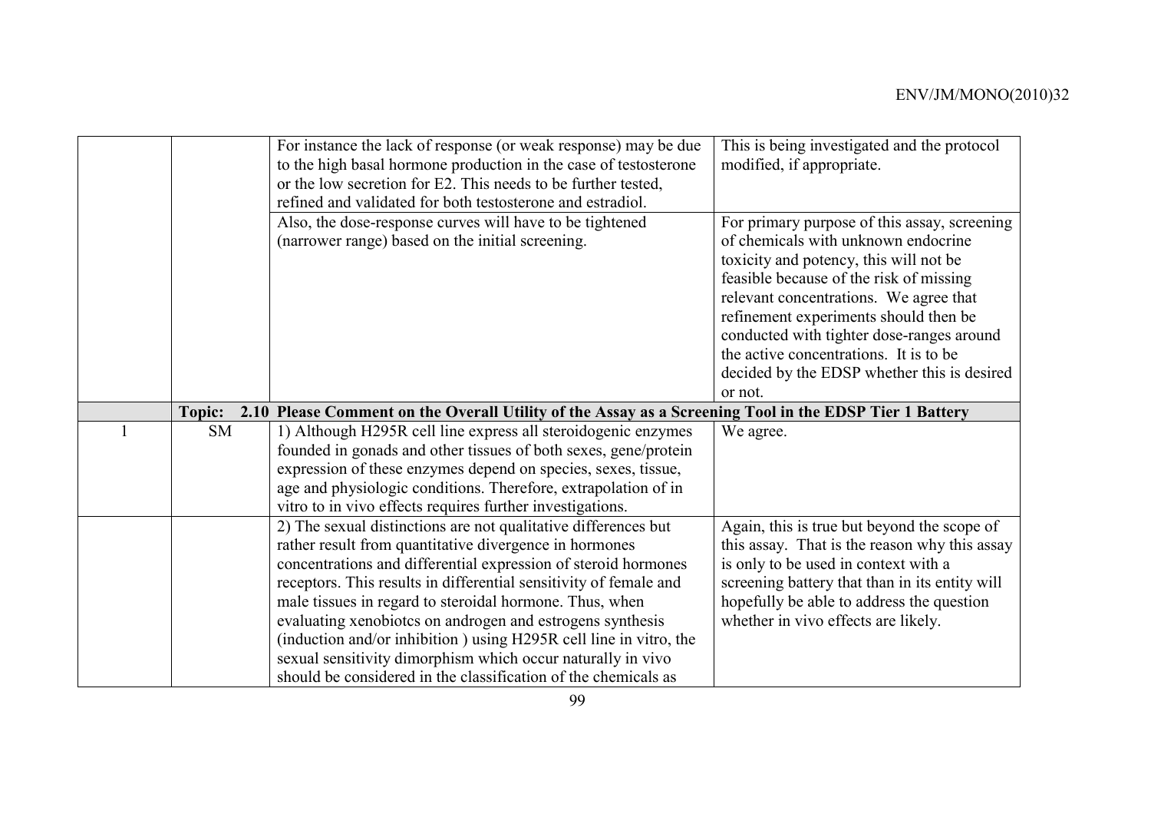| This is being investigated and the protocol<br>For instance the lack of response (or weak response) may be due      |  |
|---------------------------------------------------------------------------------------------------------------------|--|
|                                                                                                                     |  |
| to the high basal hormone production in the case of testosterone<br>modified, if appropriate.                       |  |
| or the low secretion for E2. This needs to be further tested,                                                       |  |
| refined and validated for both testosterone and estradiol.                                                          |  |
| Also, the dose-response curves will have to be tightened<br>For primary purpose of this assay, screening            |  |
| (narrower range) based on the initial screening.<br>of chemicals with unknown endocrine                             |  |
| toxicity and potency, this will not be                                                                              |  |
| feasible because of the risk of missing                                                                             |  |
| relevant concentrations. We agree that                                                                              |  |
|                                                                                                                     |  |
| refinement experiments should then be                                                                               |  |
| conducted with tighter dose-ranges around                                                                           |  |
| the active concentrations. It is to be                                                                              |  |
| decided by the EDSP whether this is desired                                                                         |  |
| or not.                                                                                                             |  |
| 2.10 Please Comment on the Overall Utility of the Assay as a Screening Tool in the EDSP Tier 1 Battery<br>Topic:    |  |
| <b>SM</b><br>1) Although H295R cell line express all steroidogenic enzymes<br>We agree.                             |  |
| founded in gonads and other tissues of both sexes, gene/protein                                                     |  |
| expression of these enzymes depend on species, sexes, tissue,                                                       |  |
| age and physiologic conditions. Therefore, extrapolation of in                                                      |  |
| vitro to in vivo effects requires further investigations.                                                           |  |
| 2) The sexual distinctions are not qualitative differences but<br>Again, this is true but beyond the scope of       |  |
| rather result from quantitative divergence in hormones<br>this assay. That is the reason why this assay             |  |
| concentrations and differential expression of steroid hormones<br>is only to be used in context with a              |  |
| receptors. This results in differential sensitivity of female and<br>screening battery that than in its entity will |  |
| male tissues in regard to steroidal hormone. Thus, when<br>hopefully be able to address the question                |  |
| evaluating xenobiotes on androgen and estrogens synthesis<br>whether in vivo effects are likely.                    |  |
| (induction and/or inhibition) using H295R cell line in vitro, the                                                   |  |
|                                                                                                                     |  |
| sexual sensitivity dimorphism which occur naturally in vivo                                                         |  |
|                                                                                                                     |  |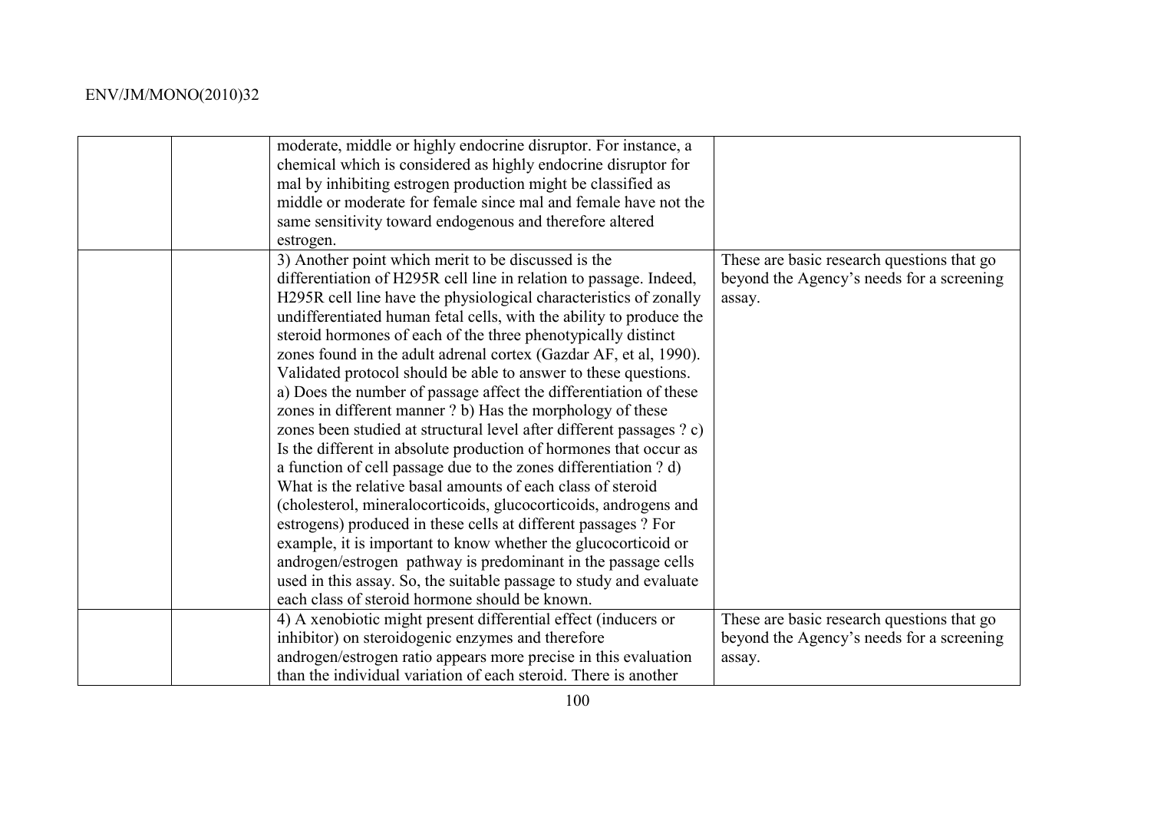| moderate, middle or highly endocrine disruptor. For instance, a<br>chemical which is considered as highly endocrine disruptor for<br>mal by inhibiting estrogen production might be classified as<br>middle or moderate for female since mal and female have not the<br>same sensitivity toward endogenous and therefore altered<br>estrogen.                                                                                                                                                                                                                                                                                                                                                                                                                                                                                                                                                                                                                                                                                                                                                                                                                                                                                                                                                      |                                                                                                   |
|----------------------------------------------------------------------------------------------------------------------------------------------------------------------------------------------------------------------------------------------------------------------------------------------------------------------------------------------------------------------------------------------------------------------------------------------------------------------------------------------------------------------------------------------------------------------------------------------------------------------------------------------------------------------------------------------------------------------------------------------------------------------------------------------------------------------------------------------------------------------------------------------------------------------------------------------------------------------------------------------------------------------------------------------------------------------------------------------------------------------------------------------------------------------------------------------------------------------------------------------------------------------------------------------------|---------------------------------------------------------------------------------------------------|
| 3) Another point which merit to be discussed is the<br>differentiation of H295R cell line in relation to passage. Indeed,<br>H295R cell line have the physiological characteristics of zonally<br>undifferentiated human fetal cells, with the ability to produce the<br>steroid hormones of each of the three phenotypically distinct<br>zones found in the adult adrenal cortex (Gazdar AF, et al, 1990).<br>Validated protocol should be able to answer to these questions.<br>a) Does the number of passage affect the differentiation of these<br>zones in different manner ? b) Has the morphology of these<br>zones been studied at structural level after different passages ? c)<br>Is the different in absolute production of hormones that occur as<br>a function of cell passage due to the zones differentiation ? d)<br>What is the relative basal amounts of each class of steroid<br>(cholesterol, mineralocorticoids, glucocorticoids, androgens and<br>estrogens) produced in these cells at different passages ? For<br>example, it is important to know whether the glucocorticoid or<br>androgen/estrogen pathway is predominant in the passage cells<br>used in this assay. So, the suitable passage to study and evaluate<br>each class of steroid hormone should be known. | These are basic research questions that go<br>beyond the Agency's needs for a screening<br>assay. |
| 4) A xenobiotic might present differential effect (inducers or<br>inhibitor) on steroidogenic enzymes and therefore<br>androgen/estrogen ratio appears more precise in this evaluation<br>than the individual variation of each steroid. There is another                                                                                                                                                                                                                                                                                                                                                                                                                                                                                                                                                                                                                                                                                                                                                                                                                                                                                                                                                                                                                                          | These are basic research questions that go<br>beyond the Agency's needs for a screening<br>assay. |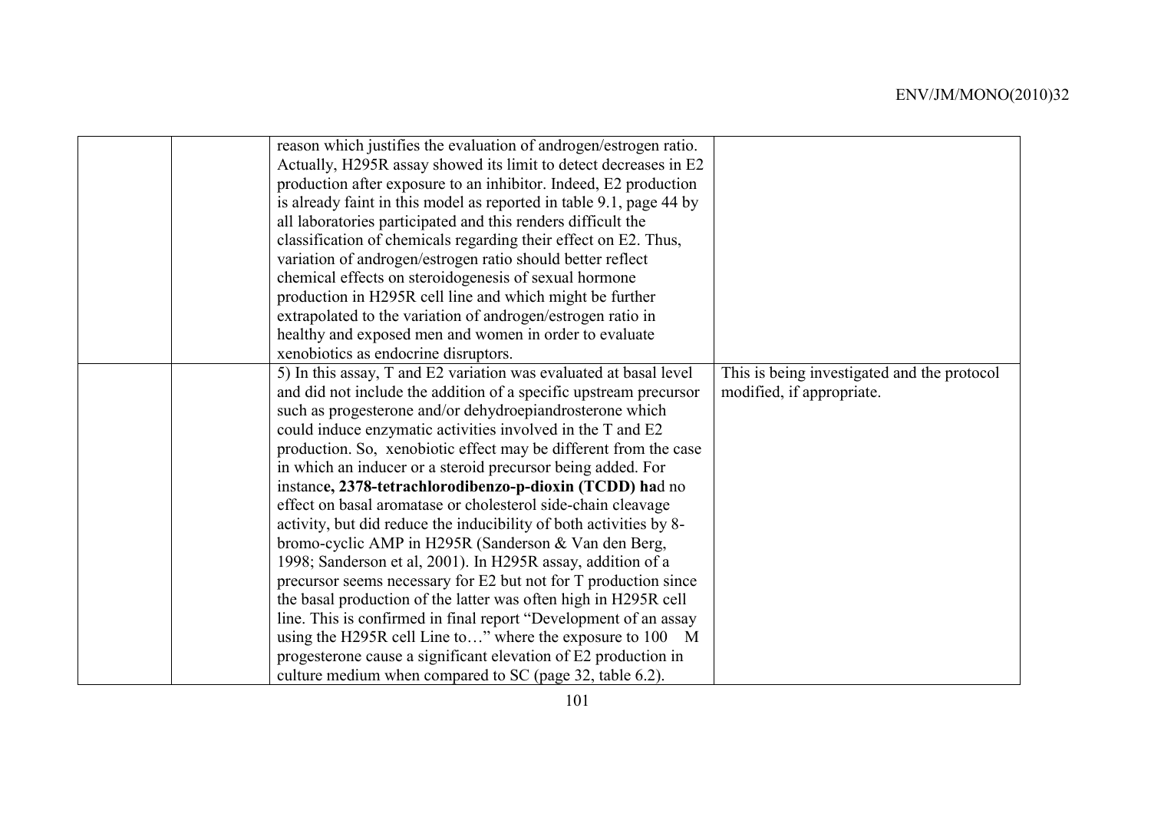|  | reason which justifies the evaluation of androgen/estrogen ratio.   |                                             |
|--|---------------------------------------------------------------------|---------------------------------------------|
|  | Actually, H295R assay showed its limit to detect decreases in E2    |                                             |
|  | production after exposure to an inhibitor. Indeed, E2 production    |                                             |
|  | is already faint in this model as reported in table 9.1, page 44 by |                                             |
|  | all laboratories participated and this renders difficult the        |                                             |
|  | classification of chemicals regarding their effect on E2. Thus,     |                                             |
|  | variation of androgen/estrogen ratio should better reflect          |                                             |
|  | chemical effects on steroidogenesis of sexual hormone               |                                             |
|  | production in H295R cell line and which might be further            |                                             |
|  | extrapolated to the variation of androgen/estrogen ratio in         |                                             |
|  | healthy and exposed men and women in order to evaluate              |                                             |
|  | xenobiotics as endocrine disruptors.                                |                                             |
|  | 5) In this assay, T and E2 variation was evaluated at basal level   | This is being investigated and the protocol |
|  | and did not include the addition of a specific upstream precursor   | modified, if appropriate.                   |
|  | such as progesterone and/or dehydroepiandrosterone which            |                                             |
|  | could induce enzymatic activities involved in the T and E2          |                                             |
|  | production. So, xenobiotic effect may be different from the case    |                                             |
|  | in which an inducer or a steroid precursor being added. For         |                                             |
|  | instance, 2378-tetrachlorodibenzo-p-dioxin (TCDD) had no            |                                             |
|  | effect on basal aromatase or cholesterol side-chain cleavage        |                                             |
|  | activity, but did reduce the inducibility of both activities by 8-  |                                             |
|  | bromo-cyclic AMP in H295R (Sanderson & Van den Berg,                |                                             |
|  | 1998; Sanderson et al, 2001). In H295R assay, addition of a         |                                             |
|  | precursor seems necessary for E2 but not for T production since     |                                             |
|  | the basal production of the latter was often high in H295R cell     |                                             |
|  | line. This is confirmed in final report "Development of an assay    |                                             |
|  | using the H295R cell Line to" where the exposure to 100 M           |                                             |
|  | progesterone cause a significant elevation of E2 production in      |                                             |
|  | culture medium when compared to SC (page 32, table 6.2).            |                                             |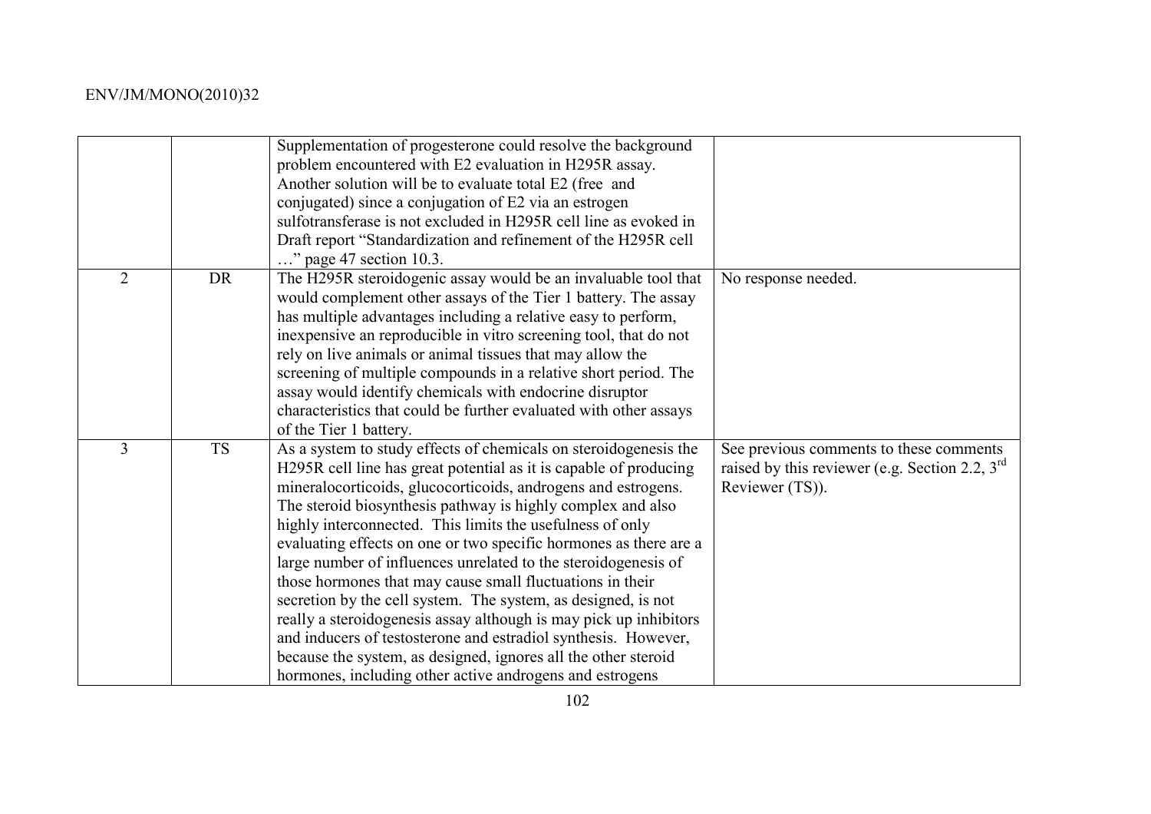|                |           | Supplementation of progesterone could resolve the background<br>problem encountered with E2 evaluation in H295R assay.<br>Another solution will be to evaluate total E2 (free and<br>conjugated) since a conjugation of E2 via an estrogen<br>sulfotransferase is not excluded in H295R cell line as evoked in<br>Draft report "Standardization and refinement of the H295R cell<br>" page 47 section 10.3.                                                                                                                                                                                                                                                                                                                                                                                                                                                                  |                                                                                                                |
|----------------|-----------|------------------------------------------------------------------------------------------------------------------------------------------------------------------------------------------------------------------------------------------------------------------------------------------------------------------------------------------------------------------------------------------------------------------------------------------------------------------------------------------------------------------------------------------------------------------------------------------------------------------------------------------------------------------------------------------------------------------------------------------------------------------------------------------------------------------------------------------------------------------------------|----------------------------------------------------------------------------------------------------------------|
| $\overline{2}$ | <b>DR</b> | The H295R steroidogenic assay would be an invaluable tool that<br>would complement other assays of the Tier 1 battery. The assay<br>has multiple advantages including a relative easy to perform,<br>in expensive an reproducible in vitro screening tool, that do not<br>rely on live animals or animal tissues that may allow the<br>screening of multiple compounds in a relative short period. The<br>assay would identify chemicals with endocrine disruptor<br>characteristics that could be further evaluated with other assays<br>of the Tier 1 battery.                                                                                                                                                                                                                                                                                                             | No response needed.                                                                                            |
| $\overline{3}$ | <b>TS</b> | As a system to study effects of chemicals on steroidogenesis the<br>H295R cell line has great potential as it is capable of producing<br>mineralocorticoids, glucocorticoids, androgens and estrogens.<br>The steroid biosynthesis pathway is highly complex and also<br>highly interconnected. This limits the usefulness of only<br>evaluating effects on one or two specific hormones as there are a<br>large number of influences unrelated to the steroidogenesis of<br>those hormones that may cause small fluctuations in their<br>secretion by the cell system. The system, as designed, is not<br>really a steroidogenesis assay although is may pick up inhibitors<br>and inducers of testosterone and estradiol synthesis. However,<br>because the system, as designed, ignores all the other steroid<br>hormones, including other active androgens and estrogens | See previous comments to these comments<br>raised by this reviewer (e.g. Section 2.2, $3rd$<br>Reviewer (TS)). |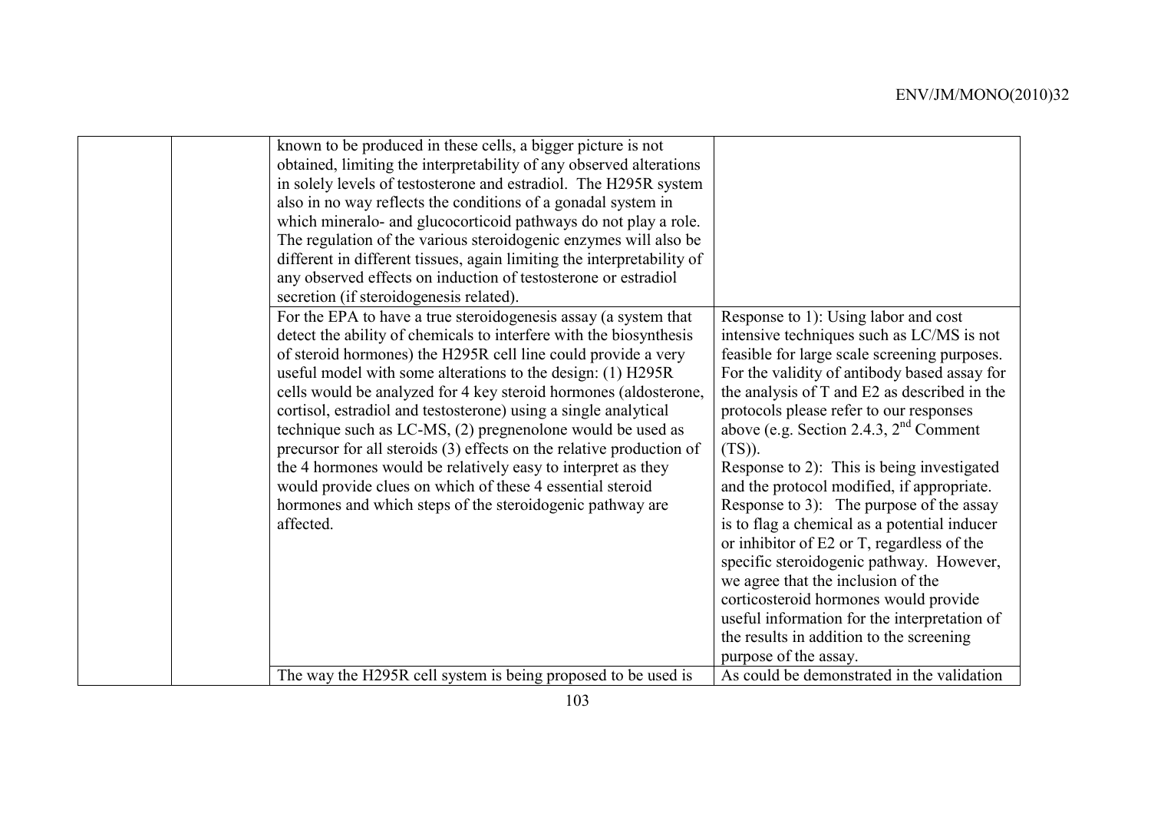| known to be produced in these cells, a bigger picture is not<br>obtained, limiting the interpretability of any observed alterations<br>in solely levels of testosterone and estradiol. The H295R system<br>also in no way reflects the conditions of a gonadal system in<br>which mineralo- and glucocorticoid pathways do not play a role.<br>The regulation of the various steroidogenic enzymes will also be<br>different in different tissues, again limiting the interpretability of<br>any observed effects on induction of testosterone or estradiol<br>secretion (if steroidogenesis related).                                                                                                                                                    |                                                                                                                                                                                                                                                                                                                                                                                                                                                                                                                                                                                                                                                                                                                                                                                                                             |
|-----------------------------------------------------------------------------------------------------------------------------------------------------------------------------------------------------------------------------------------------------------------------------------------------------------------------------------------------------------------------------------------------------------------------------------------------------------------------------------------------------------------------------------------------------------------------------------------------------------------------------------------------------------------------------------------------------------------------------------------------------------|-----------------------------------------------------------------------------------------------------------------------------------------------------------------------------------------------------------------------------------------------------------------------------------------------------------------------------------------------------------------------------------------------------------------------------------------------------------------------------------------------------------------------------------------------------------------------------------------------------------------------------------------------------------------------------------------------------------------------------------------------------------------------------------------------------------------------------|
| For the EPA to have a true steroidogenesis assay (a system that<br>detect the ability of chemicals to interfere with the biosynthesis<br>of steroid hormones) the H295R cell line could provide a very<br>useful model with some alterations to the design: (1) H295R<br>cells would be analyzed for 4 key steroid hormones (aldosterone,<br>cortisol, estradiol and testosterone) using a single analytical<br>technique such as LC-MS, (2) pregnenolone would be used as<br>precursor for all steroids (3) effects on the relative production of<br>the 4 hormones would be relatively easy to interpret as they<br>would provide clues on which of these 4 essential steroid<br>hormones and which steps of the steroidogenic pathway are<br>affected. | Response to 1): Using labor and cost<br>intensive techniques such as LC/MS is not<br>feasible for large scale screening purposes.<br>For the validity of antibody based assay for<br>the analysis of T and E2 as described in the<br>protocols please refer to our responses<br>above (e.g. Section 2.4.3, $2nd$ Comment<br>$(TS)$ ).<br>Response to 2): This is being investigated<br>and the protocol modified, if appropriate.<br>Response to 3): The purpose of the assay<br>is to flag a chemical as a potential inducer<br>or inhibitor of E2 or T, regardless of the<br>specific steroidogenic pathway. However,<br>we agree that the inclusion of the<br>corticosteroid hormones would provide<br>useful information for the interpretation of<br>the results in addition to the screening<br>purpose of the assay. |
| The way the H295R cell system is being proposed to be used is                                                                                                                                                                                                                                                                                                                                                                                                                                                                                                                                                                                                                                                                                             | As could be demonstrated in the validation                                                                                                                                                                                                                                                                                                                                                                                                                                                                                                                                                                                                                                                                                                                                                                                  |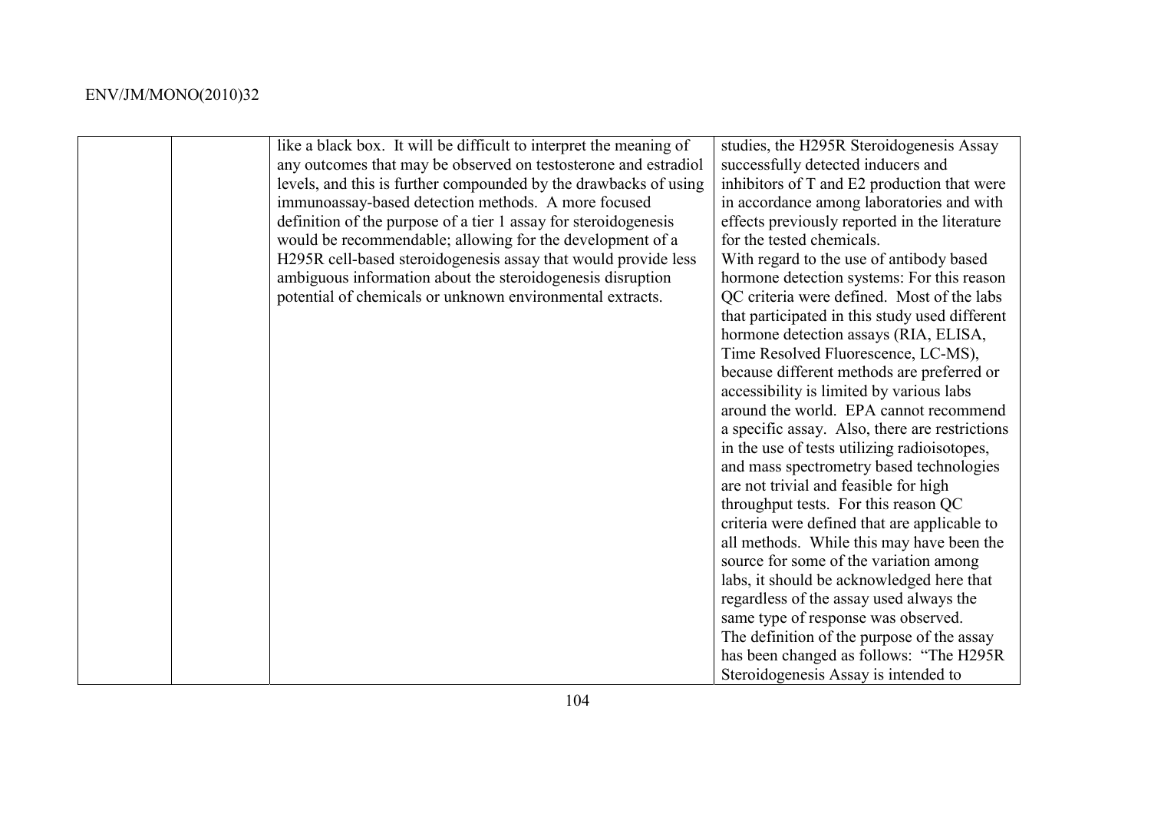|  | like a black box. It will be difficult to interpret the meaning of | studies, the H295R Steroidogenesis Assay       |
|--|--------------------------------------------------------------------|------------------------------------------------|
|  | any outcomes that may be observed on testosterone and estradiol    | successfully detected inducers and             |
|  | levels, and this is further compounded by the drawbacks of using   | inhibitors of T and E2 production that were    |
|  | immunoassay-based detection methods. A more focused                | in accordance among laboratories and with      |
|  | definition of the purpose of a tier 1 assay for steroidogenesis    | effects previously reported in the literature  |
|  | would be recommendable; allowing for the development of a          | for the tested chemicals.                      |
|  | H295R cell-based steroidogenesis assay that would provide less     | With regard to the use of antibody based       |
|  | ambiguous information about the steroidogenesis disruption         | hormone detection systems: For this reason     |
|  |                                                                    |                                                |
|  | potential of chemicals or unknown environmental extracts.          | QC criteria were defined. Most of the labs     |
|  |                                                                    | that participated in this study used different |
|  |                                                                    | hormone detection assays (RIA, ELISA,          |
|  |                                                                    | Time Resolved Fluorescence, LC-MS),            |
|  |                                                                    | because different methods are preferred or     |
|  |                                                                    | accessibility is limited by various labs       |
|  |                                                                    | around the world. EPA cannot recommend         |
|  |                                                                    | a specific assay. Also, there are restrictions |
|  |                                                                    | in the use of tests utilizing radioisotopes,   |
|  |                                                                    | and mass spectrometry based technologies       |
|  |                                                                    | are not trivial and feasible for high          |
|  |                                                                    | throughput tests. For this reason QC           |
|  |                                                                    | criteria were defined that are applicable to   |
|  |                                                                    | all methods. While this may have been the      |
|  |                                                                    | source for some of the variation among         |
|  |                                                                    | labs, it should be acknowledged here that      |
|  |                                                                    | regardless of the assay used always the        |
|  |                                                                    | same type of response was observed.            |
|  |                                                                    | The definition of the purpose of the assay     |
|  |                                                                    | has been changed as follows: "The H295R        |
|  |                                                                    | Steroidogenesis Assay is intended to           |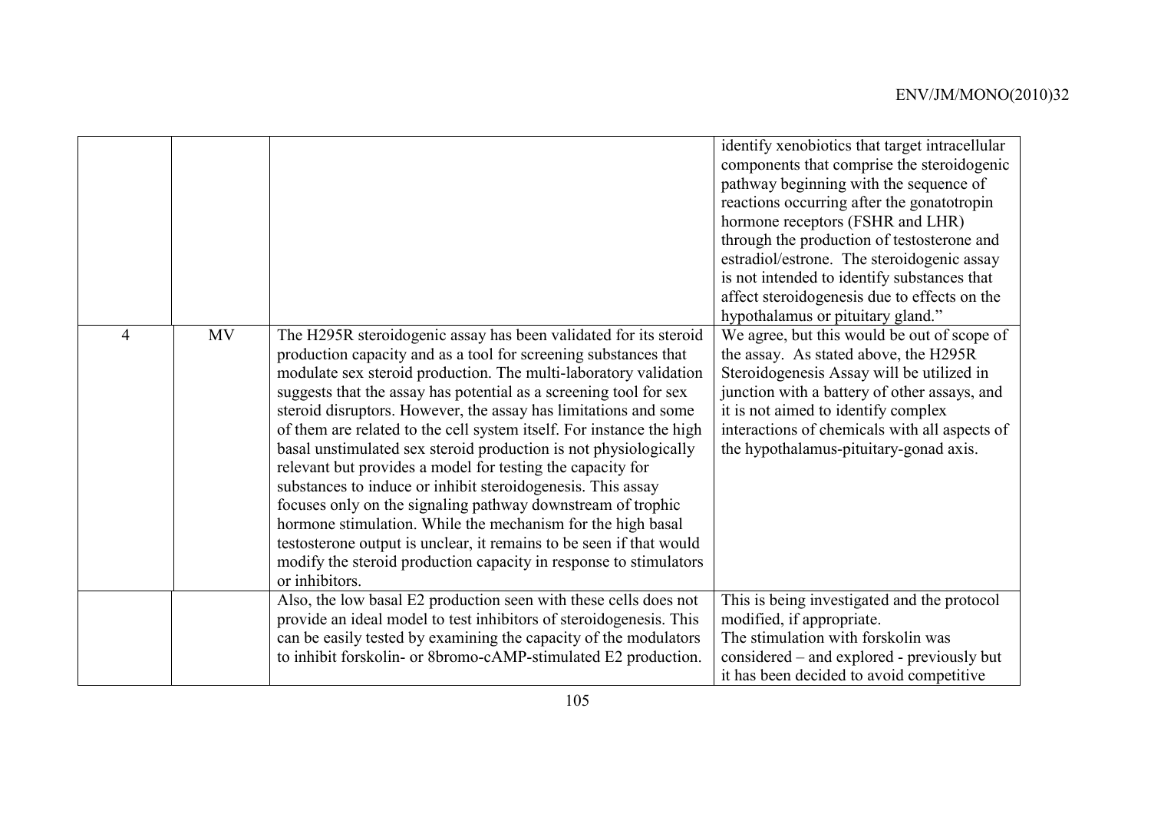|   |           |                                                                                                                                                                                                                                                                                                                                                                                                                                                                                                                                                                                                                                                                                                                                                                                                                                                                                                                      | identify xenobiotics that target intracellular<br>components that comprise the steroidogenic<br>pathway beginning with the sequence of<br>reactions occurring after the gonatotropin<br>hormone receptors (FSHR and LHR)<br>through the production of testosterone and<br>estradiol/estrone. The steroidogenic assay<br>is not intended to identify substances that<br>affect steroidogenesis due to effects on the<br>hypothalamus or pituitary gland." |
|---|-----------|----------------------------------------------------------------------------------------------------------------------------------------------------------------------------------------------------------------------------------------------------------------------------------------------------------------------------------------------------------------------------------------------------------------------------------------------------------------------------------------------------------------------------------------------------------------------------------------------------------------------------------------------------------------------------------------------------------------------------------------------------------------------------------------------------------------------------------------------------------------------------------------------------------------------|----------------------------------------------------------------------------------------------------------------------------------------------------------------------------------------------------------------------------------------------------------------------------------------------------------------------------------------------------------------------------------------------------------------------------------------------------------|
| 4 | <b>MV</b> | The H295R steroidogenic assay has been validated for its steroid<br>production capacity and as a tool for screening substances that<br>modulate sex steroid production. The multi-laboratory validation<br>suggests that the assay has potential as a screening tool for sex<br>steroid disruptors. However, the assay has limitations and some<br>of them are related to the cell system itself. For instance the high<br>basal unstimulated sex steroid production is not physiologically<br>relevant but provides a model for testing the capacity for<br>substances to induce or inhibit steroidogenesis. This assay<br>focuses only on the signaling pathway downstream of trophic<br>hormone stimulation. While the mechanism for the high basal<br>testosterone output is unclear, it remains to be seen if that would<br>modify the steroid production capacity in response to stimulators<br>or inhibitors. | We agree, but this would be out of scope of<br>the assay. As stated above, the H295R<br>Steroidogenesis Assay will be utilized in<br>junction with a battery of other assays, and<br>it is not aimed to identify complex<br>interactions of chemicals with all aspects of<br>the hypothalamus-pituitary-gonad axis.                                                                                                                                      |
|   |           | Also, the low basal E2 production seen with these cells does not<br>provide an ideal model to test inhibitors of steroidogenesis. This<br>can be easily tested by examining the capacity of the modulators<br>to inhibit forskolin- or 8bromo-cAMP-stimulated E2 production.                                                                                                                                                                                                                                                                                                                                                                                                                                                                                                                                                                                                                                         | This is being investigated and the protocol<br>modified, if appropriate.<br>The stimulation with forskolin was<br>considered – and explored - previously but<br>it has been decided to avoid competitive                                                                                                                                                                                                                                                 |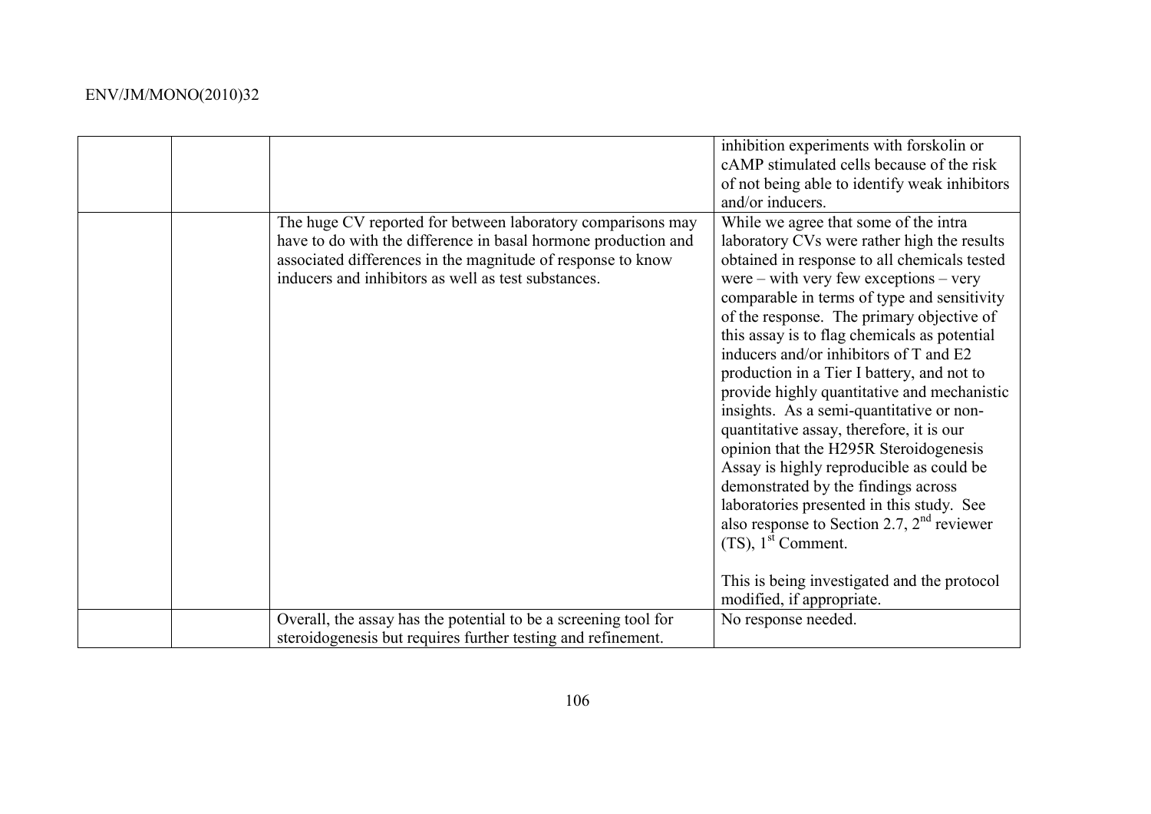|                                                                                                                                                                                                                                                     | inhibition experiments with forskolin or<br>cAMP stimulated cells because of the risk<br>of not being able to identify weak inhibitors<br>and/or inducers.                                                                                                                                                                                                                                                                                                                                                                                                                                                                                                                                                                                                                                                                                                                                           |
|-----------------------------------------------------------------------------------------------------------------------------------------------------------------------------------------------------------------------------------------------------|------------------------------------------------------------------------------------------------------------------------------------------------------------------------------------------------------------------------------------------------------------------------------------------------------------------------------------------------------------------------------------------------------------------------------------------------------------------------------------------------------------------------------------------------------------------------------------------------------------------------------------------------------------------------------------------------------------------------------------------------------------------------------------------------------------------------------------------------------------------------------------------------------|
| The huge CV reported for between laboratory comparisons may<br>have to do with the difference in basal hormone production and<br>associated differences in the magnitude of response to know<br>inducers and inhibitors as well as test substances. | While we agree that some of the intra<br>laboratory CVs were rather high the results<br>obtained in response to all chemicals tested<br>were – with very few exceptions – very<br>comparable in terms of type and sensitivity<br>of the response. The primary objective of<br>this assay is to flag chemicals as potential<br>inducers and/or inhibitors of T and E2<br>production in a Tier I battery, and not to<br>provide highly quantitative and mechanistic<br>insights. As a semi-quantitative or non-<br>quantitative assay, therefore, it is our<br>opinion that the H295R Steroidogenesis<br>Assay is highly reproducible as could be<br>demonstrated by the findings across<br>laboratories presented in this study. See<br>also response to Section 2.7, $2nd$ reviewer<br>$(TS)$ , 1 <sup>st</sup> Comment.<br>This is being investigated and the protocol<br>modified, if appropriate. |
| Overall, the assay has the potential to be a screening tool for                                                                                                                                                                                     | No response needed.                                                                                                                                                                                                                                                                                                                                                                                                                                                                                                                                                                                                                                                                                                                                                                                                                                                                                  |
| steroidogenesis but requires further testing and refinement.                                                                                                                                                                                        |                                                                                                                                                                                                                                                                                                                                                                                                                                                                                                                                                                                                                                                                                                                                                                                                                                                                                                      |
|                                                                                                                                                                                                                                                     |                                                                                                                                                                                                                                                                                                                                                                                                                                                                                                                                                                                                                                                                                                                                                                                                                                                                                                      |